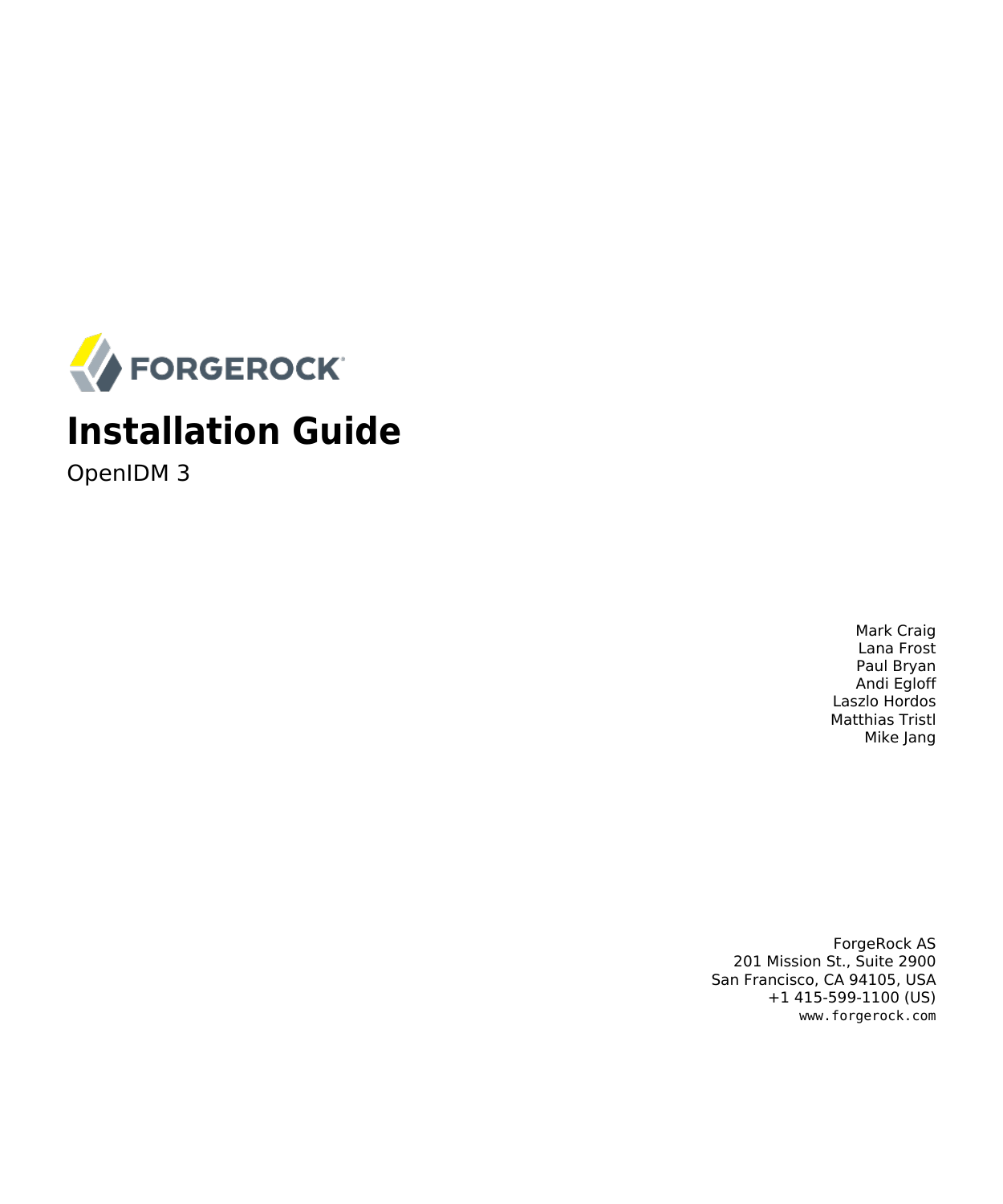

# **Installation Guide**

OpenIDM 3

Mark Craig Lana Frost Paul Bryan Andi Egloff Laszlo Hordos Matthias Tristl Mike Jang

ForgeRock AS 201 Mission St., Suite 2900 San Francisco, CA 94105, USA +1 415-599-1100 (US) www.forgerock.com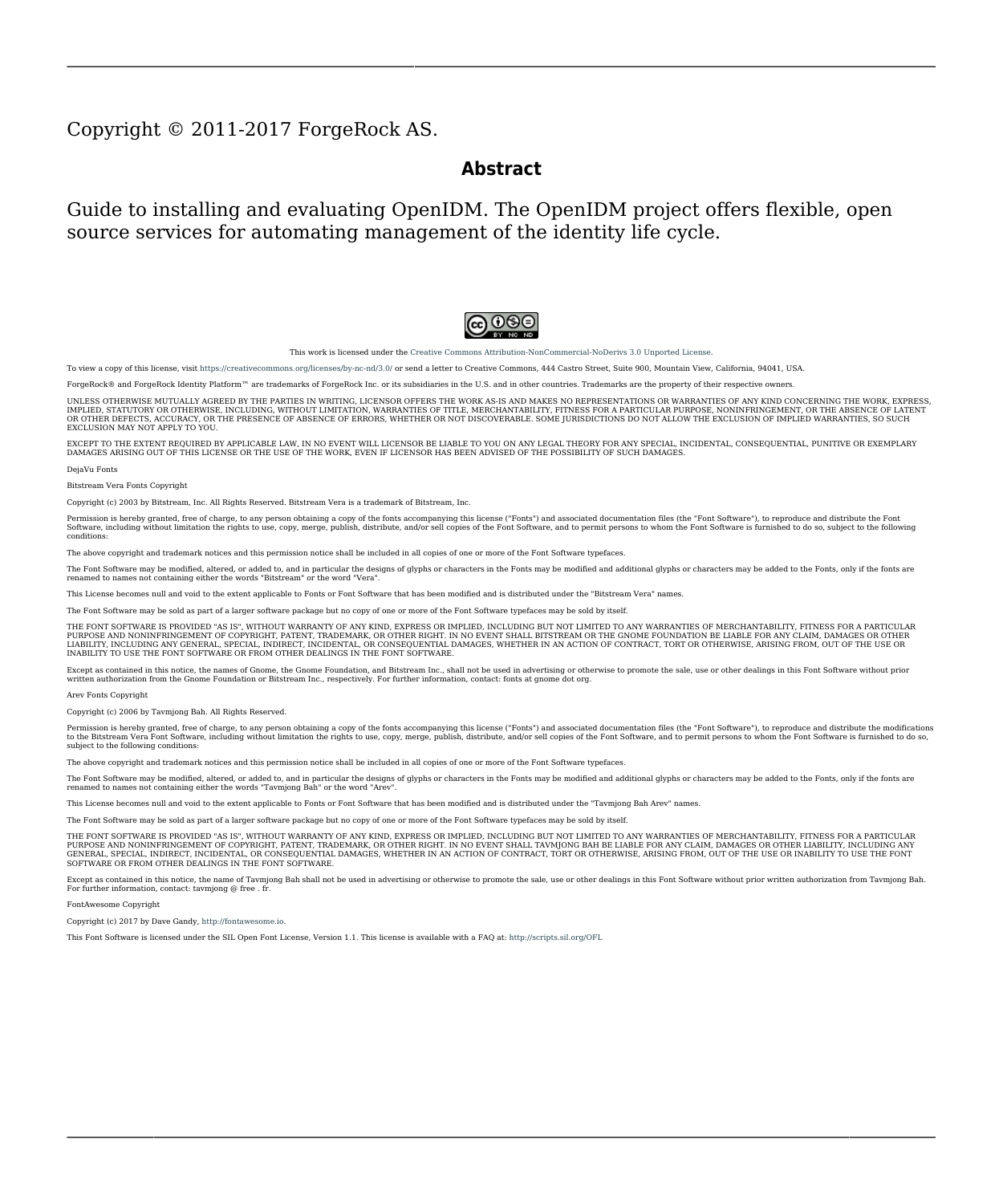#### Copyright © 2011-2017 ForgeRock AS.

#### **Abstract**

Guide to installing and evaluating OpenIDM. The OpenIDM project offers flexible, open source services for automating management of the identity life cycle.



This work is licensed under the Creative Commons Attribution-NonCommercial-NoDerivs 3.0 Unpo

To view a copy of this license, visit <https://creativecommons.org/licenses/by-nc-nd/3.0/> or send a letter to Creative Commons, 444 Castro Street, Suite 900, Mountain View, California, 94041, USA.

ForgeRock® and ForgeRock Identity Platform™ are trademarks of ForgeRock Inc. or its subsidiaries in the U.S. and in other countries. Trademarks are the property of their re

UNLESS OTHERWISE MUTUALIX AGREED BY THE PARTIES IN WRITNG, LICENSOR OFFERS THE WORK ASLES OF ARRESENTATIONS OR WARRANTIES OF ANY KNR ACTOR OF AN EXPRESS OT ALLY AN ALLY AND CONCERNING THE WORK, EXPRESS, THE ABSENCE OF LATE OR OTHER DEFECTS, ACCURACY, OR THE PRESENCE OF ABSENCE OF ERRORS, WHETHER OR NOT DISCOVERABLE. SOME JURISDICTIONS DO NOT ALLOW THE EXCLUSION OF IMPLIED WARRANTIES, SO SUCH EXCLUSION MAY NOT APPLY TO YOU.

EXCEPT TO THE EXTENT REQUIRED BY APPLICABLE LAW, IN NO EVENT WILL LICENSOR BE LIABLE TO YOU ON ANY LEGAL THEORY FOR ANY ISLOCKERT ALLOCATED TO THE STATE ON SERVENTIAL, PONCE OUR EXEMPLARY CONSEQUENTIAL, PONTIVE OR EXEMPLAR

DejaVu Fonts

Bitstream Vera Fonts Copyright

Copyright (c) 2003 by Bitstream, Inc. All Rights Reserved. Bitstream Vera is a trademark of Bitstream, Inc.

Permission is hereby granted, free of charge, to any person obtaining a copy of the fonts accompanying this license ("Fonts") and associated documentation files ("hent Font Software, including without instanded to do so, s condition

re copyright and trademark notices and this permission notice shall be included in all copies of one or more of the Font Software typefaces.

The Font Software may be modified, altered, or added to, and in particular the designs of glyphs or characters in the Fonts may be modified and additional glyphs or characters may be added to the Fonts, only if the fonts a renamed to names not containing either the words "Bitstream" or the word "Vera".

This License becomes null and void to the extent applicable to Fonts or Font Software that has been modified and is distributed under the "Bitstream Vera" names.

The Font Software may be sold as part of a larger software package but no copy of one or more of the Font Software typefaces may be sold by itself.

THE FONT SOFTWARE IS PROVIDED "AS IS", WTHOUT WARRANTY OF ANY KIND, EXPRESS OR IMPLIED, MALRO THO AN MONTARRANTIES OF MERCHANTABILITY, FITNESS FOR A PARTO THE SOFT A PARTICULARY IN THE GROME FOR ANY CLAIM, DAMAGES OR OTHER LIABILITY, INCLUDING ANY GENERAL, SPECIAL, INDIRECT, INCLOSTED AND ANGERET AND ARRELLY MAN ACTION OF CONTRACT, TORT OR OTHERWISE, ARISING FROM, OUT OF THE USE OR<br>INABILITY TO USE THE FONT SOFTWARE OR FROM OTHER DEALINGS IN

Except as contained in this notice, the names of Gnome, the Gnome Foundation, and Bitstream Inc., shall not be used in advertising or otherwise to promote the sale, use or other dealings in this Font Software without prior

Arev Fonts Copyright

Copyright (c) 2006 by Tavmjong Bah. All Rights Reserved.

Permission is hereby granted, free of charge, to any person obtaining a copy of the fonts accompanying this license ("Fonts") and associated documentation files (the "Font Software"), to reproduce and distribute the modifi to the Bitstream Vera Font Software, including without limitation the rights to use, copy, merge, publish, distribute, and/or sell copies of the Font Software, and to permit persons to whom the Font Software is furnished t

we copyright and trademark notices and this permission notice shall be included in all copies of one or more of the Font Software typefaces.

The Font Software may be modified, altered, or added to, and in particular the designs of glyphs or characters in the Fonts may be modified and additional glyphs or characters may be added to the Fonts, only if the fonts a

This License becomes null and void to the extent applicable to Fonts or Font Software that has been modified and is distributed under the "Tavmjong Bah Arev" names.

The Font Software may be sold as part of a larger software package but no copy of one or more of the Font Software typefaces may be sold by itself.

THE FONT SOFTWARE IS PROVIDED "AS IS", WITHOUT WARRANTY OF ANY KIND, EXPRESS OR IMPLIED, INCLUDING BUT NOT LIMITED TO ANY WARRANTIES OF MERCHANTABILITY, FITNESS FOR A PARTICULAR PURPOSE AND NONINFRINGEMENT OF COPYRIGHT, PATENT, TRADEMARK, OR OTHER RIGHT. IN NO EVENT SHALL TAVMJONG BAH BE LIABLE FOR ANY CLAIM, DAMAGES OR OTHER LIABILITY, INCLUDING ANY<br>GENERAL, SPECIAL, INDIRECT, INCIDENTAL, OR CONS

Except as contained in this notice, the name of Tavmjong Bah shall not be used in advertising or otherwise to promote the sale, use or other dealings in this Font Software without prior written authorization from Tavmjong For further information, contact: tavmjong @ free . fr.

#### FontAwesome Copyright

Copyright (c) 2017 by Dave Gandy, [http://fontawesome.io.](http://fontawesome.io)

This Font Software is licensed under the SIL Open Font License, Version 1.1. This license is available with a FAQ at:<http://scripts.sil.org/OFL>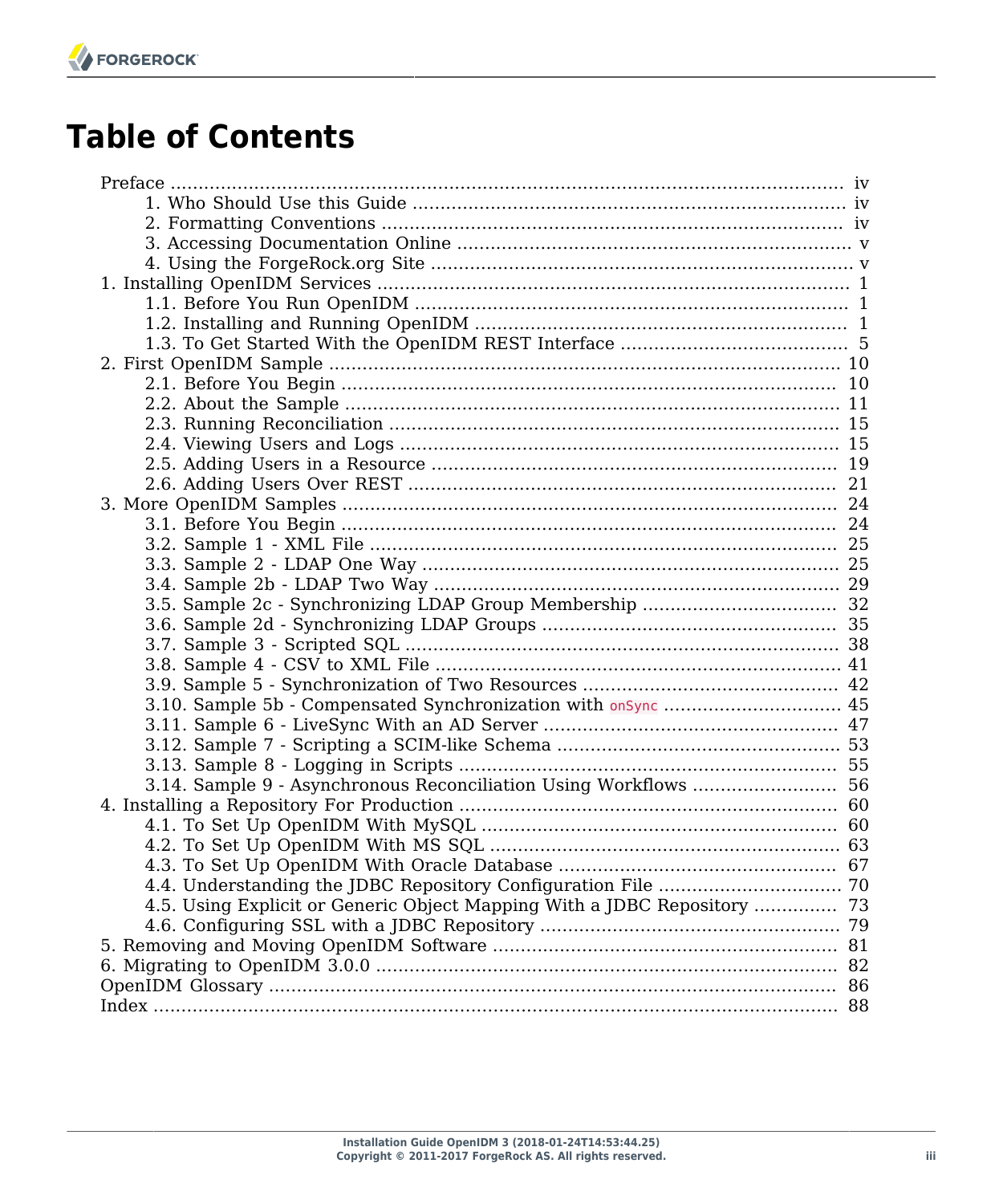# **Table of Contents**

| 3.14. Sample 9 - Asynchronous Reconciliation Using Workflows  56         |  |
|--------------------------------------------------------------------------|--|
|                                                                          |  |
|                                                                          |  |
|                                                                          |  |
|                                                                          |  |
|                                                                          |  |
| 4.5. Using Explicit or Generic Object Mapping With a JDBC Repository  73 |  |
|                                                                          |  |
|                                                                          |  |
|                                                                          |  |
|                                                                          |  |
|                                                                          |  |
|                                                                          |  |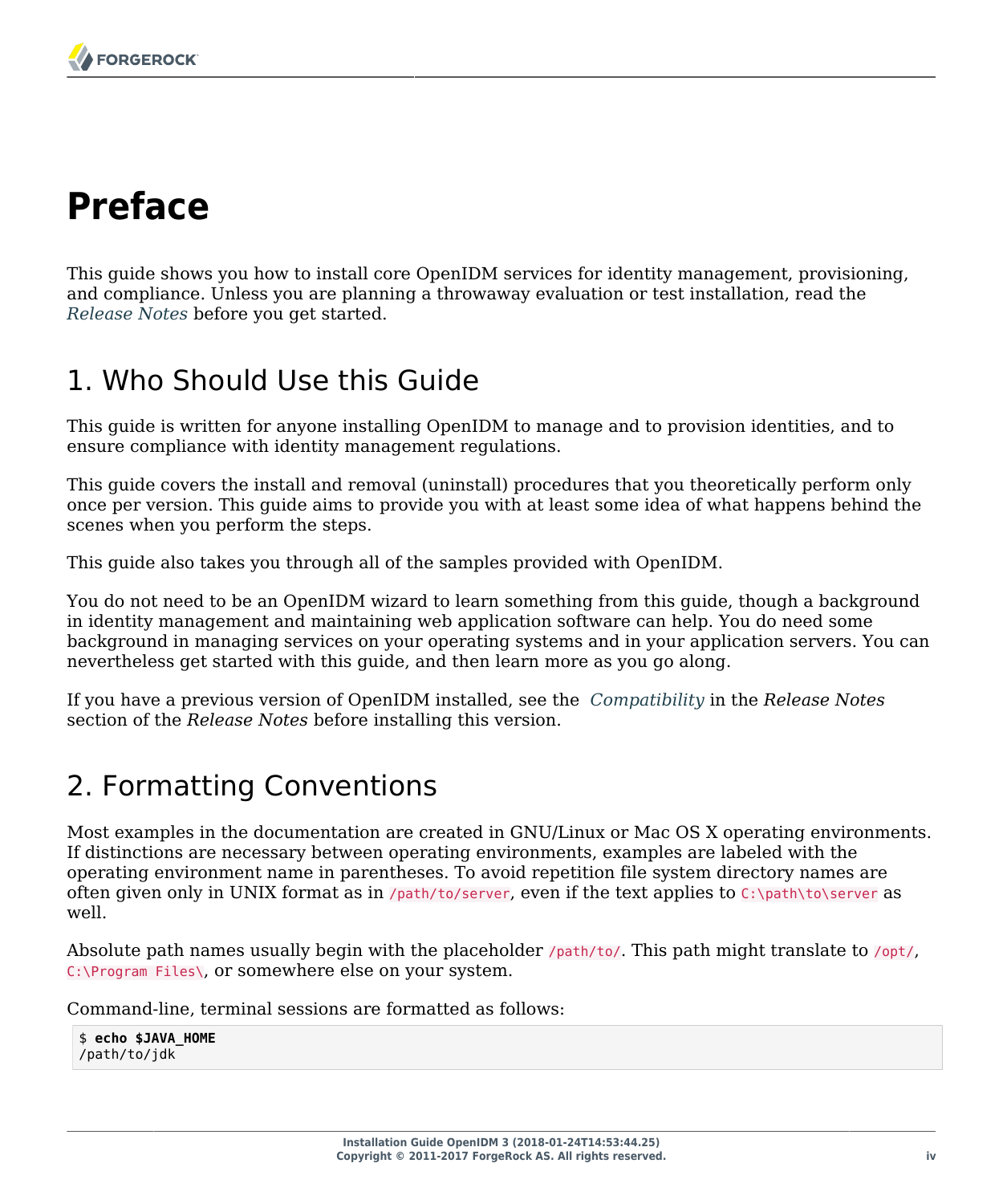# <span id="page-3-0"></span>**Preface**

This guide shows you how to install core OpenIDM services for identity management, provisioning, and compliance. Unless you are planning a throwaway evaluation or test installation, read the *Release Notes* before you get started.

# <span id="page-3-1"></span>1. Who Should Use this Guide

This guide is written for anyone installing OpenIDM to manage and to provision identities, and to ensure compliance with identity management regulations.

This guide covers the install and removal (uninstall) procedures that you theoretically perform only once per version. This guide aims to provide you with at least some idea of what happens behind the scenes when you perform the steps.

This guide also takes you through all of the samples provided with OpenIDM.

You do not need to be an OpenIDM wizard to learn something from this guide, though a background in identity management and maintaining web application software can help. You do need some background in managing services on your operating systems and in your application servers. You can nevertheless get started with this guide, and then learn more as you go along.

If you have a previous version of OpenIDM installed, see the *Compatibility* in the *Release Notes* section of the *Release Notes* before installing this version.

### <span id="page-3-2"></span>2. Formatting Conventions

Most examples in the documentation are created in GNU/Linux or Mac OS X operating environments. If distinctions are necessary between operating environments, examples are labeled with the operating environment name in parentheses. To avoid repetition file system directory names are often given only in UNIX format as in /path/to/server, even if the text applies to  $C:\path\to\server$  as well.

Absolute path names usually begin with the placeholder /path/to/. This path might translate to /opt/, C:\Program Files\, or somewhere else on your system.

Command-line, terminal sessions are formatted as follows:

\$ **echo \$JAVA\_HOME** /path/to/jdk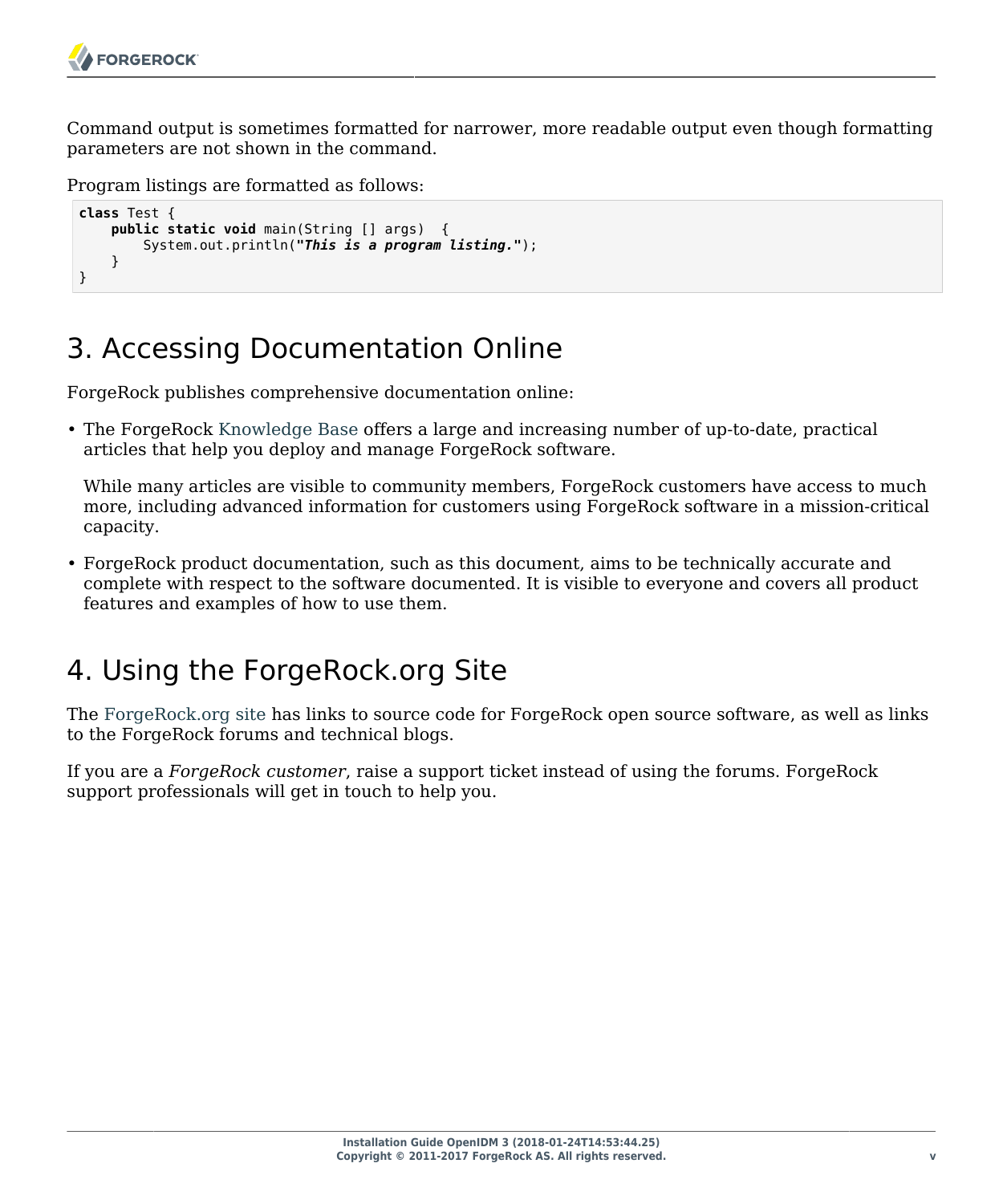Command output is sometimes formatted for narrower, more readable output even though formatting parameters are not shown in the command.

Program listings are formatted as follows:

```
class Test {
     public static void main(String [] args) {
         System.out.println("This is a program listing.");
     }
}
```
# <span id="page-4-0"></span>3. Accessing Documentation Online

ForgeRock publishes comprehensive documentation online:

• The ForgeRock [Knowledge Base](https://backstage.forgerock.com/knowledge/kb) offers a large and increasing number of up-to-date, practical articles that help you deploy and manage ForgeRock software.

While many articles are visible to community members, ForgeRock customers have access to much more, including advanced information for customers using ForgeRock software in a mission-critical capacity.

• ForgeRock product documentation, such as this document, aims to be technically accurate and complete with respect to the software documented. It is visible to everyone and covers all product features and examples of how to use them.

### <span id="page-4-1"></span>4. Using the ForgeRock.org Site

The [ForgeRock.org site](https://forgerock.org) has links to source code for ForgeRock open source software, as well as links to the ForgeRock forums and technical blogs.

If you are a *ForgeRock customer*, raise a support ticket instead of using the forums. ForgeRock support professionals will get in touch to help you.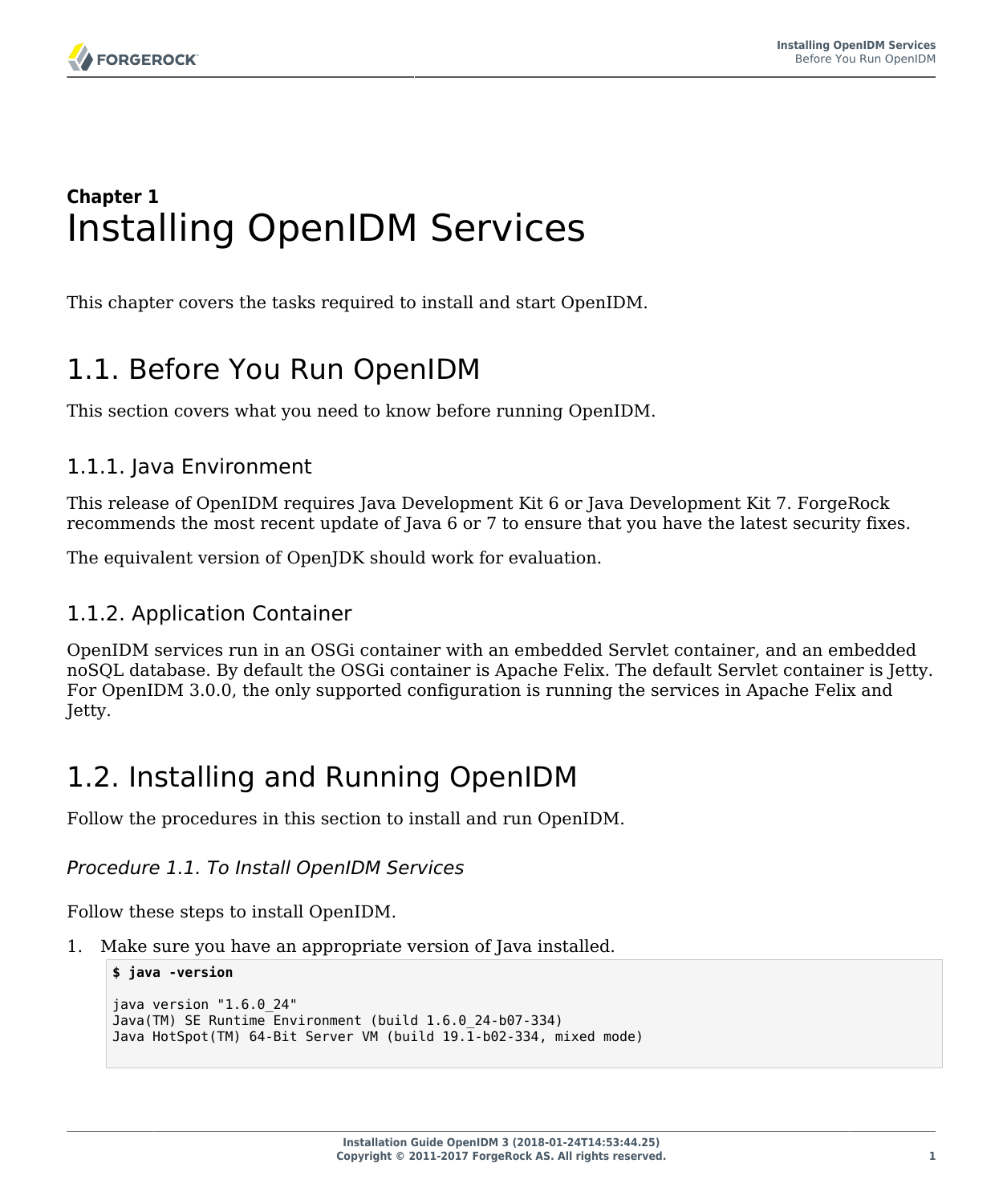# <span id="page-5-0"></span>**Chapter 1** Installing OpenIDM Services

<span id="page-5-1"></span>This chapter covers the tasks required to install and start OpenIDM.

# 1.1. Before You Run OpenIDM

This section covers what you need to know before running OpenIDM.

### 1.1.1. Java Environment

This release of OpenIDM requires Java Development Kit 6 or Java Development Kit 7. ForgeRock recommends the most recent update of Java 6 or 7 to ensure that you have the latest security fixes.

The equivalent version of OpenJDK should work for evaluation.

### 1.1.2. Application Container

OpenIDM services run in an OSGi container with an embedded Servlet container, and an embedded noSQL database. By default the OSGi container is Apache Felix. The default Servlet container is Jetty. For OpenIDM 3.0.0, the only supported configuration is running the services in Apache Felix and Jetty.

# <span id="page-5-2"></span>1.2. Installing and Running OpenIDM

Follow the procedures in this section to install and run OpenIDM.

#### *Procedure 1.1. To Install OpenIDM Services*

Follow these steps to install OpenIDM.

1. Make sure you have an appropriate version of Java installed.

```
$ java -version
java version "1.6.0_24"
Java(TM) SE Runtime Environment (build 1.6.0_24-b07-334)
Java HotSpot(TM) 64-Bit Server VM (build 19.1-b02-334, mixed mode)
```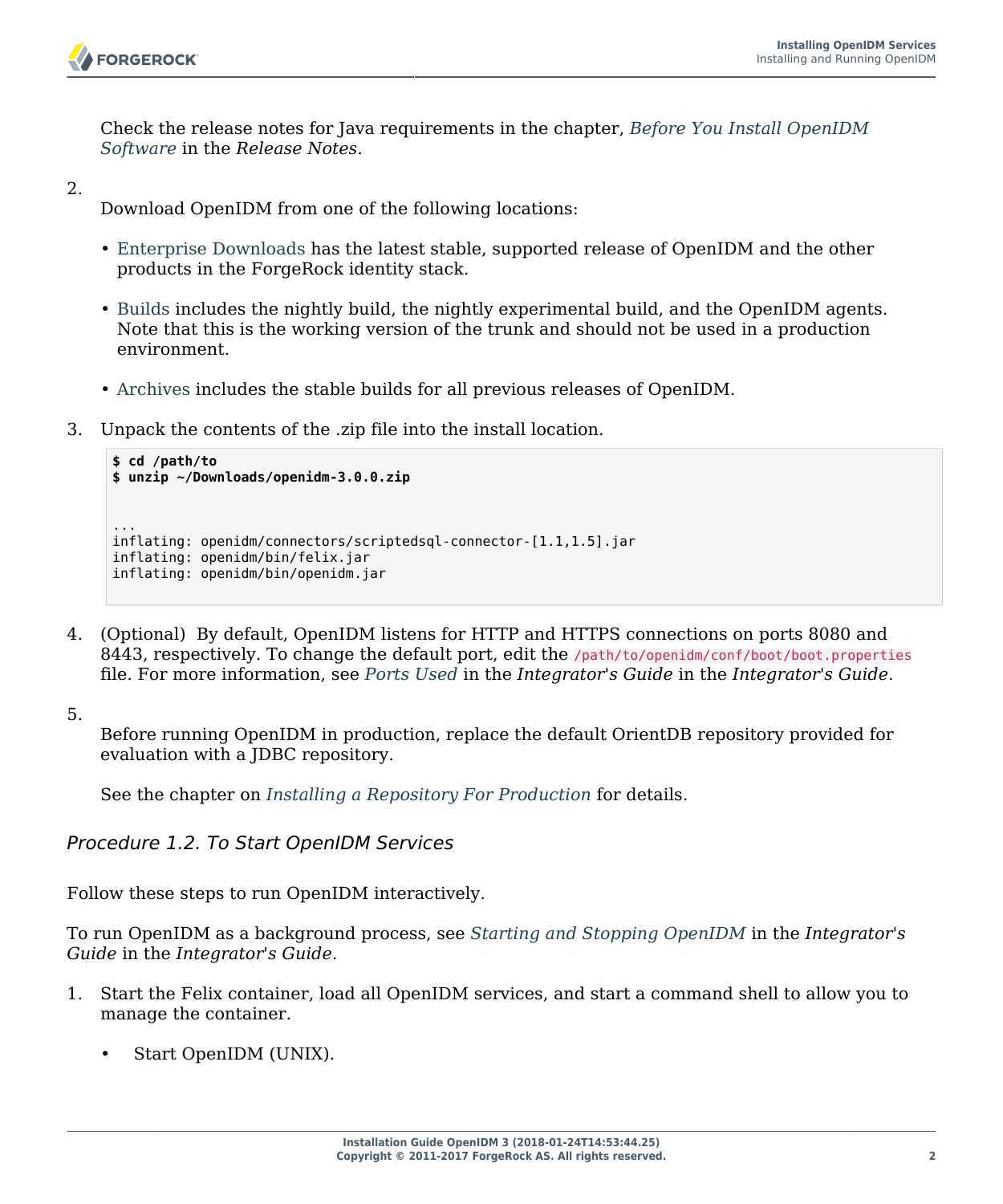

Check the release notes for Java requirements in the chapter, *Before You Install OpenIDM Software* in the *Release Notes*.

2.

Download OpenIDM from one of the following locations:

- [Enterprise Downloads](http://www.forgerock.com/download-stack/) has the latest stable, supported release of OpenIDM and the other products in the ForgeRock identity stack.
- [Builds](http://forgerock.org/openidm.html) includes the nightly build, the nightly experimental build, and the OpenIDM agents. Note that this is the working version of the trunk and should not be used in a production environment.
- [Archives](http://forgerock.org/openidm-archive.html) includes the stable builds for all previous releases of OpenIDM.
- 3. Unpack the contents of the .zip file into the install location.

```
$ cd /path/to
$ unzip ~/Downloads/openidm-3.0.0.zip
...
inflating: openidm/connectors/scriptedsql-connector-[1.1,1.5].jar
inflating: openidm/bin/felix.jar
inflating: openidm/bin/openidm.jar
```
4. (Optional) By default, OpenIDM listens for HTTP and HTTPS connections on ports 8080 and 8443, respectively. To change the default port, edit the /path/to/openidm/conf/boot/boot.properties file. For more information, see *Ports Used* in the *Integrator's Guide* in the *Integrator's Guide*.

5.

Before running OpenIDM in production, replace the default OrientDB repository provided for evaluation with a JDBC repository.

See the chapter on *[Installing a Repository For Production](#page-64-0)* for details.

*Procedure 1.2. To Start OpenIDM Services*

Follow these steps to run OpenIDM interactively.

To run OpenIDM as a background process, see *Starting and Stopping OpenIDM* in the *Integrator's Guide* in the *Integrator's Guide*.

- 1. Start the Felix container, load all OpenIDM services, and start a command shell to allow you to manage the container.
	- Start OpenIDM (UNIX).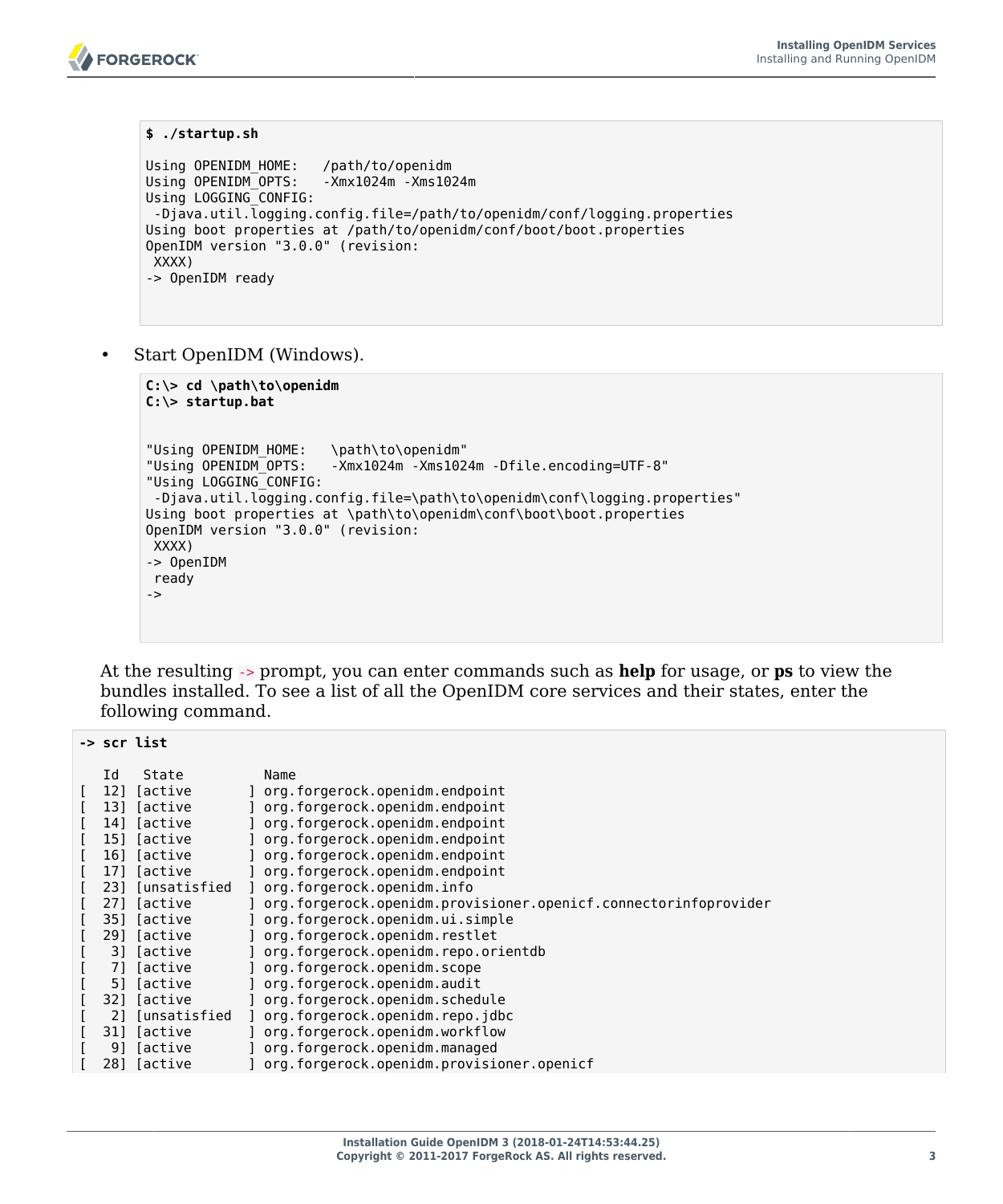```
$ ./startup.sh
Using OPENIDM_HOME: /path/to/openidm
Using OPENIDM_OPTS: -Xmx1024m -Xms1024m
Using LOGGING_CONFIG:
-Djava.util.logging.config.file=/path/to/openidm/conf/logging.properties
Using boot properties at /path/to/openidm/conf/boot/boot.properties
OpenIDM version "3.0.0" (revision:
 XXXX)
-> OpenIDM ready
```
Start OpenIDM (Windows).

**FORGEROCK** 

```
C:\> cd \path\to\openidm
C:\> startup.bat
"Using OPENIDM_HOME: \path\to\openidm"
                       -Xmx1024m -Xms1024m -Dfile.encoding=UTF-8"
"Using LOGGING_CONFIG:
-Djava.util.logging.config.file=\path\to\openidm\conf\logging.properties"
Using boot properties at \path\to\openidm\conf\boot\boot.properties
OpenIDM version "3.0.0" (revision:
 XXXX)
-> OpenIDM
 ready
->
```
At the resulting -> prompt, you can enter commands such as **help** for usage, or **ps** to view the bundles installed. To see a list of all the OpenIDM core services and their states, enter the following command.

|     | -> scr list         |                                                                 |
|-----|---------------------|-----------------------------------------------------------------|
| Id  | State               | Name                                                            |
| 12] | [active             | ] org.forgerock.openidm.endpoint                                |
| 131 | [active             | org.forgerock.openidm.endpoint                                  |
| 14] | [active             | ] org.forgerock.openidm.endpoint                                |
| 151 | [active             | org.forgerock.openidm.endpoint                                  |
| 16] | [active             | org.forgerock.openidm.endpoint                                  |
| 171 | [active             | org.forgerock.openidm.endpoint                                  |
| 231 | [unsatisfied        | org.forgerock.openidm.info                                      |
|     | 27] [active         | org.forgerock.openidm.provisioner.openicf.connectorinfoprovider |
| 351 | ſactive             | org.forgerock.openidm.ui.simple                                 |
| 291 | [active             | org.forgerock.openidm.restlet                                   |
| 31  | Tactive             | org.forgerock.openidm.repo.orientdb                             |
| 71  | [active             | org.forgerock.openidm.scope                                     |
| 51  | Tactive             | org.forgerock.openidm.audit                                     |
| 321 | Tactive             | org.forgerock.openidm.schedule                                  |
| 21  | <b>Tunsatisfied</b> | org.forgerock.openidm.repo.jdbc                                 |
| 31] | [active             | org.forgerock.openidm.workflow                                  |
| 91  | [active             | ] org.forgerock.openidm.managed                                 |
| 281 | [active             | ] org.forgerock.openidm.provisioner.openicf                     |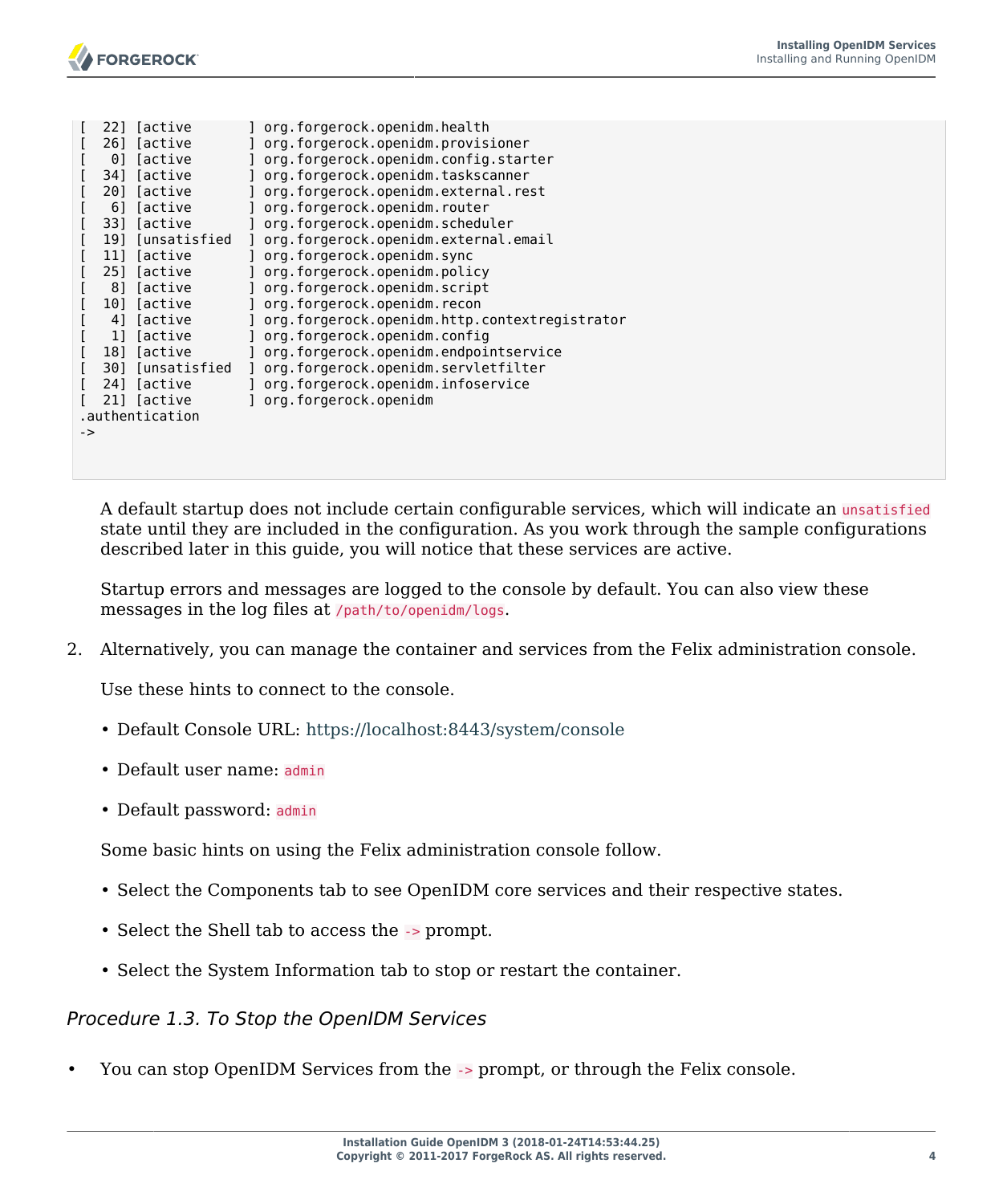|    | 22] | [active               | org.forgerock.openidm.health                  |
|----|-----|-----------------------|-----------------------------------------------|
|    | 261 | Tactive               | org.forgerock.openidm.provisioner             |
|    | 01  | <i><b>Tactive</b></i> | org.forgerock.openidm.config.starter          |
|    | 341 | [active               | org.forgerock.openidm.taskscanner             |
|    | 201 | [active               | org.forgerock.openidm.external.rest           |
|    | 61  | <i><b>Tactive</b></i> | org.forgerock.openidm.router                  |
|    | 331 | <i><b>Tactive</b></i> | org.forgerock.openidm.scheduler               |
|    | 191 | [unsatisfied          | org.forgerock.openidm.external.email          |
|    | 111 | <i><b>Tactive</b></i> | org.forgerock.openidm.sync                    |
|    | 251 | <i><b>Tactive</b></i> | org.forgerock.openidm.policy                  |
|    | 81  | Tactive               | org.forgerock.openidm.script                  |
|    | 101 | [active               | org.forgerock.openidm.recon                   |
|    | 41  | <i>l</i> active       | org.forgerock.openidm.http.contextregistrator |
|    | 11  | [active               | org.forgerock.openidm.config                  |
|    | 181 | [active               | org.forgerock.openidm.endpointservice         |
|    | 301 | [unsatisfied          | org.forgerock.openidm.servletfilter           |
|    | 241 | [active               | org.forgerock.openidm.infoservice             |
|    |     | 21] [active           | org.forgerock.openidm                         |
|    |     | .authentication       |                                               |
| -> |     |                       |                                               |
|    |     |                       |                                               |

A default startup does not include certain configurable services, which will indicate an unsatisfied state until they are included in the configuration. As you work through the sample configurations described later in this guide, you will notice that these services are active.

Startup errors and messages are logged to the console by default. You can also view these messages in the log files at /path/to/openidm/logs.

2. Alternatively, you can manage the container and services from the Felix administration console.

Use these hints to connect to the console.

- Default Console URL: <https://localhost:8443/system/console>
- Default user name: admin
- Default password: admin

Some basic hints on using the Felix administration console follow.

- Select the Components tab to see OpenIDM core services and their respective states.
- Select the Shell tab to access the -> prompt.
- Select the System Information tab to stop or restart the container.

#### *Procedure 1.3. To Stop the OpenIDM Services*

• You can stop OpenIDM Services from the -> prompt, or through the Felix console.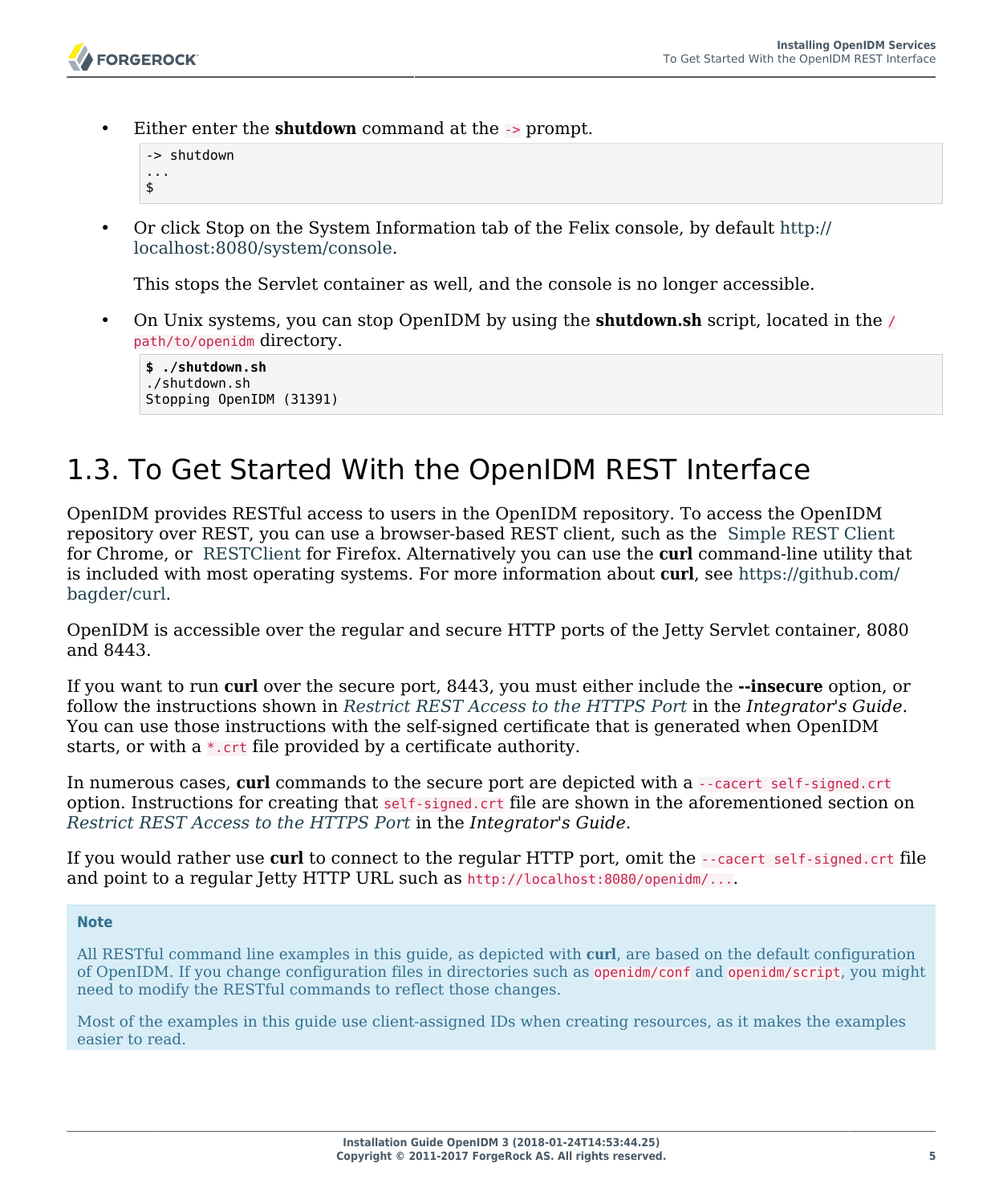• Either enter the **shutdown** command at the -> prompt.

```
-> shutdown
...
$
```
• Or click Stop on the System Information tab of the Felix console, by default [http://](http://localhost:8080/system/console) [localhost:8080/system/console](http://localhost:8080/system/console).

This stops the Servlet container as well, and the console is no longer accessible.

• On Unix systems, you can stop OpenIDM by using the **shutdown.sh** script, located in the / path/to/openidm directory.

**\$ ./shutdown.sh** ./shutdown.sh Stopping OpenIDM (31391)

# <span id="page-9-0"></span>1.3. To Get Started With the OpenIDM REST Interface

OpenIDM provides RESTful access to users in the OpenIDM repository. To access the OpenIDM repository over REST, you can use a browser-based REST client, such as the [Simple REST Client](https://chrome.google.com/webstore/detail/simple-rest-client/fhjcajmcbmldlhcimfajhfbgofnpcjmb) for Chrome, or [RESTClient](https://addons.mozilla.org/en-US/firefox/addon/restclient/) for Firefox. Alternatively you can use the **curl** command-line utility that is included with most operating systems. For more information about **curl**, see [https://github.com/](https://github.com/bagder/curl) [bagder/curl](https://github.com/bagder/curl).

OpenIDM is accessible over the regular and secure HTTP ports of the Jetty Servlet container, 8080 and 8443.

If you want to run **curl** over the secure port, 8443, you must either include the **--insecure** option, or follow the instructions shown in *Restrict REST Access to the HTTPS Port* in the *Integrator's Guide*. You can use those instructions with the self-signed certificate that is generated when OpenIDM starts, or with a \*.crt file provided by a certificate authority.

In numerous cases, **curl** commands to the secure port are depicted with a --cacert self-signed.crt option. Instructions for creating that self-signed.crt file are shown in the aforementioned section on *Restrict REST Access to the HTTPS Port* in the *Integrator's Guide*.

If you would rather use **curl** to connect to the regular HTTP port, omit the --cacert self-signed.crt file and point to a regular Jetty HTTP URL such as http://localhost:8080/openidm/....

#### **Note**

All RESTful command line examples in this guide, as depicted with **curl**, are based on the default configuration of OpenIDM. If you change configuration files in directories such as openidm/conf and openidm/script, you might need to modify the RESTful commands to reflect those changes.

Most of the examples in this guide use client-assigned IDs when creating resources, as it makes the examples easier to read.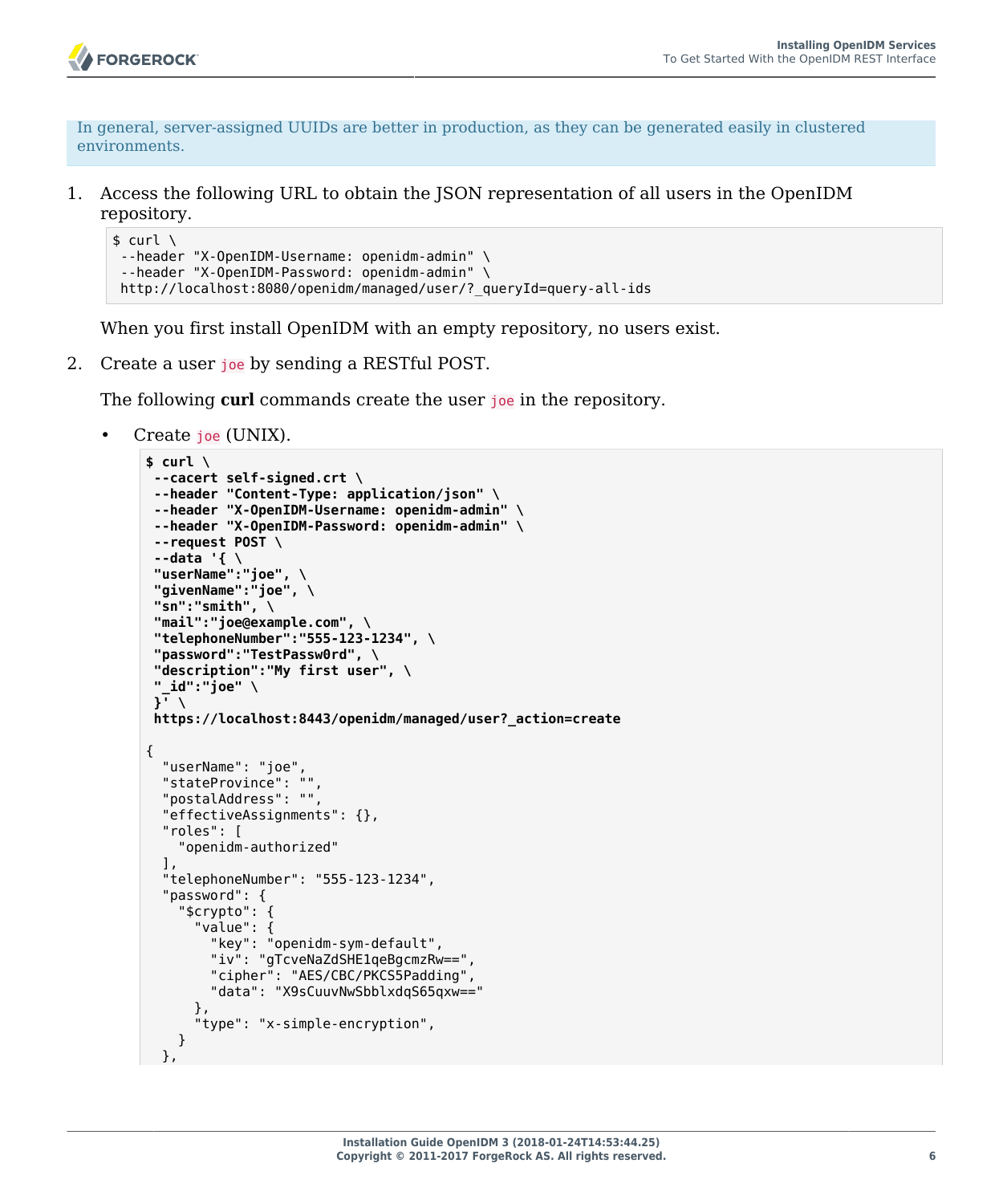

In general, server-assigned UUIDs are better in production, as they can be generated easily in clustered environments.

1. Access the following URL to obtain the JSON representation of all users in the OpenIDM repository.

```
$ curl \
 --header "X-OpenIDM-Username: openidm-admin" \
 --header "X-OpenIDM-Password: openidm-admin" \
 http://localhost:8080/openidm/managed/user/?_queryId=query-all-ids
```
When you first install OpenIDM with an empty repository, no users exist.

2. Create a user joe by sending a RESTful POST.

The following **curl** commands create the user joe in the repository.

• Create joe (UNIX).

```
$ curl \
--cacert self-signed.crt \
--header "Content-Type: application/json" \
--header "X-OpenIDM-Username: openidm-admin" \
--header "X-OpenIDM-Password: openidm-admin" \
--request POST \
--data '{ \
 "userName":"joe", \
 "givenName":"joe", \
 "sn":"smith", \
 "mail":"joe@example.com", \
 "telephoneNumber":"555-123-1234", \
 "password":"TestPassw0rd", \
 "description":"My first user", \
 "_id":"joe" \
 }' \
 https://localhost:8443/openidm/managed/user?_action=create
{
   "userName": "joe",
  "stateProvince": "",
   "postalAddress": "",
   "effectiveAssignments": {},
   "roles": [
     "openidm-authorized"
  ],
   "telephoneNumber": "555-123-1234",
   "password": {
     "$crypto": {
       "value": {
         "key": "openidm-sym-default",
         "iv": "gTcveNaZdSHE1qeBgcmzRw==",
         "cipher": "AES/CBC/PKCS5Padding",
         "data": "X9sCuuvNwSbblxdqS65qxw=="
       },
       "type": "x-simple-encryption",
     }
  },
```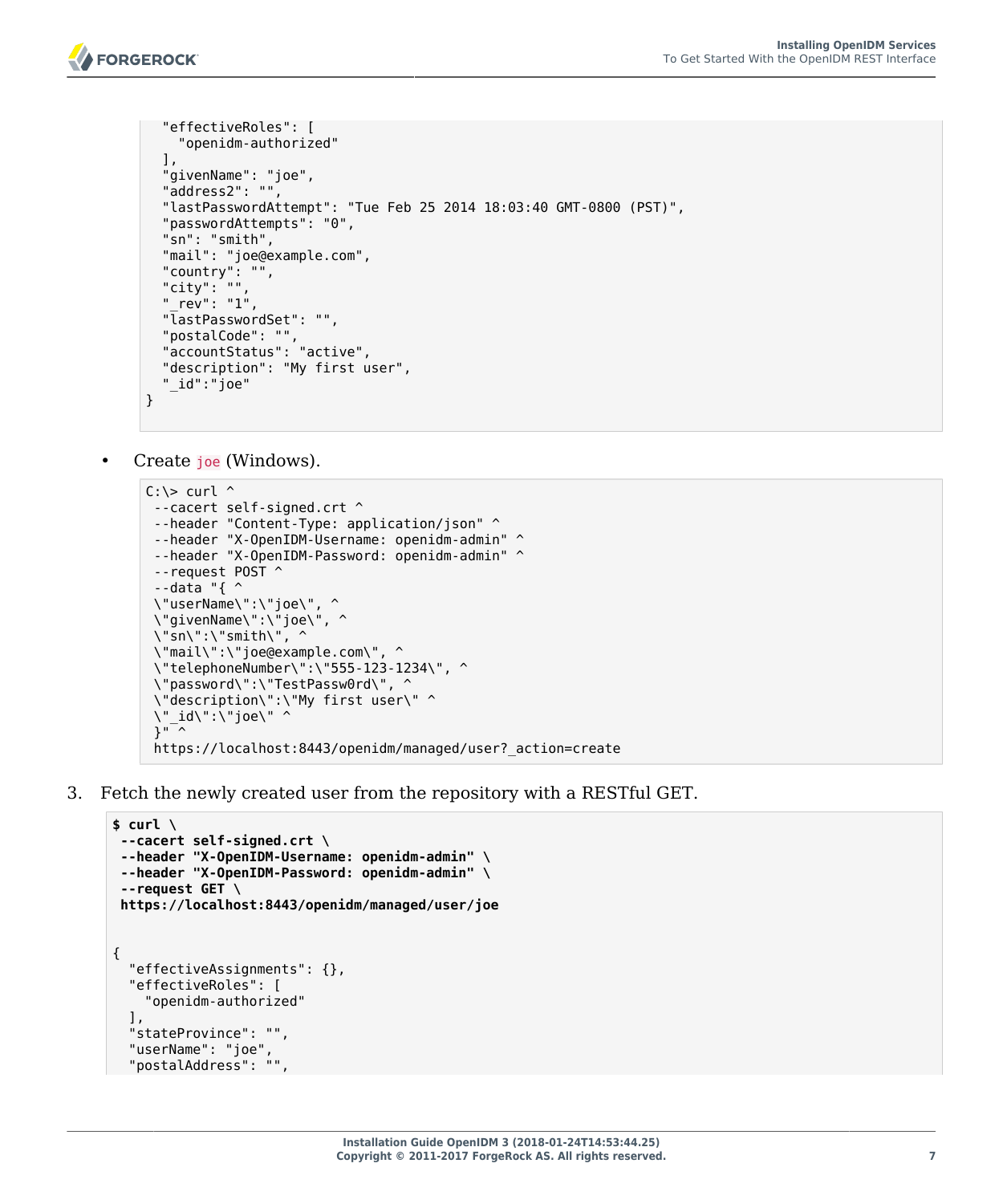

```
 "effectiveRoles": [
     "openidm-authorized"
   ],
   "givenName": "joe",
   "address2": "",
   "lastPasswordAttempt": "Tue Feb 25 2014 18:03:40 GMT-0800 (PST)",
   "passwordAttempts": "0",
   "sn": "smith",
   "mail": "joe@example.com",
  "country": ""
   "city": "",
   "_rev": "1",
   "lastPasswordSet": "",
   "postalCode": "",
   "accountStatus": "active",
   "description": "My first user",
   "_id":"joe"
}
```
• Create joe (Windows).

```
C: \> \text{curl} ^
--cacert self-signed.crt ^
 --header "Content-Type: application/json" ^
 --header "X-OpenIDM-Username: openidm-admin" ^
 --header "X-OpenIDM-Password: openidm-admin" ^
 --request POST ^
 --data "{ ^
 \"userName\":\"joe\", ^
 \"givenName\":\"joe\", ^
  \"sn\":\"smith\", ^
 \"mail\":\"joe@example.com\", ^
  \"telephoneNumber\":\"555-123-1234\", ^
  \"password\":\"TestPassw0rd\", ^
  \"description\":\"My first user\" ^
 \"_id\":\"joe\" ^
 }" ^
  https://localhost:8443/openidm/managed/user?_action=create
```
3. Fetch the newly created user from the repository with a RESTful GET.

```
$ curl \
 --cacert self-signed.crt \
 --header "X-OpenIDM-Username: openidm-admin" \
 --header "X-OpenIDM-Password: openidm-admin" \
 --request GET \
  https://localhost:8443/openidm/managed/user/joe
{
   "effectiveAssignments": {},
   "effectiveRoles": [
     "openidm-authorized"
   ],
   "stateProvince": "",
   "userName": "joe",
   "postalAddress": "",
```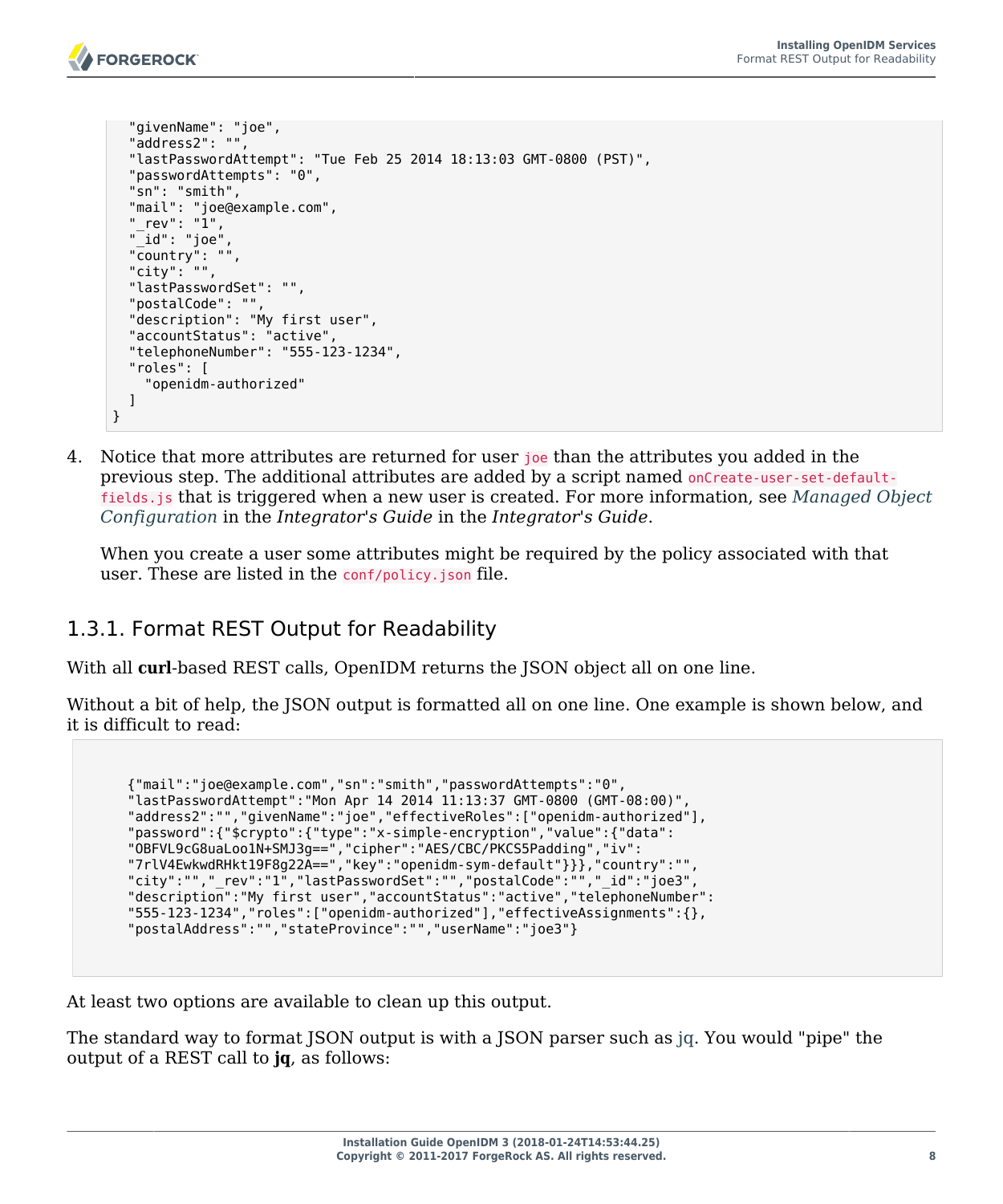

}

```
 "givenName": "joe",
 "address2": "",
 "lastPasswordAttempt": "Tue Feb 25 2014 18:13:03 GMT-0800 (PST)",
 "passwordAttempts": "0",
 "sn": "smith",
 "mail": "joe@example.com",
 "_rev": "1",
"<sup>-id":</sup> "joe"
 "country": "",
 "city": "",
 "lastPasswordSet": "",
 "postalCode": "",
 "description": "My first user",
 "accountStatus": "active",
 "telephoneNumber": "555-123-1234",
 "roles": [
   "openidm-authorized"
 ]
```
4. Notice that more attributes are returned for user joe than the attributes you added in the previous step. The additional attributes are added by a script named onCreate-user-set-defaultfields.js that is triggered when a new user is created. For more information, see *Managed Object Configuration* in the *Integrator's Guide* in the *Integrator's Guide*.

When you create a user some attributes might be required by the policy associated with that user. These are listed in the conf/policy.json file.

#### 1.3.1. Format REST Output for Readability

With all **curl**-based REST calls, OpenIDM returns the JSON object all on one line.

Without a bit of help, the JSON output is formatted all on one line. One example is shown below, and it is difficult to read:

```
 {"mail":"joe@example.com","sn":"smith","passwordAttempts":"0",
       "lastPasswordAttempt":"Mon Apr 14 2014 11:13:37 GMT-0800 (GMT-08:00)",
      "address2":"","givenName":"joe","effectiveRoles":["openidm-authorized"],
       "password":{"$crypto":{"type":"x-simple-encryption","value":{"data":
 "OBFVL9cG8uaLoo1N+SMJ3g==","cipher":"AES/CBC/PKCS5Padding","iv":
 "7rlV4EwkwdRHkt19F8g22A==","key":"openidm-sym-default"}}},"country":"",
       "city":"","_rev":"1","lastPasswordSet":"","postalCode":"","_id":"joe3",
       "description":"My first user","accountStatus":"active","telephoneNumber":
      "555-123-1234","roles":["openidm-authorized"],"effectiveAssignments":{},
       "postalAddress":"","stateProvince":"","userName":"joe3"}
```
At least two options are available to clean up this output.

The standard way to format JSON output is with a JSON parser such as [jq.](http://stedolan.github.io/jq/) You would "pipe" the output of a REST call to **jq**, as follows: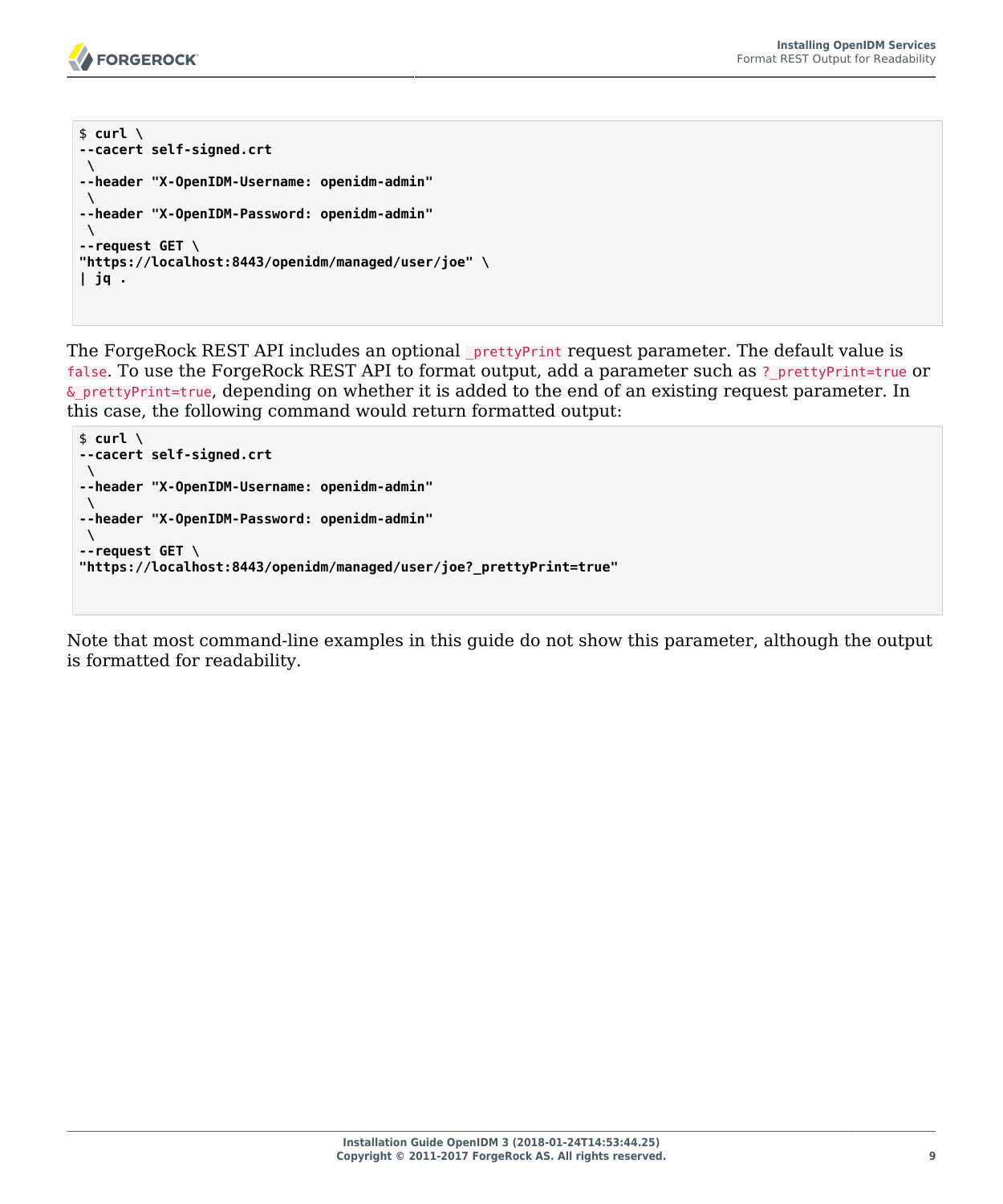

```
$ curl \lambda--cacert self-signed.crt
 \
--header "X-OpenIDM-Username: openidm-admin"
 \
--header "X-OpenIDM-Password: openidm-admin"
 \
--request GET \
"https://localhost:8443/openidm/managed/user/joe" \
| jq .
```
The ForgeRock REST API includes an optional  $_{\text{pretryPrint request parameter}}$ . The default value is false. To use the ForgeRock REST API to format output, add a parameter such as ? prettyPrint=true or &\_prettyPrint=true, depending on whether it is added to the end of an existing request parameter. In this case, the following command would return formatted output:

```
$ curl \
--cacert self-signed.crt
 \
--header "X-OpenIDM-Username: openidm-admin"
 \
--header "X-OpenIDM-Password: openidm-admin"
 \
--request GET \
"https://localhost:8443/openidm/managed/user/joe?_prettyPrint=true"
```
Note that most command-line examples in this guide do not show this parameter, although the output is formatted for readability.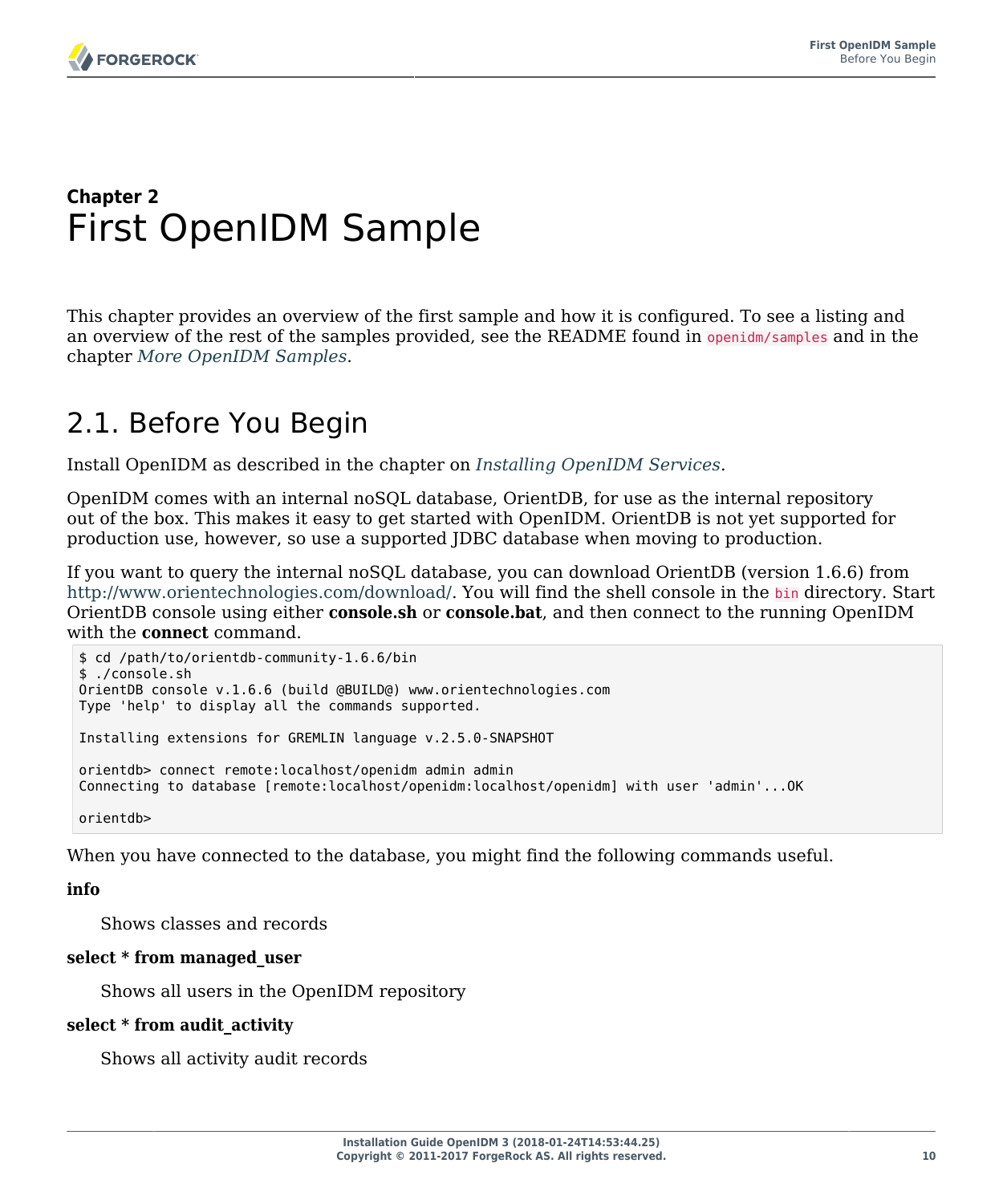# <span id="page-14-0"></span>**Chapter 2** First OpenIDM Sample

This chapter provides an overview of the first sample and how it is configured. To see a listing and an overview of the rest of the samples provided, see the README found in openidm/samples and in the chapter *[More OpenIDM Samples](#page-28-0)*.

# <span id="page-14-1"></span>2.1. Before You Begin

Install OpenIDM as described in the chapter on *[Installing OpenIDM Services](#page-5-0)*.

OpenIDM comes with an internal noSQL database, OrientDB, for use as the internal repository out of the box. This makes it easy to get started with OpenIDM. OrientDB is not yet supported for production use, however, so use a supported JDBC database when moving to production.

If you want to query the internal noSQL database, you can download OrientDB (version 1.6.6) from <http://www.orientechnologies.com/download/>. You will find the shell console in the bin directory. Start OrientDB console using either **console.sh** or **console.bat**, and then connect to the running OpenIDM with the **connect** command.

```
$ cd /path/to/orientdb-community-1.6.6/bin
$ ./console.sh
OrientDB console v.1.6.6 (build @BUILD@) www.orientechnologies.com
Type 'help' to display all the commands supported.
Installing extensions for GREMLIN language v.2.5.0-SNAPSHOT
orientdb> connect remote:localhost/openidm admin admin
Connecting to database [remote:localhost/openidm:localhost/openidm] with user 'admin'...OK
orientdb>
```
When you have connected to the database, you might find the following commands useful.

#### **info**

Shows classes and records

#### **select \* from managed\_user**

Shows all users in the OpenIDM repository

#### **select \* from audit\_activity**

Shows all activity audit records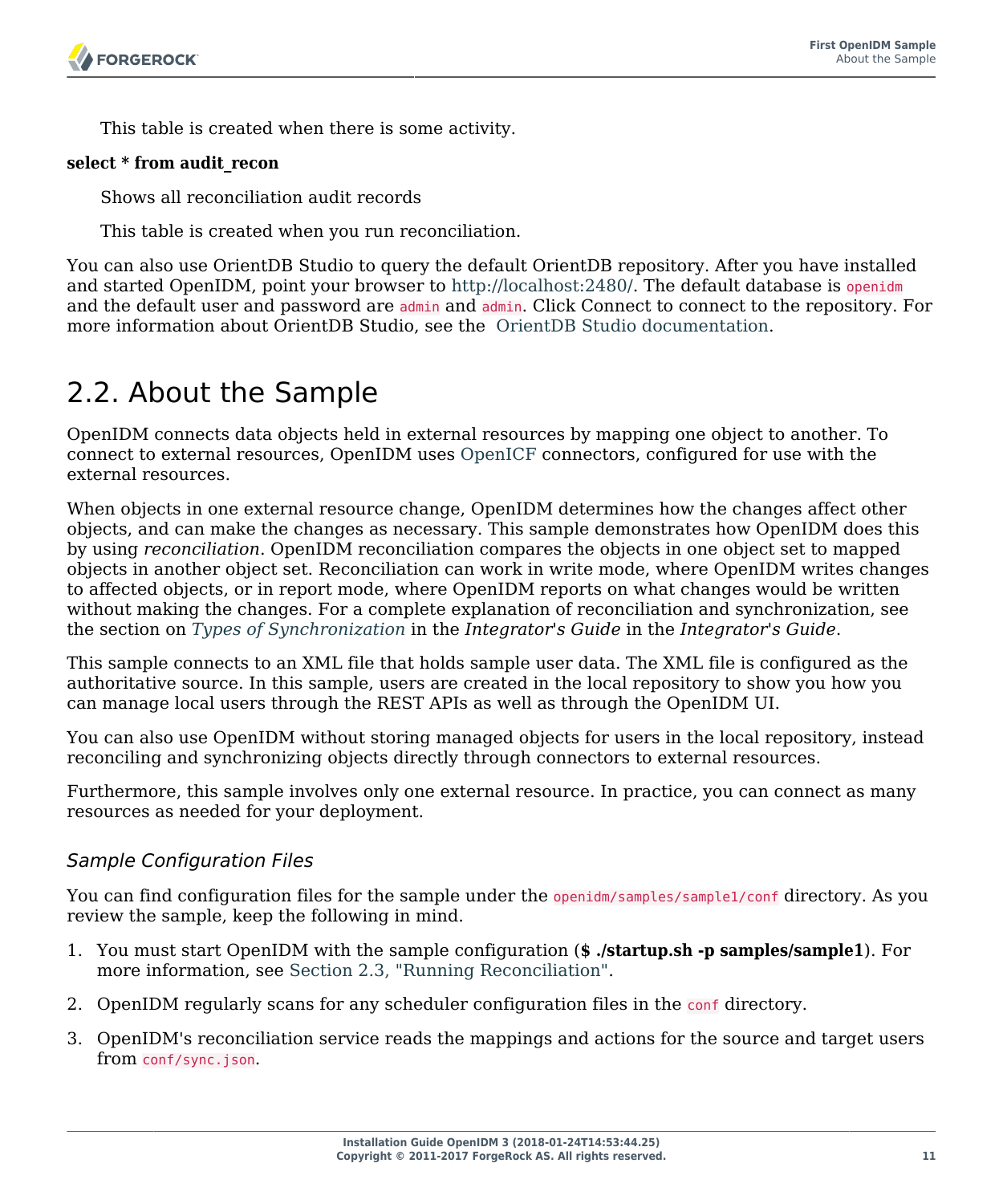This table is created when there is some activity.

#### **select \* from audit\_recon**

Shows all reconciliation audit records

This table is created when you run reconciliation.

You can also use OrientDB Studio to query the default OrientDB repository. After you have installed and started OpenIDM, point your browser to [http://localhost:2480/.](http://localhost:2480/) The default database is openidm and the default user and password are admin and admin. Click Connect to connect to the repository. For more information about OrientDB Studio, see the [OrientDB Studio documentation.](http://code.google.com/p/orient/wiki/OrientDB_Studio)

# <span id="page-15-0"></span>2.2. About the Sample

OpenIDM connects data objects held in external resources by mapping one object to another. To connect to external resources, OpenIDM uses [OpenICF](http://openicf.forgerock.org) connectors, configured for use with the external resources.

When objects in one external resource change, OpenIDM determines how the changes affect other objects, and can make the changes as necessary. This sample demonstrates how OpenIDM does this by using *reconciliation*. OpenIDM reconciliation compares the objects in one object set to mapped objects in another object set. Reconciliation can work in write mode, where OpenIDM writes changes to affected objects, or in report mode, where OpenIDM reports on what changes would be written without making the changes. For a complete explanation of reconciliation and synchronization, see the section on *Types of Synchronization* in the *Integrator's Guide* in the *Integrator's Guide*.

This sample connects to an XML file that holds sample user data. The XML file is configured as the authoritative source. In this sample, users are created in the local repository to show you how you can manage local users through the REST APIs as well as through the OpenIDM UI.

You can also use OpenIDM without storing managed objects for users in the local repository, instead reconciling and synchronizing objects directly through connectors to external resources.

Furthermore, this sample involves only one external resource. In practice, you can connect as many resources as needed for your deployment.

#### *Sample Configuration Files*

You can find configuration files for the sample under the openidm/samples/sample1/conf directory. As you review the sample, keep the following in mind.

- 1. You must start OpenIDM with the sample configuration (**\$ ./startup.sh -p samples/sample1**). For more information, see [Section 2.3, "Running Reconciliation".](#page-19-0)
- 2. OpenIDM regularly scans for any scheduler configuration files in the conf directory.
- 3. OpenIDM's reconciliation service reads the mappings and actions for the source and target users from conf/sync.json.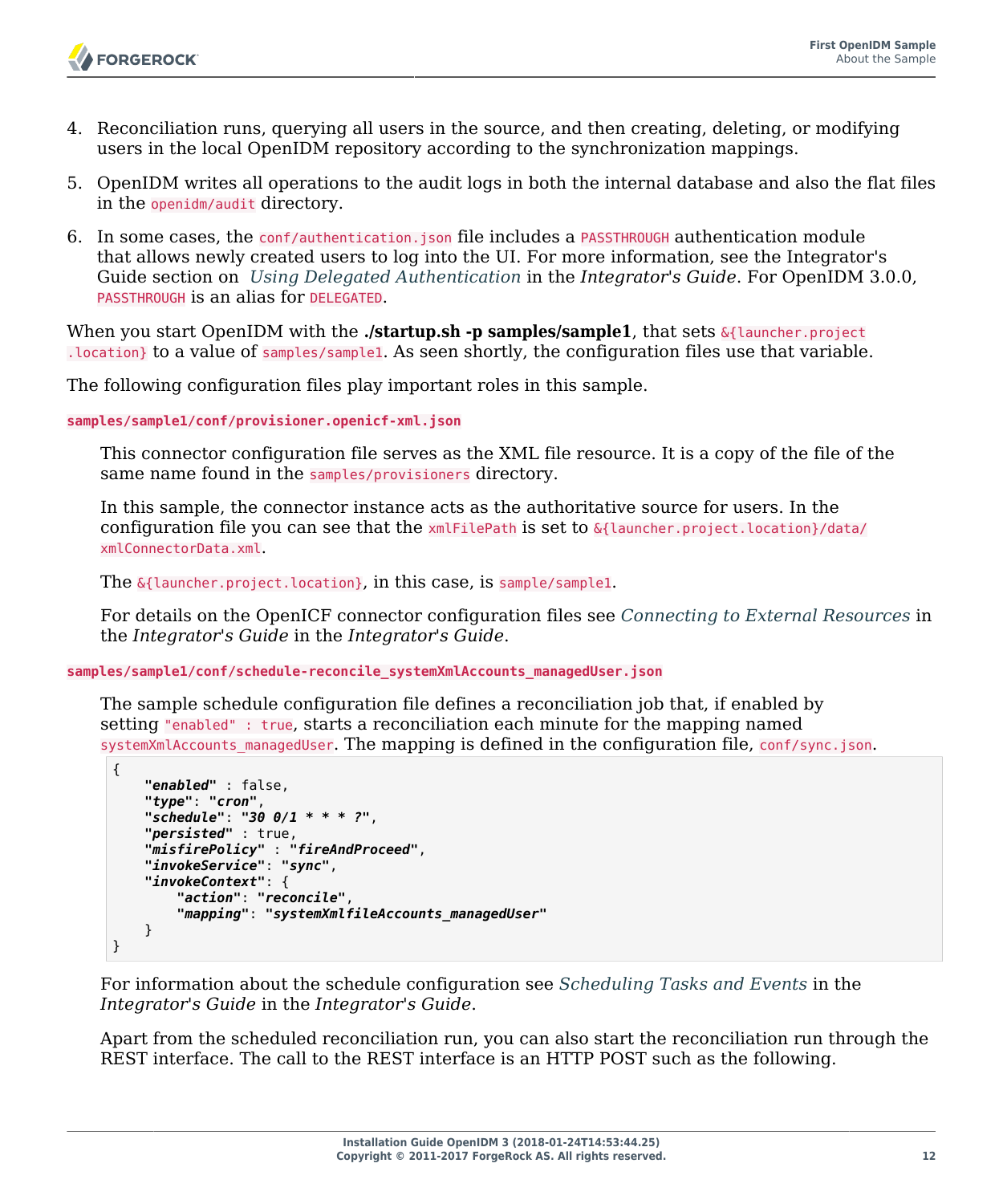

- 4. Reconciliation runs, querying all users in the source, and then creating, deleting, or modifying users in the local OpenIDM repository according to the synchronization mappings.
- 5. OpenIDM writes all operations to the audit logs in both the internal database and also the flat files in the openidm/audit directory.
- 6. In some cases, the conf/authentication.json file includes a PASSTHROUGH authentication module that allows newly created users to log into the UI. For more information, see the Integrator's Guide section on *Using Delegated Authentication* in the *Integrator's Guide*. For OpenIDM 3.0.0, PASSTHROUGH is an alias for DELEGATED.

When you start OpenIDM with the **./startup.sh -p samples/sample1**, that sets &{launcher.project .location} to a value of samples/sample1. As seen shortly, the configuration files use that variable.

The following configuration files play important roles in this sample.

**samples/sample1/conf/provisioner.openicf-xml.json**

This connector configuration file serves as the XML file resource. It is a copy of the file of the same name found in the samples/provisioners directory.

In this sample, the connector instance acts as the authoritative source for users. In the configuration file you can see that the  $xm$  EilePath is set to  $\&$ {launcher.project.location}/data/ xmlConnectorData.xml.

The &{launcher.project.location}, in this case, is sample/sample1.

For details on the OpenICF connector configuration files see *Connecting to External Resources* in the *Integrator's Guide* in the *Integrator's Guide*.

#### **samples/sample1/conf/schedule-reconcile\_systemXmlAccounts\_managedUser.json**

The sample schedule configuration file defines a reconciliation job that, if enabled by setting "enabled" : true, starts a reconciliation each minute for the mapping named systemXmlAccounts managedUser. The mapping is defined in the configuration file, conf/sync.json.

```
{
     "enabled" : false,
     "type": "cron",
     "schedule": "30 0/1 * * * ?",
     "persisted" : true,
     "misfirePolicy" : "fireAndProceed",
     "invokeService": "sync",
     "invokeContext": {
         "action": "reconcile",
         "mapping": "systemXmlfileAccounts_managedUser"
     }
}
```
For information about the schedule configuration see *Scheduling Tasks and Events* in the *Integrator's Guide* in the *Integrator's Guide*.

Apart from the scheduled reconciliation run, you can also start the reconciliation run through the REST interface. The call to the REST interface is an HTTP POST such as the following.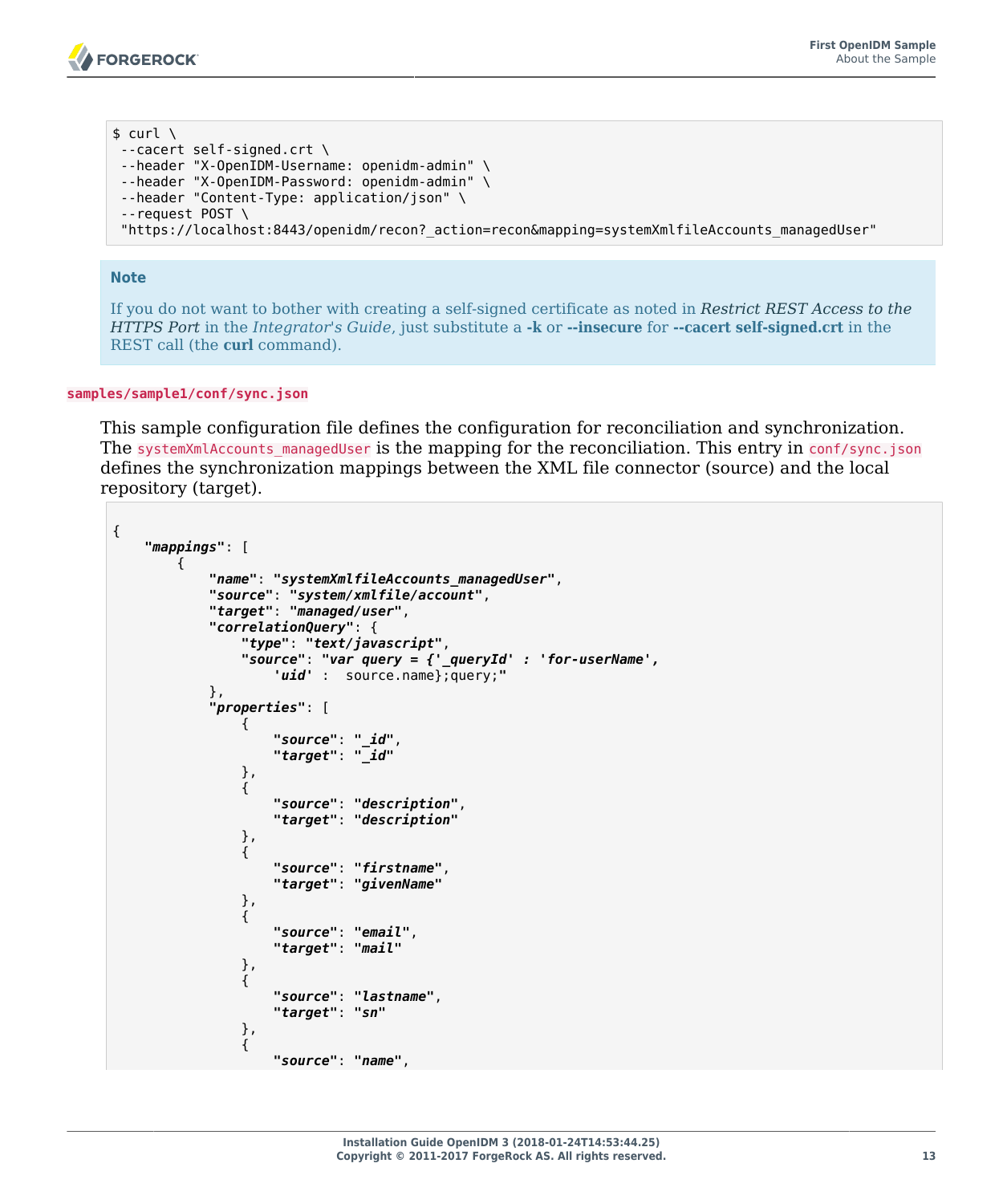$$ \text{curl } \setminus$ --cacert self-signed.crt \ --header "X-OpenIDM-Username: openidm-admin" \ --header "X-OpenIDM-Password: openidm-admin" \ --header "Content-Type: application/json" \ --request POST \ "https://localhost:8443/openidm/recon?\_action=recon&mapping=systemXmlfileAccounts\_managedUser"

#### **Note**

If you do not want to bother with creating a self-signed certificate as noted in *Restrict REST Access to the HTTPS Port* in the *Integrator's Guide*, just substitute a **-k** or **--insecure** for **--cacert self-signed.crt** in the REST call (the **curl** command).

#### **samples/sample1/conf/sync.json**

This sample configuration file defines the configuration for reconciliation and synchronization. The systemXmlAccounts managedUser is the mapping for the reconciliation. This entry in conf/sync.json defines the synchronization mappings between the XML file connector (source) and the local repository (target).

```
{
    "mappings": [
 {
            "name": "systemXmlfileAccounts_managedUser",
            "source": "system/xmlfile/account",
            "target": "managed/user",
            "correlationQuery": {
               "type": "text/javascript",
               "source": "var query = {'_queryId' : 'for-userName',
                   'uid' : source.name};query;"
            },
            "properties": [
 {
                   "source": "_id",
                  "target": "_id"
               },
 {
                   "source": "description",
                  "target": "description"
               },
 {
                   "source": "firstname",
                  "target": "givenName"
               },
 {
                   "source": "email",
                  "target": "mail"
               },
 {
                   "source": "lastname",
                  "target": "sn"
               },
 {
                   "source": "name",
```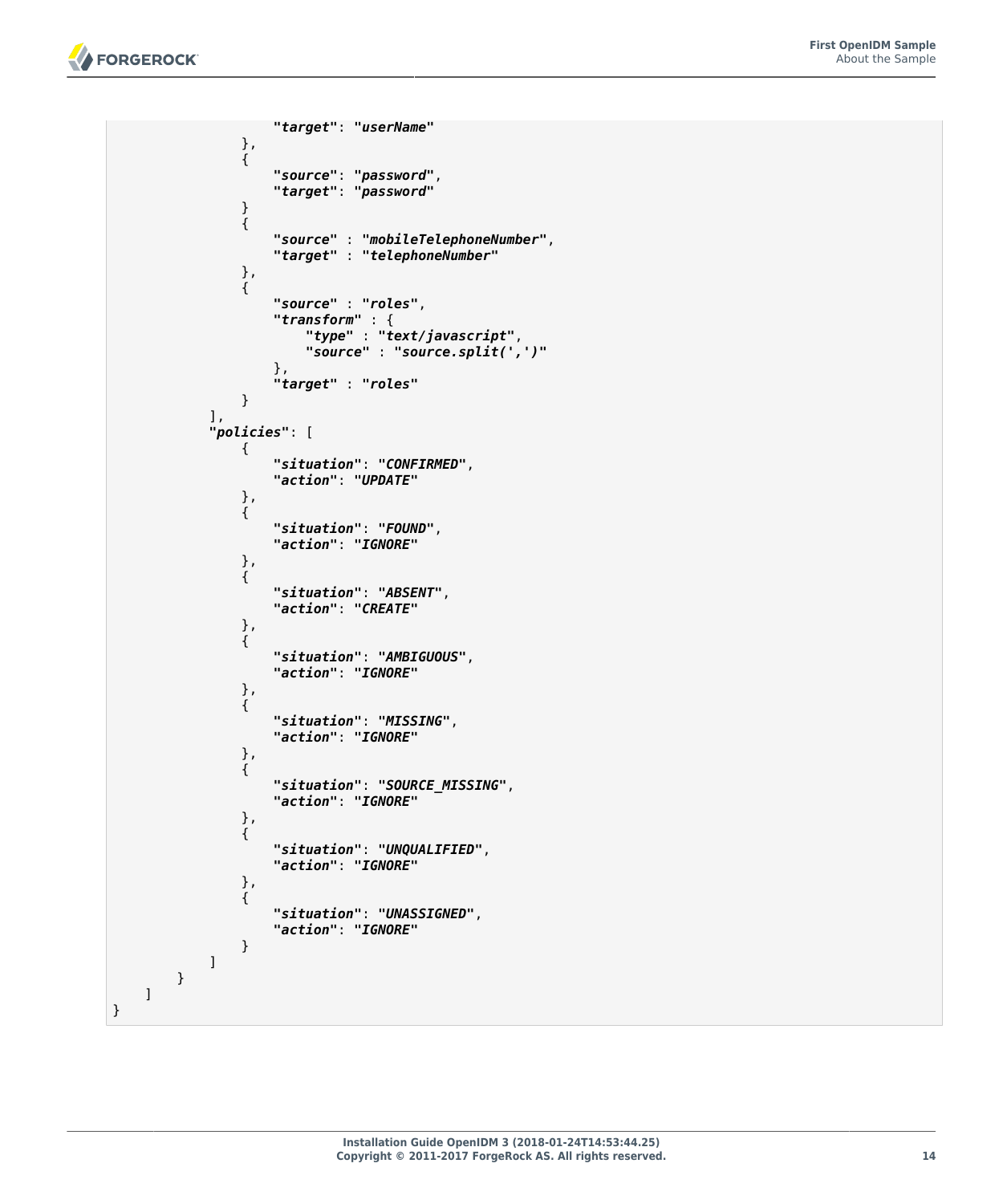

}

```
 "target": "userName"
              },
 {
                  "source": "password",
                "target": "password"
 }
 {
                 "source" : "mobileTelephoneNumber",
                "target" : "telephoneNumber"
              },
 {
                 "source" : "roles",
                 "transform" : {
 "type" : "text/javascript",
                    "source" : "source.split(',')"
, where \{ \} , we have the set of \{ \} ,
              "target" : "roles"
 } 
           ],
           "policies": [
 {
                  "situation": "CONFIRMED",
                 "action": "UPDATE"
              },
 {
                 "situation": "FOUND",
                "action": "IGNORE"
              },
 {
                 "situation": "ABSENT",
                "action": "CREATE"
              },
 {
                 "situation": "AMBIGUOUS",
                "action": "IGNORE"
              },
 {
                 "situation": "MISSING",
                "action": "IGNORE"
              },
 {
                 "situation": "SOURCE_MISSING",
                "action": "IGNORE"
              },
 {
                 "situation": "UNQUALIFIED",
                "action": "IGNORE"
              },
 {
                 "situation": "UNASSIGNED",
                 "action": "IGNORE"
}<sub>{\\particle}}}</sub>}
          ]
      }
   ]
```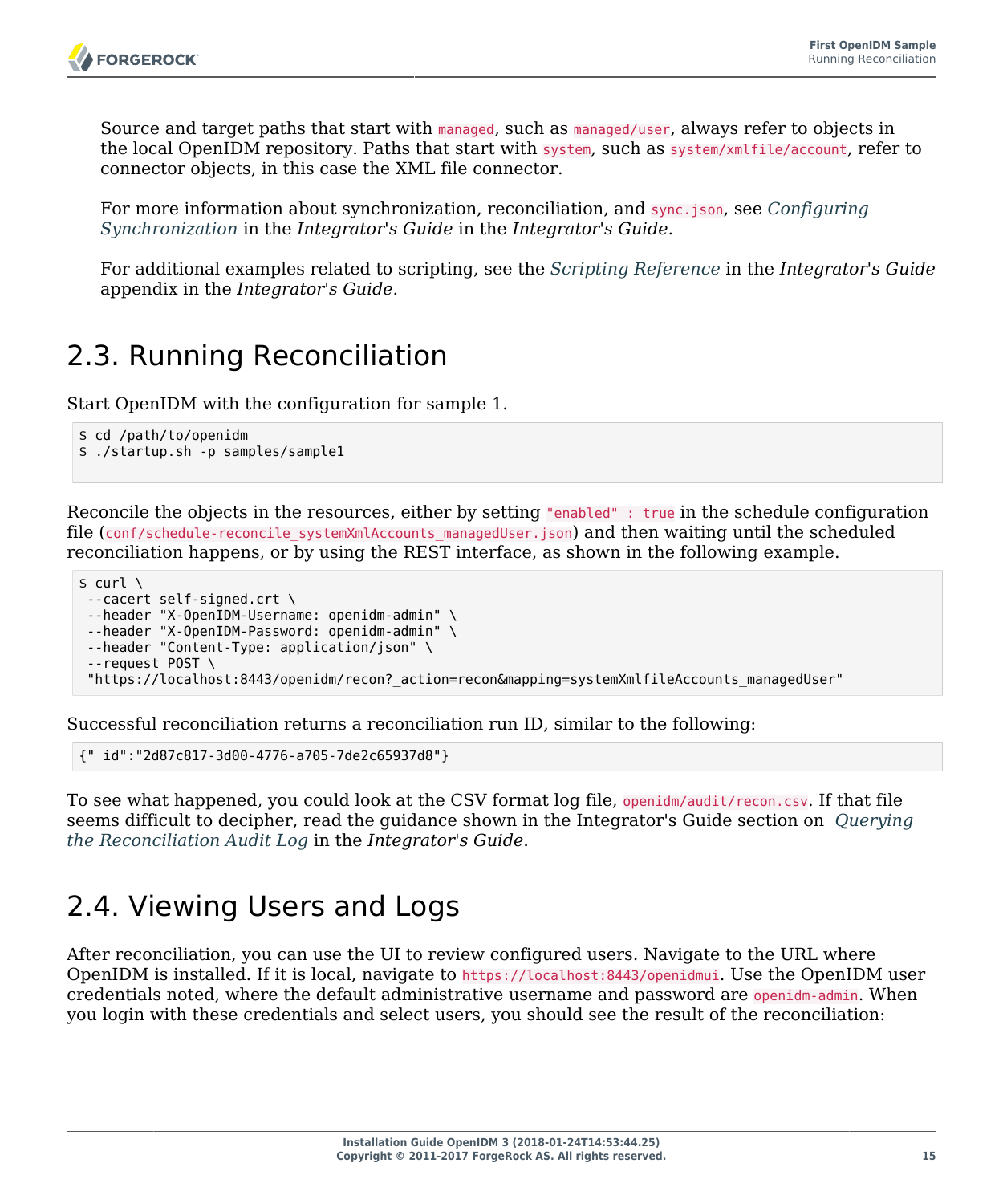Source and target paths that start with managed, such as managed/user, always refer to objects in the local OpenIDM repository. Paths that start with system, such as system/xmlfile/account, refer to connector objects, in this case the XML file connector.

For more information about synchronization, reconciliation, and sync.json, see *Configuring Synchronization* in the *Integrator's Guide* in the *Integrator's Guide*.

For additional examples related to scripting, see the *Scripting Reference* in the *Integrator's Guide* appendix in the *Integrator's Guide*.

# <span id="page-19-0"></span>2.3. Running Reconciliation

Start OpenIDM with the configuration for sample 1.

```
$ cd /path/to/openidm
$ ./startup.sh -p samples/sample1
```
Reconcile the objects in the resources, either by setting "enabled" : true in the schedule configuration file (conf/schedule-reconcile systemXmlAccounts managedUser.json) and then waiting until the scheduled reconciliation happens, or by using the REST interface, as shown in the following example.

```
$ curl \lambda--cacert self-signed.crt \
 --header "X-OpenIDM-Username: openidm-admin" \
 --header "X-OpenIDM-Password: openidm-admin" \
 --header "Content-Type: application/json" \
 --request POST \
  "https://localhost:8443/openidm/recon?_action=recon&mapping=systemXmlfileAccounts_managedUser"
```
Successful reconciliation returns a reconciliation run ID, similar to the following:

{"\_id":"2d87c817-3d00-4776-a705-7de2c65937d8"}

To see what happened, you could look at the CSV format log file, openidm/audit/recon.csv. If that file seems difficult to decipher, read the guidance shown in the Integrator's Guide section on *Querying the Reconciliation Audit Log* in the *Integrator's Guide*.

# <span id="page-19-1"></span>2.4. Viewing Users and Logs

After reconciliation, you can use the UI to review configured users. Navigate to the URL where OpenIDM is installed. If it is local, navigate to https://localhost:8443/openidmui. Use the OpenIDM user credentials noted, where the default administrative username and password are openidm-admin. When you login with these credentials and select users, you should see the result of the reconciliation: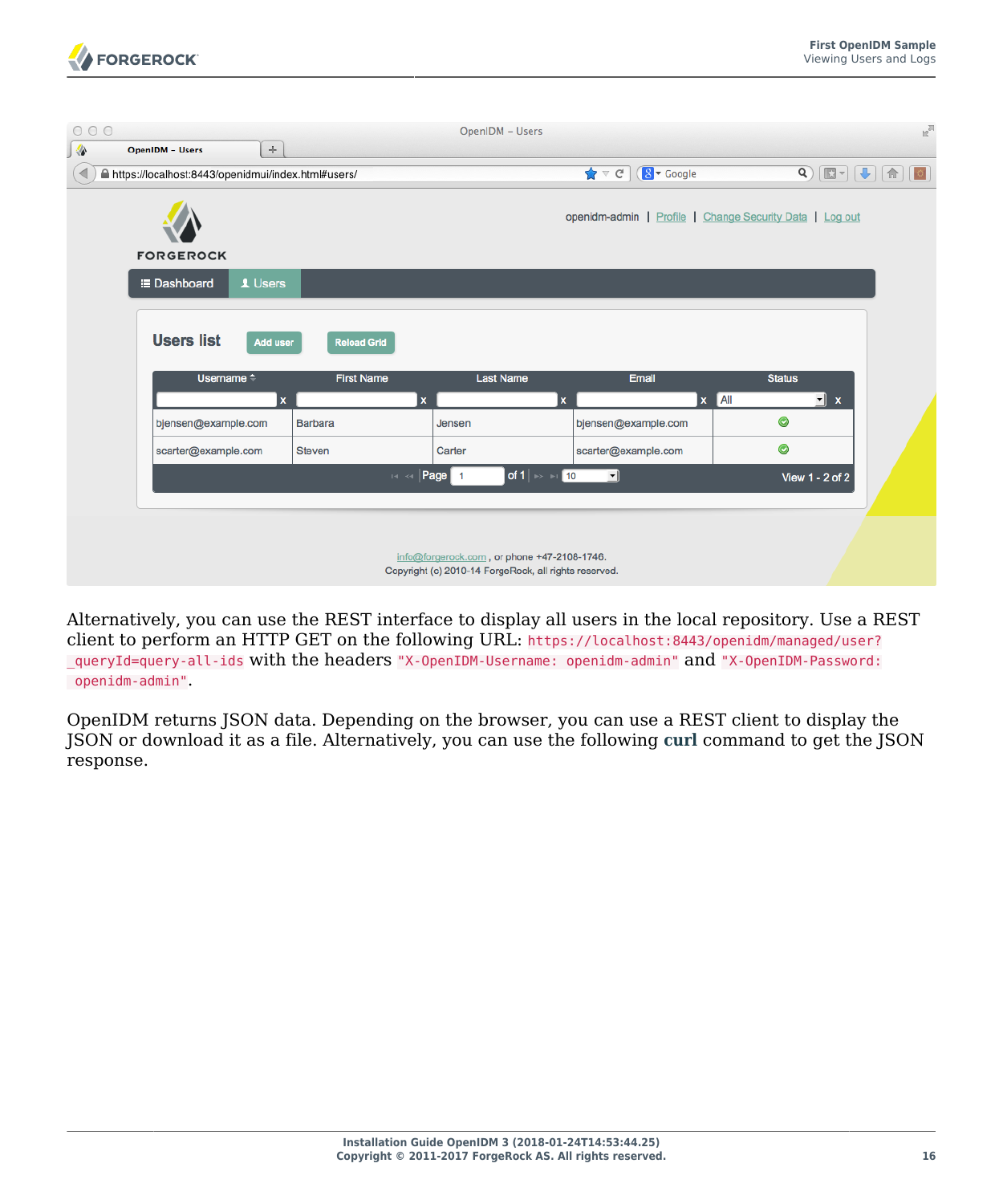

| 000 |                                                      |                           | OpenIDM - Users                                                                                      |                                                     |                                                                                                                                                                                                                | $n^{\overline{n}}$ |
|-----|------------------------------------------------------|---------------------------|------------------------------------------------------------------------------------------------------|-----------------------------------------------------|----------------------------------------------------------------------------------------------------------------------------------------------------------------------------------------------------------------|--------------------|
| ◈   | $\div$<br><b>OpenIDM - Users</b>                     |                           |                                                                                                      |                                                     |                                                                                                                                                                                                                |                    |
| ◀   | A https://localhost:8443/openidmui/index.html#users/ |                           |                                                                                                      | $\bigstar$ $\sigma$<br>$\sqrt{8}$ $\sqrt{5}$ Google | $\begin{array}{c} \mathbf{Q} \end{array} \begin{bmatrix} \mathbf{E} & \mathbf{I} \end{bmatrix} \begin{bmatrix} \mathbf{I} \\ \mathbf{I} \end{bmatrix} \begin{bmatrix} \mathbf{I} \\ \mathbf{II} \end{bmatrix}$ | $\circ$            |
|     | <b>FORGEROCK</b>                                     |                           |                                                                                                      |                                                     | openidm-admin   Profile   Change Security Data   Log out                                                                                                                                                       |                    |
|     | 1 Users<br><b>E</b> Dashboard                        |                           |                                                                                                      |                                                     |                                                                                                                                                                                                                |                    |
|     |                                                      |                           |                                                                                                      |                                                     |                                                                                                                                                                                                                |                    |
|     | <b>Users list</b><br>Add user                        | <b>Reload Grid</b>        |                                                                                                      |                                                     |                                                                                                                                                                                                                |                    |
|     | Username <sup><math>\div</math></sup>                | <b>First Name</b>         | <b>Last Name</b>                                                                                     | Email                                               | <b>Status</b>                                                                                                                                                                                                  |                    |
|     | $\boldsymbol{x}$                                     | $\boldsymbol{\mathsf{x}}$ | $\mathbf{x}$                                                                                         | $\pmb{\mathsf{x}}$                                  | All<br>$\mathbf{r}$ x                                                                                                                                                                                          |                    |
|     | bjensen@example.com                                  | <b>Barbara</b>            | Jensen                                                                                               | bjensen@example.com                                 | $\bullet$                                                                                                                                                                                                      |                    |
|     | scarter@example.com                                  | <b>Steven</b>             | Carter                                                                                               | scarter@example.com                                 | $\bullet$                                                                                                                                                                                                      |                    |
|     |                                                      | $14 - 64$                 | of 1 $\mapsto$ 11 10<br>Page 1                                                                       | ᆀ                                                   | View 1 - 2 of 2                                                                                                                                                                                                |                    |
|     |                                                      |                           |                                                                                                      |                                                     |                                                                                                                                                                                                                |                    |
|     |                                                      |                           | info@forgerock.com, or phone +47-2108-1746.<br>Copyright (c) 2010-14 ForgeRock, all rights reserved. |                                                     |                                                                                                                                                                                                                |                    |

Alternatively, you can use the REST interface to display all users in the local repository. Use a REST client to perform an HTTP GET on the following URL: https://localhost:8443/openidm/managed/user? \_queryId=query-all-ids with the headers "X-OpenIDM-Username: openidm-admin" and "X-OpenIDM-Password: openidm-admin".

OpenIDM returns JSON data. Depending on the browser, you can use a REST client to display the JSON or download it as a file. Alternatively, you can use the following **[curl](http://curl.haxx.se/)** command to get the JSON response.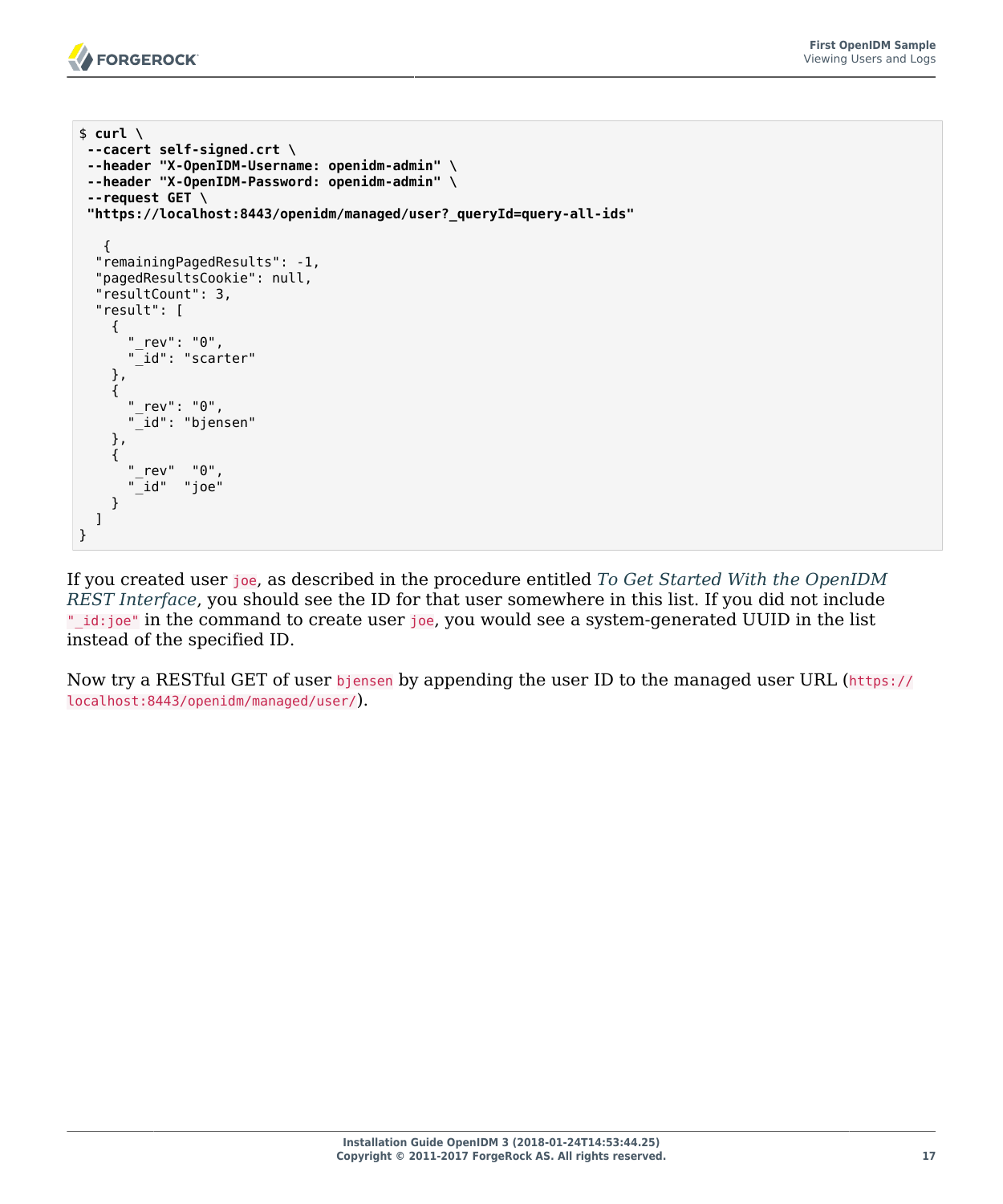

```
$ curl \
 --cacert self-signed.crt \
 --header "X-OpenIDM-Username: openidm-admin" \
 --header "X-OpenIDM-Password: openidm-admin" \
 --request GET \
  "https://localhost:8443/openidm/managed/user?_queryId=query-all-ids"
\{ "remainingPagedResults": -1,
   "pagedResultsCookie": null,
   "resultCount": 3,
   "result": [
     {
       "_rev": "0",
       "_id": "scarter"
     },
     {
       "_rev": "0",
       "_id": "bjensen"
     },
     {
       "_rev" "0",
       "_id" "joe"
     }
   ]
}
```
If you created user joe, as described in the procedure entitled *[To Get Started With the OpenIDM](#page-9-0) [REST Interface](#page-9-0)*, you should see the ID for that user somewhere in this list. If you did not include " id:joe" in the command to create user joe, you would see a system-generated UUID in the list instead of the specified ID.

Now try a RESTful GET of user bjensen by appending the user ID to the managed user URL (https:// localhost:8443/openidm/managed/user/).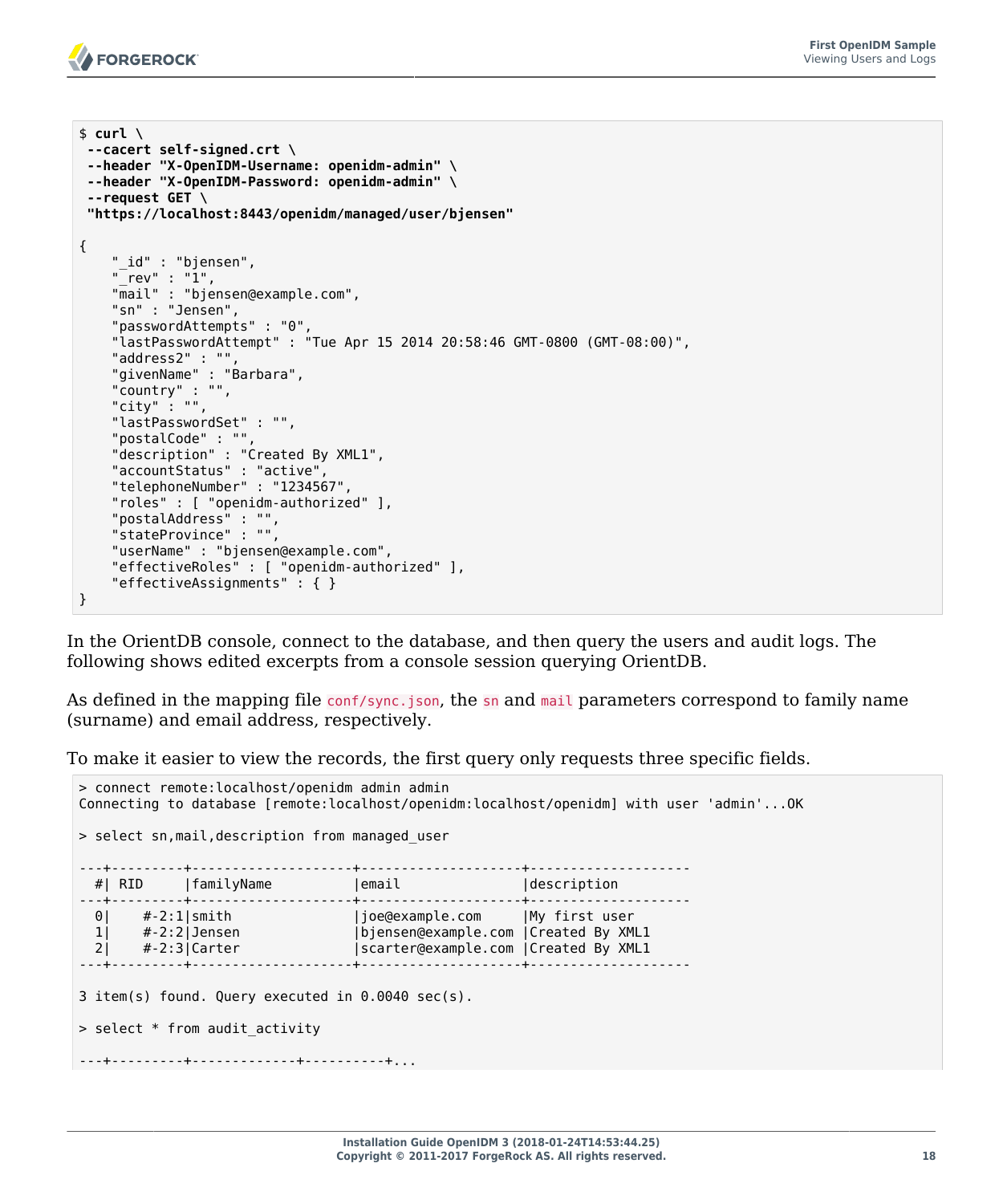

```
$ curl \lambda--cacert self-signed.crt \
 --header "X-OpenIDM-Username: openidm-admin" \
 --header "X-OpenIDM-Password: openidm-admin" \
 --request GET \
  "https://localhost:8443/openidm/managed/user/bjensen"
{
     "_id" : "bjensen",
    "rev" : "1",
     "mail" : "bjensen@example.com",
     "sn" : "Jensen",
     "passwordAttempts" : "0",
     "lastPasswordAttempt" : "Tue Apr 15 2014 20:58:46 GMT-0800 (GMT-08:00)",
     "address2" : "",
     "givenName" : "Barbara",
     "country" : "",
     "city" : "",
     "lastPasswordSet" : "",
     "postalCode" : "",
     "description" : "Created By XML1",
     "accountStatus" : "active",
     "telephoneNumber" : "1234567",
     "roles" : [ "openidm-authorized" ],
 "postalAddress" : "",
 "stateProvince" : "",
     "userName" : "bjensen@example.com",
     "effectiveRoles" : [ "openidm-authorized" ],
     "effectiveAssignments" : { }
}
```
In the OrientDB console, connect to the database, and then query the users and audit logs. The following shows edited excerpts from a console session querying OrientDB.

As defined in the mapping file conf/sync.json, the sn and mail parameters correspond to family name (surname) and email address, respectively.

To make it easier to view the records, the first query only requests three specific fields.

```
> connect remote:localhost/openidm admin admin
Connecting to database [remote:localhost/openidm:localhost/openidm] with user 'admin'...OK
> select sn,mail,description from managed_user
---+---------+--------------------+--------------------+--------------------
 #| RID | familyName | email
---+---------+--------------------+--------------------+--------------------
 0| #-2:1|smith |joe@example.com |My first user
 1| #-2:2|Jensen |bjensen@example.com |Created By XML1
 2| #-2:3|Carter |scarter@example.com |Created By XML1
---+---------+--------------------+--------------------+--------------------
3 item(s) found. Query executed in 0.0040 sec(s).
> select * from audit_activity
---+---------+-------------+----------+...
```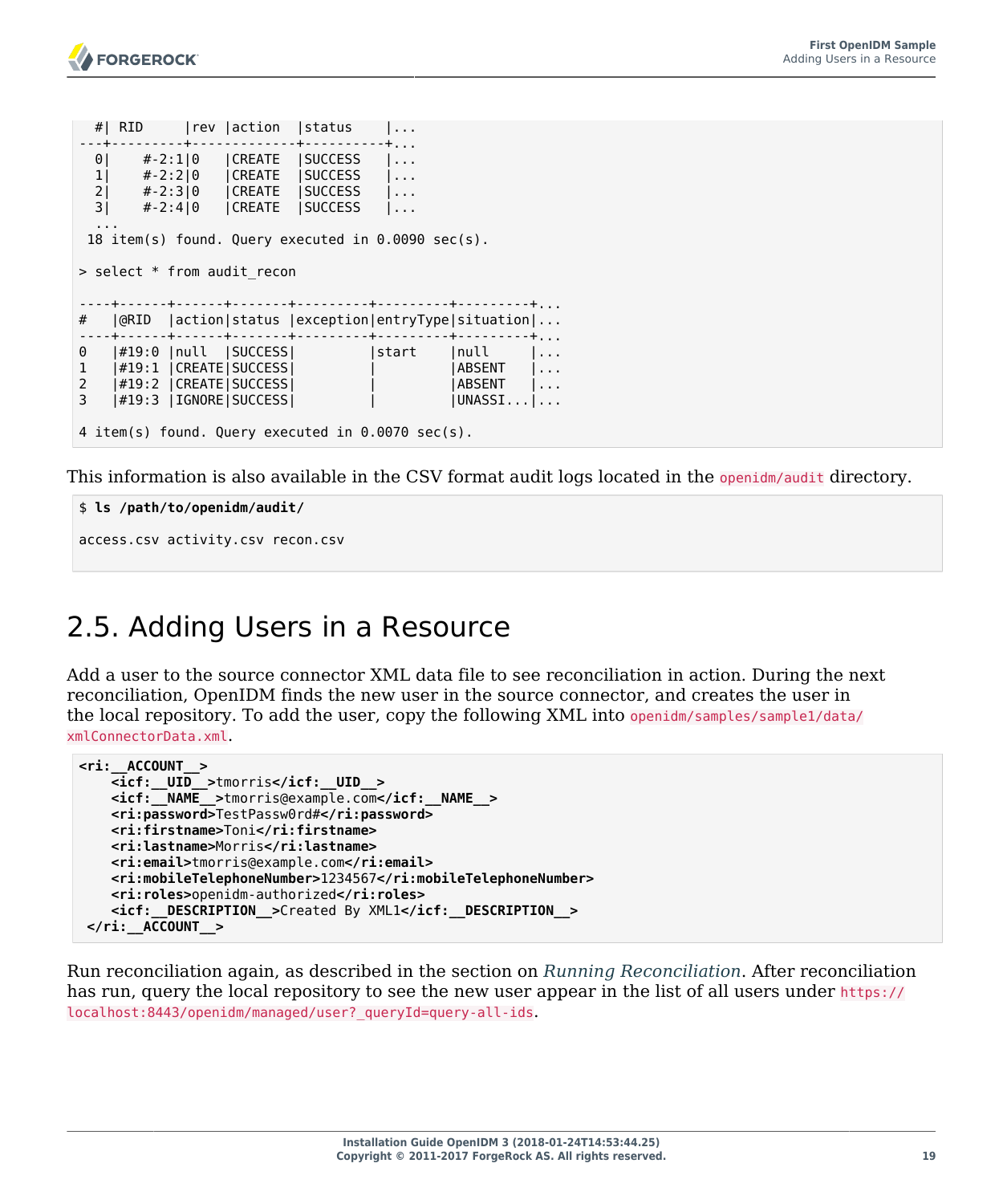```
 #| RID |rev |action |status |...
---+---------+-------------+----------+...
  0| #-2:1|0 |CREATE |SUCCESS |...<br>1| #-2:2|0 |CREATE |SUCCESS |...
   1| #-2:2|0 |CREATE |SUCCESS |...
   2| #-2:3|0 |CREATE |SUCCESS |...
   3| #-2:4|0 |CREATE |SUCCESS |...
 ...
  18 item(s) found. Query executed in 0.0090 sec(s). 
> select * from audit_recon
----+------+------+-------+---------+---------+---------+...
# |@RID |action|status |exception|entryType|situation|...
----+------+------+-------+---------+---------+---------+...
0 |#19:0 |null |SUCCESS|     |start |null |...<br>1 |#19:1 |CREATE|SUCCESS|     |     |ABSENT |...
1 |#19:1 |CREATE|SUCCESS| | | | |ABSENT |...
2 |#19:2 |CREATE|SUCCESS|  |  |  |ABSENT |...<br>3 |#19:3 |IGNORE|SUCCESS|  |  |  |UNASSI...|...
    |#19:3 | IGNORE | SUCCESS |
4 item(s) found. Query executed in 0.0070 sec(s).
```
This information is also available in the CSV format audit logs located in the openidm/audit directory.

```
$ ls /path/to/openidm/audit/
access.csv activity.csv recon.csv
```
### <span id="page-23-0"></span>2.5. Adding Users in a Resource

Add a user to the source connector XML data file to see reconciliation in action. During the next reconciliation, OpenIDM finds the new user in the source connector, and creates the user in the local repository. To add the user, copy the following XML into openidm/samples/sample1/data/ xmlConnectorData.xml.

```
<ri:__ACCOUNT__>
     <icf:__UID__>tmorris</icf:__UID__>
     <icf:__NAME__>tmorris@example.com</icf:__NAME__>
     <ri:password>TestPassw0rd#</ri:password>
     <ri:firstname>Toni</ri:firstname>
     <ri:lastname>Morris</ri:lastname>
     <ri:email>tmorris@example.com</ri:email>
     <ri:mobileTelephoneNumber>1234567</ri:mobileTelephoneNumber>
     <ri:roles>openidm-authorized</ri:roles>
     <icf:__DESCRIPTION__>Created By XML1</icf:__DESCRIPTION__>
 </ri:__ACCOUNT__>
```
Run reconciliation again, as described in the section on *[Running Reconciliation](#page-19-0)*. After reconciliation has run, query the local repository to see the new user appear in the list of all users under https:// localhost:8443/openidm/managed/user?\_queryId=query-all-ids.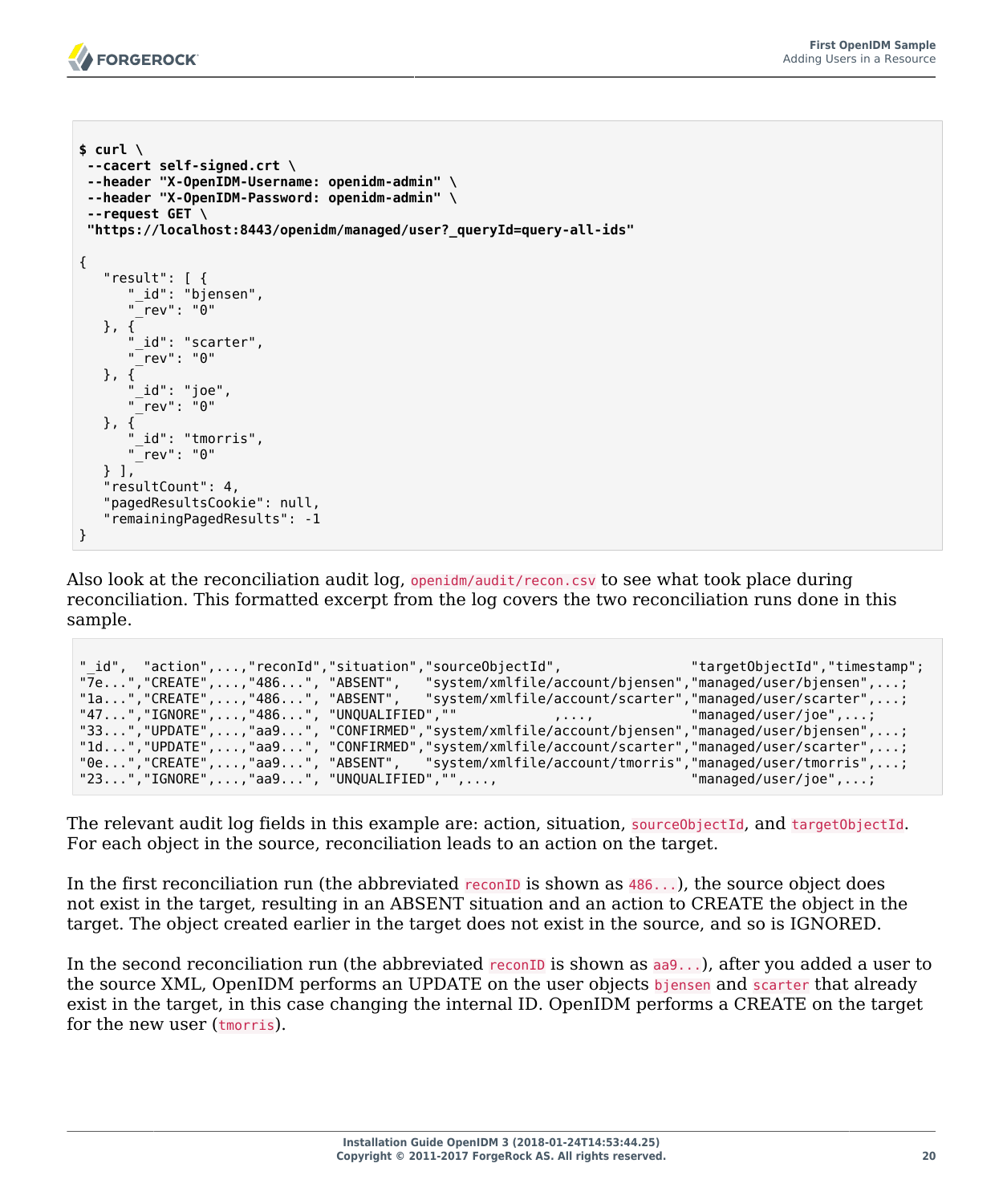

```
$ curl \
 --cacert self-signed.crt \
 --header "X-OpenIDM-Username: openidm-admin" \
 --header "X-OpenIDM-Password: openidm-admin" \
 --request GET \
  "https://localhost:8443/openidm/managed/user?_queryId=query-all-ids"
{
    "result": [ {
       "_id": "bjensen",
       "_rev": "0"
    }, {
       id": "scarter",
       "_rev": "0"
    }, {
       ' id": "joe",
       "_rev": "0"
    }, {
       id": "tmorris",
       "_rev": "0"
    } ],
    "resultCount": 4,
    "pagedResultsCookie": null,
    "remainingPagedResults": -1
}
```
Also look at the reconciliation audit log, openidm/audit/recon.csv to see what took place during reconciliation. This formatted excerpt from the log covers the two reconciliation runs done in this sample.

| " id", "action",,"reconId","situation","sourceObjectId", | "7e","CREATE",,"486", "ABSENT", "system/xmlfile/account/bjensen","managed/user/bjensen",;<br>"la","CREATE",,"486", "ABSENT", "system/xmlfile/account/scarter","managed/user/scarter",;                                               | "targetObjectId","timestamp"; |
|----------------------------------------------------------|--------------------------------------------------------------------------------------------------------------------------------------------------------------------------------------------------------------------------------------|-------------------------------|
|                                                          | "47","IGNORE",,"486","UNQUALIFIED",""       ,,       "managed/user/joe",;<br>"33","UPDATE",,"aa9", "CONFIRMED","system/xmlfile/account/bjensen","managed/user/bjensen",;                                                             |                               |
|                                                          | "ld","UPDATE",,"aa9", "CONFIRMED","system/xmlfile/account/scarter","managed/user/scarter",;<br>"0e","CREATE",,"aa9", "ABSENT", "system/xmlfile/account/tmorris","managed/user/tmorris",;<br>"23","IGNORE",,"aa9", "UNQUALIFIED","",, | "managed/user/joe",;          |

The relevant audit log fields in this example are: action, situation, source0bjectId, and target0bjectId. For each object in the source, reconciliation leads to an action on the target.

In the first reconciliation run (the abbreviated reconID is shown as  $486...$ ), the source object does not exist in the target, resulting in an ABSENT situation and an action to CREATE the object in the target. The object created earlier in the target does not exist in the source, and so is IGNORED.

In the second reconciliation run (the abbreviated reconID is shown as  $a_0$ ...), after you added a user to the source XML, OpenIDM performs an UPDATE on the user objects bjensen and scarter that already exist in the target, in this case changing the internal ID. OpenIDM performs a CREATE on the target for the new user (tmorris).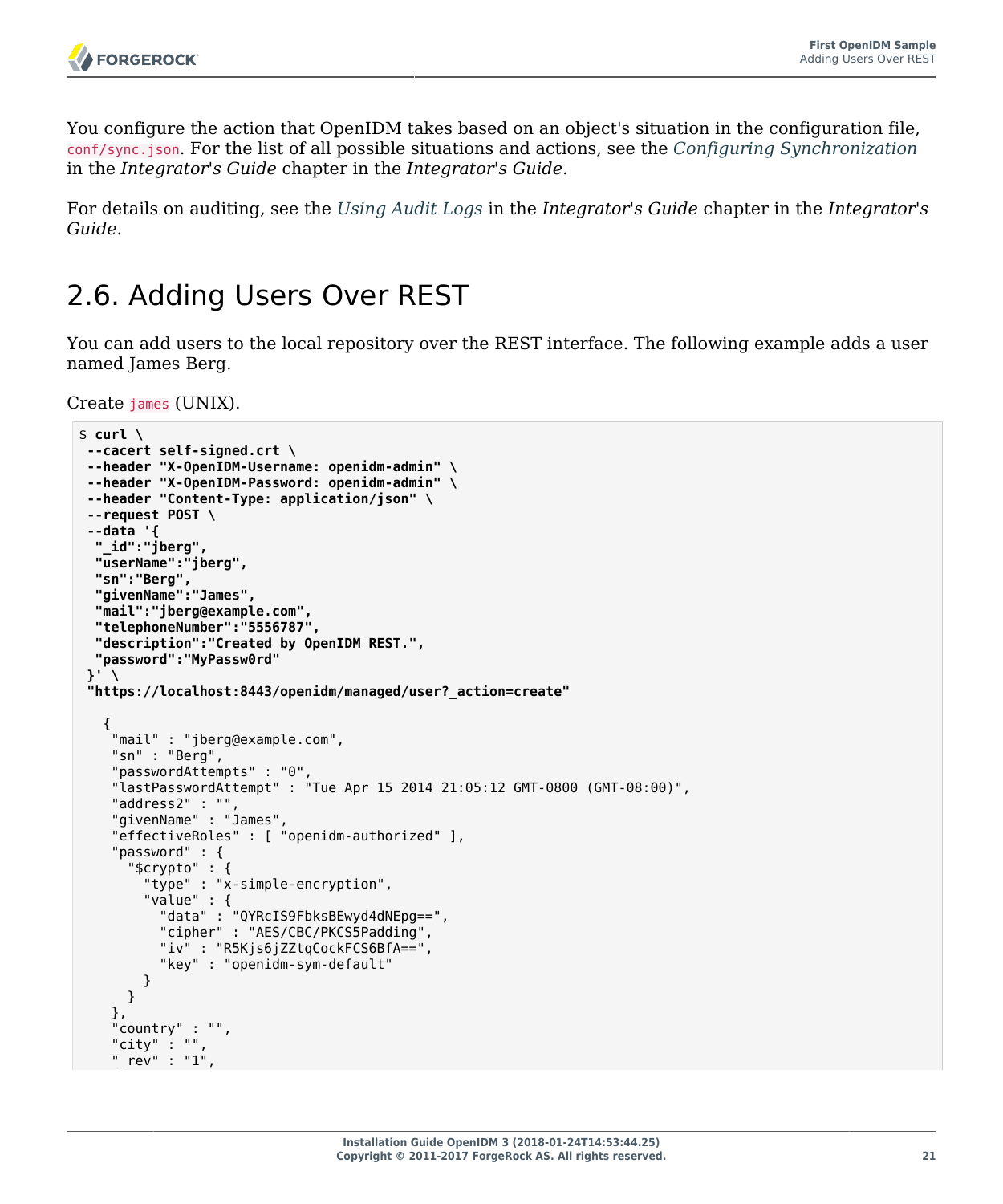You configure the action that OpenIDM takes based on an object's situation in the configuration file, conf/sync.json. For the list of all possible situations and actions, see the *Configuring Synchronization* in the *Integrator's Guide* chapter in the *Integrator's Guide*.

For details on auditing, see the *Using Audit Logs* in the *Integrator's Guide* chapter in the *Integrator's Guide*.

### <span id="page-25-0"></span>2.6. Adding Users Over REST

You can add users to the local repository over the REST interface. The following example adds a user named James Berg.

Create james (UNIX).

```
$ curl \
--cacert self-signed.crt \
--header "X-OpenIDM-Username: openidm-admin" \
--header "X-OpenIDM-Password: openidm-admin" \
--header "Content-Type: application/json" \
--request POST \
--data '{
   "_id":"jberg",
  "userName":"jberg",
   "sn":"Berg",
   "givenName":"James",
   "mail":"jberg@example.com",
  "telephoneNumber":"5556787",
   "description":"Created by OpenIDM REST.",
   "password":"MyPassw0rd"
 }' \
 "https://localhost:8443/openidm/managed/user?_action=create"
\{ "mail" : "jberg@example.com",
     "sn" : "Berg",
     "passwordAttempts" : "0",
     "lastPasswordAttempt" : "Tue Apr 15 2014 21:05:12 GMT-0800 (GMT-08:00)",
     "address2" : "",
     "givenName" : "James",
     "effectiveRoles" : [ "openidm-authorized" ],
     "password" : {
       "$crypto" : {
         "type" : "x-simple-encryption",
         "value" : {
           "data" : "QYRcIS9FbksBEwyd4dNEpg==",
           "cipher" : "AES/CBC/PKCS5Padding",
           "iv" : "R5Kjs6jZZtqCockFCS6BfA==",
           "key" : "openidm-sym-default"
        }
       }
     },
 "country" : "",
 "city" : "",
     "_rev" : "1",
```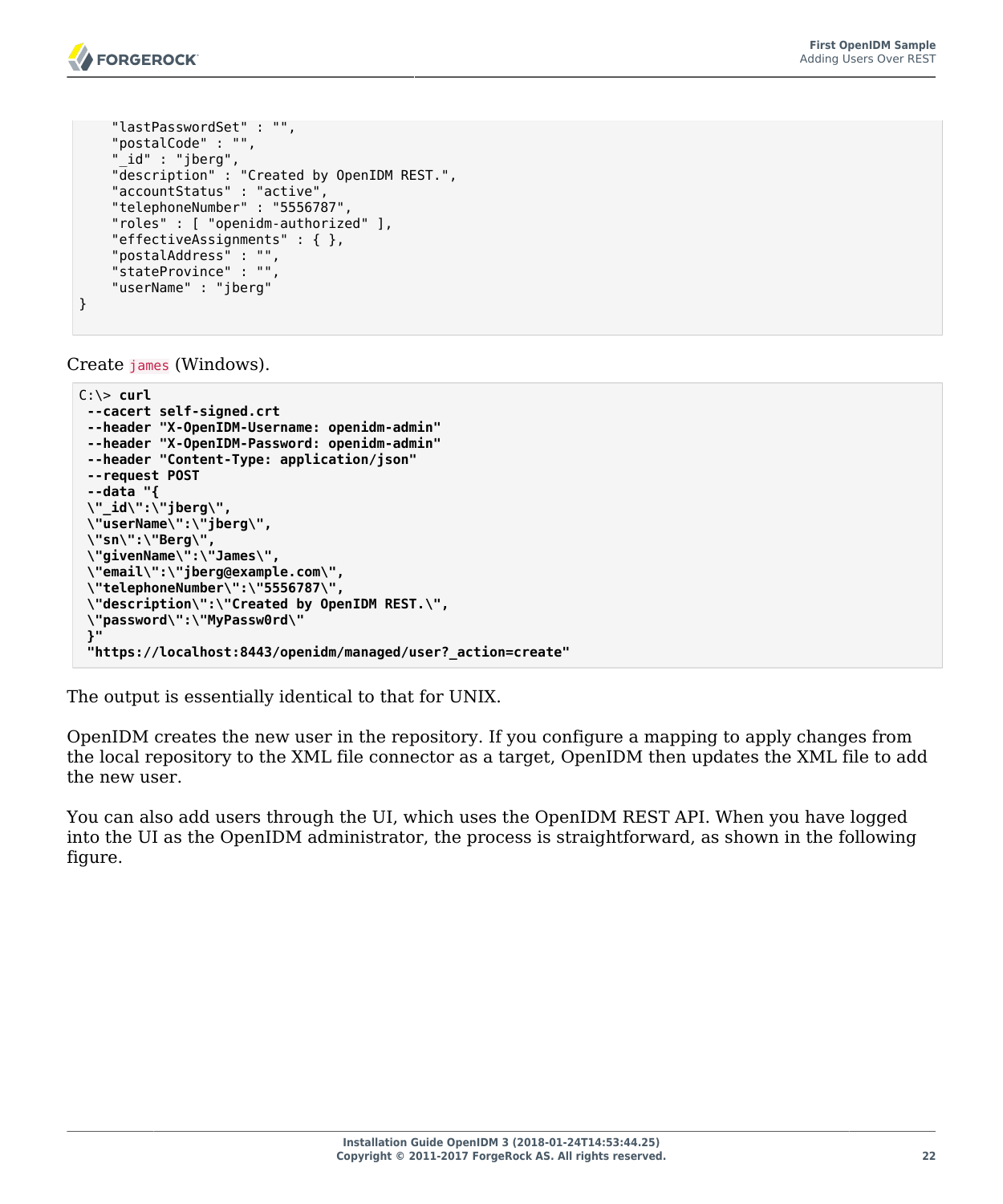```
 "lastPasswordSet" : "",
     "postalCode" : "",
 "_id" : "jberg",
 "description" : "Created by OpenIDM REST.",
     "accountStatus" : "active",
     "telephoneNumber" : "5556787",
     "roles" : [ "openidm-authorized" ],
     "effectiveAssignments" : { },
     "postalAddress" : "",
     "stateProvince" : "",
     "userName" : "jberg"
}
```
Create james (Windows).

```
C:\> curl
 --cacert self-signed.crt
 --header "X-OpenIDM-Username: openidm-admin"
 --header "X-OpenIDM-Password: openidm-admin"
 --header "Content-Type: application/json"
 --request POST
 --data "{
  \"_id\":\"jberg\",
  \"userName\":\"jberg\",
  \"sn\":\"Berg\",
  \"givenName\":\"James\",
  \"email\":\"jberg@example.com\",
  \"telephoneNumber\":\"5556787\",
  \"description\":\"Created by OpenIDM REST.\",
  \"password\":\"MyPassw0rd\"
  }"
  "https://localhost:8443/openidm/managed/user?_action=create"
```
The output is essentially identical to that for UNIX.

OpenIDM creates the new user in the repository. If you configure a mapping to apply changes from the local repository to the XML file connector as a target, OpenIDM then updates the XML file to add the new user.

You can also add users through the UI, which uses the OpenIDM REST API. When you have logged into the UI as the OpenIDM administrator, the process is straightforward, as shown in the following figure.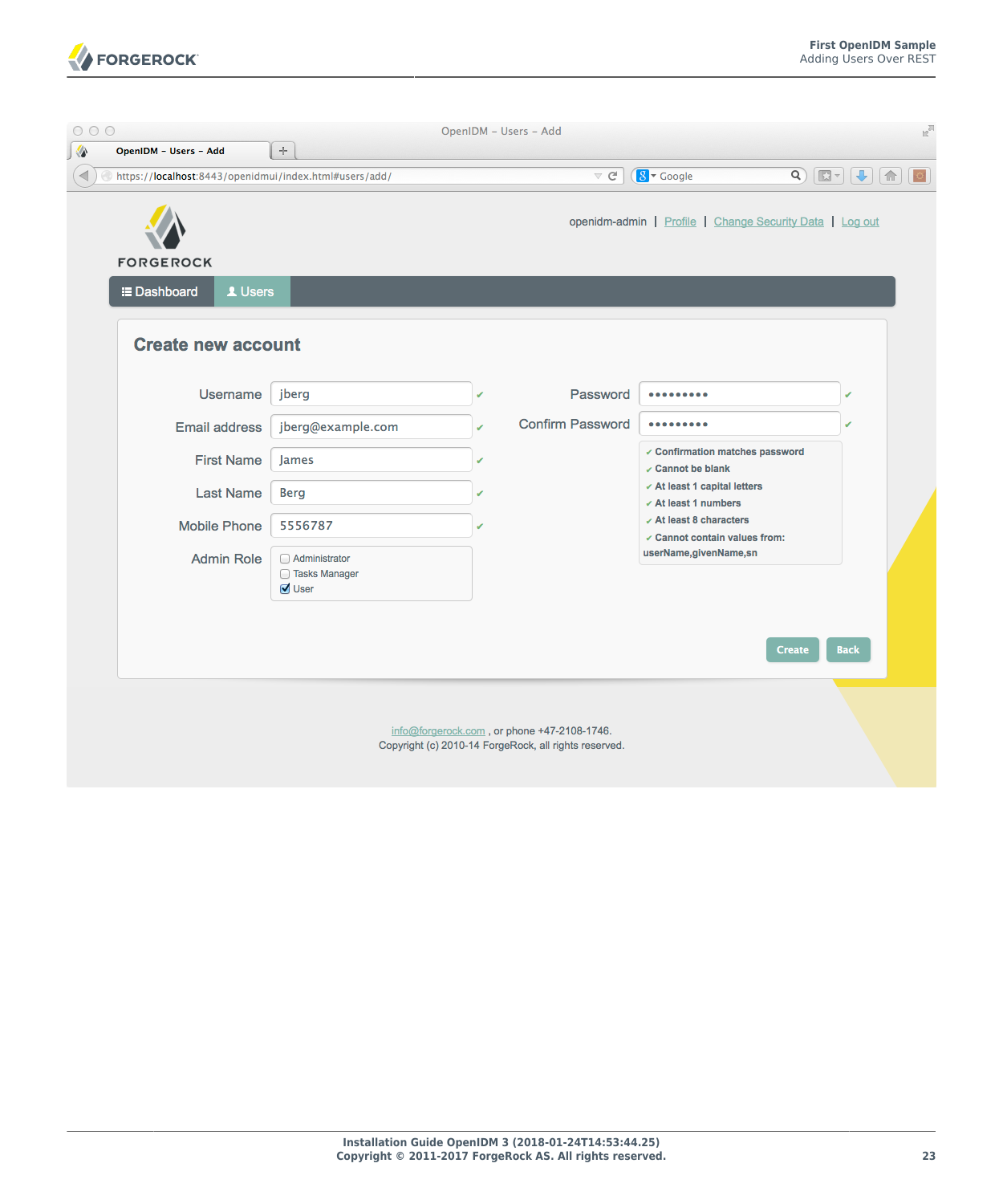

| 000                                                                                                          |                                                          |   | OpenIDM - Users - Add                                                                                |                                                                 |                                                                                                                                                                                                                                                                                                                                                     | $\mathbb{F}_\mathbb{N}$ |
|--------------------------------------------------------------------------------------------------------------|----------------------------------------------------------|---|------------------------------------------------------------------------------------------------------|-----------------------------------------------------------------|-----------------------------------------------------------------------------------------------------------------------------------------------------------------------------------------------------------------------------------------------------------------------------------------------------------------------------------------------------|-------------------------|
| ♦<br>OpenIDM - Users - Add<br>$\blacktriangleleft$<br>https://localhost:8443/openidmui/index.html#users/add/ | $\div$                                                   |   | $\triangledown$ $C^i$                                                                                | $8 - Google$                                                    | $\begin{picture}(150,10) \put(0,0){\line(1,0){10}} \put(15,0){\line(1,0){10}} \put(15,0){\line(1,0){10}} \put(15,0){\line(1,0){10}} \put(15,0){\line(1,0){10}} \put(15,0){\line(1,0){10}} \put(15,0){\line(1,0){10}} \put(15,0){\line(1,0){10}} \put(15,0){\line(1,0){10}} \put(15,0){\line(1,0){10}} \put(15,0){\line(1,0){10}} \put(15,0){\line($ |                         |
| <b>FORGEROCK</b>                                                                                             |                                                          |   |                                                                                                      | openidm-admin   Profile   Change Security Data   Log out        |                                                                                                                                                                                                                                                                                                                                                     |                         |
| 1 Users<br><b>E</b> Dashboard<br><b>Create new account</b>                                                   |                                                          |   |                                                                                                      |                                                                 |                                                                                                                                                                                                                                                                                                                                                     |                         |
| Username                                                                                                     | jberg                                                    | ✔ | Password                                                                                             |                                                                 |                                                                                                                                                                                                                                                                                                                                                     |                         |
| <b>Email address</b>                                                                                         | jberg@example.com                                        |   | <b>Confirm Password</b>                                                                              |                                                                 |                                                                                                                                                                                                                                                                                                                                                     |                         |
| <b>First Name</b>                                                                                            | James                                                    | ں |                                                                                                      | ✓ Confirmation matches password<br>$\angle$ Cannot be blank     |                                                                                                                                                                                                                                                                                                                                                     |                         |
| <b>Last Name</b>                                                                                             | <b>Berg</b>                                              |   |                                                                                                      | ✓ At least 1 capital letters<br>$\checkmark$ At least 1 numbers |                                                                                                                                                                                                                                                                                                                                                     |                         |
| <b>Mobile Phone</b>                                                                                          | 5556787                                                  |   |                                                                                                      | $\angle$ At least 8 characters<br>✓ Cannot contain values from: |                                                                                                                                                                                                                                                                                                                                                     |                         |
| <b>Admin Role</b>                                                                                            | Administrator<br>□ Tasks Manager<br>$\triangledown$ User |   |                                                                                                      | userName, givenName, sn                                         |                                                                                                                                                                                                                                                                                                                                                     |                         |
|                                                                                                              |                                                          |   |                                                                                                      |                                                                 | <b>Back</b><br><b>Create</b>                                                                                                                                                                                                                                                                                                                        |                         |
|                                                                                                              |                                                          |   | info@forgerock.com, or phone +47-2108-1746.<br>Copyright (c) 2010-14 ForgeRock, all rights reserved. |                                                                 |                                                                                                                                                                                                                                                                                                                                                     |                         |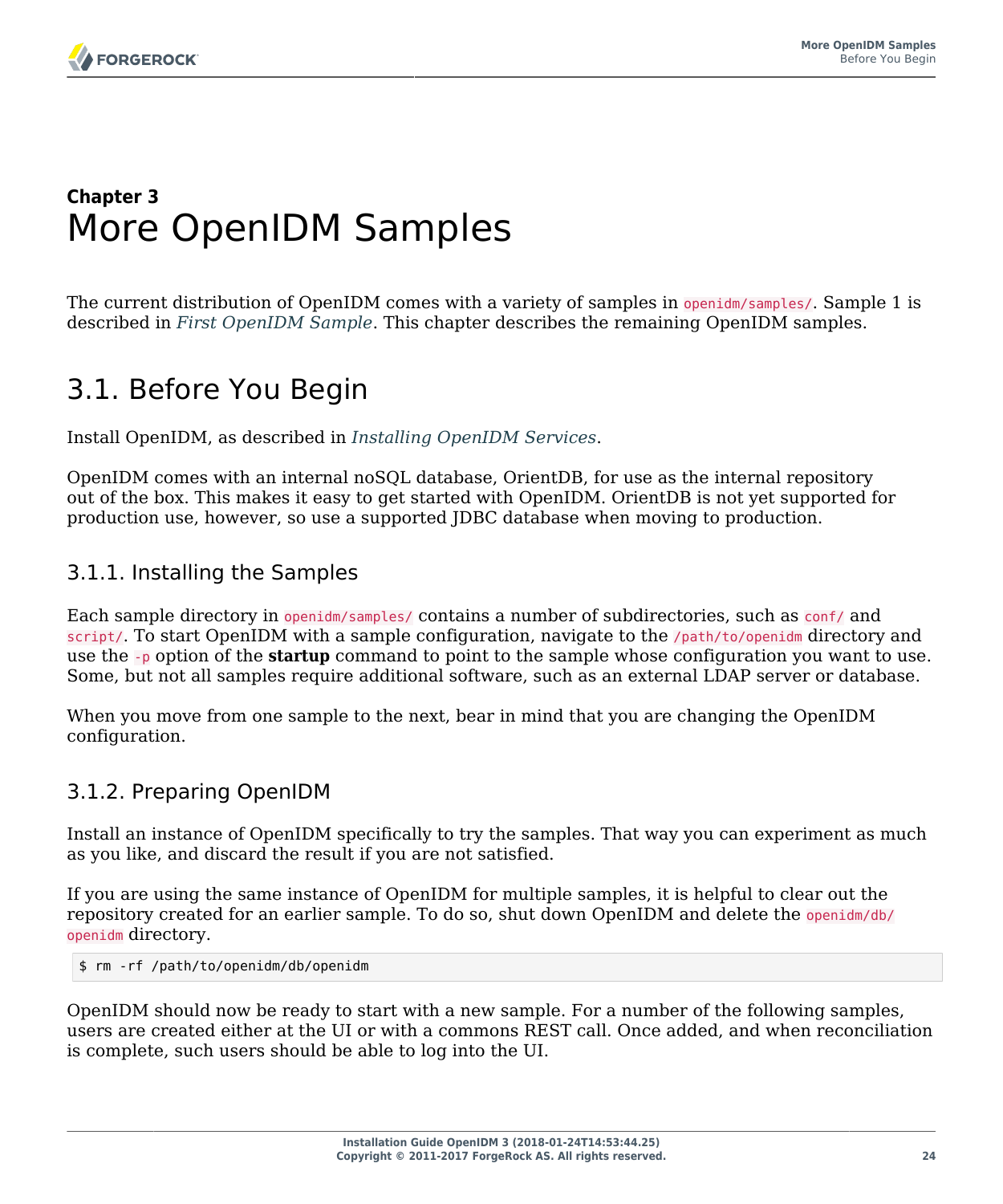### <span id="page-28-0"></span>**Chapter 3** More OpenIDM Samples

The current distribution of OpenIDM comes with a variety of samples in openidm/samples/. Sample 1 is described in *[First OpenIDM Sample](#page-14-0)*. This chapter describes the remaining OpenIDM samples.

# <span id="page-28-1"></span>3.1. Before You Begin

Install OpenIDM, as described in *[Installing OpenIDM Services](#page-5-0)*.

OpenIDM comes with an internal noSQL database, OrientDB, for use as the internal repository out of the box. This makes it easy to get started with OpenIDM. OrientDB is not yet supported for production use, however, so use a supported JDBC database when moving to production.

### 3.1.1. Installing the Samples

Each sample directory in openidm/samples/ contains a number of subdirectories, such as conf/ and script/. To start OpenIDM with a sample configuration, navigate to the /path/to/openidm directory and use the -p option of the **startup** command to point to the sample whose configuration you want to use. Some, but not all samples require additional software, such as an external LDAP server or database.

When you move from one sample to the next, bear in mind that you are changing the OpenIDM configuration.

### <span id="page-28-2"></span>3.1.2. Preparing OpenIDM

Install an instance of OpenIDM specifically to try the samples. That way you can experiment as much as you like, and discard the result if you are not satisfied.

If you are using the same instance of OpenIDM for multiple samples, it is helpful to clear out the repository created for an earlier sample. To do so, shut down OpenIDM and delete the openidm/db/ openidm directory.

\$ rm -rf /path/to/openidm/db/openidm

OpenIDM should now be ready to start with a new sample. For a number of the following samples, users are created either at the UI or with a commons REST call. Once added, and when reconciliation is complete, such users should be able to log into the UI.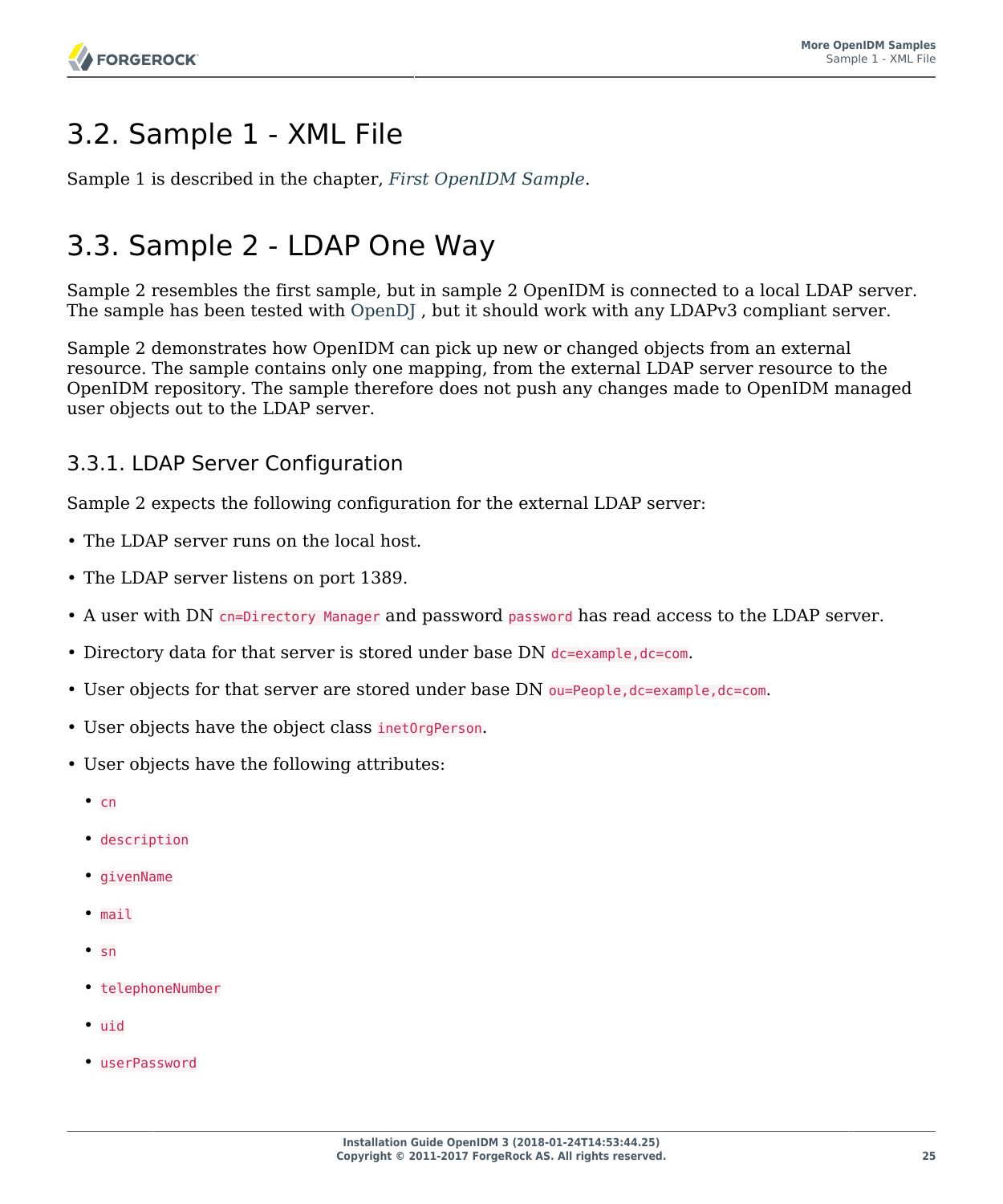# <span id="page-29-0"></span>3.2. Sample 1 - XML File

<span id="page-29-1"></span>Sample 1 is described in the chapter, *[First OpenIDM Sample](#page-14-0)*.

# 3.3. Sample 2 - LDAP One Way

Sample 2 resembles the first sample, but in sample 2 OpenIDM is connected to a local LDAP server. The sample has been tested with [OpenDJ ,](http://www.forgerock.org/opendj.html) but it should work with any LDAPv3 compliant server.

Sample 2 demonstrates how OpenIDM can pick up new or changed objects from an external resource. The sample contains only one mapping, from the external LDAP server resource to the OpenIDM repository. The sample therefore does not push any changes made to OpenIDM managed user objects out to the LDAP server.

### <span id="page-29-2"></span>3.3.1. LDAP Server Configuration

Sample 2 expects the following configuration for the external LDAP server:

- The LDAP server runs on the local host.
- The LDAP server listens on port 1389.
- A user with DN cn=Directory Manager and password password has read access to the LDAP server.
- Directory data for that server is stored under base DN dc=example, dc=com.
- User objects for that server are stored under base DN ou=People, dc=example, dc=com.
- User objects have the object class inetOrgPerson.
- User objects have the following attributes:
	- $•$  cn
	- description
	- givenName
	- mail
	- sn
	- telephoneNumber
	- uid
	- userPassword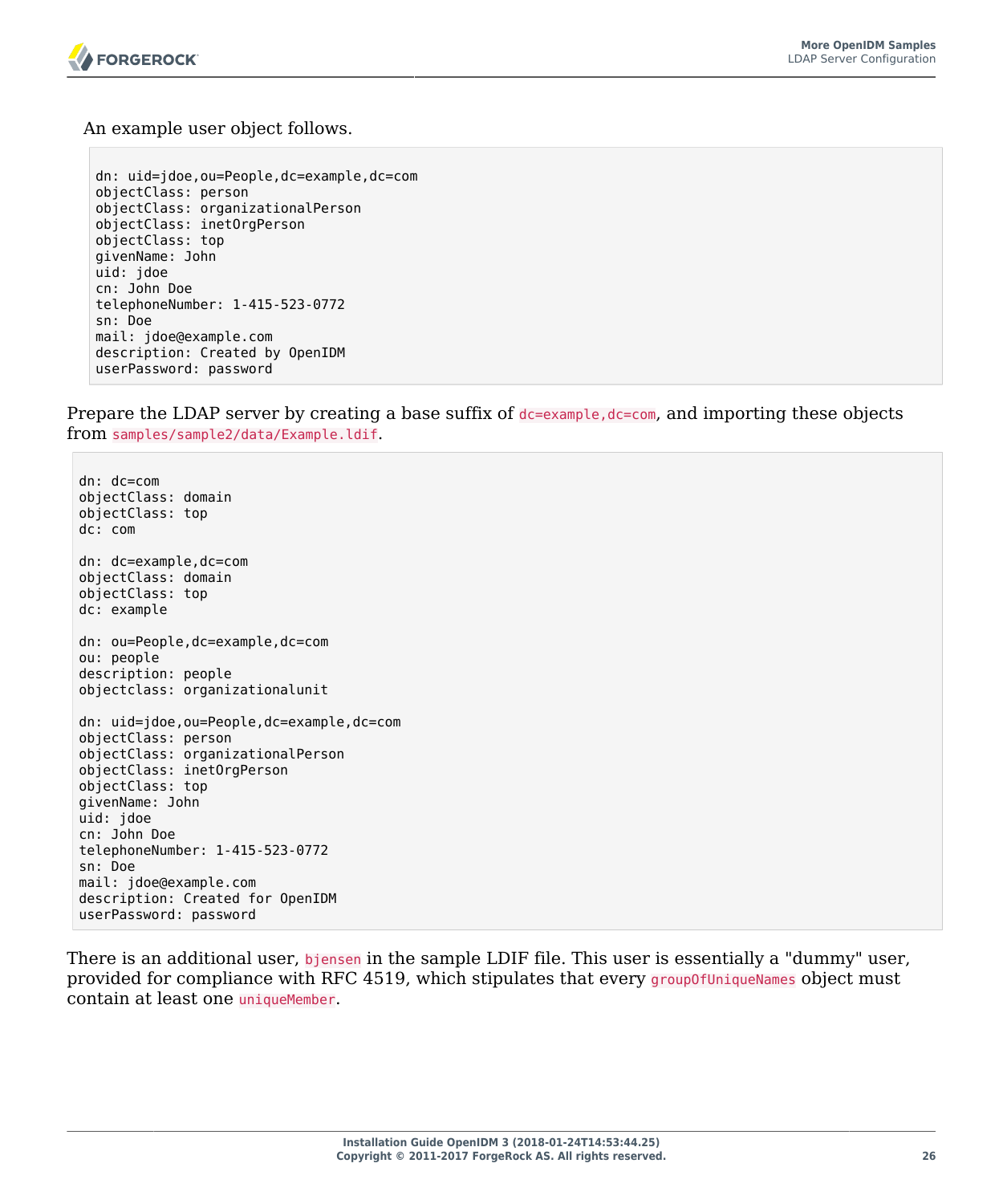

An example user object follows.

```
dn: uid=jdoe,ou=People,dc=example,dc=com
objectClass: person
objectClass: organizationalPerson
objectClass: inetOrgPerson
objectClass: top
givenName: John
uid: jdoe
cn: John Doe
telephoneNumber: 1-415-523-0772
sn: Doe
mail: jdoe@example.com
description: Created by OpenIDM
userPassword: password
```
Prepare the LDAP server by creating a base suffix of  $d = e \times a$  and importing these objects from samples/sample2/data/Example.ldif.

dn: dc=com objectClass: domain objectClass: top dc: com dn: dc=example,dc=com objectClass: domain objectClass: top dc: example dn: ou=People,dc=example,dc=com ou: people description: people objectclass: organizationalunit dn: uid=jdoe,ou=People,dc=example,dc=com objectClass: person objectClass: organizationalPerson objectClass: inetOrgPerson objectClass: top givenName: John uid: jdoe cn: John Doe telephoneNumber: 1-415-523-0772 sn: Doe mail: jdoe@example.com description: Created for OpenIDM userPassword: password

There is an additional user, bjensen in the sample LDIF file. This user is essentially a "dummy" user, provided for compliance with RFC 4519, which stipulates that every group0fUniqueNames object must contain at least one uniqueMember.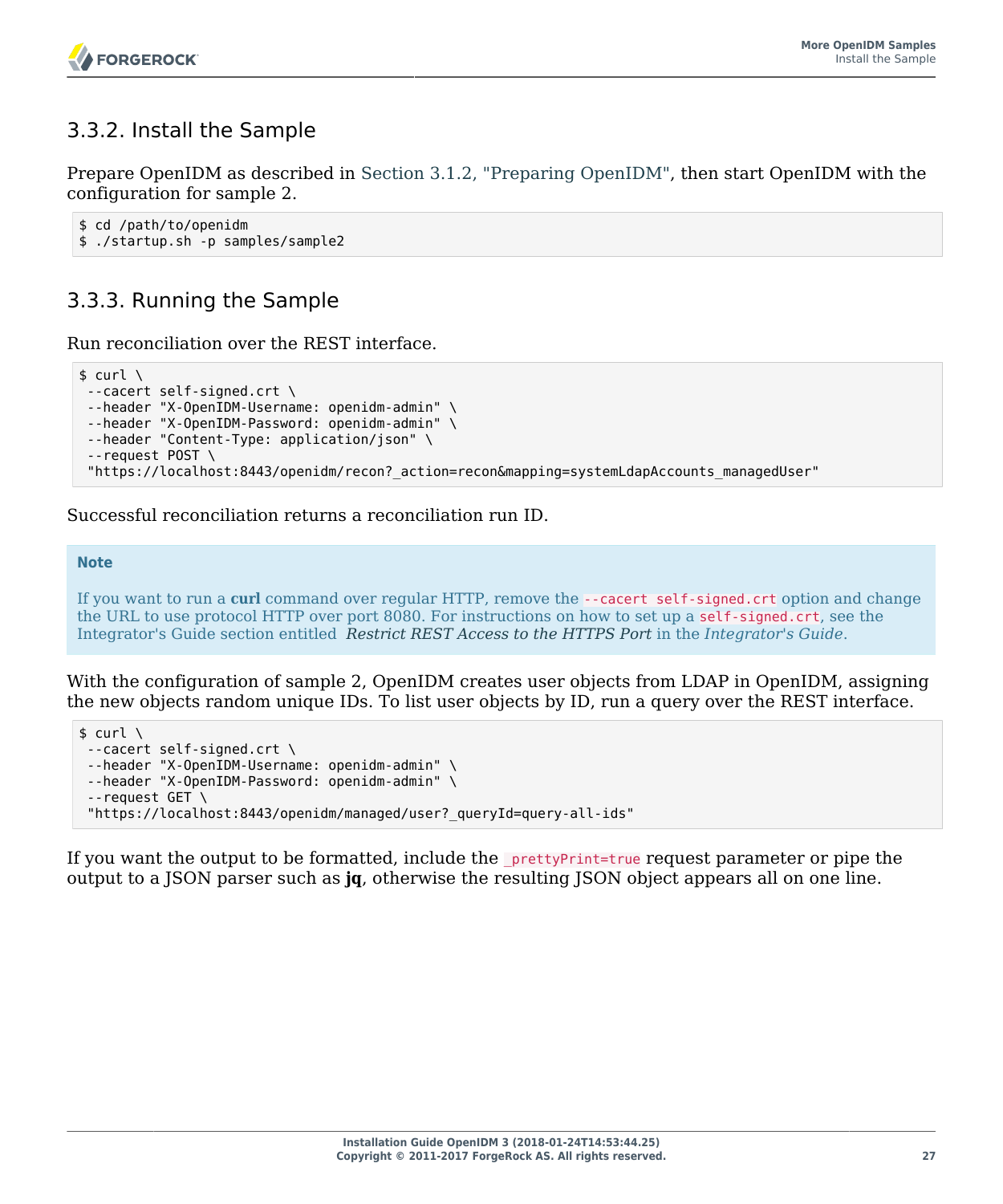### 3.3.2. Install the Sample

Prepare OpenIDM as described in [Section 3.1.2, "Preparing OpenIDM",](#page-28-2) then start OpenIDM with the configuration for sample 2.

```
$ cd /path/to/openidm
$ ./startup.sh -p samples/sample2
```
### 3.3.3. Running the Sample

Run reconciliation over the REST interface.

```
$ curl \lambda--cacert self-signed.crt \
--header "X-OpenIDM-Username: openidm-admin" \
--header "X-OpenIDM-Password: openidm-admin" \
--header "Content-Type: application/json" \
 --request POST \
 "https://localhost:8443/openidm/recon?_action=recon&mapping=systemLdapAccounts_managedUser"
```
Successful reconciliation returns a reconciliation run ID.

#### **Note**

If you want to run a **curl** command over regular HTTP, remove the --cacert self-signed.crt option and change the URL to use protocol HTTP over port 8080. For instructions on how to set up a self-signed.crt, see the Integrator's Guide section entitled *Restrict REST Access to the HTTPS Port* in the *Integrator's Guide*.

With the configuration of sample 2, OpenIDM creates user objects from LDAP in OpenIDM, assigning the new objects random unique IDs. To list user objects by ID, run a query over the REST interface.

```
$ \quad \text{curl} \quad \text{ } \ \text{ }--cacert self-signed.crt \
 --header "X-OpenIDM-Username: openidm-admin" \
 --header "X-OpenIDM-Password: openidm-admin" \
 --request GET \
  "https://localhost:8443/openidm/managed/user?_queryId=query-all-ids"
```
If you want the output to be formatted, include the <u>prettyPrint=true</u> request parameter or pipe the output to a JSON parser such as **jq**, otherwise the resulting JSON object appears all on one line.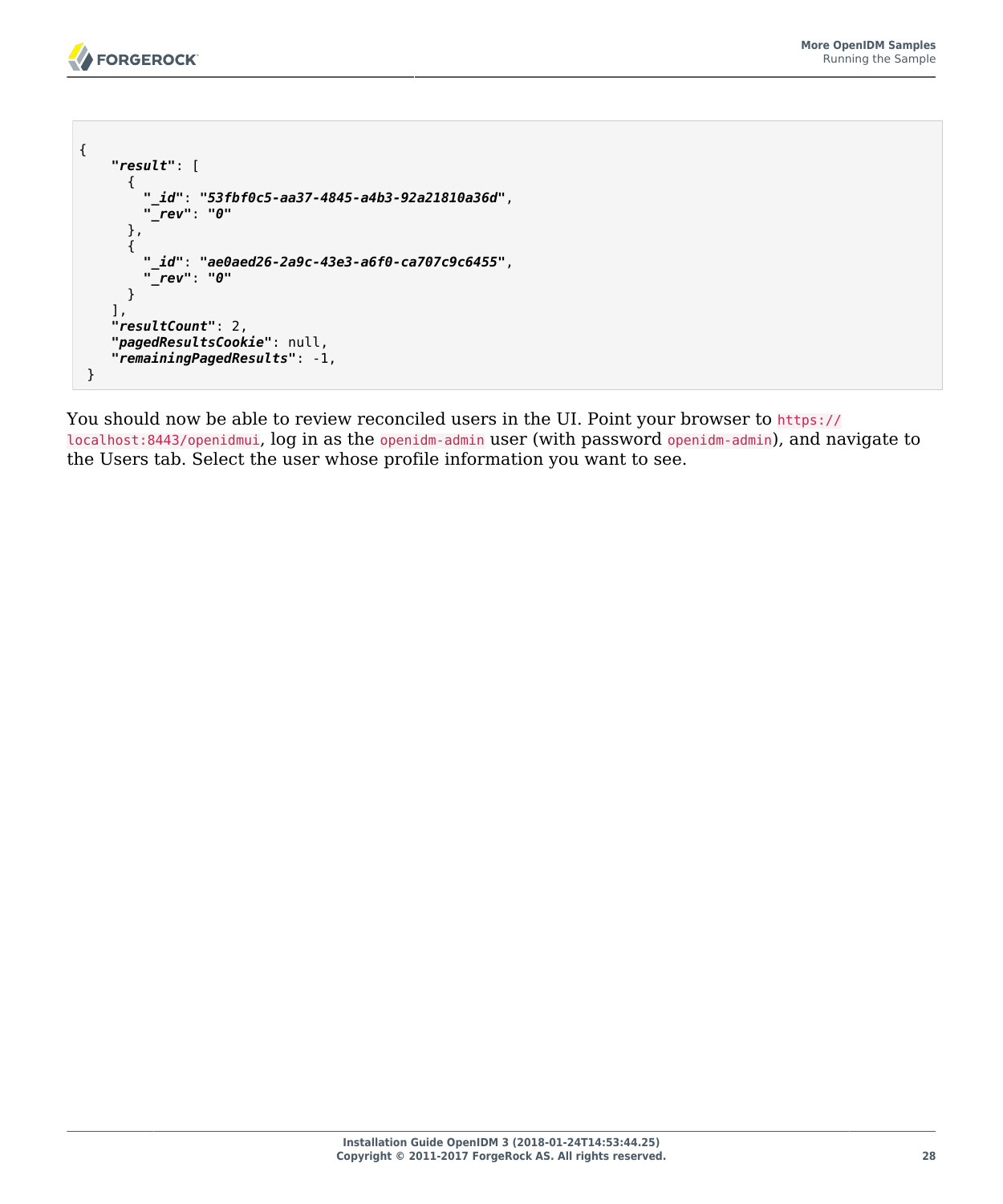```
{
     "result": [
\overline{\mathcal{L}} "_id": "53fbf0c5-aa37-4845-a4b3-92a21810a36d",
         "_rev": "0"
       },
       {
         "_id": "ae0aed26-2a9c-43e3-a6f0-ca707c9c6455",
         "_rev": "0"
       }
     ],
     "resultCount": 2,
     "pagedResultsCookie": null,
     "remainingPagedResults": -1,
  }
```
You should now be able to review reconciled users in the UI. Point your browser to https:// localhost:8443/openidmui, log in as the openidm-admin user (with password openidm-admin), and navigate to the Users tab. Select the user whose profile information you want to see.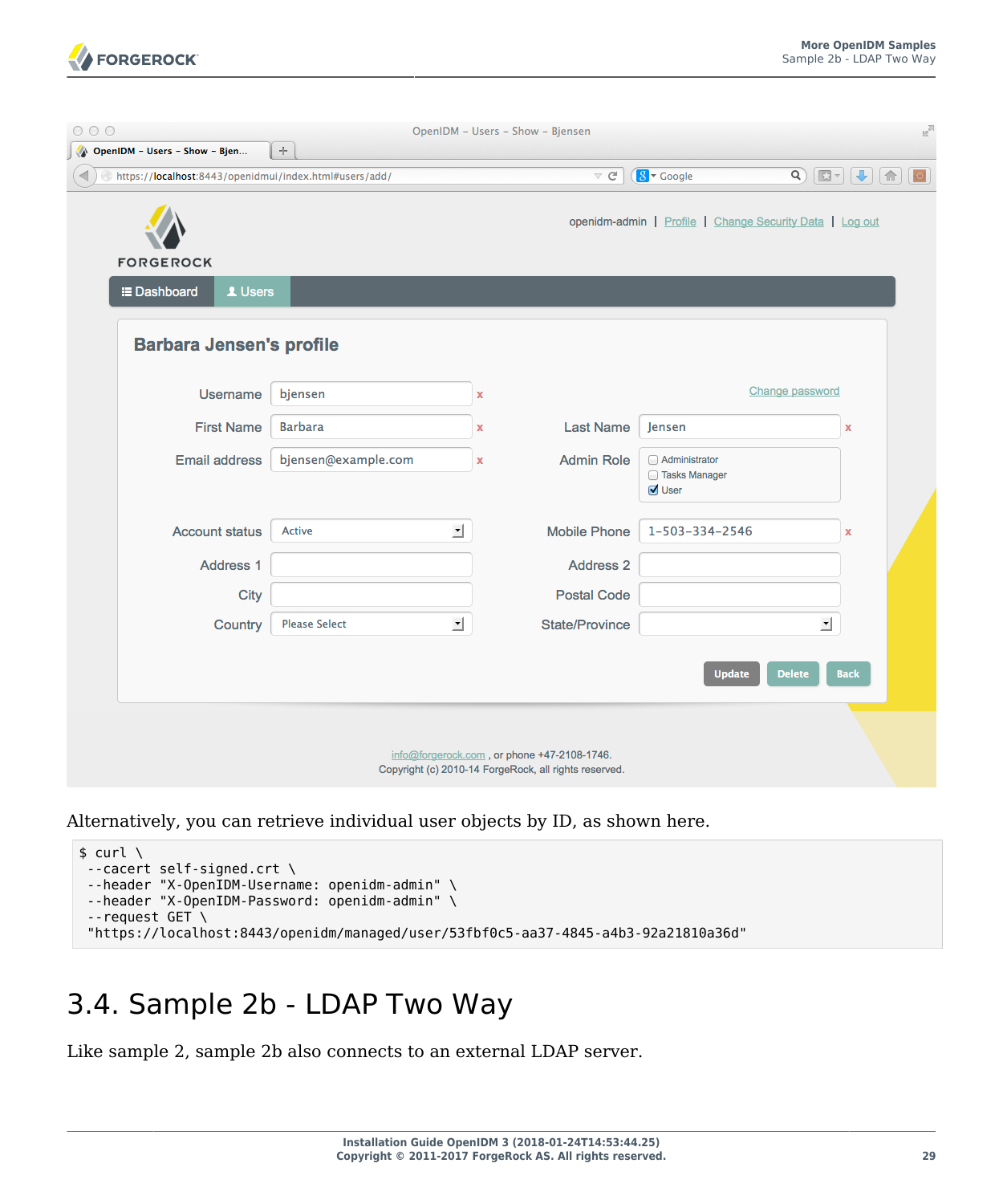

| OpenIDM - Users - Show - Bjen                          | $\div$               |          |                                             |                                                          |                                                                                                                                                                                                                                                                                                                                                                                                                                                                             |
|--------------------------------------------------------|----------------------|----------|---------------------------------------------|----------------------------------------------------------|-----------------------------------------------------------------------------------------------------------------------------------------------------------------------------------------------------------------------------------------------------------------------------------------------------------------------------------------------------------------------------------------------------------------------------------------------------------------------------|
| https://localhost:8443/openidmui/index.html#users/add/ |                      |          | $\triangledown$ $C^i$                       | $8 \times$ Google                                        | $\begin{tabular}{ c c c c c } \hline \rule{0pt}{3ex} $\boldsymbol{\mathsf{Q}}$ & $\boldsymbol{\mathsf{E}}\boldsymbol{\mathsf{T}}$ & $\boldsymbol{\mathsf{E}}\boldsymbol{\mathsf{T}}$ & $\boldsymbol{\mathsf{E}}\boldsymbol{\mathsf{B}}$\\ \hline \rule{0pt}{3ex} $\boldsymbol{\mathsf{Q}}$ & $\boldsymbol{\mathsf{E}}\boldsymbol{\mathsf{T}}$ & $\boldsymbol{\mathsf{E}}\boldsymbol{\mathsf{T}}$ & $\boldsymbol{\mathsf{E}}\boldsymbol{\mathsf{B}}$\\ \hline \end{tabular}$ |
|                                                        |                      |          |                                             | openidm-admin   Profile   Change Security Data   Log out |                                                                                                                                                                                                                                                                                                                                                                                                                                                                             |
| <b>FORGEROCK</b>                                       |                      |          |                                             |                                                          |                                                                                                                                                                                                                                                                                                                                                                                                                                                                             |
| <b>E</b> Dashboard<br>1 Users                          |                      |          |                                             |                                                          |                                                                                                                                                                                                                                                                                                                                                                                                                                                                             |
| <b>Barbara Jensen's profile</b>                        |                      |          |                                             |                                                          |                                                                                                                                                                                                                                                                                                                                                                                                                                                                             |
| Username                                               | bjensen              | x        |                                             |                                                          | Change password                                                                                                                                                                                                                                                                                                                                                                                                                                                             |
| <b>First Name</b>                                      | <b>Barbara</b>       | x        | <b>Last Name</b>                            | Jensen                                                   | X                                                                                                                                                                                                                                                                                                                                                                                                                                                                           |
| <b>Email address</b>                                   | bjensen@example.com  | x        | <b>Admin Role</b>                           | Administrator<br>□ Tasks Manager<br>User                 |                                                                                                                                                                                                                                                                                                                                                                                                                                                                             |
| <b>Account status</b>                                  | <b>Active</b>        | 그        | <b>Mobile Phone</b>                         | 1-503-334-2546                                           | x                                                                                                                                                                                                                                                                                                                                                                                                                                                                           |
| Address 1                                              |                      |          | Address <sub>2</sub>                        |                                                          |                                                                                                                                                                                                                                                                                                                                                                                                                                                                             |
| City                                                   |                      |          | <b>Postal Code</b>                          |                                                          |                                                                                                                                                                                                                                                                                                                                                                                                                                                                             |
| Country                                                | <b>Please Select</b> | <u>r</u> | <b>State/Province</b>                       |                                                          | 킈                                                                                                                                                                                                                                                                                                                                                                                                                                                                           |
|                                                        |                      |          |                                             | <b>Update</b>                                            | <b>Back</b><br><b>Delete</b>                                                                                                                                                                                                                                                                                                                                                                                                                                                |
|                                                        |                      |          |                                             |                                                          |                                                                                                                                                                                                                                                                                                                                                                                                                                                                             |
|                                                        |                      |          | info@forgerock.com, or phone +47-2108-1746. |                                                          |                                                                                                                                                                                                                                                                                                                                                                                                                                                                             |

Alternatively, you can retrieve individual user objects by ID, as shown here.

| ∣\$ curl ∖                                                                         |
|------------------------------------------------------------------------------------|
| $-$ cacert self-signed.crt \                                                       |
| --header "X-OpenIDM-Username: openidm-admin" \                                     |
| --header "X-OpenIDM-Password: openidm-admin" \                                     |
| $-$ -request GET \                                                                 |
| "https://localhost:8443/openidm/managed/user/53fbf0c5-aa37-4845-a4b3-92a21810a36d" |
|                                                                                    |

### <span id="page-33-0"></span>3.4. Sample 2b - LDAP Two Way

Like sample 2, sample 2b also connects to an external LDAP server.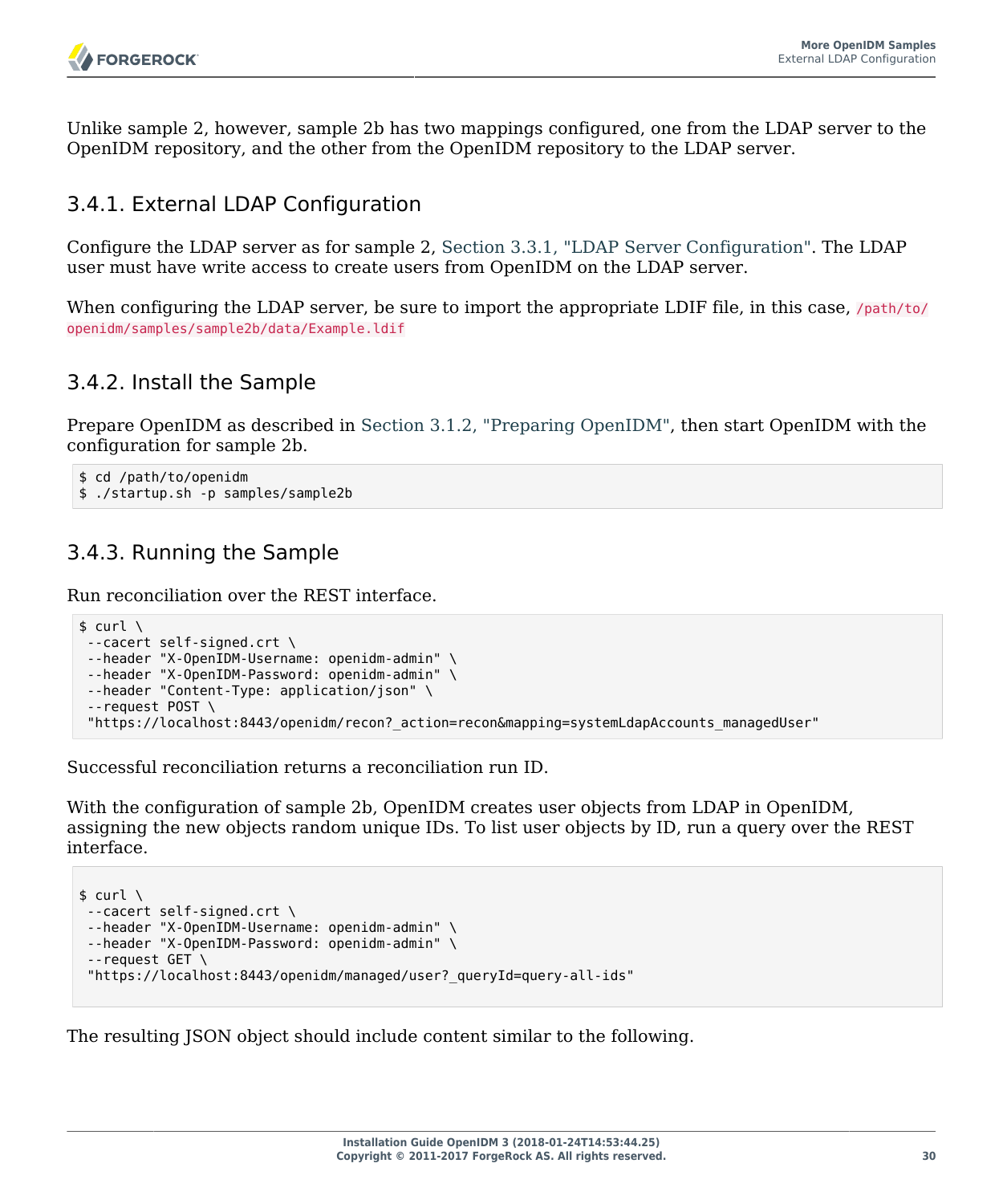Unlike sample 2, however, sample 2b has two mappings configured, one from the LDAP server to the OpenIDM repository, and the other from the OpenIDM repository to the LDAP server.

### 3.4.1. External LDAP Configuration

Configure the LDAP server as for sample 2, [Section 3.3.1, "LDAP Server Configuration".](#page-29-2) The LDAP user must have write access to create users from OpenIDM on the LDAP server.

When configuring the LDAP server, be sure to import the appropriate LDIF file, in this case,  $\sqrt{path/to}/$ openidm/samples/sample2b/data/Example.ldif

### 3.4.2. Install the Sample

Prepare OpenIDM as described in [Section 3.1.2, "Preparing OpenIDM",](#page-28-2) then start OpenIDM with the configuration for sample 2b.

```
$ cd /path/to/openidm
$ ./startup.sh -p samples/sample2b
```
### 3.4.3. Running the Sample

Run reconciliation over the REST interface.

```
$ curl \lambda--cacert self-signed.crt \
--header "X-OpenIDM-Username: openidm-admin" \
 --header "X-OpenIDM-Password: openidm-admin" \
 --header "Content-Type: application/json" \
 --request POST \
  "https://localhost:8443/openidm/recon?_action=recon&mapping=systemLdapAccounts_managedUser"
```
Successful reconciliation returns a reconciliation run ID.

With the configuration of sample 2b, OpenIDM creates user objects from LDAP in OpenIDM, assigning the new objects random unique IDs. To list user objects by ID, run a query over the REST interface.

```
$curl \--cacert self-signed.crt \
 --header "X-OpenIDM-Username: openidm-admin" \
 --header "X-OpenIDM-Password: openidm-admin" \
 --request GET \
  "https://localhost:8443/openidm/managed/user?_queryId=query-all-ids"
```
The resulting JSON object should include content similar to the following.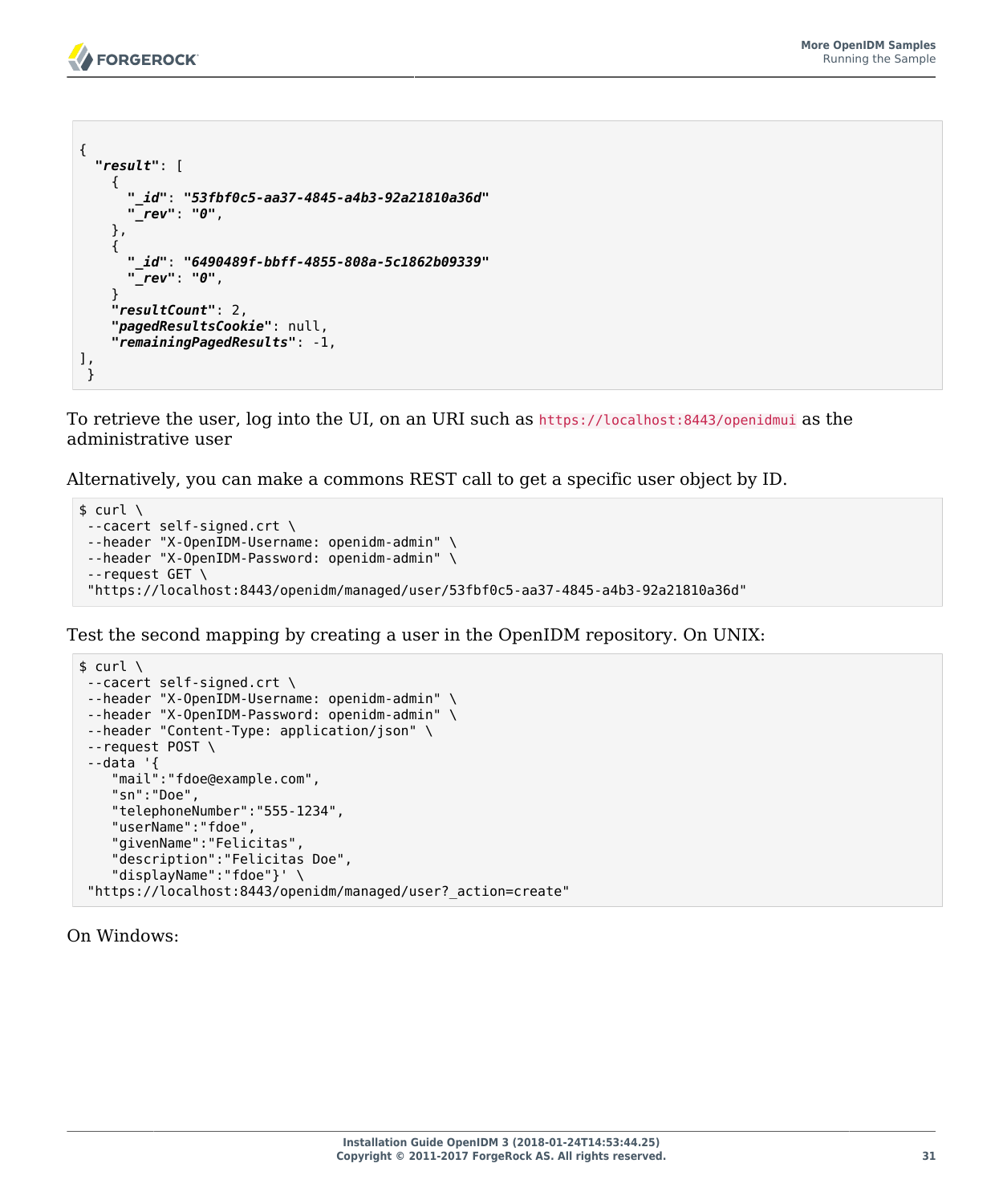```
{
 "result": [
\{ \{ \} "_id": "53fbf0c5-aa37-4845-a4b3-92a21810a36d"
       "_rev": "0",
     },
     {
       "_id": "6490489f-bbff-4855-808a-5c1862b09339"
       "_rev": "0",
 }
     "resultCount": 2,
     "pagedResultsCookie": null,
     "remainingPagedResults": -1,
],
 }
```
To retrieve the user, log into the UI, on an URI such as https://localhost:8443/openidmui as the administrative user

Alternatively, you can make a commons REST call to get a specific user object by ID.

```
$ \quad \text{curl} \quad \text{v}--cacert self-signed.crt \
 --header "X-OpenIDM-Username: openidm-admin" \
 --header "X-OpenIDM-Password: openidm-admin" \
 --request GET \
  "https://localhost:8443/openidm/managed/user/53fbf0c5-aa37-4845-a4b3-92a21810a36d"
```
Test the second mapping by creating a user in the OpenIDM repository. On UNIX:

```
$ \quad \text{curl} \quad \text{v}--cacert self-signed.crt \
 --header "X-OpenIDM-Username: openidm-admin" \
--header "X-OpenIDM-Password: openidm-admin" \
--header "Content-Type: application/json" \
--request POST \
 --data '{
 "mail":"fdoe@example.com",
     "sn":"Doe",
     "telephoneNumber":"555-1234",
     "userName":"fdoe",
     "givenName":"Felicitas",
     "description":"Felicitas Doe",
     "displayName":"fdoe"}' \
 "https://localhost:8443/openidm/managed/user?_action=create"
```
On Windows: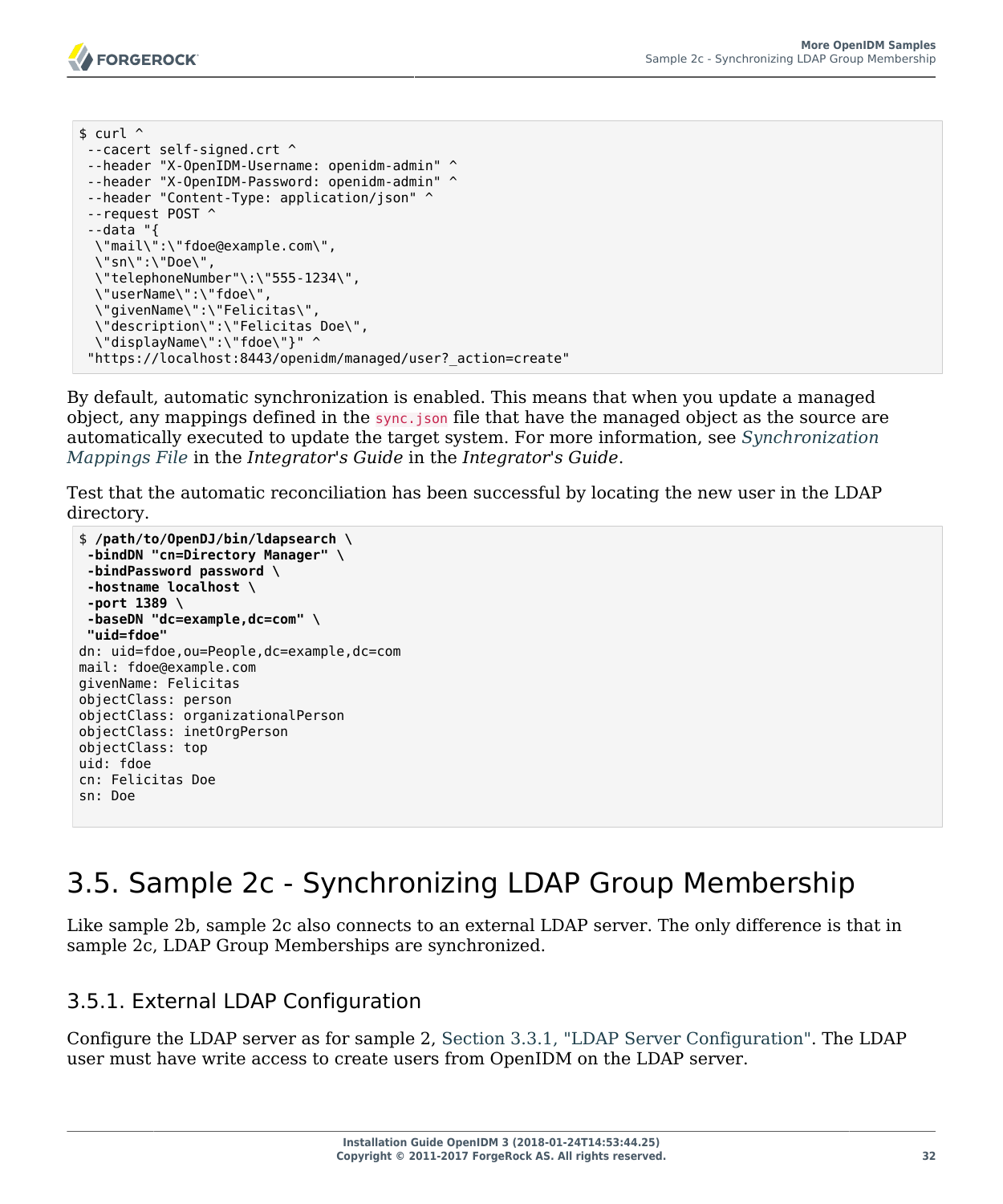```
s curl \hat{ }--cacert self-signed.crt ^
--header "X-OpenIDM-Username: openidm-admin" ^
--header "X-OpenIDM-Password: openidm-admin" ^
--header "Content-Type: application/json" ^
 --request POST ^
 --data "{
  \"mail\":\"fdoe@example.com\",
  \"sn\":\"Doe\",
  \"telephoneNumber"\:\"555-1234\",
  \"userName\":\"fdoe\",
  \"givenName\":\"Felicitas\",
  \"description\":\"Felicitas Doe\",
  \"displayName\":\"fdoe\"}" ^
  "https://localhost:8443/openidm/managed/user?_action=create"
```
By default, automatic synchronization is enabled. This means that when you update a managed object, any mappings defined in the sync.json file that have the managed object as the source are automatically executed to update the target system. For more information, see *Synchronization Mappings File* in the *Integrator's Guide* in the *Integrator's Guide*.

Test that the automatic reconciliation has been successful by locating the new user in the LDAP directory.

```
$ /path/to/OpenDJ/bin/ldapsearch \
 -bindDN "cn=Directory Manager" \
 -bindPassword password \
 -hostname localhost \
 -port 1389 \
 -baseDN "dc=example,dc=com" \
  "uid=fdoe" 
dn: uid=fdoe,ou=People,dc=example,dc=com
mail: fdoe@example.com
givenName: Felicitas
objectClass: person
objectClass: organizationalPerson
objectClass: inetOrgPerson
objectClass: top
uid: fdoe
cn: Felicitas Doe
sn: Doe
```
# 3.5. Sample 2c - Synchronizing LDAP Group Membership

Like sample 2b, sample 2c also connects to an external LDAP server. The only difference is that in sample 2c, LDAP Group Memberships are synchronized.

## 3.5.1. External LDAP Configuration

Configure the LDAP server as for sample 2, [Section 3.3.1, "LDAP Server Configuration".](#page-29-0) The LDAP user must have write access to create users from OpenIDM on the LDAP server.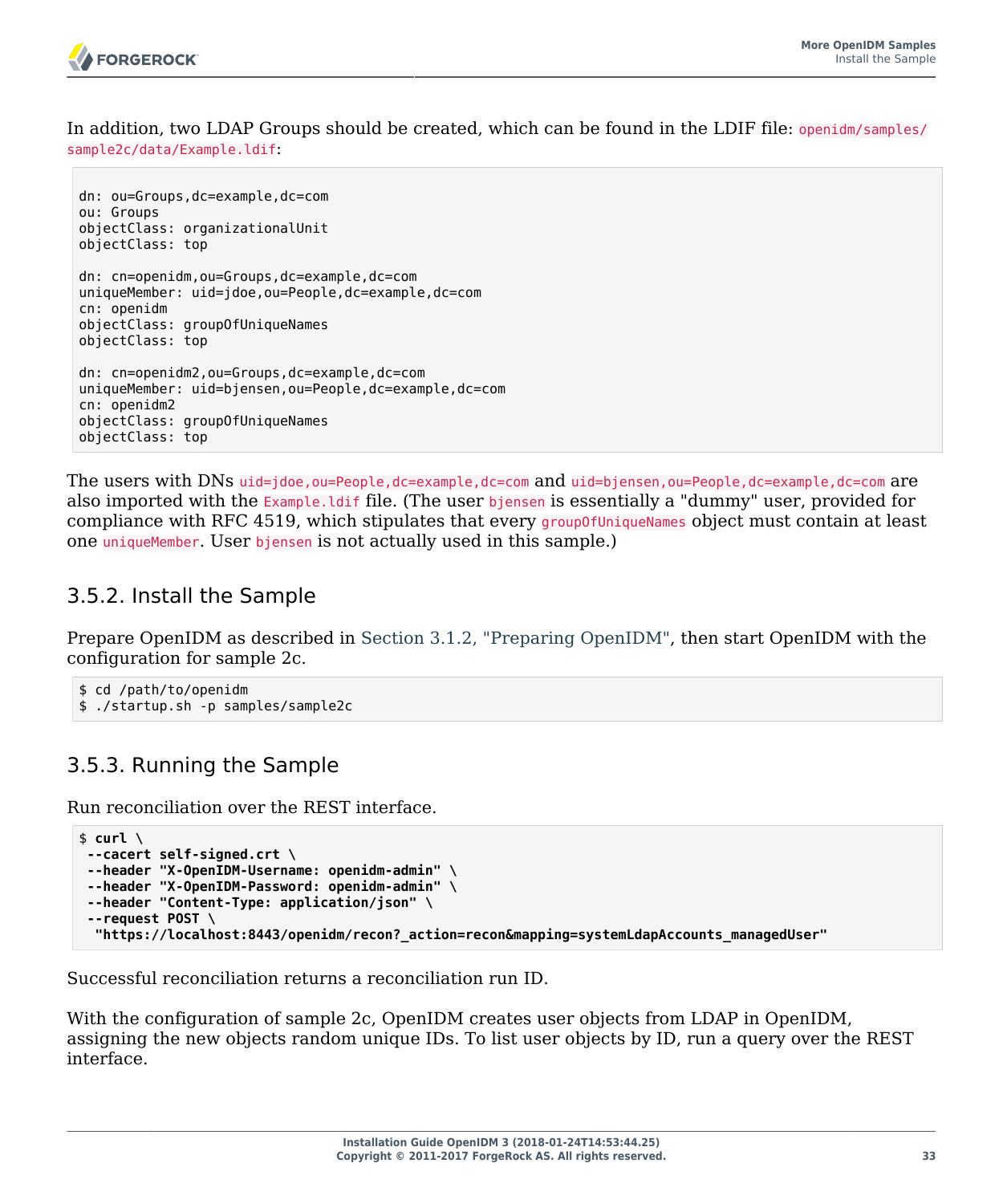

In addition, two LDAP Groups should be created, which can be found in the LDIF file: openidm/samples/ sample2c/data/Example.ldif:

```
dn: ou=Groups,dc=example,dc=com
ou: Groups
objectClass: organizationalUnit
objectClass: top
dn: cn=openidm,ou=Groups,dc=example,dc=com
uniqueMember: uid=jdoe,ou=People,dc=example,dc=com
cn: openidm
objectClass: groupOfUniqueNames
objectClass: top
dn: cn=openidm2,ou=Groups,dc=example,dc=com
uniqueMember: uid=bjensen,ou=People,dc=example,dc=com
cn: openidm2
objectClass: groupOfUniqueNames
objectClass: top
```
The users with DNs uid=jdoe,ou=People,dc=example,dc=com and uid=bjensen,ou=People,dc=example,dc=com are also imported with the Example.ldif file. (The user bjensen is essentially a "dummy" user, provided for compliance with RFC 4519, which stipulates that every group0fUniqueNames object must contain at least one uniqueMember. User bjensen is not actually used in this sample.)

## 3.5.2. Install the Sample

Prepare OpenIDM as described in [Section 3.1.2, "Preparing OpenIDM",](#page-28-0) then start OpenIDM with the configuration for sample 2c.

```
$ cd /path/to/openidm
$ ./startup.sh -p samples/sample2c
```
## 3.5.3. Running the Sample

Run reconciliation over the REST interface.

```
$ curl \
 --cacert self-signed.crt \
 --header "X-OpenIDM-Username: openidm-admin" \
 --header "X-OpenIDM-Password: openidm-admin" \
 --header "Content-Type: application/json" \
 --request POST \
  "https://localhost:8443/openidm/recon?_action=recon&mapping=systemLdapAccounts_managedUser"
```
Successful reconciliation returns a reconciliation run ID.

With the configuration of sample 2c, OpenIDM creates user objects from LDAP in OpenIDM, assigning the new objects random unique IDs. To list user objects by ID, run a query over the REST interface.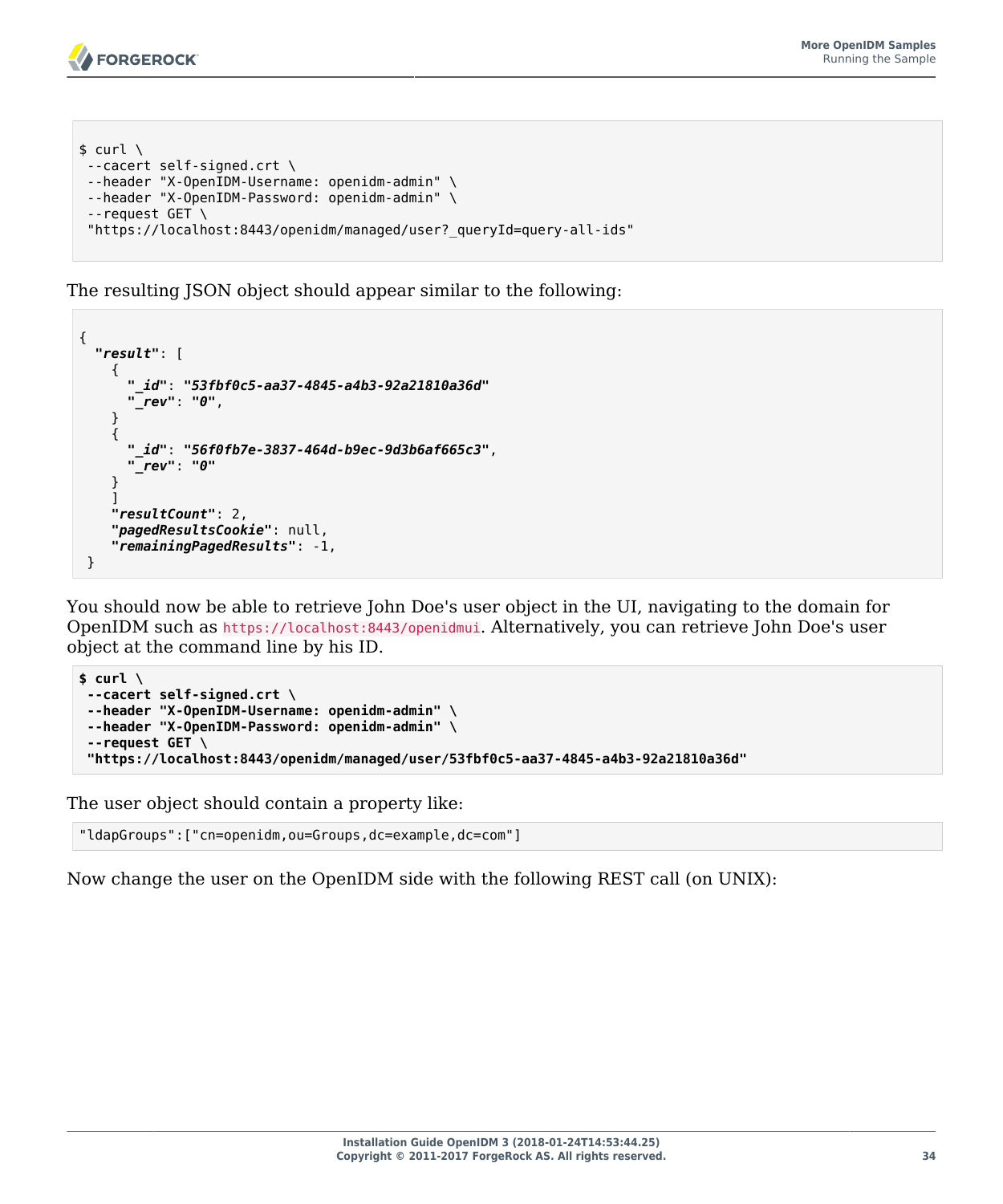```
$ curl \setminus--cacert self-signed.crt \
--header "X-OpenIDM-Username: openidm-admin" \
--header "X-OpenIDM-Password: openidm-admin" \
 --request GET \
 "https://localhost:8443/openidm/managed/user?_queryId=query-all-ids"
```
The resulting JSON object should appear similar to the following:

```
{
   "result": [
     {
       "_id": "53fbf0c5-aa37-4845-a4b3-92a21810a36d"
       "_rev": "0",
     }
     {
       "_id": "56f0fb7e-3837-464d-b9ec-9d3b6af665c3",
        "_rev": "0"
 }
\blacksquare "resultCount": 2,
     "pagedResultsCookie": null,
     "remainingPagedResults": -1,
  }
```
You should now be able to retrieve John Doe's user object in the UI, navigating to the domain for OpenIDM such as https://localhost:8443/openidmui. Alternatively, you can retrieve John Doe's user object at the command line by his ID.

```
$ curl \
 --cacert self-signed.crt \
 --header "X-OpenIDM-Username: openidm-admin" \
 --header "X-OpenIDM-Password: openidm-admin" \
 --request GET \
  "https://localhost:8443/openidm/managed/user/53fbf0c5-aa37-4845-a4b3-92a21810a36d"
```
The user object should contain a property like:

"ldapGroups":["cn=openidm,ou=Groups,dc=example,dc=com"]

Now change the user on the OpenIDM side with the following REST call (on UNIX):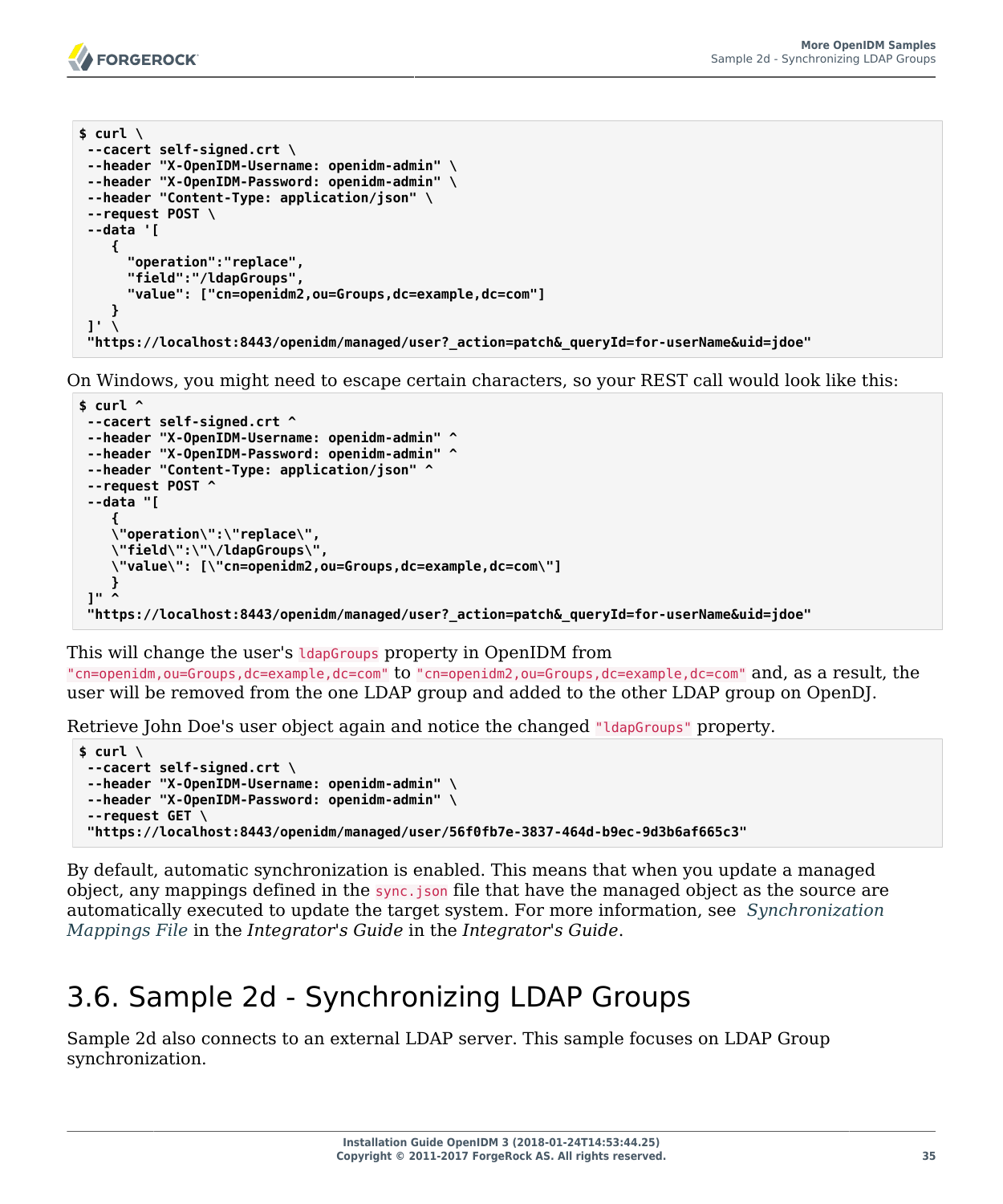```
$ curl \
--cacert self-signed.crt \
--header "X-OpenIDM-Username: openidm-admin" \
--header "X-OpenIDM-Password: openidm-admin" \
--header "Content-Type: application/json" \
--request POST \
--data '[
     {
       "operation":"replace",
       "field":"/ldapGroups",
       "value": ["cn=openidm2,ou=Groups,dc=example,dc=com"]
    }
1' \lambda "https://localhost:8443/openidm/managed/user?_action=patch&_queryId=for-userName&uid=jdoe"
```
On Windows, you might need to escape certain characters, so your REST call would look like this:

```
$ curl ^
--cacert self-signed.crt ^
--header "X-OpenIDM-Username: openidm-admin" ^
--header "X-OpenIDM-Password: openidm-admin" ^
--header "Content-Type: application/json" ^
--request POST ^
--data "[
    {
    \"operation\":\"replace\",
    \"field\":\"\/ldapGroups\",
    \"value\": [\"cn=openidm2,ou=Groups,dc=example,dc=com\"]
    }
 ]" ^
 "https://localhost:8443/openidm/managed/user?_action=patch&_queryId=for-userName&uid=jdoe"
```
#### This will change the user's **IdapGroups** property in OpenIDM from

"cn=openidm,ou=Groups,dc=example,dc=com" to "cn=openidm2,ou=Groups,dc=example,dc=com" and, as a result, the user will be removed from the one LDAP group and added to the other LDAP group on OpenDJ.

Retrieve John Doe's user object again and notice the changed "ldapGroups" property.

```
$ curl \
--cacert self-signed.crt \
--header "X-OpenIDM-Username: openidm-admin" \
--header "X-OpenIDM-Password: openidm-admin" \
 --request GET \
 "https://localhost:8443/openidm/managed/user/56f0fb7e-3837-464d-b9ec-9d3b6af665c3"
```
By default, automatic synchronization is enabled. This means that when you update a managed object, any mappings defined in the sync. json file that have the managed object as the source are automatically executed to update the target system. For more information, see *Synchronization Mappings File* in the *Integrator's Guide* in the *Integrator's Guide*.

# 3.6. Sample 2d - Synchronizing LDAP Groups

Sample 2d also connects to an external LDAP server. This sample focuses on LDAP Group synchronization.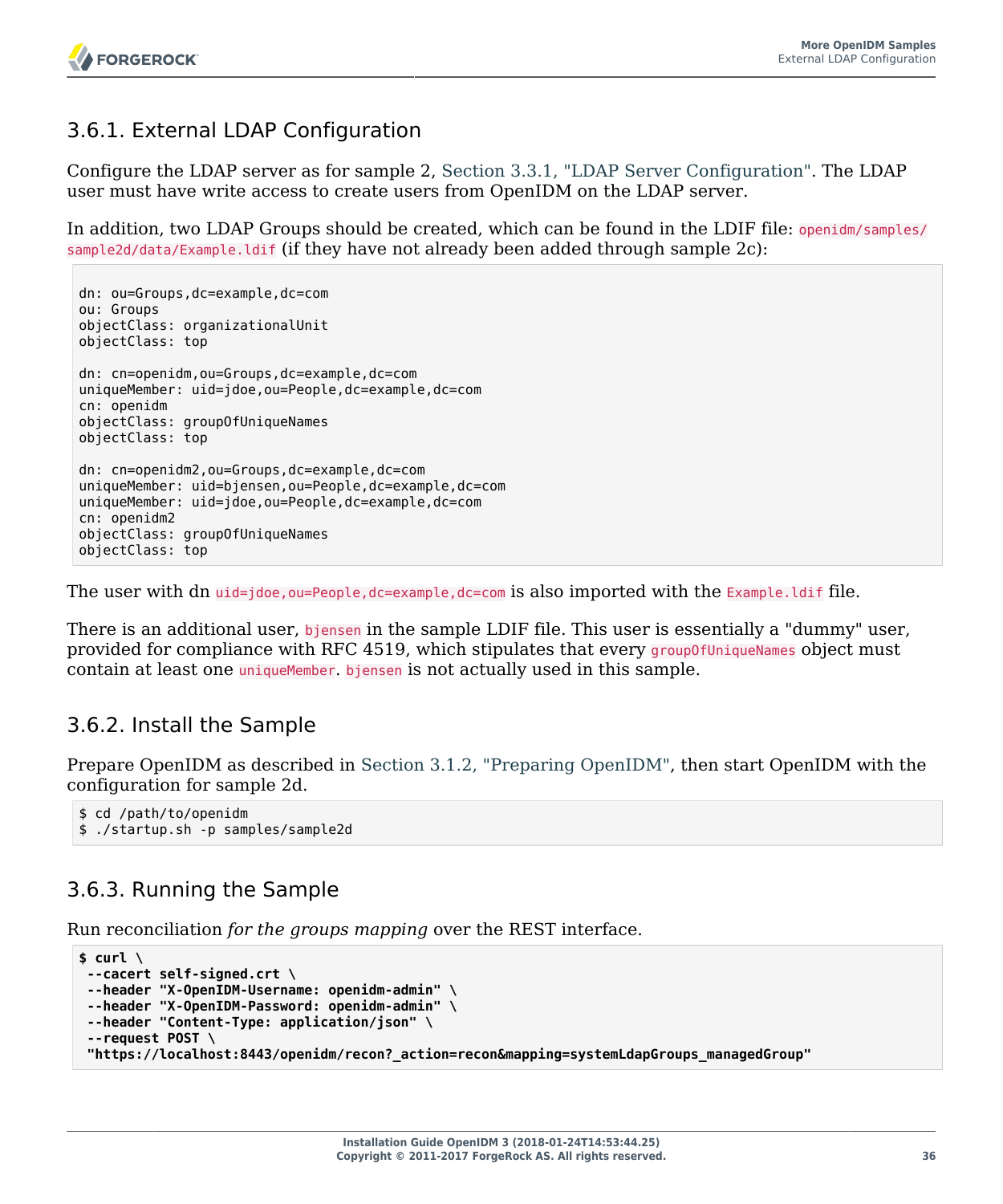## 3.6.1. External LDAP Configuration

Configure the LDAP server as for sample 2, [Section 3.3.1, "LDAP Server Configuration".](#page-29-0) The LDAP user must have write access to create users from OpenIDM on the LDAP server.

In addition, two LDAP Groups should be created, which can be found in the LDIF file: openidm/samples/ sample2d/data/Example.ldif (if they have not already been added through sample 2c):

```
dn: ou=Groups,dc=example,dc=com
ou: Groups
objectClass: organizationalUnit
objectClass: top
dn: cn=openidm,ou=Groups,dc=example,dc=com
uniqueMember: uid=jdoe,ou=People,dc=example,dc=com
cn: openidm
objectClass: groupOfUniqueNames
objectClass: top
dn: cn=openidm2,ou=Groups,dc=example,dc=com
uniqueMember: uid=bjensen,ou=People,dc=example,dc=com
uniqueMember: uid=jdoe,ou=People,dc=example,dc=com
cn: openidm2
objectClass: groupOfUniqueNames
objectClass: top
```
The user with dn uid=jdoe, ou=People,dc=example,dc=com is also imported with the Example.ldif file.

There is an additional user, bjensen in the sample LDIF file. This user is essentially a "dummy" user, provided for compliance with RFC 4519, which stipulates that every group0fUniqueNames object must contain at least one uniqueMember. bjensen is not actually used in this sample.

## 3.6.2. Install the Sample

Prepare OpenIDM as described in [Section 3.1.2, "Preparing OpenIDM",](#page-28-0) then start OpenIDM with the configuration for sample 2d.

```
$ cd /path/to/openidm
$ ./startup.sh -p samples/sample2d
```
## 3.6.3. Running the Sample

Run reconciliation *for the groups mapping* over the REST interface.

```
$ curl \
--cacert self-signed.crt \
--header "X-OpenIDM-Username: openidm-admin" \
--header "X-OpenIDM-Password: openidm-admin" \
--header "Content-Type: application/json" \
 --request POST \
 "https://localhost:8443/openidm/recon?_action=recon&mapping=systemLdapGroups_managedGroup"
```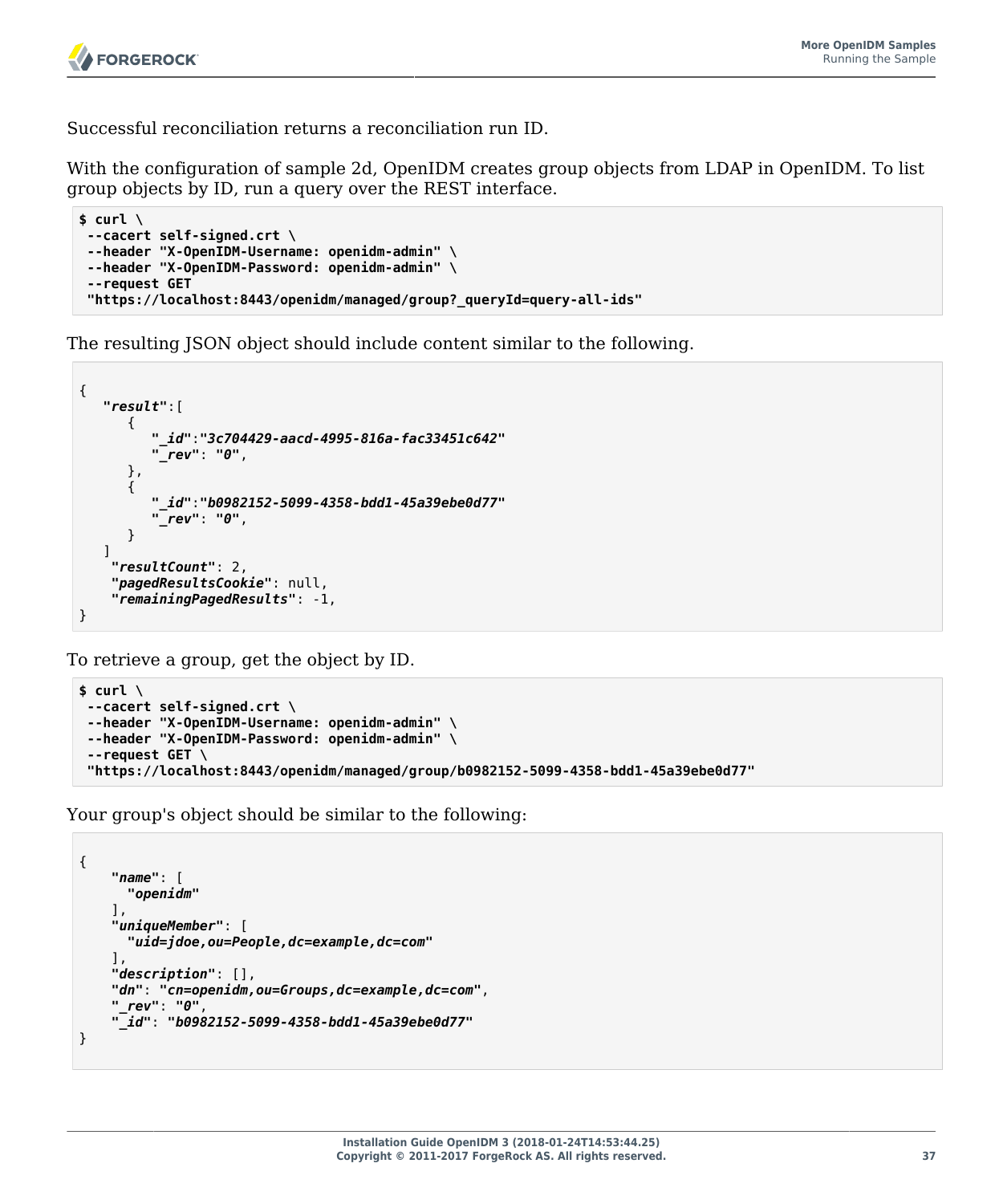Successful reconciliation returns a reconciliation run ID.

With the configuration of sample 2d, OpenIDM creates group objects from LDAP in OpenIDM. To list group objects by ID, run a query over the REST interface.

```
$ curl \
--cacert self-signed.crt \
--header "X-OpenIDM-Username: openidm-admin" \
--header "X-OpenIDM-Password: openidm-admin" \
--request GET
 "https://localhost:8443/openidm/managed/group?_queryId=query-all-ids"
```
The resulting JSON object should include content similar to the following.

```
{
    "result":[
       {
           "_id":"3c704429-aacd-4995-816a-fac33451c642"
           "_rev": "0",
       },
       {
           "_id":"b0982152-5099-4358-bdd1-45a39ebe0d77"
           "_rev": "0",
       }
    ]
     "resultCount": 2,
     "pagedResultsCookie": null,
     "remainingPagedResults": -1,
}
```
To retrieve a group, get the object by ID.

```
$ curl \
 --cacert self-signed.crt \
 --header "X-OpenIDM-Username: openidm-admin" \
 --header "X-OpenIDM-Password: openidm-admin" \
 --request GET \
  "https://localhost:8443/openidm/managed/group/b0982152-5099-4358-bdd1-45a39ebe0d77"
```
Your group's object should be similar to the following:

```
{
     "name": [
       "openidm"
     ],
     "uniqueMember": [
       "uid=jdoe,ou=People,dc=example,dc=com"
     ],
     "description": [],
     "dn": "cn=openidm,ou=Groups,dc=example,dc=com",
     "_rev": "0",
     "_id": "b0982152-5099-4358-bdd1-45a39ebe0d77"
}
```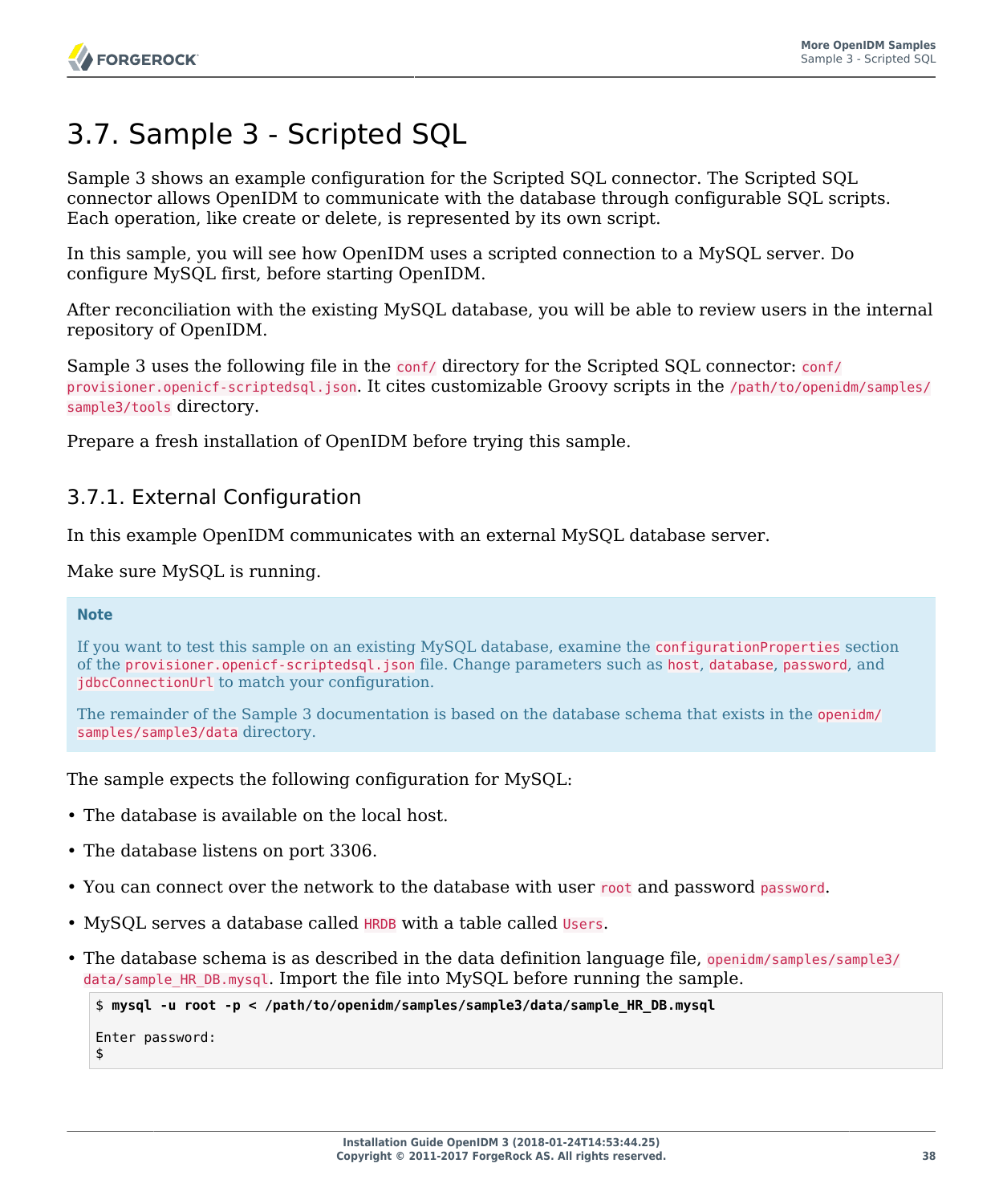# 3.7. Sample 3 - Scripted SQL

Sample 3 shows an example configuration for the Scripted SQL connector. The Scripted SQL connector allows OpenIDM to communicate with the database through configurable SQL scripts. Each operation, like create or delete, is represented by its own script.

In this sample, you will see how OpenIDM uses a scripted connection to a MySQL server. Do configure MySQL first, before starting OpenIDM.

After reconciliation with the existing MySQL database, you will be able to review users in the internal repository of OpenIDM.

Sample 3 uses the following file in the conf/ directory for the Scripted SQL connector: conf/ provisioner.openicf-scriptedsql.json. It cites customizable Groovy scripts in the /path/to/openidm/samples/ sample3/tools directory.

Prepare a fresh installation of OpenIDM before trying this sample.

## 3.7.1. External Configuration

In this example OpenIDM communicates with an external MySQL database server.

Make sure MySQL is running.

#### **Note**

If you want to test this sample on an existing MySQL database, examine the configurationProperties section of the provisioner.openicf-scriptedsql.json file. Change parameters such as host, database, password, and jdbcConnectionUrl to match your configuration.

The remainder of the Sample 3 documentation is based on the database schema that exists in the openidm/ samples/sample3/data directory.

The sample expects the following configuration for MySQL:

- The database is available on the local host.
- The database listens on port 3306.
- You can connect over the network to the database with user root and password password.
- MySQL serves a database called **HRDB** with a table called Users.
- The database schema is as described in the data definition language file, openidm/samples/sample3/ data/sample HR DB.mysql. Import the file into MySQL before running the sample.

```
$ mysql -u root -p < /path/to/openidm/samples/sample3/data/sample_HR_DB.mysql
Enter password:
$
```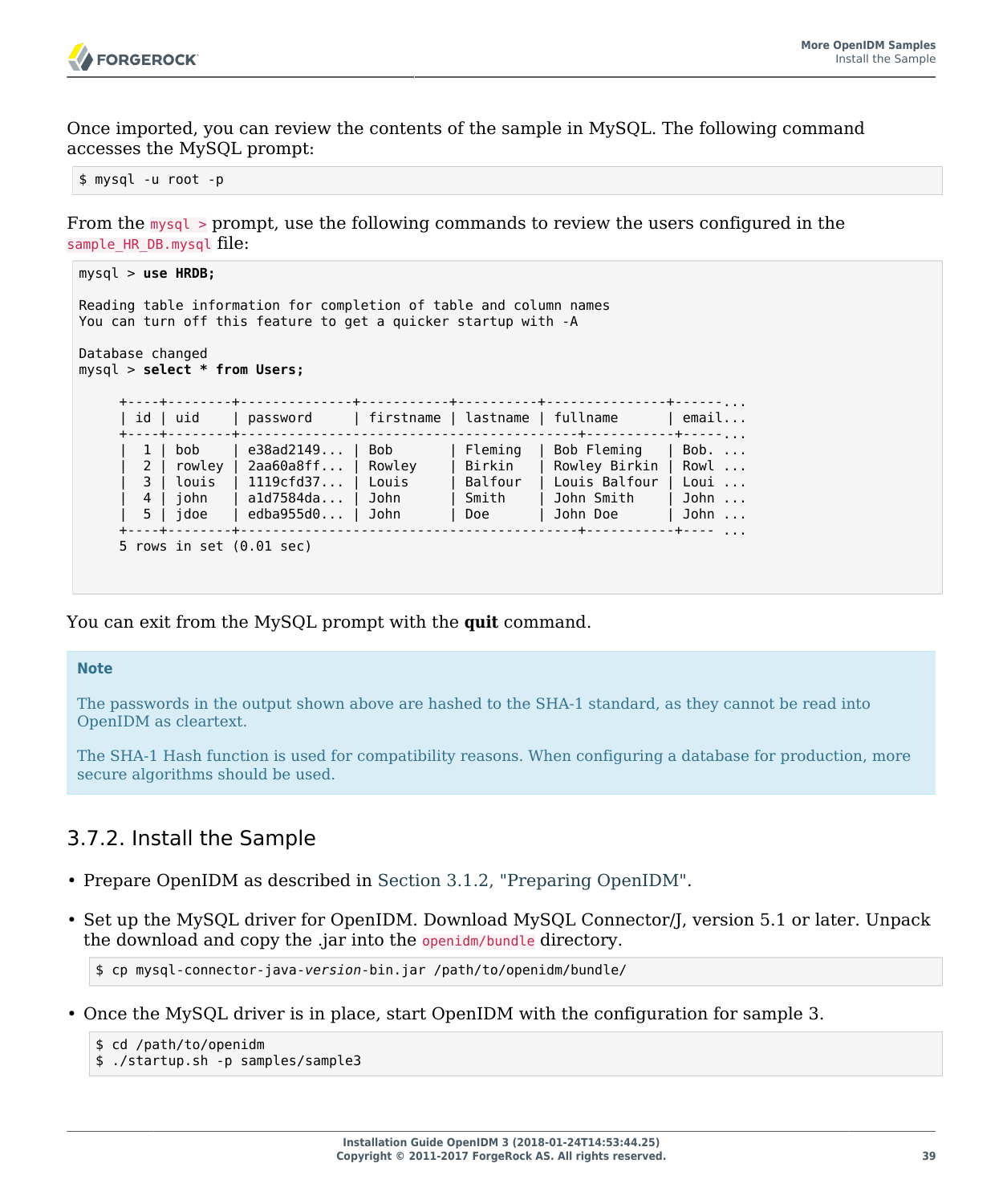

Once imported, you can review the contents of the sample in MySQL. The following command accesses the MySQL prompt:

\$ mysql -u root -p

From the mysql > prompt, use the following commands to review the users configured in the sample\_HR\_DB.mysql file:

```
mysql > use HRDB;
Reading table information for completion of table and column names
You can turn off this feature to get a quicker startup with -A
Database changed
mysql > select * from Users;
      +----+--------+--------------+-----------+----------+---------------+------...
     | id | uid | password | firstname | lastname | fullname | email...
      +----+--------+------------------------------------------+-----------+-----...
        | 1 | bob | e38ad2149... | Bob | Fleming | Bob Fleming | Bob. ...
      | 2 | rowley | 2aa60a8ff... | Rowley | Birkin | Rowley Birkin | Rowl ...
        | 3 | louis | 1119cfd37... | Louis | Balfour | Louis Balfour | Loui ...
                   | 4 | john | a1d7584da... | John | Smith | John Smith | John ...
     \vert 5 \vert jdoe \vert edba955d0... \vert John
                              +----+--------+------------------------------------------+-----------+---- ...
      5 rows in set (0.01 sec)
```
You can exit from the MySQL prompt with the **quit** command.

#### **Note**

The passwords in the output shown above are hashed to the SHA-1 standard, as they cannot be read into OpenIDM as cleartext.

The SHA-1 Hash function is used for compatibility reasons. When configuring a database for production, more secure algorithms should be used.

## 3.7.2. Install the Sample

- Prepare OpenIDM as described in [Section 3.1.2, "Preparing OpenIDM".](#page-28-0)
- Set up the MySQL driver for OpenIDM. Download MySQL Connector/J, version 5.1 or later. Unpack the download and copy the .jar into the openidm/bundle directory.

```
$ cp mysql-connector-java-version-bin.jar /path/to/openidm/bundle/
```
• Once the MySQL driver is in place, start OpenIDM with the configuration for sample 3.

```
$ cd /path/to/openidm
$ ./startup.sh -p samples/sample3
```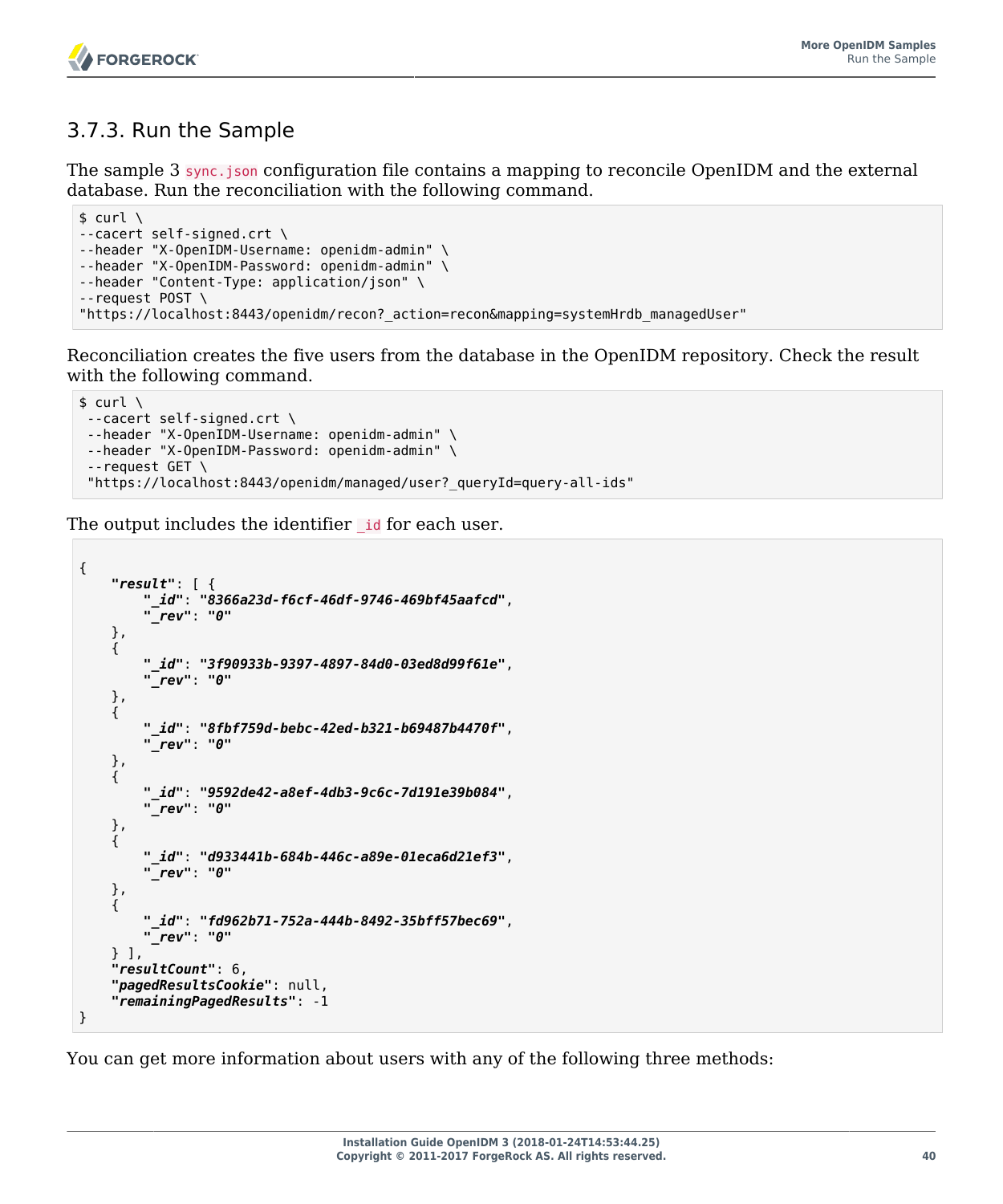

## 3.7.3. Run the Sample

The sample 3 sync. json configuration file contains a mapping to reconcile OpenIDM and the external database. Run the reconciliation with the following command.

```
$ \quad \text{curl} \quad \text{v}--cacert self-signed.crt \
--header "X-OpenIDM-Username: openidm-admin" \
--header "X-OpenIDM-Password: openidm-admin" \
--header "Content-Type: application/json" \
--request POST \
"https://localhost:8443/openidm/recon?_action=recon&mapping=systemHrdb_managedUser"
```
Reconciliation creates the five users from the database in the OpenIDM repository. Check the result with the following command.

```
$ \quad \text{curl} \quad \text{ } \quad--cacert self-signed.crt \
 --header "X-OpenIDM-Username: openidm-admin" \
 --header "X-OpenIDM-Password: openidm-admin" \
 --request GET \
  "https://localhost:8443/openidm/managed/user?_queryId=query-all-ids"
```
The output includes the identifier **id** for each user.

```
{
     "result": [ {
          "_id": "8366a23d-f6cf-46df-9746-469bf45aafcd",
          "_rev": "0"
     },
      {
          "_id": "3f90933b-9397-4897-84d0-03ed8d99f61e",
          "_rev": "0"
     },
\left\{ \begin{array}{c} \end{array} \right. "_id": "8fbf759d-bebc-42ed-b321-b69487b4470f",
          "_rev": "0"
     },
\{ \{ \} "_id": "9592de42-a8ef-4db3-9c6c-7d191e39b084",
          "_rev": "0"
     },
\{ \{ \} "_id": "d933441b-684b-446c-a89e-01eca6d21ef3",
          "_rev": "0"
     },
\{ \{ \} "_id": "fd962b71-752a-444b-8492-35bff57bec69",
            "_rev": "0"
      } ],
      "resultCount": 6,
      "pagedResultsCookie": null,
     "remainingPagedResults": -1
}
```
You can get more information about users with any of the following three methods: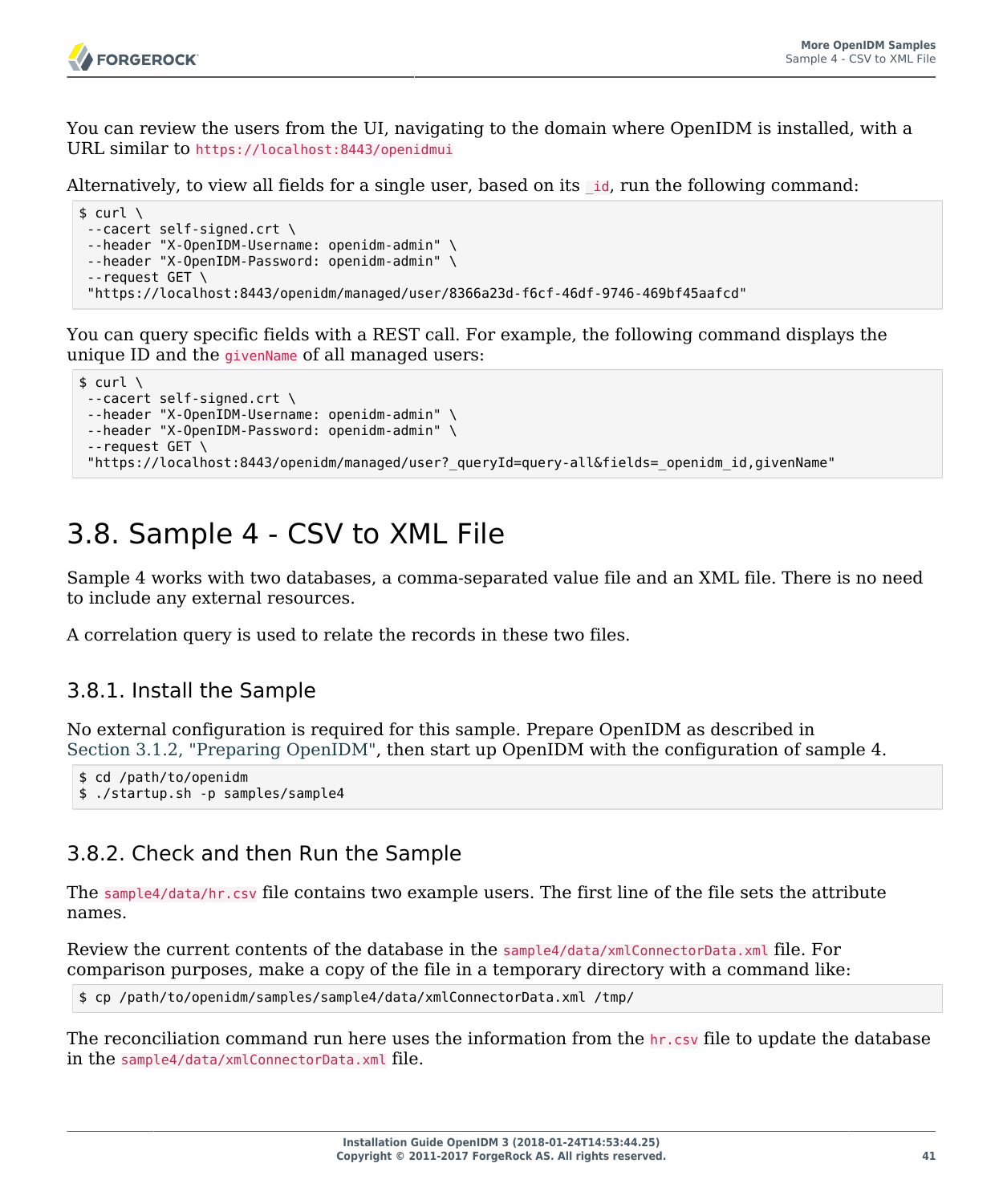

You can review the users from the UI, navigating to the domain where OpenIDM is installed, with a URL similar to https://localhost:8443/openidmui

Alternatively, to view all fields for a single user, based on its id, run the following command:

```
$ \quad \text{curl} \quad \text{ } \ \text{ }--cacert self-signed.crt \
 --header "X-OpenIDM-Username: openidm-admin" \
 --header "X-OpenIDM-Password: openidm-admin" \
 --request GET \
  "https://localhost:8443/openidm/managed/user/8366a23d-f6cf-46df-9746-469bf45aafcd"
```
You can query specific fields with a REST call. For example, the following command displays the unique ID and the givenName of all managed users:

```
$ \quad \text{curl} \quad \text{v}--cacert self-signed.crt \
--header "X-OpenIDM-Username: openidm-admin" \
--header "X-OpenIDM-Password: openidm-admin" \
 --request GET \
 "https://localhost:8443/openidm/managed/user?_queryId=query-all&fields=_openidm_id,givenName"
```
# 3.8. Sample 4 - CSV to XML File

Sample 4 works with two databases, a comma-separated value file and an XML file. There is no need to include any external resources.

A correlation query is used to relate the records in these two files.

## 3.8.1. Install the Sample

No external configuration is required for this sample. Prepare OpenIDM as described in [Section 3.1.2, "Preparing OpenIDM",](#page-28-0) then start up OpenIDM with the configuration of sample 4.

```
$ cd /path/to/openidm
$ ./startup.sh -p samples/sample4
```
## 3.8.2. Check and then Run the Sample

The sample4/data/hr.csv file contains two example users. The first line of the file sets the attribute names.

Review the current contents of the database in the sample4/data/xmlConnectorData.xml file. For comparison purposes, make a copy of the file in a temporary directory with a command like:

\$ cp /path/to/openidm/samples/sample4/data/xmlConnectorData.xml /tmp/

The reconciliation command run here uses the information from the hr.csv file to update the database in the sample4/data/xmlConnectorData.xml file.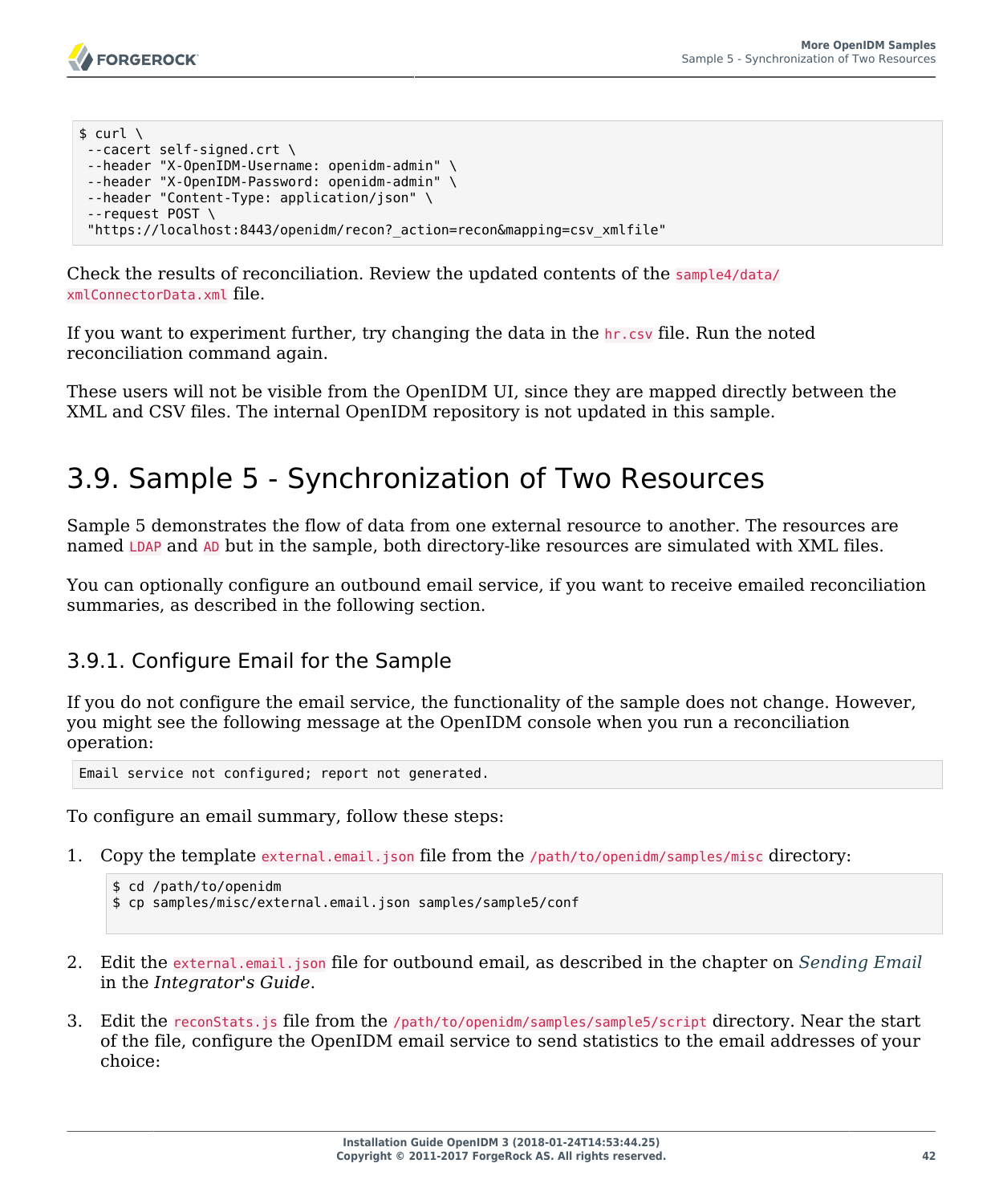```
$ curl \lambda--cacert self-signed.crt \
--header "X-OpenIDM-Username: openidm-admin" \
--header "X-OpenIDM-Password: openidm-admin" \
--header "Content-Type: application/json" \
 --request POST \
 "https://localhost:8443/openidm/recon?_action=recon&mapping=csv_xmlfile"
```
Check the results of reconciliation. Review the updated contents of the sample4/data/ xmlConnectorData.xml file.

If you want to experiment further, try changing the data in the hr.csv file. Run the noted reconciliation command again.

These users will not be visible from the OpenIDM UI, since they are mapped directly between the XML and CSV files. The internal OpenIDM repository is not updated in this sample.

# 3.9. Sample 5 - Synchronization of Two Resources

Sample 5 demonstrates the flow of data from one external resource to another. The resources are named LDAP and AD but in the sample, both directory-like resources are simulated with XML files.

You can optionally configure an outbound email service, if you want to receive emailed reconciliation summaries, as described in the following section.

## <span id="page-46-0"></span>3.9.1. Configure Email for the Sample

If you do not configure the email service, the functionality of the sample does not change. However, you might see the following message at the OpenIDM console when you run a reconciliation operation:

Email service not configured; report not generated.

To configure an email summary, follow these steps:

1. Copy the template external.email.json file from the /path/to/openidm/samples/misc directory:

```
$ cd /path/to/openidm
$ cp samples/misc/external.email.json samples/sample5/conf
```
- 2. Edit the external.email.json file for outbound email, as described in the chapter on *Sending Email* in the *Integrator's Guide*.
- 3. Edit the reconStats.js file from the /path/to/openidm/samples/sample5/script directory. Near the start of the file, configure the OpenIDM email service to send statistics to the email addresses of your choice: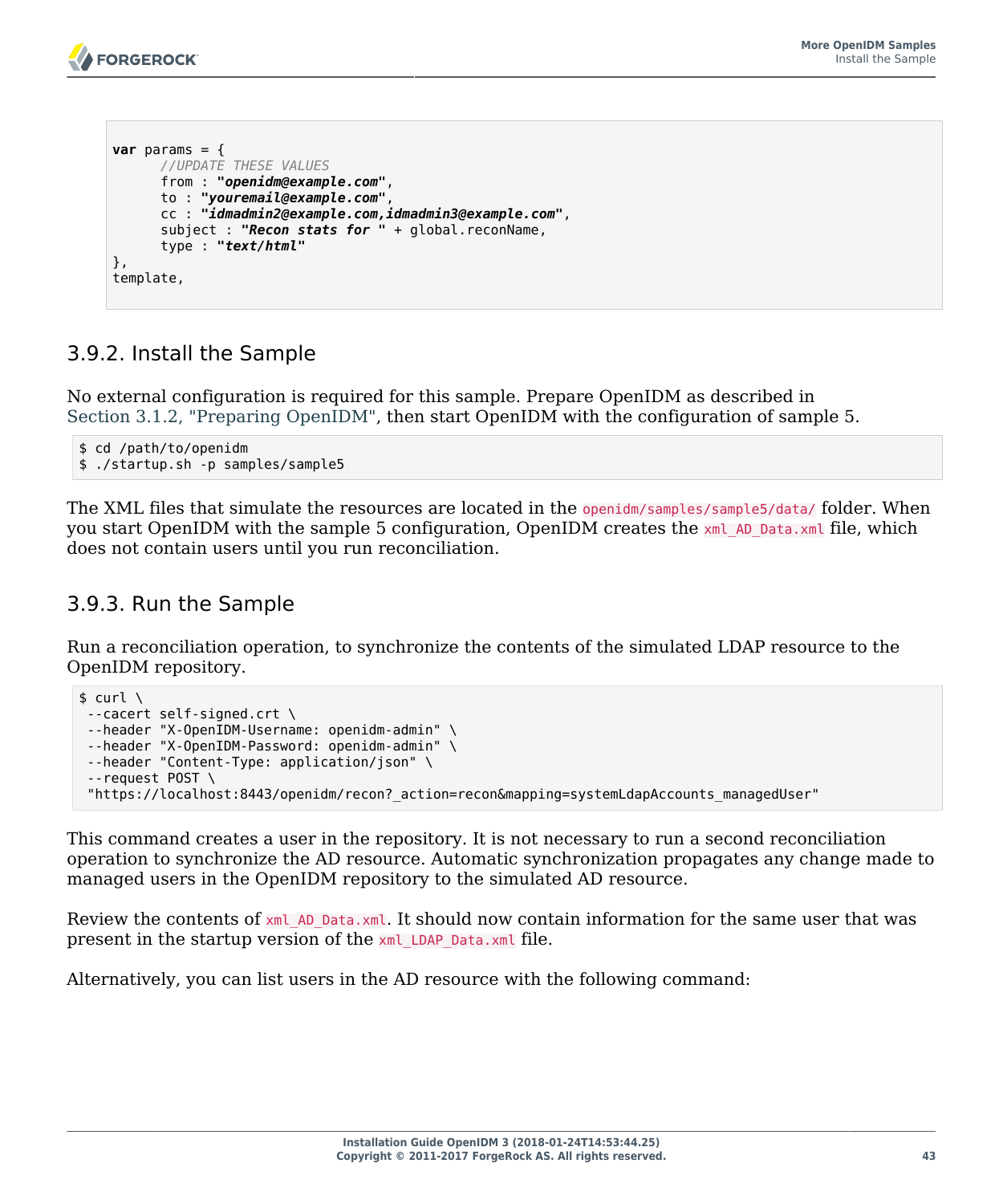```
var params = \{ //UPDATE THESE VALUES
       from : "openidm@example.com",
       to : "youremail@example.com",
       cc : "idmadmin2@example.com,idmadmin3@example.com",
       subject : "Recon stats for " + global.reconName,
       type : "text/html"
},
template,
```
## 3.9.2. Install the Sample

No external configuration is required for this sample. Prepare OpenIDM as described in [Section 3.1.2, "Preparing OpenIDM",](#page-28-0) then start OpenIDM with the configuration of sample 5.

```
$ cd /path/to/openidm
$ ./startup.sh -p samples/sample5
```
The XML files that simulate the resources are located in the openidm/samples/sample5/data/ folder. When you start OpenIDM with the sample 5 configuration, OpenIDM creates the  $x$ ml AD Data.xml file, which does not contain users until you run reconciliation.

## <span id="page-47-0"></span>3.9.3. Run the Sample

Run a reconciliation operation, to synchronize the contents of the simulated LDAP resource to the OpenIDM repository.

```
$ \quad \text{curl} \quad \text{ } \ \text{ }--cacert self-signed.crt \
 --header "X-OpenIDM-Username: openidm-admin" \
 --header "X-OpenIDM-Password: openidm-admin" \
 --header "Content-Type: application/json" \
 --request POST \
 "https://localhost:8443/openidm/recon?_action=recon&mapping=systemLdapAccounts_managedUser"
```
This command creates a user in the repository. It is not necessary to run a second reconciliation operation to synchronize the AD resource. Automatic synchronization propagates any change made to managed users in the OpenIDM repository to the simulated AD resource.

Review the contents of  $xm$  ad Data.xml. It should now contain information for the same user that was present in the startup version of the xml LDAP Data.xml file.

Alternatively, you can list users in the AD resource with the following command: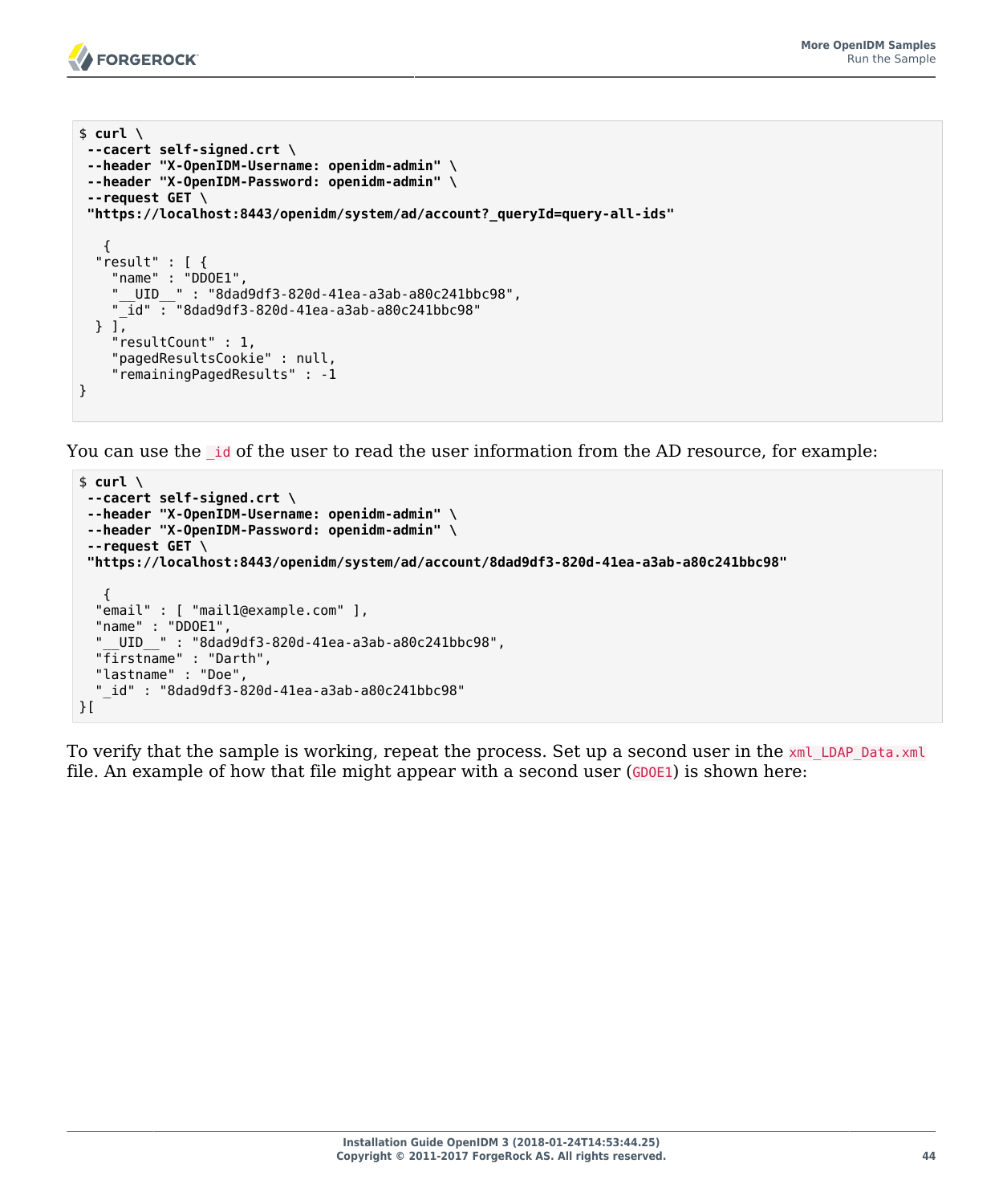

```
$ curl \
 --cacert self-signed.crt \
 --header "X-OpenIDM-Username: openidm-admin" \
 --header "X-OpenIDM-Password: openidm-admin" \
 --request GET \
  "https://localhost:8443/openidm/system/ad/account?_queryId=query-all-ids"
\{ "result" : [ {
     "name" : "DDOE1",
     "__UID__" : "8dad9df3-820d-41ea-a3ab-a80c241bbc98",
    \overline{\text{id}} : "8dad9df3-820d-41ea-a3ab-a80c241bbc98"
   } ],
     "resultCount" : 1,
     "pagedResultsCookie" : null,
     "remainingPagedResults" : -1
}
```
You can use the Lid of the user to read the user information from the AD resource, for example:

```
$ curl \
 --cacert self-signed.crt \
 --header "X-OpenIDM-Username: openidm-admin" \
 --header "X-OpenIDM-Password: openidm-admin" \
 --request GET \
  "https://localhost:8443/openidm/system/ad/account/8dad9df3-820d-41ea-a3ab-a80c241bbc98"
    {
   "email" : [ "mail1@example.com" ],
   "name" : "DDOE1",
   "__UID__" : "8dad9df3-820d-41ea-a3ab-a80c241bbc98",
   "firstname" : "Darth",
   "lastname" : "Doe",
   "_id" : "8dad9df3-820d-41ea-a3ab-a80c241bbc98"
}[
```
To verify that the sample is working, repeat the process. Set up a second user in the  $x$ ml LDAP Data.xml file. An example of how that file might appear with a second user  $(GDOE1)$  is shown here: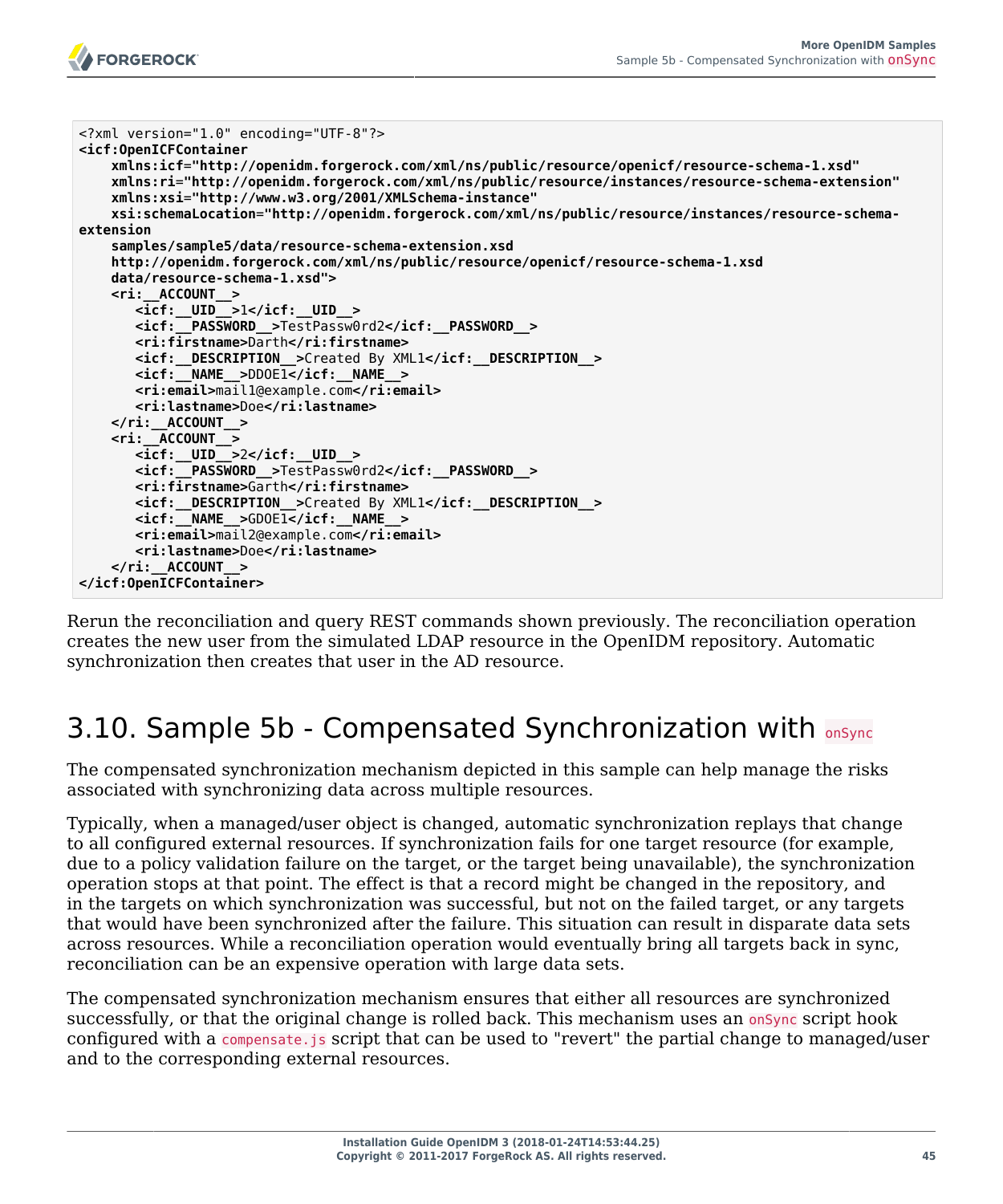

```
<?xml version="1.0" encoding="UTF-8"?>
<icf:OpenICFContainer
    xmlns:icf="http://openidm.forgerock.com/xml/ns/public/resource/openicf/resource-schema-1.xsd"
    xmlns:ri="http://openidm.forgerock.com/xml/ns/public/resource/instances/resource-schema-extension"
    xmlns:xsi="http://www.w3.org/2001/XMLSchema-instance"
    xsi:schemaLocation="http://openidm.forgerock.com/xml/ns/public/resource/instances/resource-schema-
extension
    samples/sample5/data/resource-schema-extension.xsd
    http://openidm.forgerock.com/xml/ns/public/resource/openicf/resource-schema-1.xsd
    data/resource-schema-1.xsd">
    <ri:__ACCOUNT__>
       <icf:__UID__>1</icf:__UID__>
       <icf:__PASSWORD__>TestPassw0rd2</icf:__PASSWORD__>
       <ri:firstname>Darth</ri:firstname>
        <icf:__DESCRIPTION__>Created By XML1</icf:__DESCRIPTION__>
       <icf:__NAME__>DDOE1</icf:__NAME__>
        <ri:email>mail1@example.com</ri:email>
       <ri:lastname>Doe</ri:lastname>
    </ri:__ACCOUNT__>
    <ri:__ACCOUNT__>
       <icf:__UID__>2</icf:__UID__>
        <icf:__PASSWORD__>TestPassw0rd2</icf:__PASSWORD__>
        <ri:firstname>Garth</ri:firstname>
        <icf:__DESCRIPTION__>Created By XML1</icf:__DESCRIPTION__>
       <icf:__NAME__>GDOE1</icf:__NAME__>
       <ri:email>mail2@example.com</ri:email>
        <ri:lastname>Doe</ri:lastname>
    </ri:__ACCOUNT__>
</icf:OpenICFContainer>
```
Rerun the reconciliation and query REST commands shown previously. The reconciliation operation creates the new user from the simulated LDAP resource in the OpenIDM repository. Automatic synchronization then creates that user in the AD resource.

## 3.10. Sample 5b - Compensated Synchronization with  $\frac{1}{\text{onsync}}$

The compensated synchronization mechanism depicted in this sample can help manage the risks associated with synchronizing data across multiple resources.

Typically, when a managed/user object is changed, automatic synchronization replays that change to all configured external resources. If synchronization fails for one target resource (for example, due to a policy validation failure on the target, or the target being unavailable), the synchronization operation stops at that point. The effect is that a record might be changed in the repository, and in the targets on which synchronization was successful, but not on the failed target, or any targets that would have been synchronized after the failure. This situation can result in disparate data sets across resources. While a reconciliation operation would eventually bring all targets back in sync, reconciliation can be an expensive operation with large data sets.

The compensated synchronization mechanism ensures that either all resources are synchronized successfully, or that the original change is rolled back. This mechanism uses an onsync script hook configured with a compensate.js script that can be used to "revert" the partial change to managed/user and to the corresponding external resources.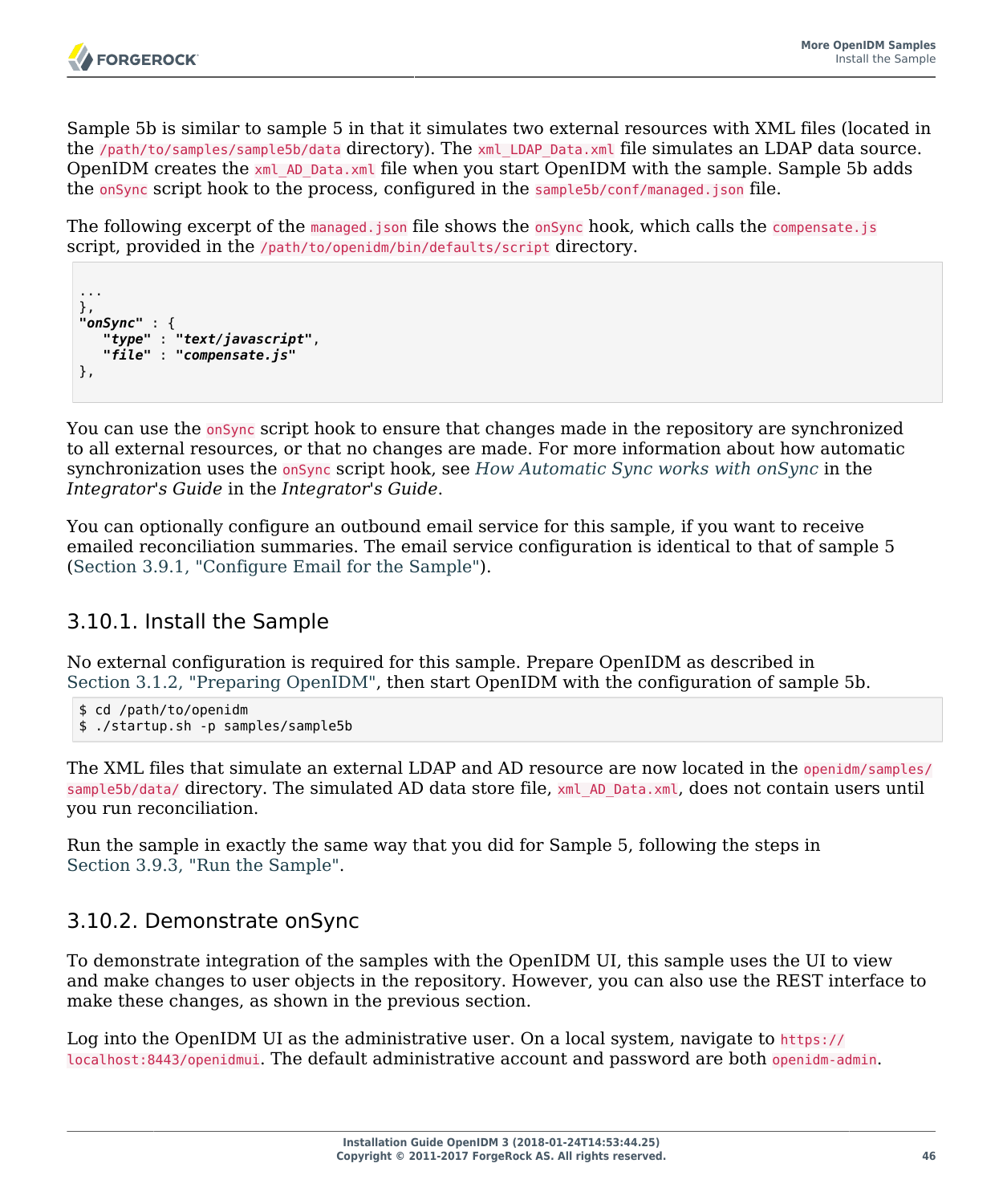Sample 5b is similar to sample 5 in that it simulates two external resources with XML files (located in the /path/to/samples/sample5b/data directory). The xml\_LDAP\_Data.xml file simulates an LDAP data source. OpenIDM creates the xml AD Data.xml file when you start OpenIDM with the sample. Sample 5b adds the onSync script hook to the process, configured in the sample5b/conf/managed.json file.

The following excerpt of the managed.json file shows the onSync hook, which calls the compensate.js script, provided in the /path/to/openidm/bin/defaults/script directory.

```
...
},
"onSync" : {
    "type" : "text/javascript",
    "file" : "compensate.js"
},
```
You can use the <u>onsync</u> script hook to ensure that changes made in the repository are synchronized to all external resources, or that no changes are made. For more information about how automatic synchronization uses the onSync script hook, see *How Automatic Sync works with onSync* in the *Integrator's Guide* in the *Integrator's Guide*.

You can optionally configure an outbound email service for this sample, if you want to receive emailed reconciliation summaries. The email service configuration is identical to that of sample 5 ([Section 3.9.1, "Configure Email for the Sample"](#page-46-0)).

## 3.10.1. Install the Sample

No external configuration is required for this sample. Prepare OpenIDM as described in [Section 3.1.2, "Preparing OpenIDM",](#page-28-0) then start OpenIDM with the configuration of sample 5b.

```
$ cd /path/to/openidm
$ ./startup.sh -p samples/sample5b
```
The XML files that simulate an external LDAP and AD resource are now located in the openidm/samples/ sample5b/data/ directory. The simulated AD data store file, xml AD Data.xml, does not contain users until you run reconciliation.

Run the sample in exactly the same way that you did for Sample 5, following the steps in [Section 3.9.3, "Run the Sample".](#page-47-0)

## 3.10.2. Demonstrate onSync

To demonstrate integration of the samples with the OpenIDM UI, this sample uses the UI to view and make changes to user objects in the repository. However, you can also use the REST interface to make these changes, as shown in the previous section.

Log into the OpenIDM UI as the administrative user. On a local system, navigate to https:// localhost:8443/openidmui. The default administrative account and password are both openidm-admin.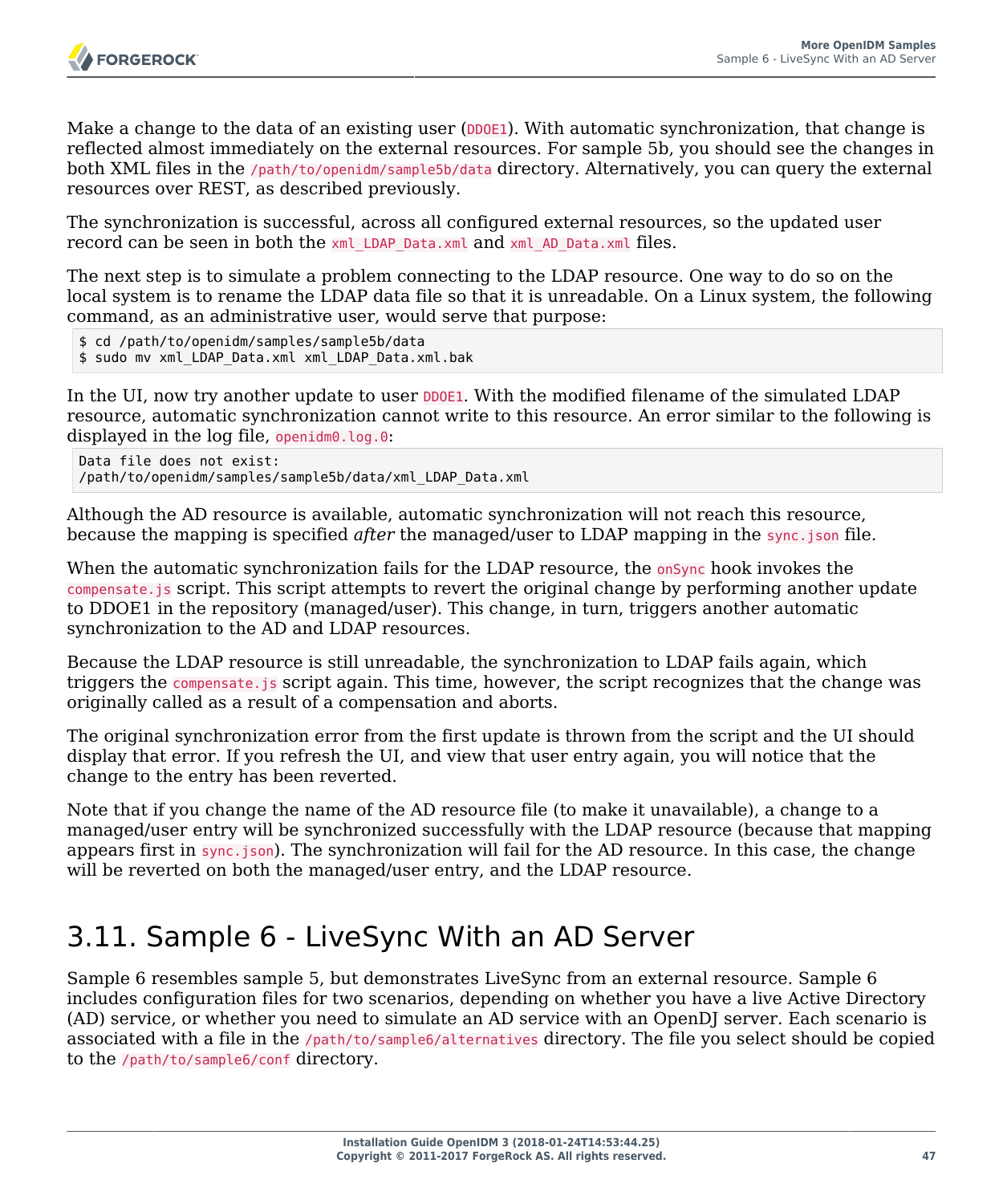

Make a change to the data of an existing user (DDOE1). With automatic synchronization, that change is reflected almost immediately on the external resources. For sample 5b, you should see the changes in both XML files in the /path/to/openidm/sample5b/data directory. Alternatively, you can query the external resources over REST, as described previously.

The synchronization is successful, across all configured external resources, so the updated user record can be seen in both the xml LDAP Data.xml and xml AD Data.xml files.

The next step is to simulate a problem connecting to the LDAP resource. One way to do so on the local system is to rename the LDAP data file so that it is unreadable. On a Linux system, the following command, as an administrative user, would serve that purpose:

```
$ cd /path/to/openidm/samples/sample5b/data
$ sudo mv xml_LDAP_Data.xml xml_LDAP_Data.xml.bak
```
In the UI, now try another update to user DDOE1. With the modified filename of the simulated LDAP resource, automatic synchronization cannot write to this resource. An error similar to the following is displayed in the log file, openidm0.log.0:

```
Data file does not exist:
/path/to/openidm/samples/sample5b/data/xml_LDAP_Data.xml
```
Although the AD resource is available, automatic synchronization will not reach this resource, because the mapping is specified *after* the managed/user to LDAP mapping in the sync.json file.

When the automatic synchronization fails for the LDAP resource, the onsync hook invokes the compensate.js script. This script attempts to revert the original change by performing another update to DDOE1 in the repository (managed/user). This change, in turn, triggers another automatic synchronization to the AD and LDAP resources.

Because the LDAP resource is still unreadable, the synchronization to LDAP fails again, which triggers the compensate.js script again. This time, however, the script recognizes that the change was originally called as a result of a compensation and aborts.

The original synchronization error from the first update is thrown from the script and the UI should display that error. If you refresh the UI, and view that user entry again, you will notice that the change to the entry has been reverted.

Note that if you change the name of the AD resource file (to make it unavailable), a change to a managed/user entry will be synchronized successfully with the LDAP resource (because that mapping appears first in sync.json). The synchronization will fail for the AD resource. In this case, the change will be reverted on both the managed/user entry, and the LDAP resource.

## 3.11. Sample 6 - LiveSync With an AD Server

Sample 6 resembles sample 5, but demonstrates LiveSync from an external resource. Sample 6 includes configuration files for two scenarios, depending on whether you have a live Active Directory (AD) service, or whether you need to simulate an AD service with an OpenDJ server. Each scenario is associated with a file in the /path/to/sample6/alternatives directory. The file you select should be copied to the /path/to/sample6/conf directory.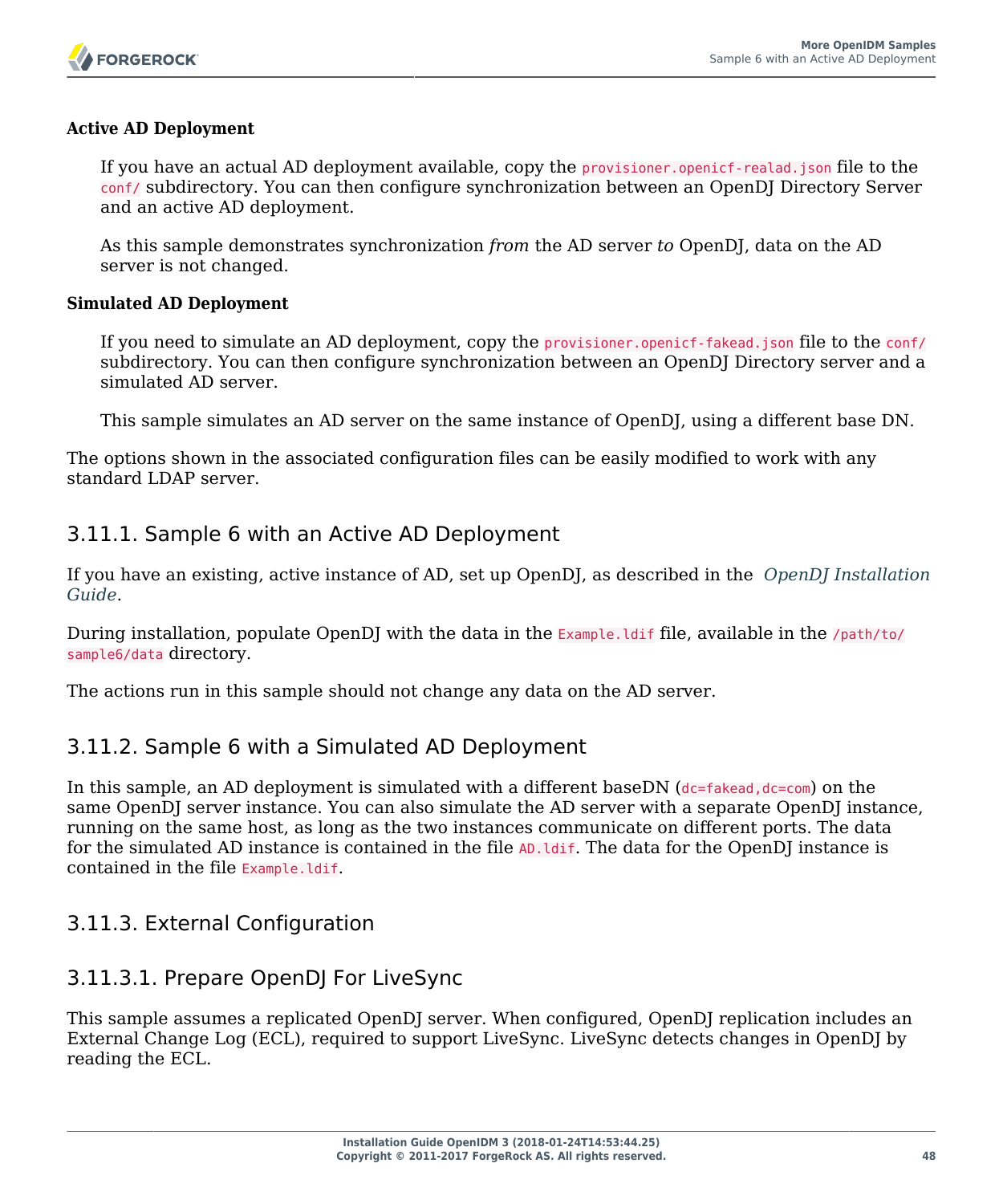

#### **Active AD Deployment**

If you have an actual AD deployment available, copy the provisioner.openicf-realad.json file to the conf/ subdirectory. You can then configure synchronization between an OpenDJ Directory Server and an active AD deployment.

As this sample demonstrates synchronization *from* the AD server *to* OpenDJ, data on the AD server is not changed.

#### **Simulated AD Deployment**

If you need to simulate an AD deployment, copy the provisioner.openicf-fakead.json file to the conf/ subdirectory. You can then configure synchronization between an OpenDJ Directory server and a simulated AD server.

This sample simulates an AD server on the same instance of OpenDJ, using a different base DN.

The options shown in the associated configuration files can be easily modified to work with any standard LDAP server.

## 3.11.1. Sample 6 with an Active AD Deployment

If you have an existing, active instance of AD, set up OpenDJ, as described in the *[OpenDJ Installation](http://opendj.forgerock.org/opendj-server/doc/install-guide/) [Guide](http://opendj.forgerock.org/opendj-server/doc/install-guide/)*.

During installation, populate OpenDJ with the data in the Example. Idif file, available in the /path/to/ sample6/data directory.

The actions run in this sample should not change any data on the AD server.

## 3.11.2. Sample 6 with a Simulated AD Deployment

In this sample, an AD deployment is simulated with a different baseDN  $(dc=fakead, dc=com)$  on the same OpenDJ server instance. You can also simulate the AD server with a separate OpenDJ instance, running on the same host, as long as the two instances communicate on different ports. The data for the simulated AD instance is contained in the file AD. *Idif*. The data for the OpenDJ instance is contained in the file Example.ldif.

## 3.11.3. External Configuration

## 3.11.3.1. Prepare OpenDJ For LiveSync

This sample assumes a replicated OpenDJ server. When configured, OpenDJ replication includes an External Change Log (ECL), required to support LiveSync. LiveSync detects changes in OpenDJ by reading the ECL.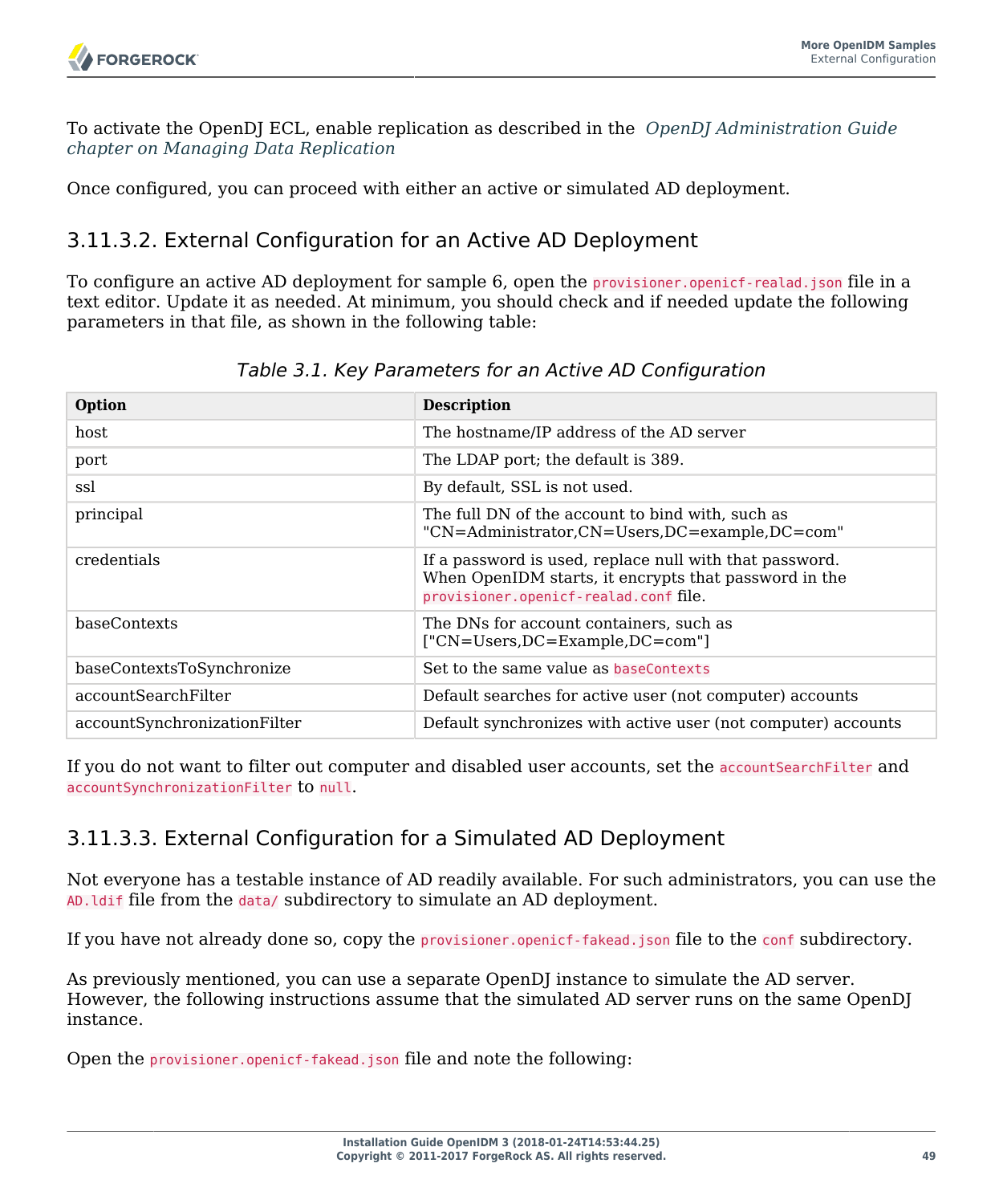To activate the OpenDJ ECL, enable replication as described in the *[OpenDJ Administration Guide](http://opendj.forgerock.org/opendj-server/doc/admin-guide/index.html#chap-replication) [chapter on Managing Data Replication](http://opendj.forgerock.org/opendj-server/doc/admin-guide/index.html#chap-replication)*

Once configured, you can proceed with either an active or simulated AD deployment.

## 3.11.3.2. External Configuration for an Active AD Deployment

To configure an active AD deployment for sample 6, open the provisioner.openicf-realad.json file in a text editor. Update it as needed. At minimum, you should check and if needed update the following parameters in that file, as shown in the following table:

| Option                       | <b>Description</b>                                                                                                                                        |
|------------------------------|-----------------------------------------------------------------------------------------------------------------------------------------------------------|
| host                         | The hostname/IP address of the AD server                                                                                                                  |
| port                         | The LDAP port; the default is 389.                                                                                                                        |
| ssl                          | By default, SSL is not used.                                                                                                                              |
| principal                    | The full DN of the account to bind with, such as<br>"CN=Administrator,CN=Users,DC=example,DC=com"                                                         |
| credentials                  | If a password is used, replace null with that password.<br>When OpenIDM starts, it encrypts that password in the<br>provisioner.openicf-realad.conf file. |
| baseContexts                 | The DNs for account containers, such as<br>["CN=Users,DC=Example,DC=com"]                                                                                 |
| baseContextsToSynchronize    | Set to the same value as baseContexts                                                                                                                     |
| accountSearchFilter          | Default searches for active user (not computer) accounts                                                                                                  |
| accountSynchronizationFilter | Default synchronizes with active user (not computer) accounts                                                                                             |

*Table 3.1. Key Parameters for an Active AD Configuration*

If you do not want to filter out computer and disabled user accounts, set the accountSearchFilter and accountSynchronizationFilter to null.

## <span id="page-53-0"></span>3.11.3.3. External Configuration for a Simulated AD Deployment

Not everyone has a testable instance of AD readily available. For such administrators, you can use the AD.ldif file from the data/ subdirectory to simulate an AD deployment.

If you have not already done so, copy the provisioner.openicf-fakead.json file to the conf subdirectory.

As previously mentioned, you can use a separate OpenDJ instance to simulate the AD server. However, the following instructions assume that the simulated AD server runs on the same OpenDJ instance.

Open the provisioner.openicf-fakead.json file and note the following: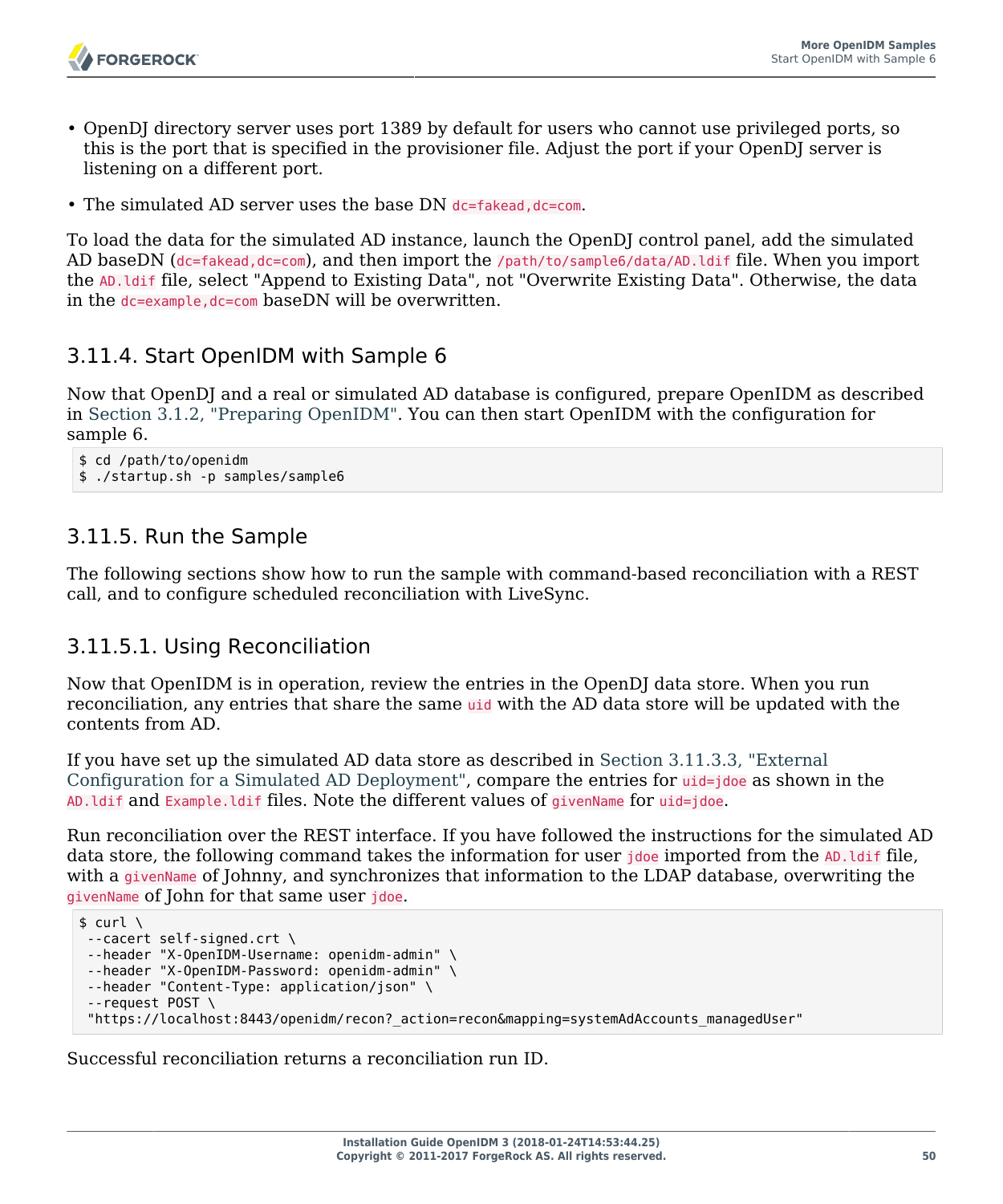

- OpenDJ directory server uses port 1389 by default for users who cannot use privileged ports, so this is the port that is specified in the provisioner file. Adjust the port if your OpenDJ server is listening on a different port.
- The simulated AD server uses the base DN dc=fakead, dc=com.

To load the data for the simulated AD instance, launch the OpenDJ control panel, add the simulated AD baseDN (dc=fakead,dc=com), and then import the /path/to/sample6/data/AD.ldif file. When you import the AD.ldif file, select "Append to Existing Data", not "Overwrite Existing Data". Otherwise, the data in the dc=example,dc=com baseDN will be overwritten.

## 3.11.4. Start OpenIDM with Sample 6

Now that OpenDJ and a real or simulated AD database is configured, prepare OpenIDM as described in [Section 3.1.2, "Preparing OpenIDM"](#page-28-0). You can then start OpenIDM with the configuration for sample 6.

```
$ cd /path/to/openidm
$ ./startup.sh -p samples/sample6
```
## 3.11.5. Run the Sample

The following sections show how to run the sample with command-based reconciliation with a REST call, and to configure scheduled reconciliation with LiveSync.

#### 3.11.5.1. Using Reconciliation

Now that OpenIDM is in operation, review the entries in the OpenDJ data store. When you run reconciliation, any entries that share the same uid with the AD data store will be updated with the contents from AD.

If you have set up the simulated AD data store as described in [Section 3.11.3.3, "External](#page-53-0) [Configuration for a Simulated AD Deployment",](#page-53-0) compare the entries for uid=jdoe as shown in the AD.ldif and Example.ldif files. Note the different values of givenName for uid=jdoe.

Run reconciliation over the REST interface. If you have followed the instructions for the simulated AD data store, the following command takes the information for user jdoe imported from the AD. Idif file, with a givenName of Johnny, and synchronizes that information to the LDAP database, overwriting the givenName of John for that same user jdoe.

```
$ \quad \text{curl} \quad \text{ } \ \text{ }--cacert self-signed.crt \
 --header "X-OpenIDM-Username: openidm-admin" \
 --header "X-OpenIDM-Password: openidm-admin" \
 --header "Content-Type: application/json" \
 --request POST \
  "https://localhost:8443/openidm/recon?_action=recon&mapping=systemAdAccounts_managedUser"
```
Successful reconciliation returns a reconciliation run ID.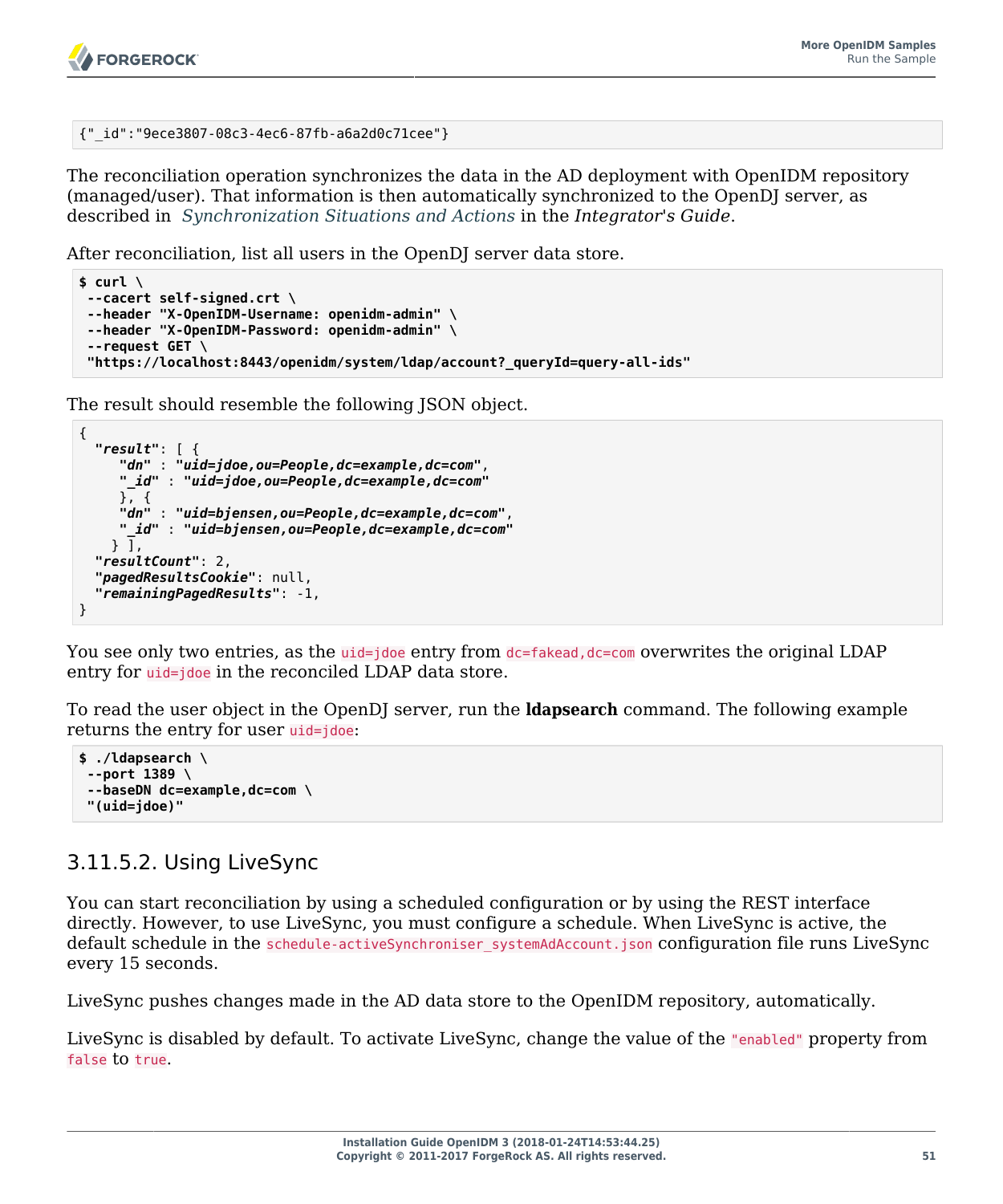```
{"_id":"9ece3807-08c3-4ec6-87fb-a6a2d0c71cee"}
```
The reconciliation operation synchronizes the data in the AD deployment with OpenIDM repository (managed/user). That information is then automatically synchronized to the OpenDJ server, as described in *Synchronization Situations and Actions* in the *Integrator's Guide*.

After reconciliation, list all users in the OpenDJ server data store.

```
$ curl \
--cacert self-signed.crt \
--header "X-OpenIDM-Username: openidm-admin" \
--header "X-OpenIDM-Password: openidm-admin" \
 --request GET \
 "https://localhost:8443/openidm/system/ldap/account?_queryId=query-all-ids"
```
The result should resemble the following JSON object.

```
{
   "result": [ {
      "dn" : "uid=jdoe,ou=People,dc=example,dc=com",
      "_id" : "uid=jdoe,ou=People,dc=example,dc=com"
      }, {
      "dn" : "uid=bjensen,ou=People,dc=example,dc=com",
      "_id" : "uid=bjensen,ou=People,dc=example,dc=com"
    \overline{)}, \overline{)} "resultCount": 2,
   "pagedResultsCookie": null,
   "remainingPagedResults": -1,
}
```
You see only two entries, as the uid=jdoe entry from  $dc = false$  dc=com overwrites the original LDAP entry for *uid=jdoe* in the reconciled LDAP data store.

To read the user object in the OpenDJ server, run the **ldapsearch** command. The following example returns the entry for user uid=jdoe:

```
$ ./ldapsearch \
--port 1389 \
 --baseDN dc=example,dc=com \
 "(uid=jdoe)"
```
## 3.11.5.2. Using LiveSync

You can start reconciliation by using a scheduled configuration or by using the REST interface directly. However, to use LiveSync, you must configure a schedule. When LiveSync is active, the default schedule in the schedule-activeSynchroniser systemAdAccount.json configuration file runs LiveSync every 15 seconds.

LiveSync pushes changes made in the AD data store to the OpenIDM repository, automatically.

LiveSync is disabled by default. To activate LiveSync, change the value of the "enabled" property from false to true.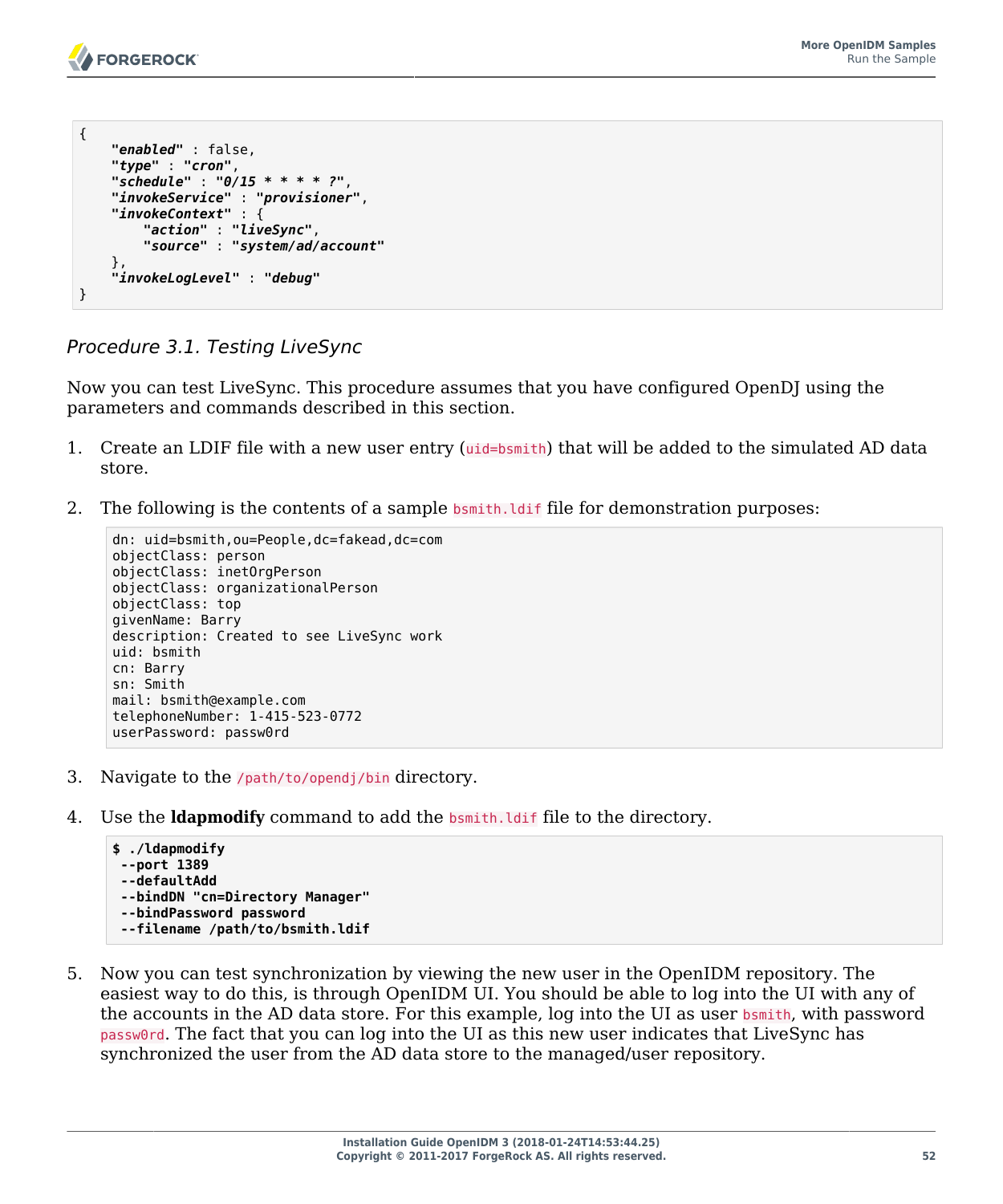```
{
     "enabled" : false,
     "type" : "cron",
     "schedule" : "0/15 * * * * ?",
     "invokeService" : "provisioner",
     "invokeContext" : {
         "action" : "liveSync",
         "source" : "system/ad/account"
     },
     "invokeLogLevel" : "debug"
}
```
*Procedure 3.1. Testing LiveSync*

Now you can test LiveSync. This procedure assumes that you have configured OpenDJ using the parameters and commands described in this section.

- 1. Create an LDIF file with a new user entry (uid=bsmith) that will be added to the simulated AD data store.
- 2. The following is the contents of a sample bomith. Let file for demonstration purposes:

```
dn: uid=bsmith,ou=People,dc=fakead,dc=com
objectClass: person
objectClass: inetOrgPerson
objectClass: organizationalPerson
objectClass: top
givenName: Barry
description: Created to see LiveSync work
uid: bsmith
cn: Barry
sn: Smith
mail: bsmith@example.com
telephoneNumber: 1-415-523-0772
userPassword: passw0rd
```
- 3. Navigate to the /path/to/opendj/bin directory.
- 4. Use the **ldapmodify** command to add the bsmith.ldif file to the directory.

```
$ ./ldapmodify
--port 1389
--defaultAdd
--bindDN "cn=Directory Manager"
--bindPassword password
--filename /path/to/bsmith.ldif
```
5. Now you can test synchronization by viewing the new user in the OpenIDM repository. The easiest way to do this, is through OpenIDM UI. You should be able to log into the UI with any of the accounts in the AD data store. For this example, log into the UI as user bsmith, with password passw0rd. The fact that you can log into the UI as this new user indicates that LiveSync has synchronized the user from the AD data store to the managed/user repository.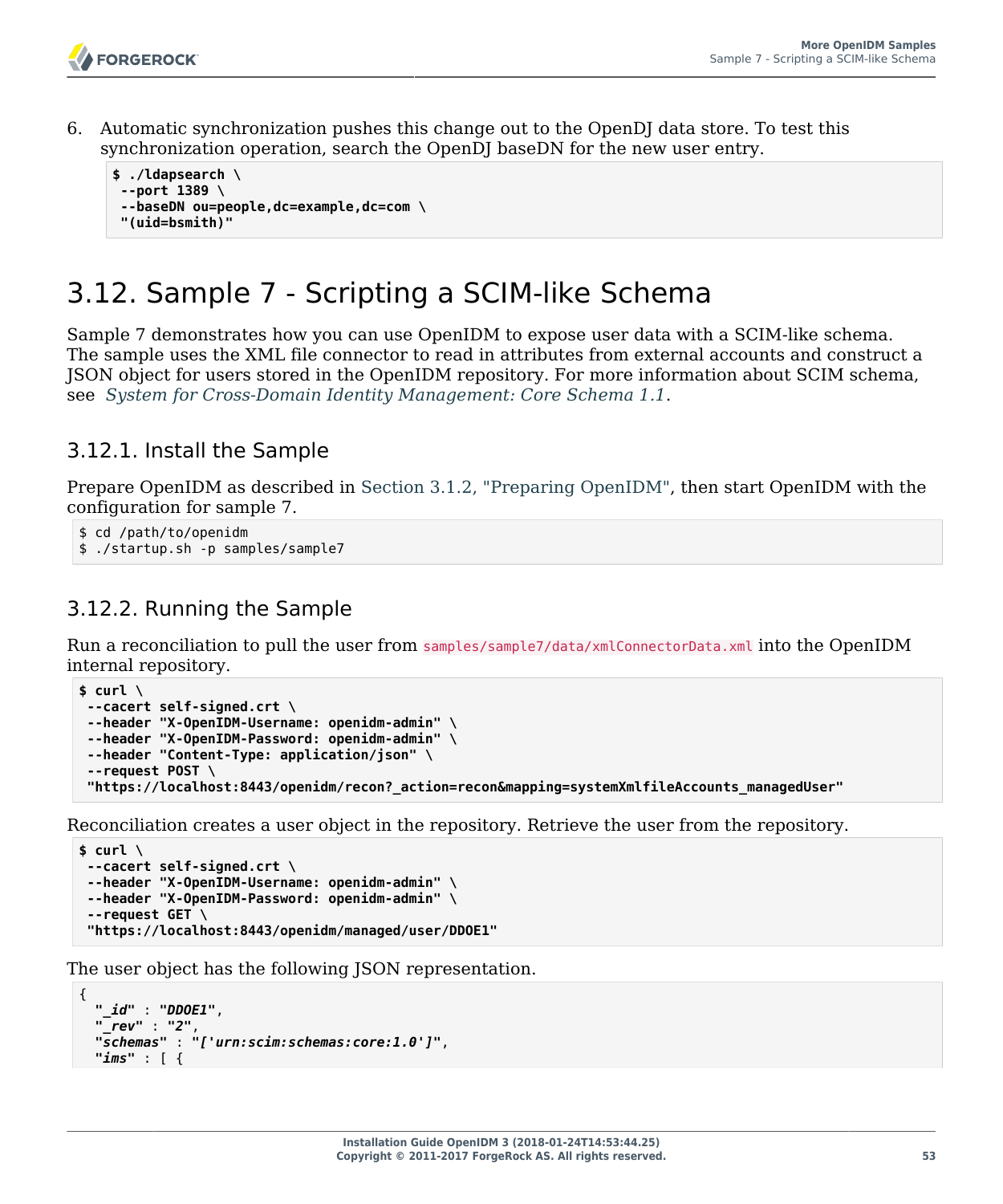6. Automatic synchronization pushes this change out to the OpenDJ data store. To test this synchronization operation, search the OpenDJ baseDN for the new user entry.

```
$ ./ldapsearch \
--port 1389 \
 --baseDN ou=people,dc=example,dc=com \
 "(uid=bsmith)"
```
# 3.12. Sample 7 - Scripting a SCIM-like Schema

Sample 7 demonstrates how you can use OpenIDM to expose user data with a SCIM-like schema. The sample uses the XML file connector to read in attributes from external accounts and construct a JSON object for users stored in the OpenIDM repository. For more information about SCIM schema, see *[System for Cross-Domain Identity Management: Core Schema 1.1](http://www.simplecloud.info/specs/draft-scim-core-schema-01.html)*.

## 3.12.1. Install the Sample

Prepare OpenIDM as described in [Section 3.1.2, "Preparing OpenIDM",](#page-28-0) then start OpenIDM with the configuration for sample 7.

```
$ cd /path/to/openidm
$ ./startup.sh -p samples/sample7
```
## 3.12.2. Running the Sample

Run a reconciliation to pull the user from samples/sample7/data/xmlConnectorData.xml into the OpenIDM internal repository.

```
$ curl \
--cacert self-signed.crt \
--header "X-OpenIDM-Username: openidm-admin" \
--header "X-OpenIDM-Password: openidm-admin" \
--header "Content-Type: application/json" \
 --request POST \
 "https://localhost:8443/openidm/recon?_action=recon&mapping=systemXmlfileAccounts_managedUser"
```
Reconciliation creates a user object in the repository. Retrieve the user from the repository.

```
$ curl \
--cacert self-signed.crt \
--header "X-OpenIDM-Username: openidm-admin" \
--header "X-OpenIDM-Password: openidm-admin" \
 --request GET \
 "https://localhost:8443/openidm/managed/user/DDOE1"
```
The user object has the following JSON representation.

```
{
  "_id" : "DDOE1",
  "_rev" : "2",
   "schemas" : "['urn:scim:schemas:core:1.0']",
   "ims" : [ {
```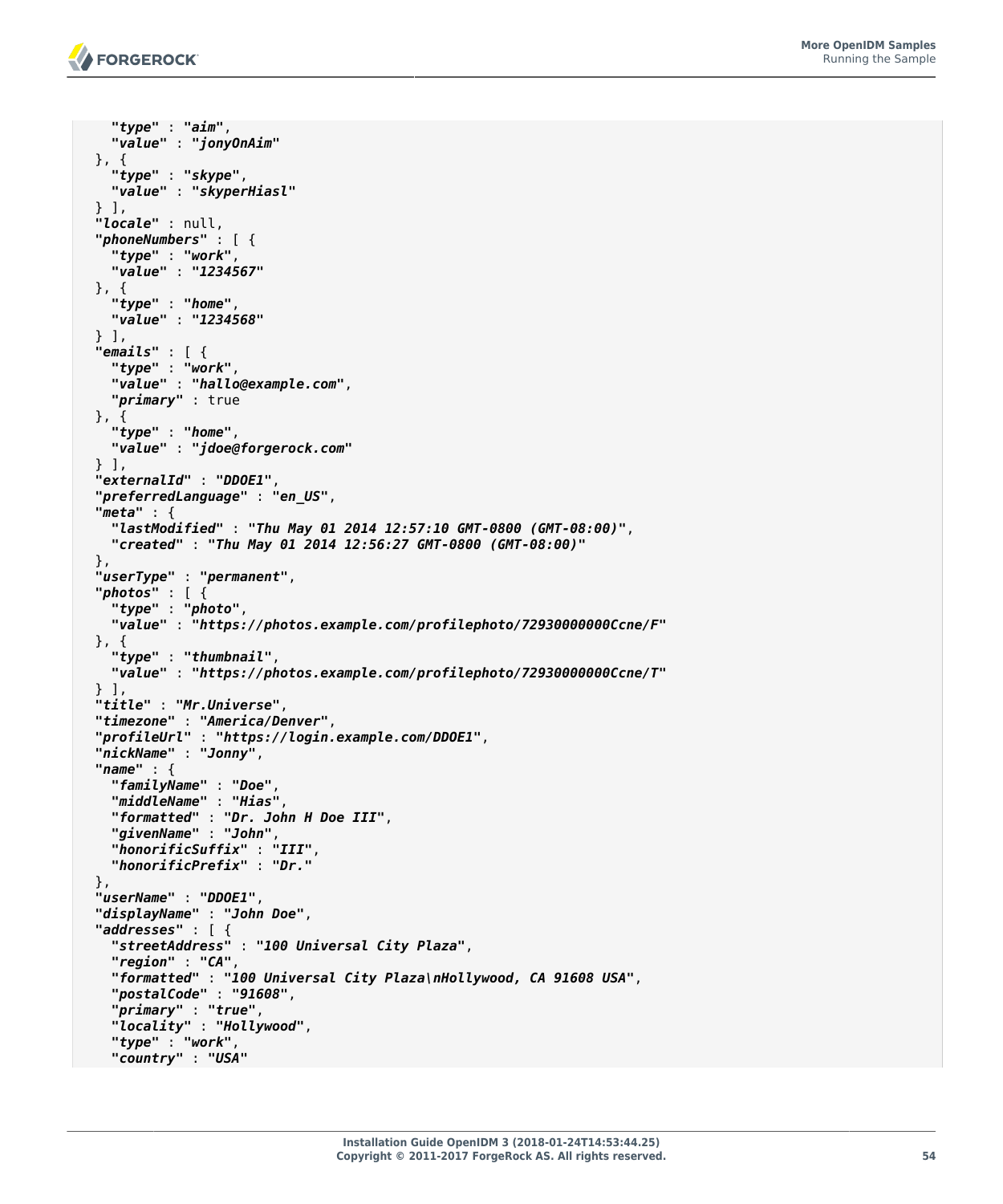```
 "type" : "aim",
     "value" : "jonyOnAim"
 }, \left\{ \cdot \right\} "type" : "skype",
    "value" : "skyperHiasl"
  } ],
  "locale" : null,
  "phoneNumbers" : [ {
     "type" : "work",
     "value" : "1234567"
 }, {
 "type" : "home",
     "value" : "1234568"
  } ],
  "emails" : [ {
    "type" : "work",
     "value" : "hallo@example.com",
    "primary" : true
  }, {
     "type" : "home",
     "value" : "jdoe@forgerock.com"
  } ],
  "externalId" : "DDOE1",
  "preferredLanguage" : "en_US",
  "meta" : {
     "lastModified" : "Thu May 01 2014 12:57:10 GMT-0800 (GMT-08:00)",
     "created" : "Thu May 01 2014 12:56:27 GMT-0800 (GMT-08:00)"
  },
  "userType" : "permanent",
  "photos" : [ {
     "type" : "photo",
     "value" : "https://photos.example.com/profilephoto/72930000000Ccne/F"
  }, {
     "type" : "thumbnail",
     "value" : "https://photos.example.com/profilephoto/72930000000Ccne/T"
 } ],
 "title" : "Mr.Universe",
  "timezone" : "America/Denver",
  "profileUrl" : "https://login.example.com/DDOE1",
  "nickName" : "Jonny",
  "name" : {
     "familyName" : "Doe",
     "middleName" : "Hias",
     "formatted" : "Dr. John H Doe III",
     "givenName" : "John",
     "honorificSuffix" : "III",
     "honorificPrefix" : "Dr."
  },
  "userName" : "DDOE1",
  "displayName" : "John Doe",
  "addresses" : [ {
     "streetAddress" : "100 Universal City Plaza",
     "region" : "CA",
     "formatted" : "100 Universal City Plaza\nHollywood, CA 91608 USA",
     "postalCode" : "91608",
     "primary" : "true",
     "locality" : "Hollywood",
     "type" : "work",
     "country" : "USA"
```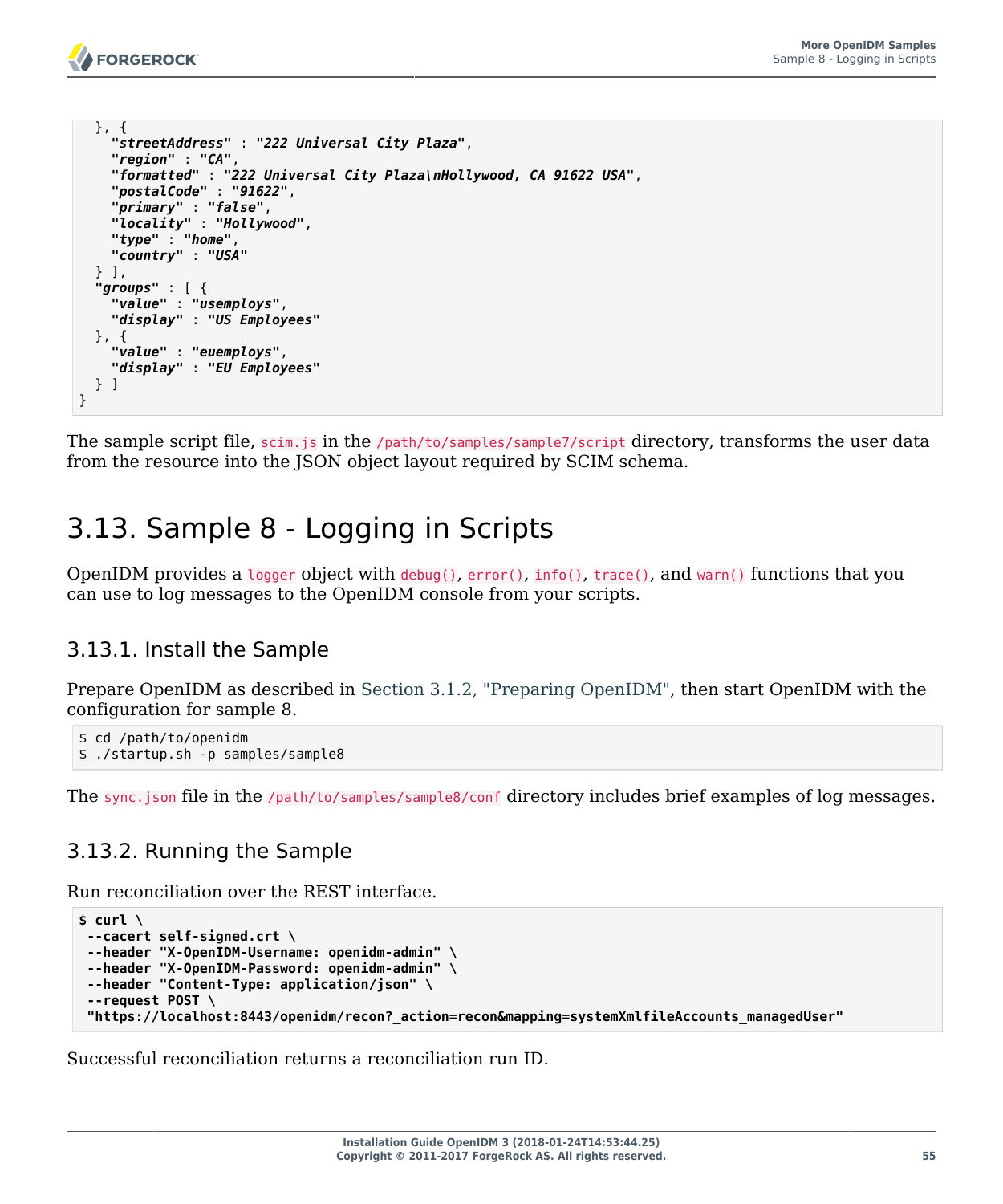

```
 }, {
     "streetAddress" : "222 Universal City Plaza",
     "region" : "CA",
     "formatted" : "222 Universal City Plaza\nHollywood, CA 91622 USA",
     "postalCode" : "91622",
     "primary" : "false",
     "locality" : "Hollywood",
     "type" : "home",
     "country" : "USA"
   } ],
   "groups" : [ {
     "value" : "usemploys",
     "display" : "US Employees"
   }, {
     "value" : "euemploys",
     "display" : "EU Employees"
   } ]
}
```
The sample script file, scim.js in the /path/to/samples/sample7/script directory, transforms the user data from the resource into the JSON object layout required by SCIM schema.

# 3.13. Sample 8 - Logging in Scripts

OpenIDM provides a logger object with debug(), error(), info(), trace(), and warn() functions that you can use to log messages to the OpenIDM console from your scripts.

## 3.13.1. Install the Sample

Prepare OpenIDM as described in [Section 3.1.2, "Preparing OpenIDM",](#page-28-0) then start OpenIDM with the configuration for sample 8.

```
$ cd /path/to/openidm
$ ./startup.sh -p samples/sample8
```
The sync.json file in the /path/to/samples/sample8/conf directory includes brief examples of log messages.

## 3.13.2. Running the Sample

Run reconciliation over the REST interface.

```
$ curl \
--cacert self-signed.crt \
--header "X-OpenIDM-Username: openidm-admin" \
--header "X-OpenIDM-Password: openidm-admin" \
--header "Content-Type: application/json" \
 --request POST \
 "https://localhost:8443/openidm/recon?_action=recon&mapping=systemXmlfileAccounts_managedUser"
```
Successful reconciliation returns a reconciliation run ID.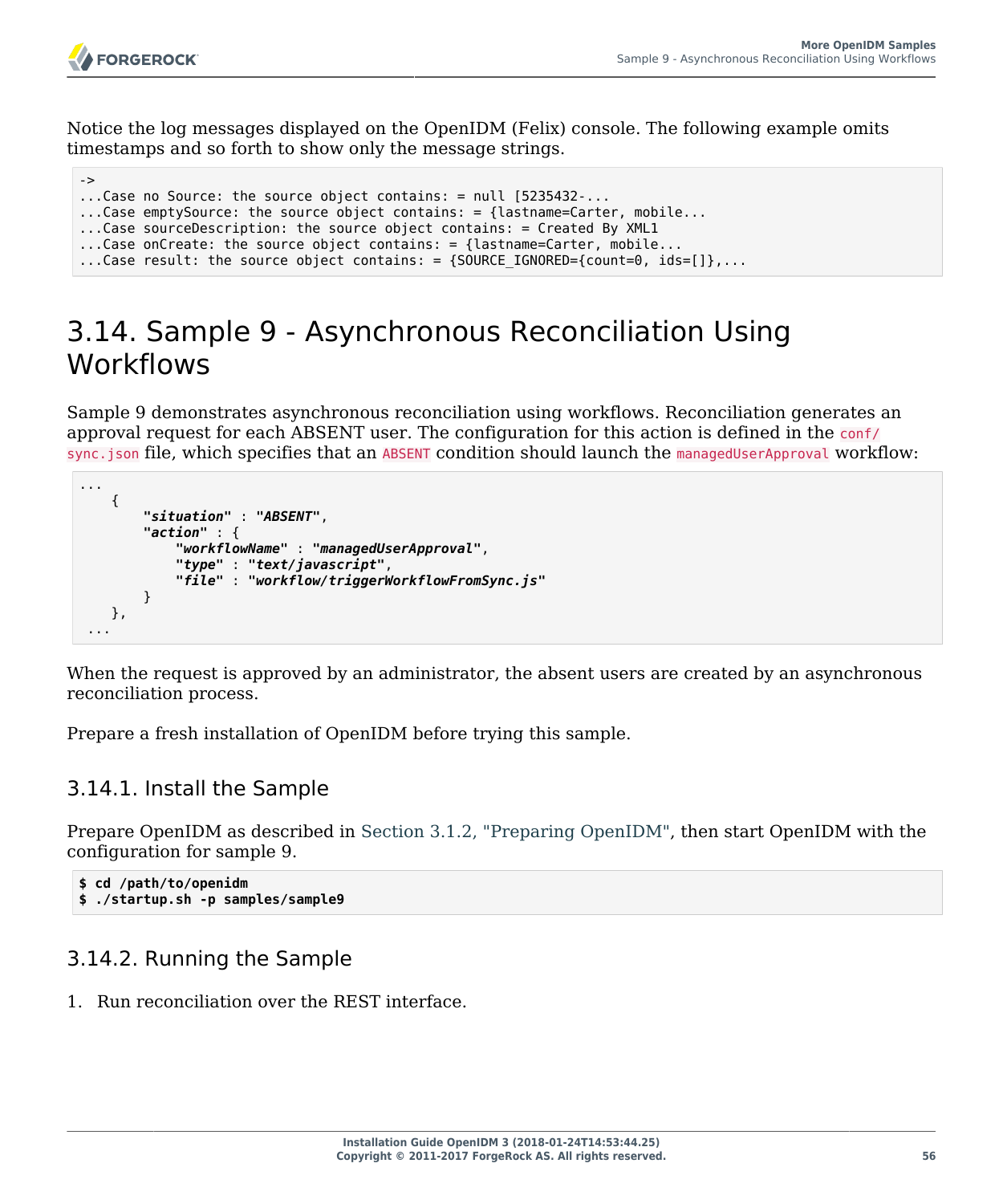...

Notice the log messages displayed on the OpenIDM (Felix) console. The following example omits timestamps and so forth to show only the message strings.

```
->
...Case no Source: the source object contains: = null [5235432-...
...Case emptySource: the source object contains: = {lastname=Carter, mobile...
...Case sourceDescription: the source object contains: = Created By XML1
...Case onCreate: the source object contains: = {lastname=Carter, mobile...
...Case result: the source object contains: = \{SOWRCE\ IGNORED=\{count=0, ids=[]\}, \ldots
```
## 3.14. Sample 9 - Asynchronous Reconciliation Using **Workflows**

Sample 9 demonstrates asynchronous reconciliation using workflows. Reconciliation generates an approval request for each ABSENT user. The configuration for this action is defined in the conf/ sync.json file, which specifies that an ABSENT condition should launch the managedUserApproval workflow:

```
 {
        "situation" : "ABSENT",
        "action" : {
             "workflowName" : "managedUserApproval",
             "type" : "text/javascript",
             "file" : "workflow/triggerWorkflowFromSync.js"
        }
    },
 ...
```
When the request is approved by an administrator, the absent users are created by an asynchronous reconciliation process.

Prepare a fresh installation of OpenIDM before trying this sample.

## 3.14.1. Install the Sample

Prepare OpenIDM as described in [Section 3.1.2, "Preparing OpenIDM",](#page-28-0) then start OpenIDM with the configuration for sample 9.

```
$ cd /path/to/openidm
$ ./startup.sh -p samples/sample9
```
## 3.14.2. Running the Sample

1. Run reconciliation over the REST interface.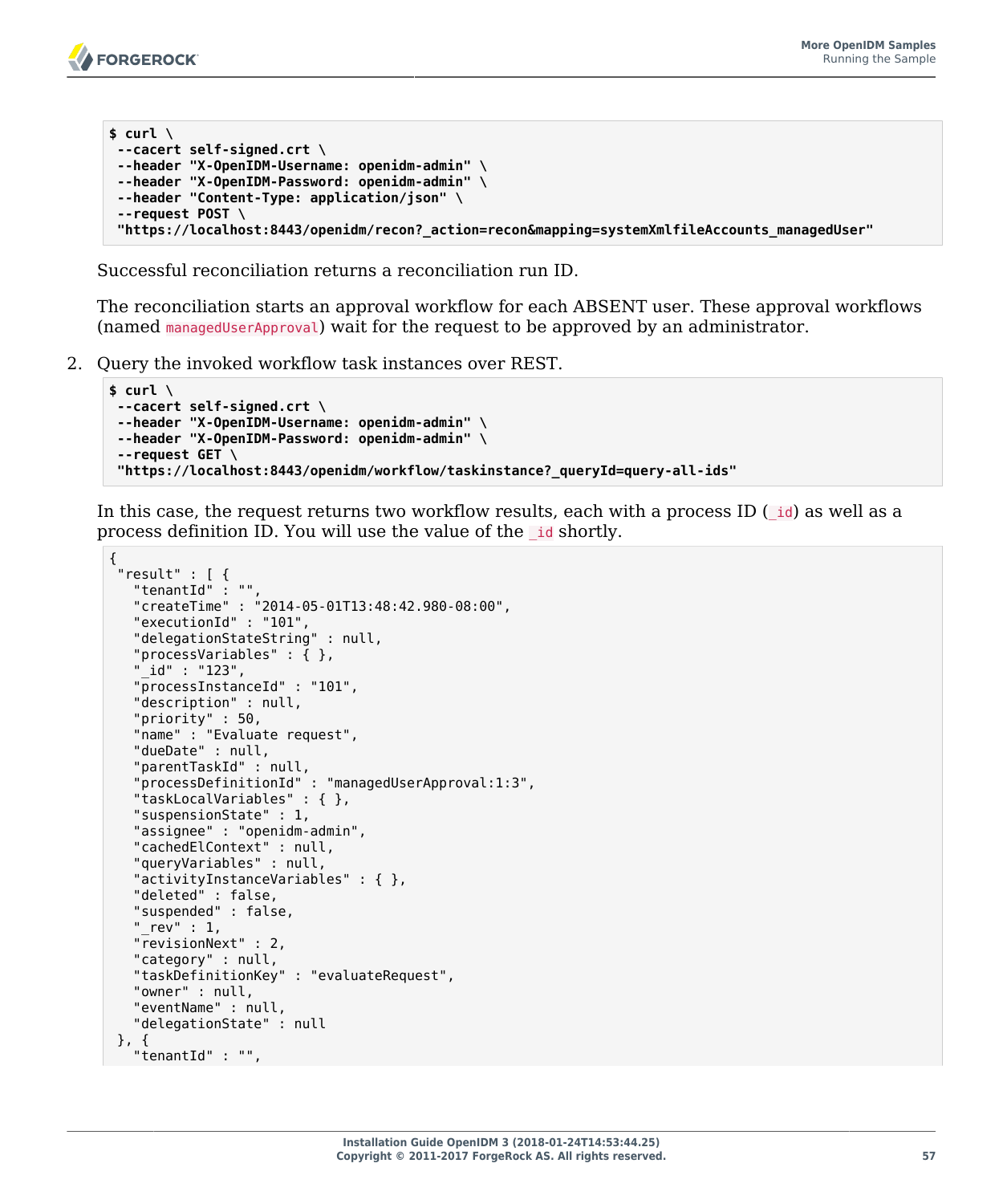```
$ curl \
 --cacert self-signed.crt \
 --header "X-OpenIDM-Username: openidm-admin" \
 --header "X-OpenIDM-Password: openidm-admin" \
 --header "Content-Type: application/json" \
 --request POST \
  "https://localhost:8443/openidm/recon?_action=recon&mapping=systemXmlfileAccounts_managedUser"
```
Successful reconciliation returns a reconciliation run ID.

The reconciliation starts an approval workflow for each ABSENT user. These approval workflows (named managedUserApproval) wait for the request to be approved by an administrator.

2. Query the invoked workflow task instances over REST.

```
$ curl \
--cacert self-signed.crt \
--header "X-OpenIDM-Username: openidm-admin" \
--header "X-OpenIDM-Password: openidm-admin" \
 --request GET \
 "https://localhost:8443/openidm/workflow/taskinstance?_queryId=query-all-ids"
```
In this case, the request returns two workflow results, each with a process ID  $(i\mathbf{d})$  as well as a process definition ID. You will use the value of the \_id shortly.

```
{
 "result" : [ {
   "tenantId" : "",
   "createTime" : "2014-05-01T13:48:42.980-08:00",
   "executionId" : "101",
   "delegationStateString" : null,
    "processVariables" : { },
   "_id" : "123",
   "processInstanceId" : "101",
   "description" : null,
    "priority" : 50,
   "name" : "Evaluate request",
   "dueDate" : null,
    "parentTaskId" : null,
    "processDefinitionId" : "managedUserApproval:1:3",
   "taskLocalVariables" : { },
   "suspensionState" : 1,
   "assignee" : "openidm-admin",
    "cachedElContext" : null,
    "queryVariables" : null,
    "activityInstanceVariables" : { },
   "deleted" : false,
    "suspended" : false,
   "rev" : 1,
   "revisionNext" : 2,
   "category" : null,
   "taskDefinitionKey" : "evaluateRequest",
   "owner" : null,
   "eventName" : null,
   "delegationState" : null
 }, {
 "tenantId" : "",
```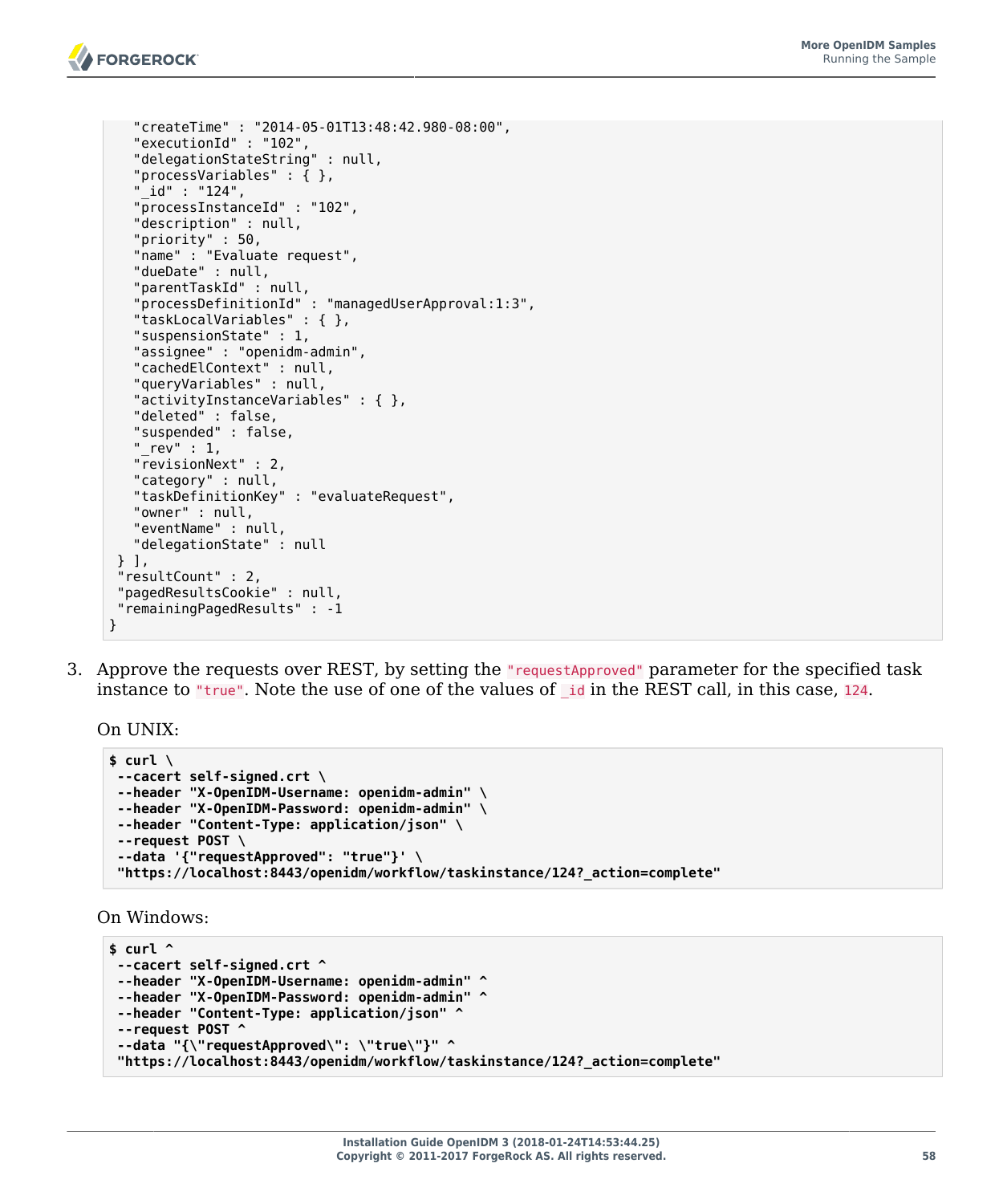```
 "createTime" : "2014-05-01T13:48:42.980-08:00",
   "executionId" : "102",
   "delegationStateString" : null,
   "processVariables" : { },
    "_id" : "124",
   "processInstanceId" : "102",
   "description" : null,
   "priority" : 50,
   "name" : "Evaluate request",
   "dueDate" : null,
   "parentTaskId" : null,
   "processDefinitionId" : "managedUserApproval:1:3",
   "taskLocalVariables" : { },
   "suspensionState" : 1,
   "assignee" : "openidm-admin",
   "cachedElContext" : null,
   "queryVariables" : null,
   "activityInstanceVariables" : { },
   "deleted" : false,
   "suspended" : false,
   rev" : 1, "revisionNext" : 2,
   "category" : null,
   "taskDefinitionKey" : "evaluateRequest",
   "owner" : null,
   "eventName" : null,
   "delegationState" : null
 } ],
 "resultCount" : 2,
 "pagedResultsCookie" : null,
 "remainingPagedResults" : -1
```
3. Approve the requests over REST, by setting the "requestApproved" parameter for the specified task instance to "true". Note the use of one of the values of \_id in the REST call, in this case, 124.

On UNIX:

}

```
$ curl \
 --cacert self-signed.crt \
 --header "X-OpenIDM-Username: openidm-admin" \
 --header "X-OpenIDM-Password: openidm-admin" \
 --header "Content-Type: application/json" \
 --request POST \
 --data '{"requestApproved": "true"}' \
  "https://localhost:8443/openidm/workflow/taskinstance/124?_action=complete"
```
On Windows:

```
$ curl ^
 --cacert self-signed.crt ^
 --header "X-OpenIDM-Username: openidm-admin" ^
 --header "X-OpenIDM-Password: openidm-admin" ^
 --header "Content-Type: application/json" ^
 --request POST ^
 --data "{\"requestApproved\": \"true\"}" ^
  "https://localhost:8443/openidm/workflow/taskinstance/124?_action=complete"
```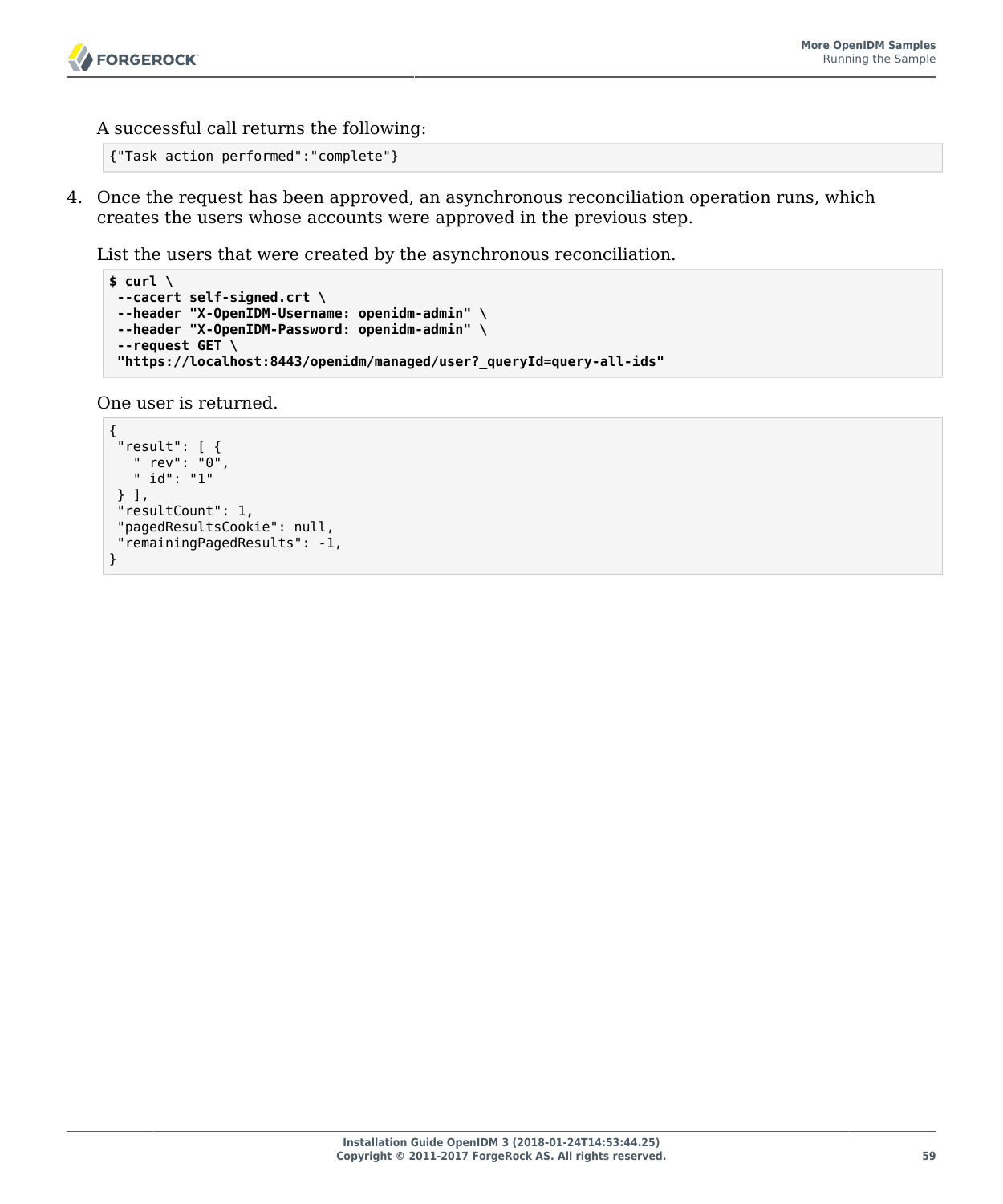A successful call returns the following:

```
{"Task action performed":"complete"}
```
4. Once the request has been approved, an asynchronous reconciliation operation runs, which creates the users whose accounts were approved in the previous step.

List the users that were created by the asynchronous reconciliation.

```
$ curl \
 --cacert self-signed.crt \
 --header "X-OpenIDM-Username: openidm-admin" \
 --header "X-OpenIDM-Password: openidm-admin" \
 --request GET \
  "https://localhost:8443/openidm/managed/user?_queryId=query-all-ids"
```
One user is returned.

```
{
  "result": [ {
 "_rev": "0",
 "_id": "1"
 } ],
  "resultCount": 1,
  "pagedResultsCookie": null,
  "remainingPagedResults": -1,
}
```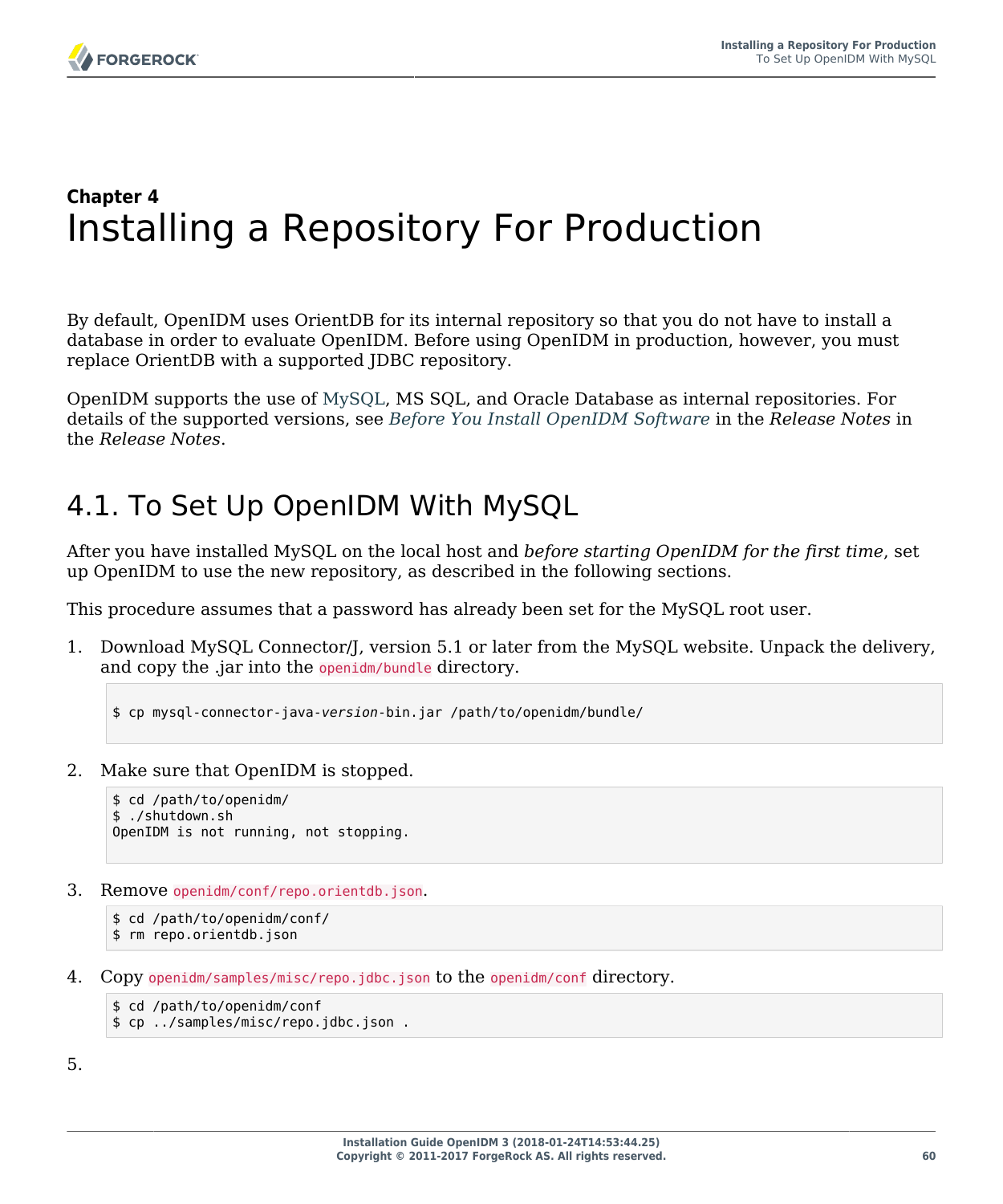# **Chapter 4** Installing a Repository For Production

By default, OpenIDM uses OrientDB for its internal repository so that you do not have to install a database in order to evaluate OpenIDM. Before using OpenIDM in production, however, you must replace OrientDB with a supported JDBC repository.

OpenIDM supports the use of [MySQL](http://dev.mysql.com/downloads/mysql/), MS SQL, and Oracle Database as internal repositories. For details of the supported versions, see *Before You Install OpenIDM Software* in the *Release Notes* in the *Release Notes*.

# 4.1. To Set Up OpenIDM With MySQL

After you have installed MySQL on the local host and *before starting OpenIDM for the first time*, set up OpenIDM to use the new repository, as described in the following sections.

This procedure assumes that a password has already been set for the MySQL root user.

1. Download MySQL Connector/J, version 5.1 or later from the MySQL website. Unpack the delivery, and copy the .jar into the openidm/bundle directory.

\$ cp mysql-connector-java-*version*-bin.jar /path/to/openidm/bundle/

2. Make sure that OpenIDM is stopped.

```
$ cd /path/to/openidm/
$ ./shutdown.sh
OpenIDM is not running, not stopping.
```
3. Remove openidm/conf/repo.orientdb.json.

```
$ cd /path/to/openidm/conf/
$ rm repo.orientdb.json
```
4. Copy openidm/samples/misc/repo.jdbc.json to the openidm/conf directory.

```
$ cd /path/to/openidm/conf
$ cp ../samples/misc/repo.jdbc.json .
```
5.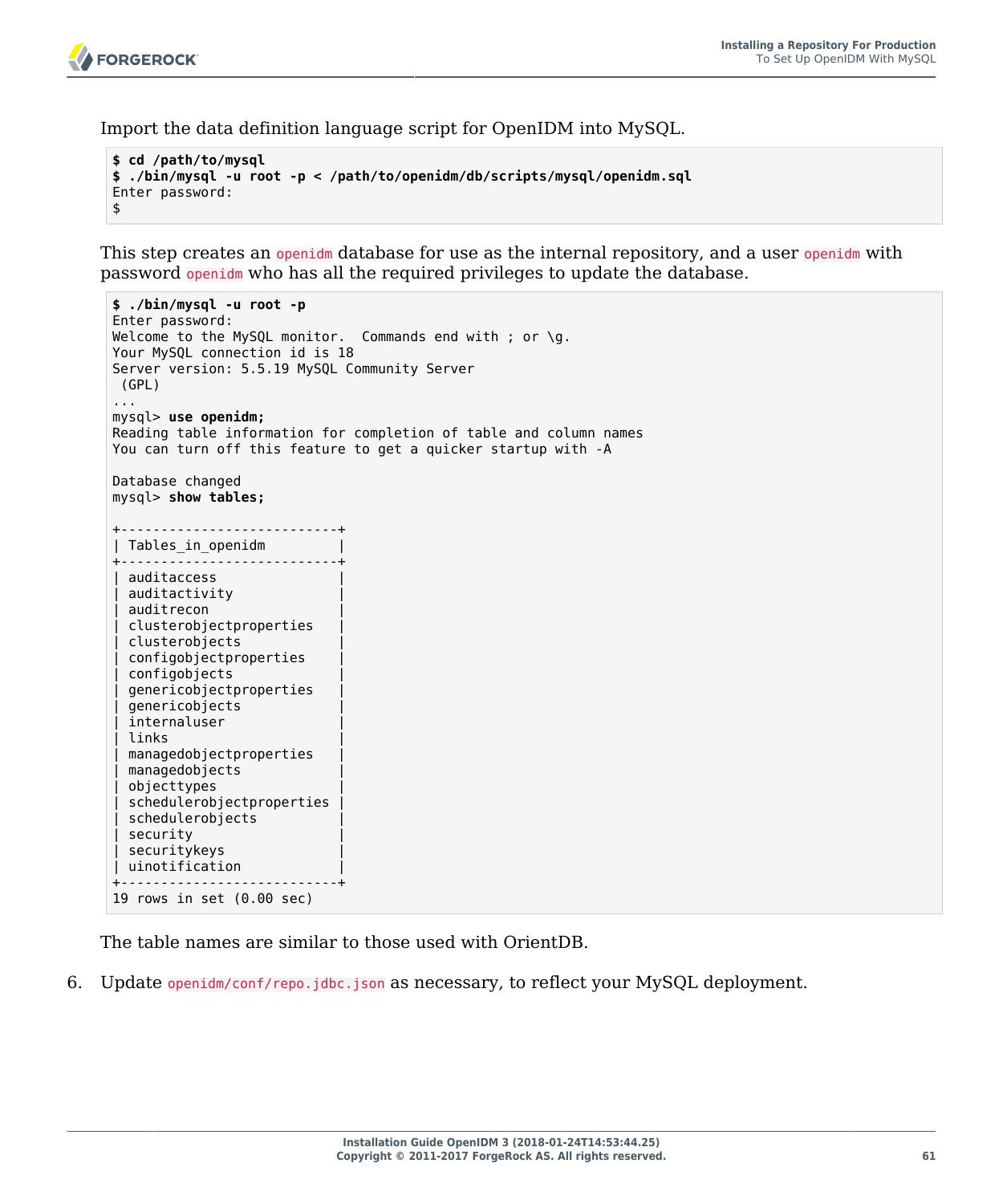**FORGEROCK** 

Import the data definition language script for OpenIDM into MySQL.

```
$ cd /path/to/mysql
$ ./bin/mysql -u root -p < /path/to/openidm/db/scripts/mysql/openidm.sql
Enter password:
$
```
This step creates an openidm database for use as the internal repository, and a user openidm with password openidm who has all the required privileges to update the database.

```
$ ./bin/mysql -u root -p
Enter password:
Welcome to the MySQL monitor. Commands end with ; or \gtrsim q.
Your MySQL connection id is 18
Server version: 5.5.19 MySQL Community Server
 (GPL)
...
mysql> use openidm;
Reading table information for completion of table and column names
You can turn off this feature to get a quicker startup with -A
Database changed
mysql> show tables;
+---------------------------+
| Tables_in_openidm |
+---------------------------+
 auditaccess
  auditactivity
  auditrecon
  clusterobjectproperties
  clusterobjects
  configobjectproperties
  configobjects
  | genericobjectproperties |
  genericobjects
  internaluser
  | links |
  | managedobjectproperties |
  managedobjects
 objecttypes
  schedulerobjectproperties
  | schedulerobjects |
  security
  securitykeys
| uinotification |
+---------------------------+
19 rows in set (0.00 sec)
```
The table names are similar to those used with OrientDB.

6. Update openidm/conf/repo.jdbc.json as necessary, to reflect your MySQL deployment.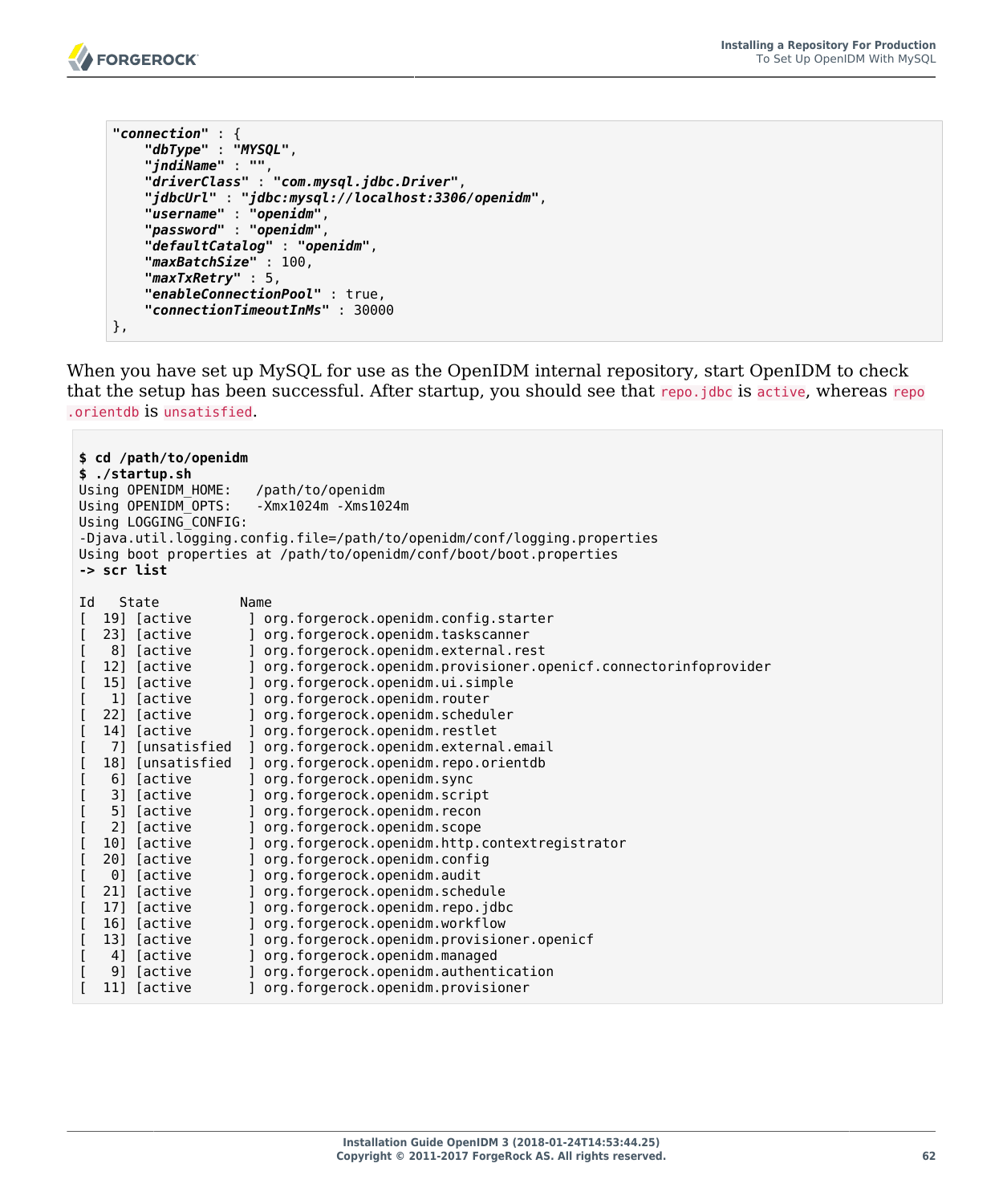

```
"connection" : {
     "dbType" : "MYSQL",
 "jndiName" : "",
 "driverClass" : "com.mysql.jdbc.Driver",
 "jdbcUrl" : "jdbc:mysql://localhost:3306/openidm",
 "username" : "openidm",
     "password" : "openidm",
     "defaultCatalog" : "openidm",
     "maxBatchSize" : 100,
     "maxTxRetry" : 5,
     "enableConnectionPool" : true,
     "connectionTimeoutInMs" : 30000
},
```
When you have set up MySQL for use as the OpenIDM internal repository, start OpenIDM to check that the setup has been successful. After startup, you should see that repo.jdbc is active, whereas repo .orientdb is unsatisfied.

| -> scr list | \$ cd /path/to/openidm<br>\$ ./startup.sh<br>Using OPENIDM HOME:<br>Using OPENIDM OPTS:<br>Using LOGGING CONFIG: | /path/to/openidm<br>$-Xmx1024m - Xms1024m$<br>-Djava.util.logging.config.file=/path/to/openidm/conf/logging.properties<br>Using boot properties at /path/to/openidm/conf/boot/boot.properties |
|-------------|------------------------------------------------------------------------------------------------------------------|-----------------------------------------------------------------------------------------------------------------------------------------------------------------------------------------------|
| Id          | State                                                                                                            | Name                                                                                                                                                                                          |
|             | 19] [active                                                                                                      | ] org.forgerock.openidm.config.starter                                                                                                                                                        |
| ſ           | 23] [active                                                                                                      | org.forgerock.openidm.taskscanner                                                                                                                                                             |
| l           | 8] [active                                                                                                       | org.forgerock.openidm.external.rest                                                                                                                                                           |
| I           | 12] [active                                                                                                      | org.forgerock.openidm.provisioner.openicf.connectorinfoprovider                                                                                                                               |
|             | 15] [active                                                                                                      | org.forgerock.openidm.ui.simple                                                                                                                                                               |
|             | 1] [active                                                                                                       | org.forgerock.openidm.router                                                                                                                                                                  |
| ſ           | 22] [active                                                                                                      | ] org.forgerock.openidm.scheduler                                                                                                                                                             |
| l           | 14] [active                                                                                                      | ] org.forgerock.openidm.restlet                                                                                                                                                               |
| I           | 7] [unsatisfied                                                                                                  | ] org.forgerock.openidm.external.email                                                                                                                                                        |
|             | 18] [unsatisfied                                                                                                 | org.forgerock.openidm.repo.orientdb                                                                                                                                                           |
|             | 6] [active                                                                                                       | org.forgerock.openidm.sync                                                                                                                                                                    |
| ſ           | 3] [active                                                                                                       | org.forgerock.openidm.script                                                                                                                                                                  |
| ſ           | 5] [active                                                                                                       | org.forgerock.openidm.recon                                                                                                                                                                   |
|             | 2] [active                                                                                                       | org.forgerock.openidm.scope                                                                                                                                                                   |
|             | 10] [active                                                                                                      | org.forgerock.openidm.http.contextregistrator                                                                                                                                                 |
|             | 20] [active                                                                                                      | org.forgerock.openidm.config                                                                                                                                                                  |
|             | 0] [active                                                                                                       | org.forgerock.openidm.audit                                                                                                                                                                   |
| L           | 21] [active                                                                                                      | org.forgerock.openidm.schedule                                                                                                                                                                |
| l           | 17] [active                                                                                                      | org.forgerock.openidm.repo.jdbc                                                                                                                                                               |
|             | 16] [active                                                                                                      | org.forgerock.openidm.workflow                                                                                                                                                                |
|             | 13] [active                                                                                                      | org.forgerock.openidm.provisioner.openicf                                                                                                                                                     |
| 4]          | [active                                                                                                          | org.forgerock.openidm.managed                                                                                                                                                                 |
|             | 9] [active                                                                                                       | org.forgerock.openidm.authentication                                                                                                                                                          |
|             | 11] [active                                                                                                      | org.forgerock.openidm.provisioner                                                                                                                                                             |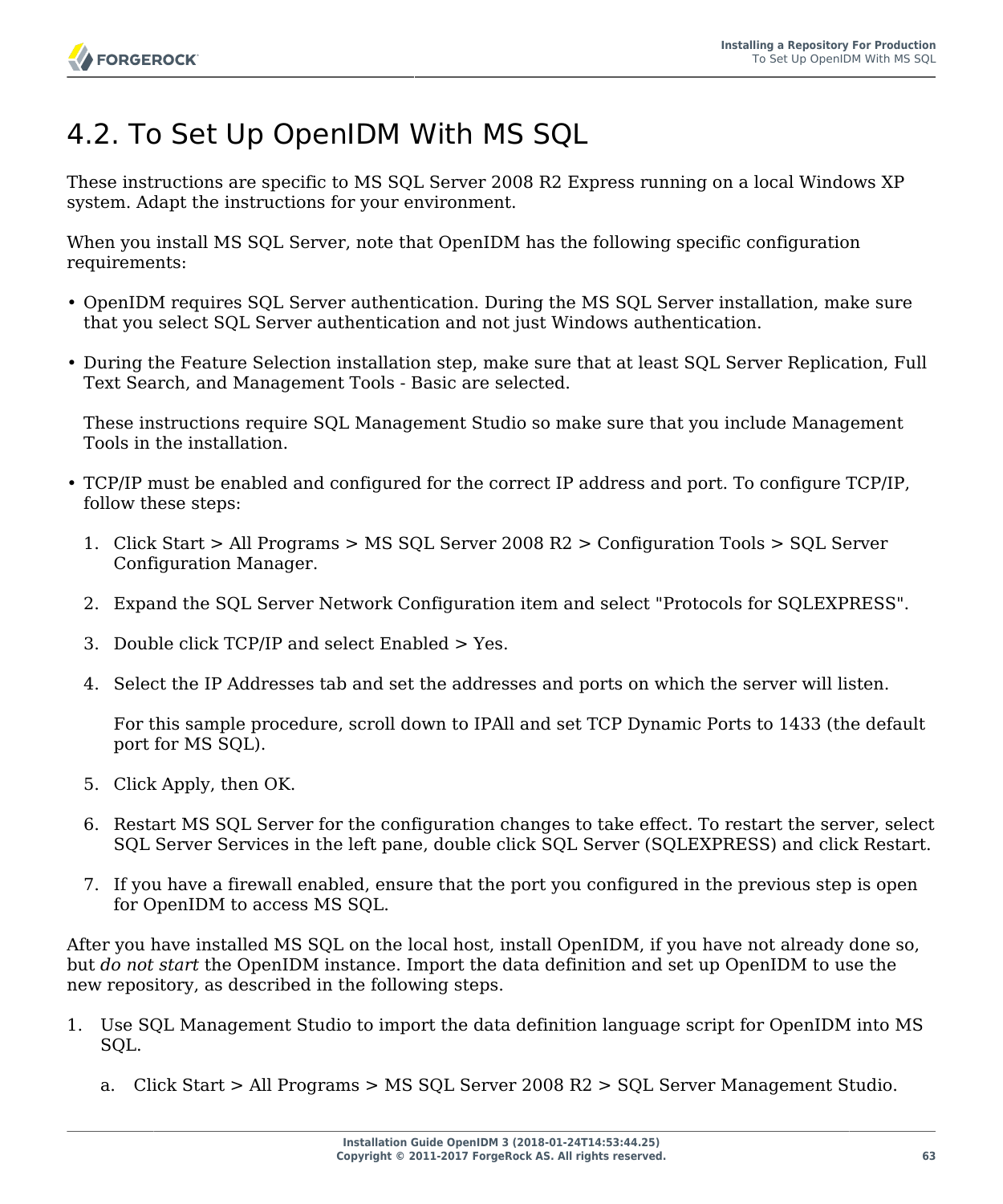# 4.2. To Set Up OpenIDM With MS SQL

These instructions are specific to MS SQL Server 2008 R2 Express running on a local Windows XP system. Adapt the instructions for your environment.

When you install MS SQL Server, note that OpenIDM has the following specific configuration requirements:

- OpenIDM requires SQL Server authentication. During the MS SQL Server installation, make sure that you select SQL Server authentication and not just Windows authentication.
- During the Feature Selection installation step, make sure that at least SQL Server Replication, Full Text Search, and Management Tools - Basic are selected.

These instructions require SQL Management Studio so make sure that you include Management Tools in the installation.

- TCP/IP must be enabled and configured for the correct IP address and port. To configure TCP/IP, follow these steps:
	- 1. Click Start > All Programs > MS SQL Server 2008 R2 > Configuration Tools > SQL Server Configuration Manager.
	- 2. Expand the SQL Server Network Configuration item and select "Protocols for SQLEXPRESS".
	- 3. Double click TCP/IP and select Enabled > Yes.
	- 4. Select the IP Addresses tab and set the addresses and ports on which the server will listen.

For this sample procedure, scroll down to IPAll and set TCP Dynamic Ports to 1433 (the default port for MS SQL).

- 5. Click Apply, then OK.
- 6. Restart MS SQL Server for the configuration changes to take effect. To restart the server, select SQL Server Services in the left pane, double click SQL Server (SQLEXPRESS) and click Restart.
- 7. If you have a firewall enabled, ensure that the port you configured in the previous step is open for OpenIDM to access MS SQL.

After you have installed MS SQL on the local host, install OpenIDM, if you have not already done so, but *do not start* the OpenIDM instance. Import the data definition and set up OpenIDM to use the new repository, as described in the following steps.

- 1. Use SQL Management Studio to import the data definition language script for OpenIDM into MS SQL.
	- a. Click Start > All Programs > MS SQL Server 2008 R2 > SQL Server Management Studio.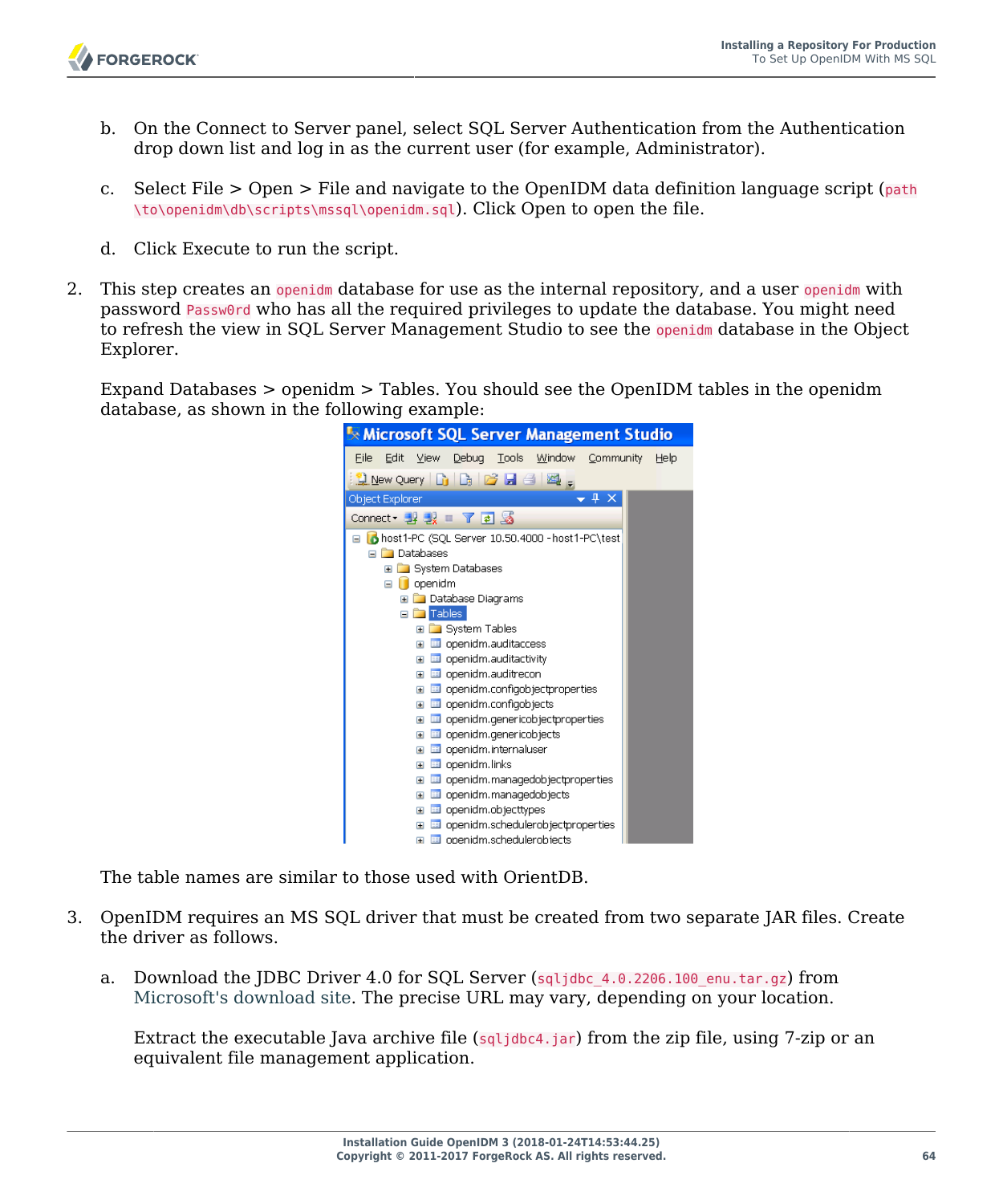- b. On the Connect to Server panel, select SQL Server Authentication from the Authentication drop down list and log in as the current user (for example, Administrator).
- c. Select File  $>$  Open  $>$  File and navigate to the OpenIDM data definition language script (path \to\openidm\db\scripts\mssql\openidm.sql). Click Open to open the file.
- d. Click Execute to run the script.
- 2. This step creates an openidm database for use as the internal repository, and a user openidm with password Passw0rd who has all the required privileges to update the database. You might need to refresh the view in SQL Server Management Studio to see the openidm database in the Object Explorer.

Expand Databases > openidm > Tables. You should see the OpenIDM tables in the openidm database, as shown in the following example:



The table names are similar to those used with OrientDB.

- 3. OpenIDM requires an MS SQL driver that must be created from two separate JAR files. Create the driver as follows.
	- a. Download the JDBC Driver 4.0 for SQL Server (sqljdbc 4.0.2206.100 enu.tar.gz) from [Microsoft's download site](http://www.microsoft.com/en-us/download/details.aspx?id=11774). The precise URL may vary, depending on your location.

Extract the executable Java archive file (sqljdbc4.jar) from the zip file, using 7-zip or an equivalent file management application.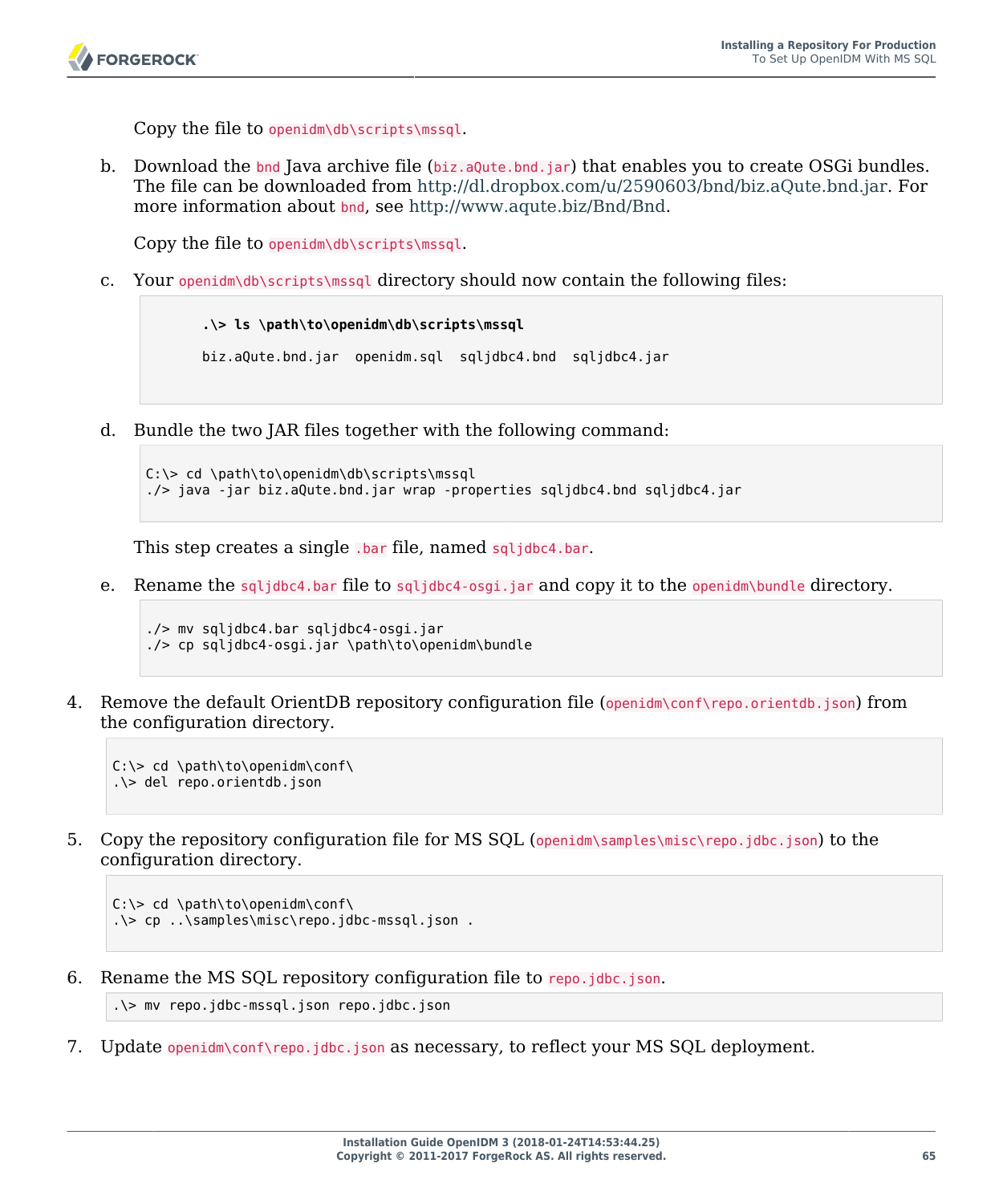Copy the file to openidm\db\scripts\mssql.

b. Download the bnd Java archive file (biz.aQute.bnd.jar) that enables you to create OSGi bundles. The file can be downloaded from [http://dl.dropbox.com/u/2590603/bnd/biz.aQute.bnd.jar.](http://dl.dropbox.com/u/2590603/bnd/biz.aQute.bnd.jar) For more information about bnd, see<http://www.aqute.biz/Bnd/Bnd>.

Copy the file to openidm\db\scripts\mssql.

c. Your openidm\db\scripts\mssql directory should now contain the following files:

```
 .\> ls \path\to\openidm\db\scripts\mssql
 biz.aQute.bnd.jar openidm.sql sqljdbc4.bnd sqljdbc4.jar
```
d. Bundle the two JAR files together with the following command:

```
C:\> cd \path\to\openidm\db\scripts\mssql
./> java -jar biz.aQute.bnd.jar wrap -properties sqljdbc4.bnd sqljdbc4.jar
```
This step creates a single .bar file, named sqljdbc4.bar.

e. Rename the sqljdbc4.bar file to sqljdbc4-osgi.jar and copy it to the openidm\bundle directory.

```
./> mv sqljdbc4.bar sqljdbc4-osgi.jar
./> cp sqljdbc4-osgi.jar \path\to\openidm\bundle
```
4. Remove the default OrientDB repository configuration file (openidm\conf\repo.orientdb.json) from the configuration directory.

```
C:\> cd \path\to\openidm\conf\
.\> del repo.orientdb.json
```
5. Copy the repository configuration file for MS SQL (openidm\samples\misc\repo.jdbc.json) to the configuration directory.

```
C:\> cd \path\to\openidm\conf\
.\> cp ..\samples\misc\repo.jdbc-mssql.json .
```
6. Rename the MS SQL repository configuration file to repo.jdbc.json.

```
.\> mv repo.jdbc-mssql.json repo.jdbc.json
```
7. Update openidm\conf\repo.jdbc.json as necessary, to reflect your MS SQL deployment.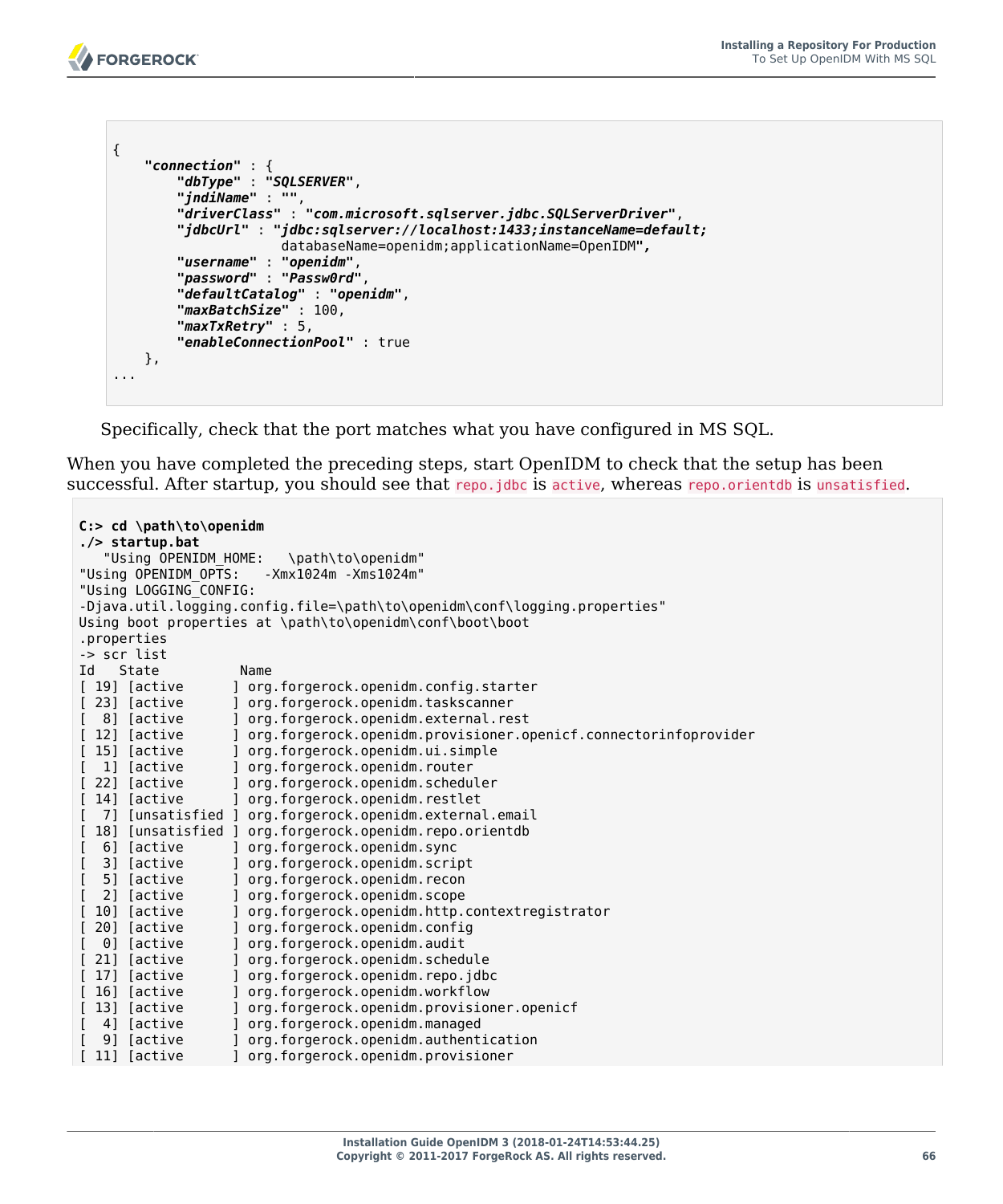```
{
     "connection" : {
         "dbType" : "SQLSERVER",
         "jndiName" : "",
         "driverClass" : "com.microsoft.sqlserver.jdbc.SQLServerDriver",
         "jdbcUrl" : "jdbc:sqlserver://localhost:1433;instanceName=default;
                       databaseName=openidm;applicationName=OpenIDM",
         "username" : "openidm",
         "password" : "Passw0rd",
         "defaultCatalog" : "openidm",
         "maxBatchSize" : 100,
         "maxTxRetry" : 5,
         "enableConnectionPool" : true
     },
...
```
Specifically, check that the port matches what you have configured in MS SQL.

When you have completed the preceding steps, start OpenIDM to check that the setup has been successful. After startup, you should see that repo.jdbc is active, whereas repo.orientdb is unsatisfied.

```
C:> cd \path\to\openidm
./> startup.bat
   "Using OPENIDM HOME: \path\to\openidm"
"Using OPENIDM_OPTS: -Xmx1024m -Xms1024m"
"Using LOGGING_CONFIG:
-Djava.util.logging.config.file=\path\to\openidm\conf\logging.properties"
Using boot properties at \path\to\openidm\conf\boot\boot
.properties
-> scr list
Id State Name
[ 19] [active ] org.forgerock.openidm.config.starter<br>[ 23] [active ] org.forgerock.openidm.taskscanner
   (23) [active ] org.forgerock.openidm.taskscanner<br>
8] [active ] org.forgerock.openidm.external.re
[ 8] [active ] org.forgerock.openidm.external.rest
[ 12] [active  ] org.forgerock.openidm.provisioner.openicf.connectorinfoprovider<br>[ 15] [active  ] org.forgerock.openidm.ui.simple
  15] [active ] org.forgerock.openidm.ui.simple<br>11 [active ] org.forgerock.openidm.router
[ 1] [active ] org.forgerock.openidm.router
[ 22] [active      ] org.forgerock.openidm.scheduler<br>[ 14] [active       ] org.forgerock.openidm.restlet
                      ] org.forgerock.openidm.restlet
   7] [unsatisfied ] org.forgerock.openidm.external.email
[ 18] [unsatisfied ] org.forgerock.openidm.repo.orientdb<br>[ 6] [active ] org.forgerock.openidm.svnc
   [ 6] [active ] org.forgerock.openidm.sync
                      ] org.forgerock.openidm.script
  [ 5] [active ] org.forgerock.openidm.recon
[ 2] [active ] org.forgerock.openidm.scope
[ 10] [active ] org.forgerock.openidm.http.contextregistrator
                      [ 20] [active ] org.forgerock.openidm.config
[ 0] [active ] org.forgerock.openidm.audit
                      ] org.forgerock.openidm.schedule
[ 17] [active ] org.forgerock.openidm.repo.jdbc
[ 16] [active ] org.forgerock.openidm.workflow
  [ 13] [active ] org.forgerock.openidm.provisioner.openicf
[ 4] [active ] org.forgerock.openidm.managed
[ 9] [active ] org.forgerock.openidm.authentication
                      [ 11] [active ] org.forgerock.openidm.provisioner
```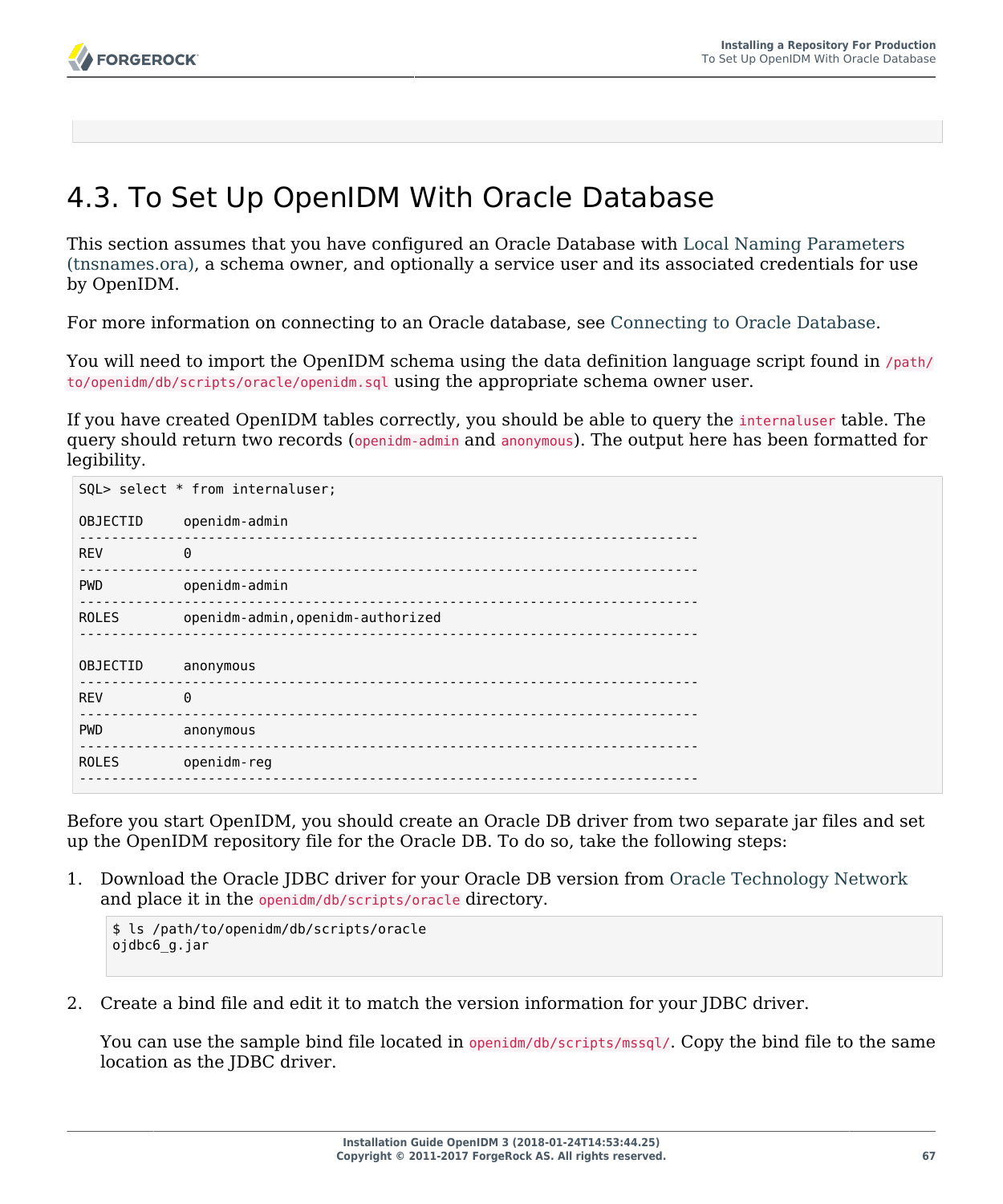# 4.3. To Set Up OpenIDM With Oracle Database

This section assumes that you have configured an Oracle Database with [Local Naming Parameters](http://docs.oracle.com/cd/B28359_01/network.111/b28317/tnsnames.htm) [\(tnsnames.ora\),](http://docs.oracle.com/cd/B28359_01/network.111/b28317/tnsnames.htm) a schema owner, and optionally a service user and its associated credentials for use by OpenIDM.

For more information on connecting to an Oracle database, see [Connecting to Oracle Database](http://docs.oracle.com/cd/E11882_01/appdev.112/e10766/tdddg_connecting.htm).

You will need to import the OpenIDM schema using the data definition language script found in /path/ to/openidm/db/scripts/oracle/openidm.sql using the appropriate schema owner user.

If you have created OpenIDM tables correctly, you should be able to query the internaluser table. The query should return two records (openidm-admin and anonymous). The output here has been formatted for legibility.

| SQL> select * from internaluser; |                                   |  |
|----------------------------------|-----------------------------------|--|
| OBJECTID                         | openidm-admin                     |  |
| <b>REV</b>                       | $\Theta$                          |  |
| <b>PWD</b>                       | openidm-admin                     |  |
| <b>ROLES</b>                     | openidm-admin, openidm-authorized |  |
| <b>OBJECTID</b>                  | anonymous                         |  |
| <b>REV</b>                       | $\Theta$                          |  |
| <b>PWD</b>                       | anonymous                         |  |
| <b>ROLES</b>                     | openidm-reg                       |  |
|                                  |                                   |  |

Before you start OpenIDM, you should create an Oracle DB driver from two separate jar files and set up the OpenIDM repository file for the Oracle DB. To do so, take the following steps:

1. Download the Oracle JDBC driver for your Oracle DB version from [Oracle Technology Network](http://www.oracle.com/technetwork/database/features/jdbc/index-091264.html) and place it in the openidm/db/scripts/oracle directory.

```
$ ls /path/to/openidm/db/scripts/oracle
ojdbc6_g.jar
```
2. Create a bind file and edit it to match the version information for your JDBC driver.

You can use the sample bind file located in openidm/db/scripts/mssql/. Copy the bind file to the same location as the JDBC driver.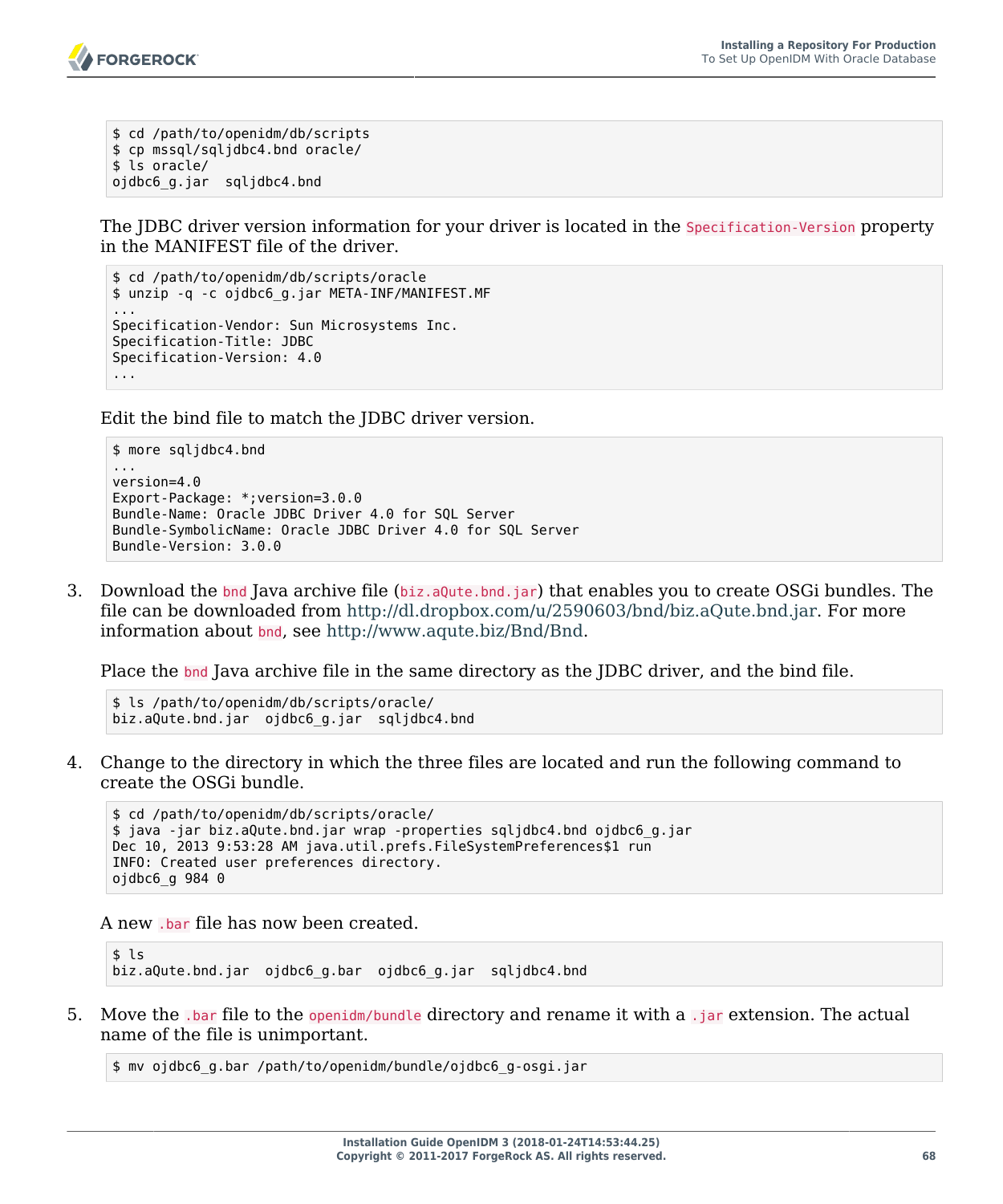

```
$ cd /path/to/openidm/db/scripts
$ cp mssql/sqljdbc4.bnd oracle/
$ ls oracle/
ojdbc6_g.jar sqljdbc4.bnd
```
The JDBC driver version information for your driver is located in the Specification-Version property in the MANIFEST file of the driver.

```
$ cd /path/to/openidm/db/scripts/oracle
$ unzip -q -c ojdbc6_g.jar META-INF/MANIFEST.MF
...
Specification-Vendor: Sun Microsystems Inc.
Specification-Title: JDBC
Specification-Version: 4.0
...
```
Edit the bind file to match the JDBC driver version.

```
$ more sqljdbc4.bnd
...
version=4.0
Export-Package: *;version=3.0.0
Bundle-Name: Oracle JDBC Driver 4.0 for SQL Server
Bundle-SymbolicName: Oracle JDBC Driver 4.0 for SQL Server
Bundle-Version: 3.0.0
```
3. Download the bnd Java archive file (biz.aQute.bnd.jar) that enables you to create OSGi bundles. The file can be downloaded from [http://dl.dropbox.com/u/2590603/bnd/biz.aQute.bnd.jar.](http://dl.dropbox.com/u/2590603/bnd/biz.aQute.bnd.jar) For more information about bnd, see [http://www.aqute.biz/Bnd/Bnd.](http://www.aqute.biz/Bnd/Bnd)

Place the bnd Java archive file in the same directory as the JDBC driver, and the bind file.

```
$ ls /path/to/openidm/db/scripts/oracle/
biz.aQute.bnd.jar ojdbc6_g.jar sqljdbc4.bnd
```
4. Change to the directory in which the three files are located and run the following command to create the OSGi bundle.

```
$ cd /path/to/openidm/db/scripts/oracle/
$ java -jar biz.aQute.bnd.jar wrap -properties sqljdbc4.bnd ojdbc6_g.jar
Dec 10, 2013 9:53:28 AM java.util.prefs.FileSystemPreferences$1 run
INFO: Created user preferences directory.
ojdbc6_g 984 0
```
A new .bar file has now been created.

 $$1s$ biz.aQute.bnd.jar ojdbc6\_g.bar ojdbc6\_g.jar sqljdbc4.bnd

5. Move the .bar file to the openidm/bundle directory and rename it with a .jar extension. The actual name of the file is unimportant.

\$ mv ojdbc6\_g.bar /path/to/openidm/bundle/ojdbc6\_g-osgi.jar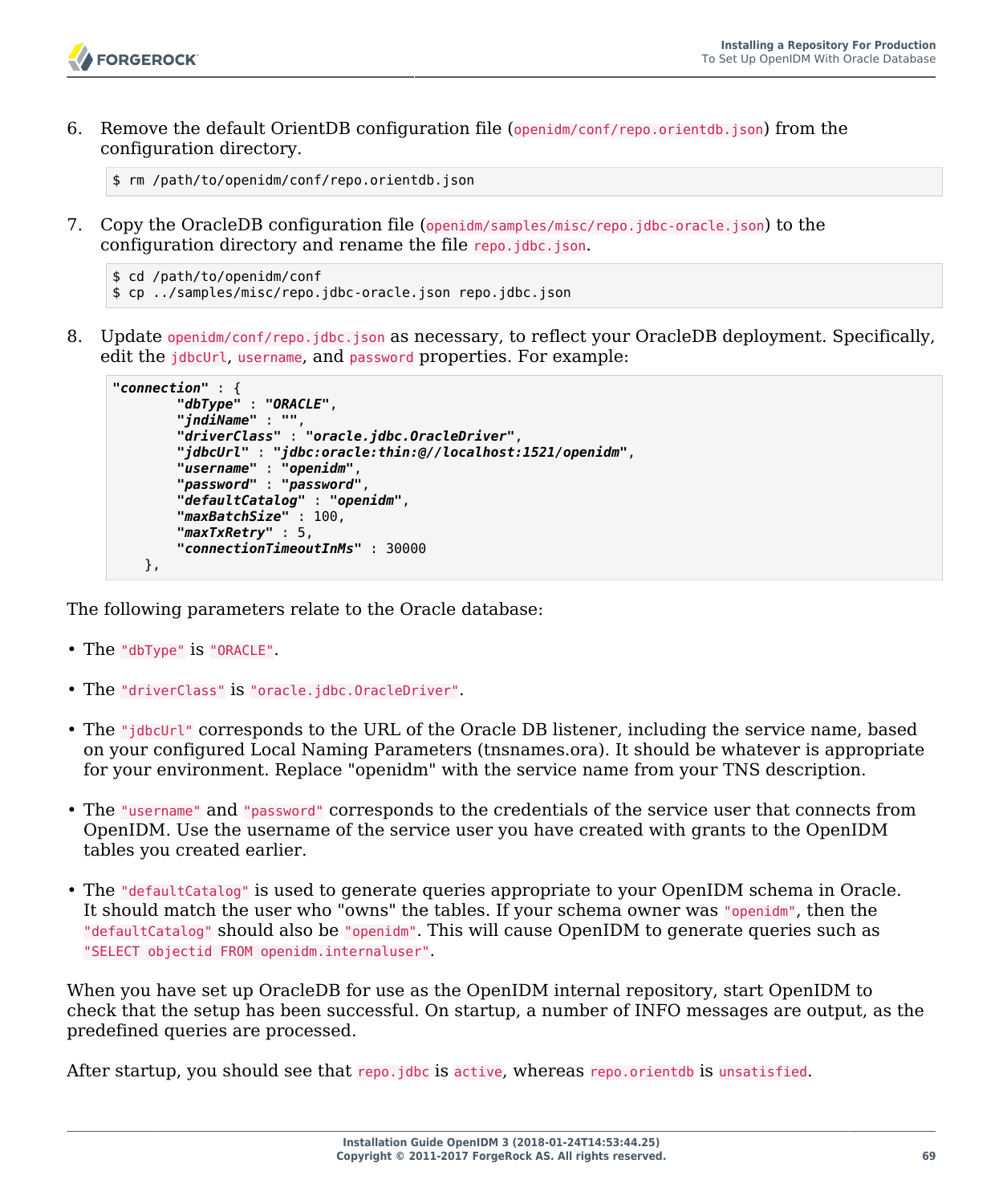

6. Remove the default OrientDB configuration file (openidm/conf/repo.orientdb.json) from the configuration directory.

\$ rm /path/to/openidm/conf/repo.orientdb.json

7. Copy the OracleDB configuration file (openidm/samples/misc/repo.jdbc-oracle.json) to the configuration directory and rename the file repo.jdbc.json.

```
$ cd /path/to/openidm/conf
$ cp ../samples/misc/repo.jdbc-oracle.json repo.jdbc.json
```
8. Update openidm/conf/repo.jdbc.json as necessary, to reflect your OracleDB deployment. Specifically, edit the idbcUrl, username, and password properties. For example:

```
"connection" : {
         "dbType" : "ORACLE",
         "jndiName" : "",
         "driverClass" : "oracle.jdbc.OracleDriver",
         "jdbcUrl" : "jdbc:oracle:thin:@//localhost:1521/openidm",
         "username" : "openidm",
         "password" : "password",
         "defaultCatalog" : "openidm",
         "maxBatchSize" : 100,
         "maxTxRetry" : 5,
         "connectionTimeoutInMs" : 30000
    },
```
The following parameters relate to the Oracle database:

- The "dbType" is "ORACLE".
- The "driverClass" is "oracle.jdbc.OracleDriver".
- The "jdbcUrl" corresponds to the URL of the Oracle DB listener, including the service name, based on your configured Local Naming Parameters (tnsnames.ora). It should be whatever is appropriate for your environment. Replace "openidm" with the service name from your TNS description.
- The "username" and "password" corresponds to the credentials of the service user that connects from OpenIDM. Use the username of the service user you have created with grants to the OpenIDM tables you created earlier.
- The "defaultCatalog" is used to generate queries appropriate to your OpenIDM schema in Oracle. It should match the user who "owns" the tables. If your schema owner was "openidm", then the "defaultCatalog" should also be "openidm". This will cause OpenIDM to generate queries such as "SELECT objectid FROM openidm.internaluser".

When you have set up OracleDB for use as the OpenIDM internal repository, start OpenIDM to check that the setup has been successful. On startup, a number of INFO messages are output, as the predefined queries are processed.

After startup, you should see that repo.jdbc is active, whereas repo.orientdb is unsatisfied.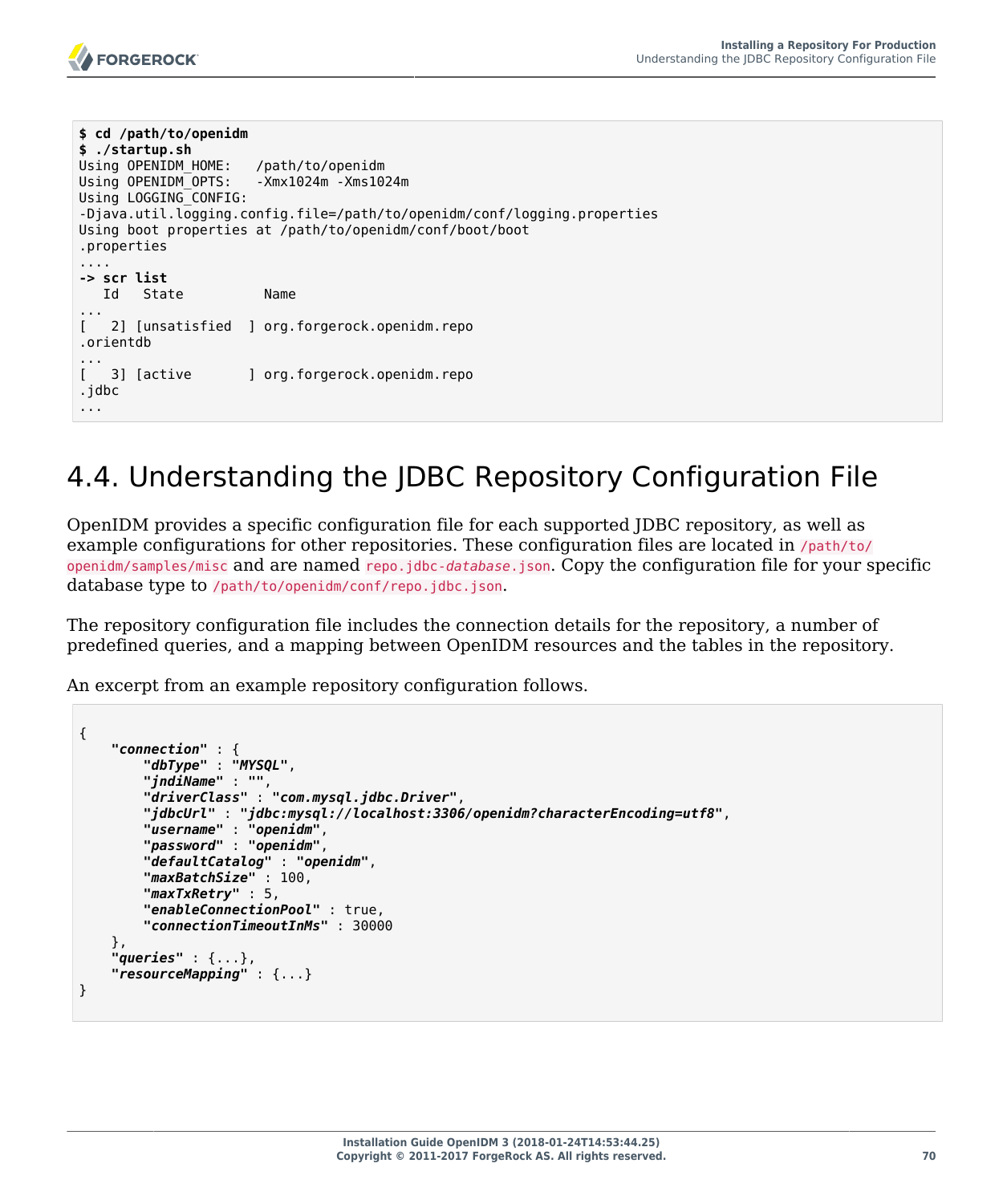

```
$ cd /path/to/openidm
$ ./startup.sh 
Using OPENIDM HOME: /path/to/openidm
Using OPENIDM_OPTS: - Xmx1024m - Xms1024m
Using LOGGING_CONFIG:
-Djava.util.logging.config.file=/path/to/openidm/conf/logging.properties
Using boot properties at /path/to/openidm/conf/boot/boot
.properties
....
-> scr list
   Id State Name
...
[ 2] [unsatisfied ] org.forgerock.openidm.repo
.orientdb
[3] [active]] org.forgerock.openidm.repo
.jdbc
...
```
# 4.4. Understanding the JDBC Repository Configuration File

OpenIDM provides a specific configuration file for each supported JDBC repository, as well as example configurations for other repositories. These configuration files are located in /path/to/ openidm/samples/misc and are named repo.jdbc-*database*.json. Copy the configuration file for your specific database type to /path/to/openidm/conf/repo.jdbc.json.

The repository configuration file includes the connection details for the repository, a number of predefined queries, and a mapping between OpenIDM resources and the tables in the repository.

An excerpt from an example repository configuration follows.

```
{
     "connection" : {
         "dbType" : "MYSQL",
         "jndiName" : "",
         "driverClass" : "com.mysql.jdbc.Driver",
         "jdbcUrl" : "jdbc:mysql://localhost:3306/openidm?characterEncoding=utf8",
         "username" : "openidm",
         "password" : "openidm",
         "defaultCatalog" : "openidm",
         "maxBatchSize" : 100,
         "maxTxRetry" : 5,
         "enableConnectionPool" : true,
         "connectionTimeoutInMs" : 30000
     },
     "queries" : {...},
     "resourceMapping" : {...}
}
```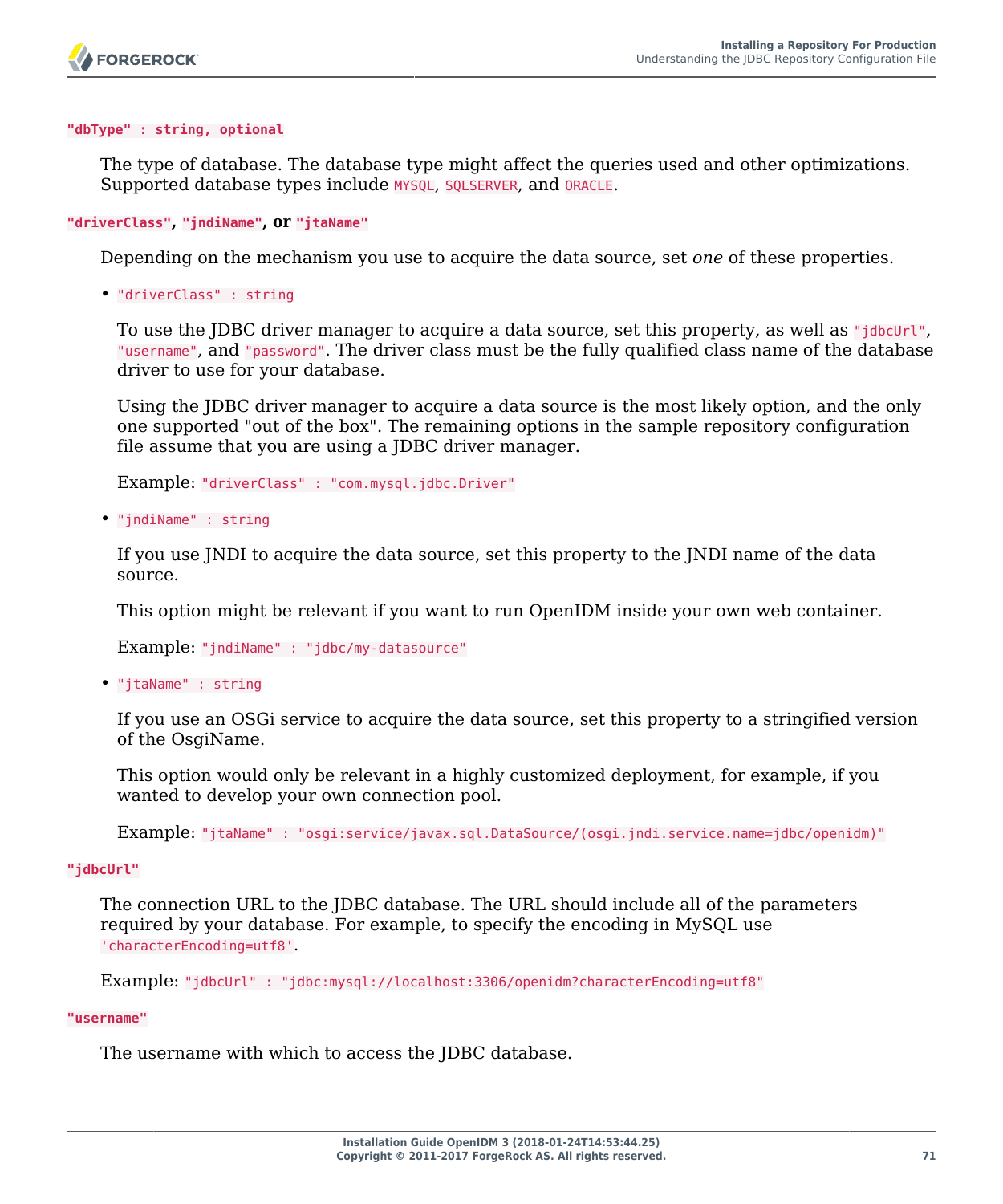#### **"dbType" : string, optional**

The type of database. The database type might affect the queries used and other optimizations. Supported database types include MYSQL, SQLSERVER, and ORACLE.

#### **"driverClass", "jndiName", or "jtaName"**

Depending on the mechanism you use to acquire the data source, set *one* of these properties.

• "driverClass" : string

To use the JDBC driver manager to acquire a data source, set this property, as well as "jdbcUrl", "username", and "password". The driver class must be the fully qualified class name of the database driver to use for your database.

Using the JDBC driver manager to acquire a data source is the most likely option, and the only one supported "out of the box". The remaining options in the sample repository configuration file assume that you are using a JDBC driver manager.

Example: "driverClass" : "com.mysql.jdbc.Driver"

• "jndiName" : string

If you use JNDI to acquire the data source, set this property to the JNDI name of the data source.

This option might be relevant if you want to run OpenIDM inside your own web container.

Example: "jndiName" : "jdbc/my-datasource"

• "jtaName" : string

If you use an OSGi service to acquire the data source, set this property to a stringified version of the OsgiName.

This option would only be relevant in a highly customized deployment, for example, if you wanted to develop your own connection pool.

Example: "jtaName" : "osgi:service/javax.sql.DataSource/(osgi.jndi.service.name=jdbc/openidm)"

#### **"jdbcUrl"**

The connection URL to the JDBC database. The URL should include all of the parameters required by your database. For example, to specify the encoding in MySQL use 'characterEncoding=utf8'.

Example: "jdbcUrl" : "jdbc:mysql://localhost:3306/openidm?characterEncoding=utf8"

#### **"username"**

The username with which to access the JDBC database.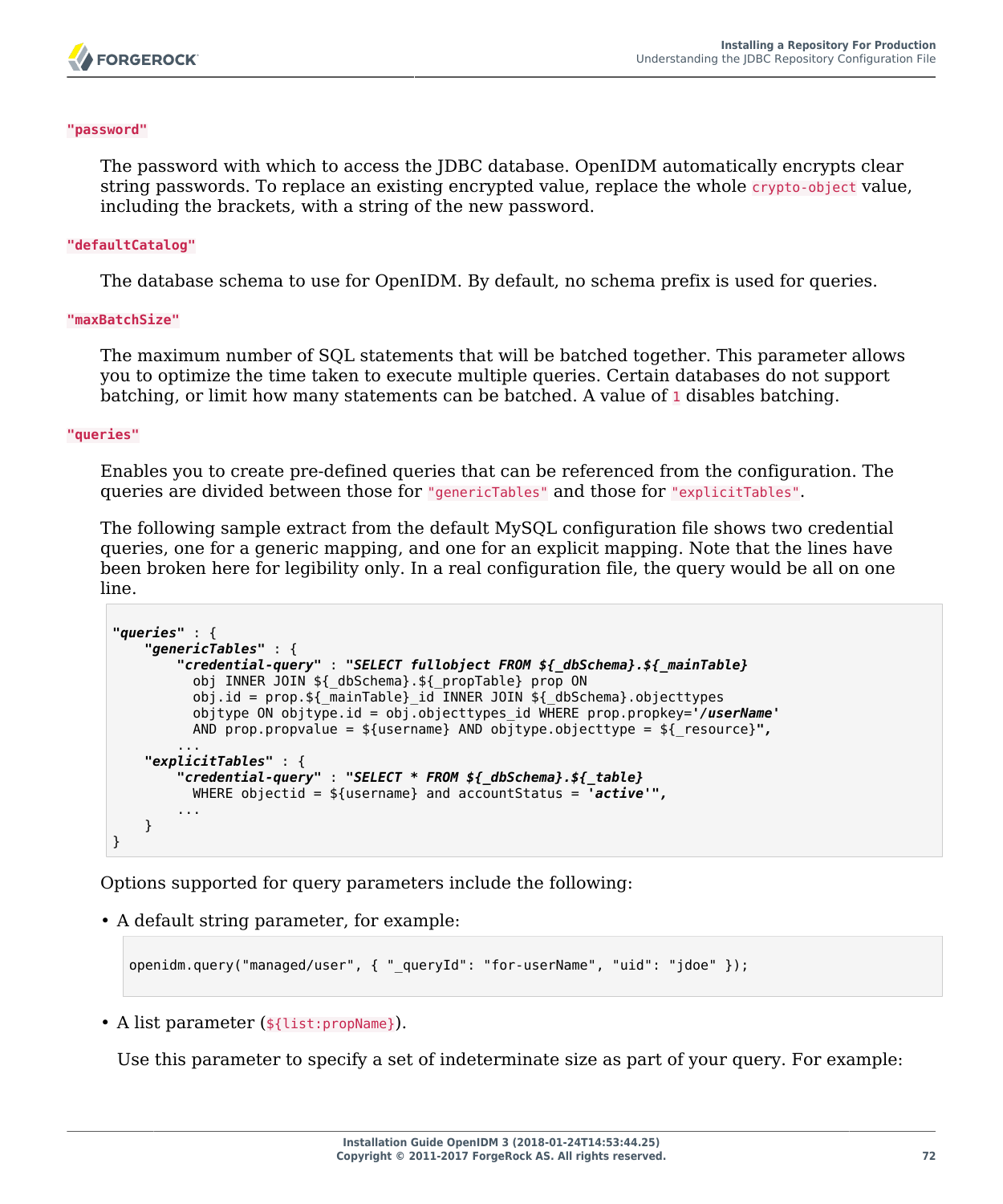

#### **"password"**

The password with which to access the JDBC database. OpenIDM automatically encrypts clear string passwords. To replace an existing encrypted value, replace the whole crypto-object value, including the brackets, with a string of the new password.

#### **"defaultCatalog"**

The database schema to use for OpenIDM. By default, no schema prefix is used for queries.

#### **"maxBatchSize"**

The maximum number of SQL statements that will be batched together. This parameter allows you to optimize the time taken to execute multiple queries. Certain databases do not support batching, or limit how many statements can be batched. A value of  $\mathbb{I}$  disables batching.

#### **"queries"**

Enables you to create pre-defined queries that can be referenced from the configuration. The queries are divided between those for "genericTables" and those for "explicitTables".

The following sample extract from the default MySQL configuration file shows two credential queries, one for a generic mapping, and one for an explicit mapping. Note that the lines have been broken here for legibility only. In a real configuration file, the query would be all on one line.

```
"queries" : {
     "genericTables" : {
         "credential-query" : "SELECT fullobject FROM ${_dbSchema}.${_mainTable}
           obj INNER JOIN ${_dbSchema}.${_propTable} prop ON
 obj.id = prop.${_mainTable}_id INNER JOIN ${_dbSchema}.objecttypes
 objtype ON objtype.id = obj.objecttypes_id WHERE prop.propkey='/userName'
          AND prop.propvalue = ${username} AND objtype.objecttype = ${_resource}",
 ...
     "explicitTables" : {
         "credential-query" : "SELECT * FROM ${_dbSchema}.${_table}
          WHERE objectid = ${username} and accountStatus = 'active'",
         ...
    }
}
```
Options supported for query parameters include the following:

• A default string parameter, for example:

```
openidm.query("managed/user", { "_queryId": "for-userName", "uid": "jdoe" });
```
• A list parameter (\${list:propName}).

Use this parameter to specify a set of indeterminate size as part of your query. For example: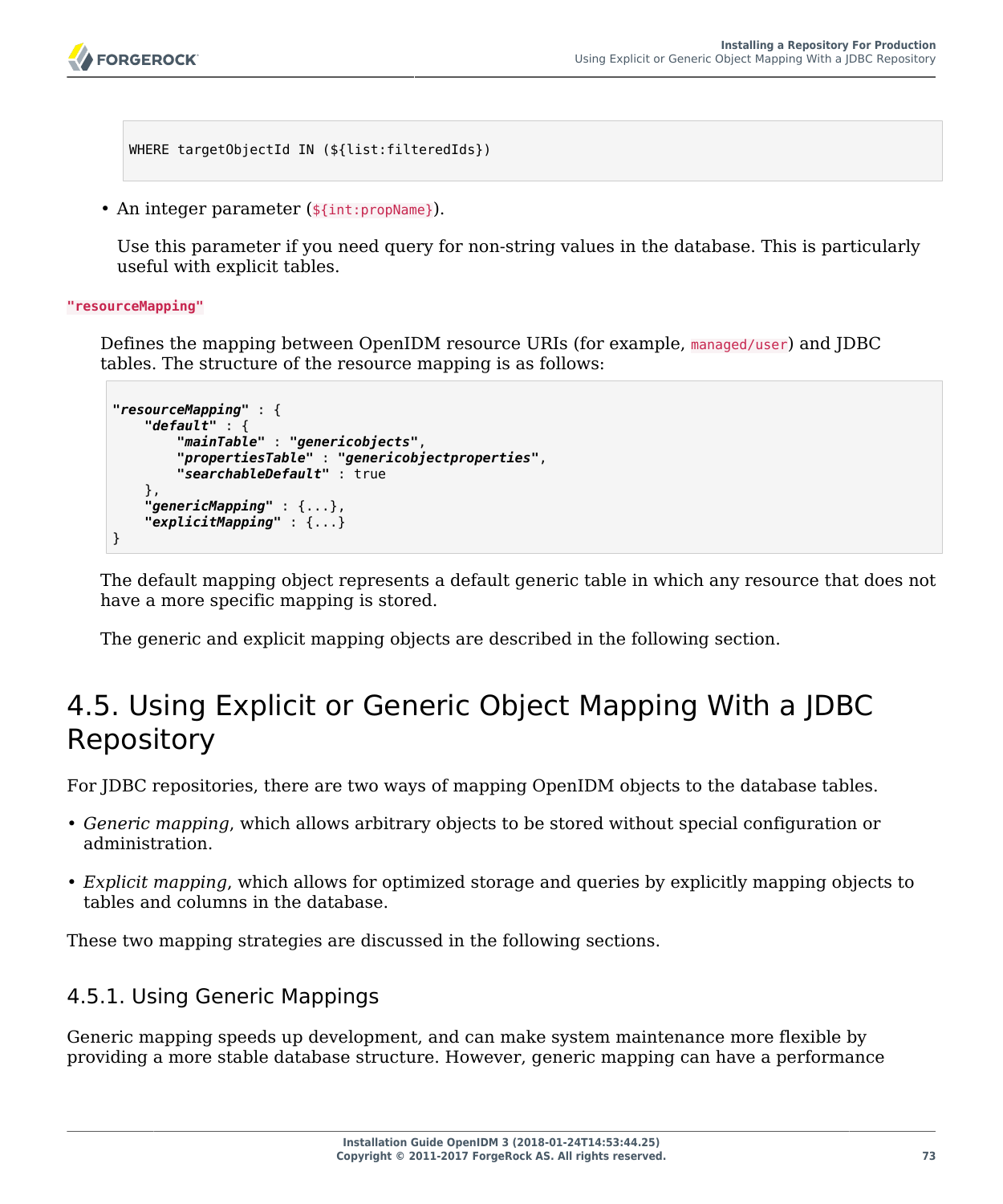```
FORGEROCK
```

```
WHERE targetObjectId IN (${list:filteredIds})
```

```
• An integer parameter (${int:propName}).
```
Use this parameter if you need query for non-string values in the database. This is particularly useful with explicit tables.

**"resourceMapping"**

Defines the mapping between OpenIDM resource URIs (for example, managed/user) and JDBC tables. The structure of the resource mapping is as follows:

```
"resourceMapping" : {
     "default" : {
         "mainTable" : "genericobjects",
 "propertiesTable" : "genericobjectproperties",
 "searchableDefault" : true
 },
 "genericMapping" : {...},
     "explicitMapping" : {...}
}
```
The default mapping object represents a default generic table in which any resource that does not have a more specific mapping is stored.

The generic and explicit mapping objects are described in the following section.

# 4.5. Using Explicit or Generic Object Mapping With a JDBC Repository

For JDBC repositories, there are two ways of mapping OpenIDM objects to the database tables.

- *Generic mapping*, which allows arbitrary objects to be stored without special configuration or administration.
- *Explicit mapping*, which allows for optimized storage and queries by explicitly mapping objects to tables and columns in the database.

These two mapping strategies are discussed in the following sections.

## 4.5.1. Using Generic Mappings

Generic mapping speeds up development, and can make system maintenance more flexible by providing a more stable database structure. However, generic mapping can have a performance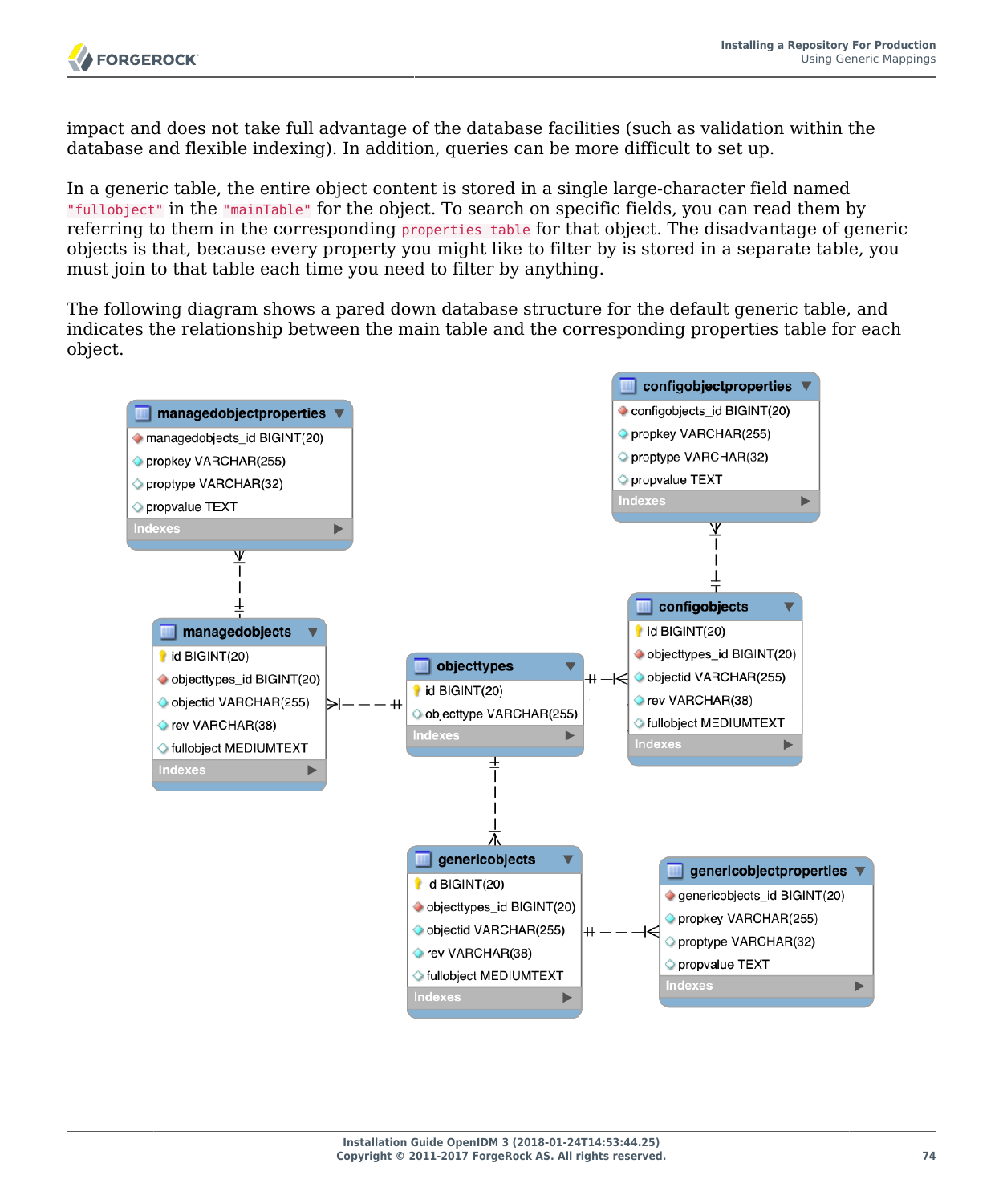impact and does not take full advantage of the database facilities (such as validation within the database and flexible indexing). In addition, queries can be more difficult to set up.

In a generic table, the entire object content is stored in a single large-character field named "fullobject" in the "mainTable" for the object. To search on specific fields, you can read them by referring to them in the corresponding properties table for that object. The disadvantage of generic objects is that, because every property you might like to filter by is stored in a separate table, you must join to that table each time you need to filter by anything.

The following diagram shows a pared down database structure for the default generic table, and indicates the relationship between the main table and the corresponding properties table for each object.

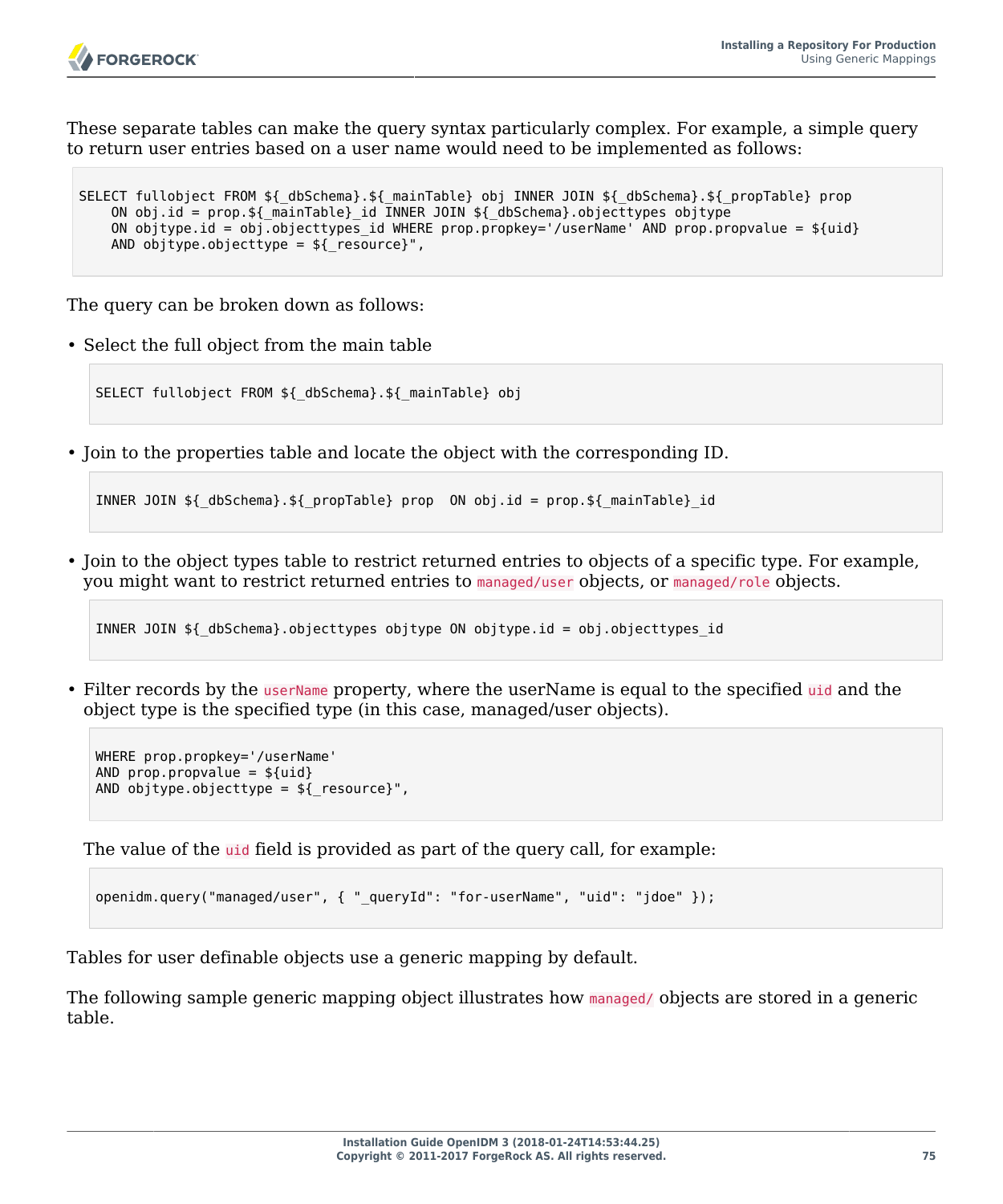

These separate tables can make the query syntax particularly complex. For example, a simple query to return user entries based on a user name would need to be implemented as follows:

```
SELECT fullobject FROM ${_dbSchema}.${_mainTable} obj INNER JOIN ${_dbSchema}.${_propTable} prop
   ON obj.id = prop.${ mainTable} id INNER JOIN ${ dbSchema}.objecttypes objtype
   ON objtype.id = obj.objecttypes id WHERE prop.propkey='/userName' AND prop.propvalue = fuidAND objtype.objecttype = ${ resource}",
```
The query can be broken down as follows:

• Select the full object from the main table

SELECT fullobject FROM \${ dbSchema}. \${ mainTable} obj

• Join to the properties table and locate the object with the corresponding ID.

```
INNER JOIN ${_dbSchema}.${_propTable} prop ON obj.id = prop.${_mainTable}_id
```
• Join to the object types table to restrict returned entries to objects of a specific type. For example, you might want to restrict returned entries to managed/user objects, or managed/role objects.

```
INNER JOIN ${_dbSchema}.objecttypes objtype ON objtype.id = obj.objecttypes_id
```
• Filter records by the userName property, where the userName is equal to the specified uid and the object type is the specified type (in this case, managed/user objects).

```
WHERE prop.propkey='/userName'
AND prop.propvalue = ${uid}AND objtype.objecttype = ${ resource}",
```
The value of the uid field is provided as part of the query call, for example:

```
openidm.query("managed/user", { "_queryId": "for-userName", "uid": "jdoe" });
```
Tables for user definable objects use a generic mapping by default.

The following sample generic mapping object illustrates how managed/ objects are stored in a generic table.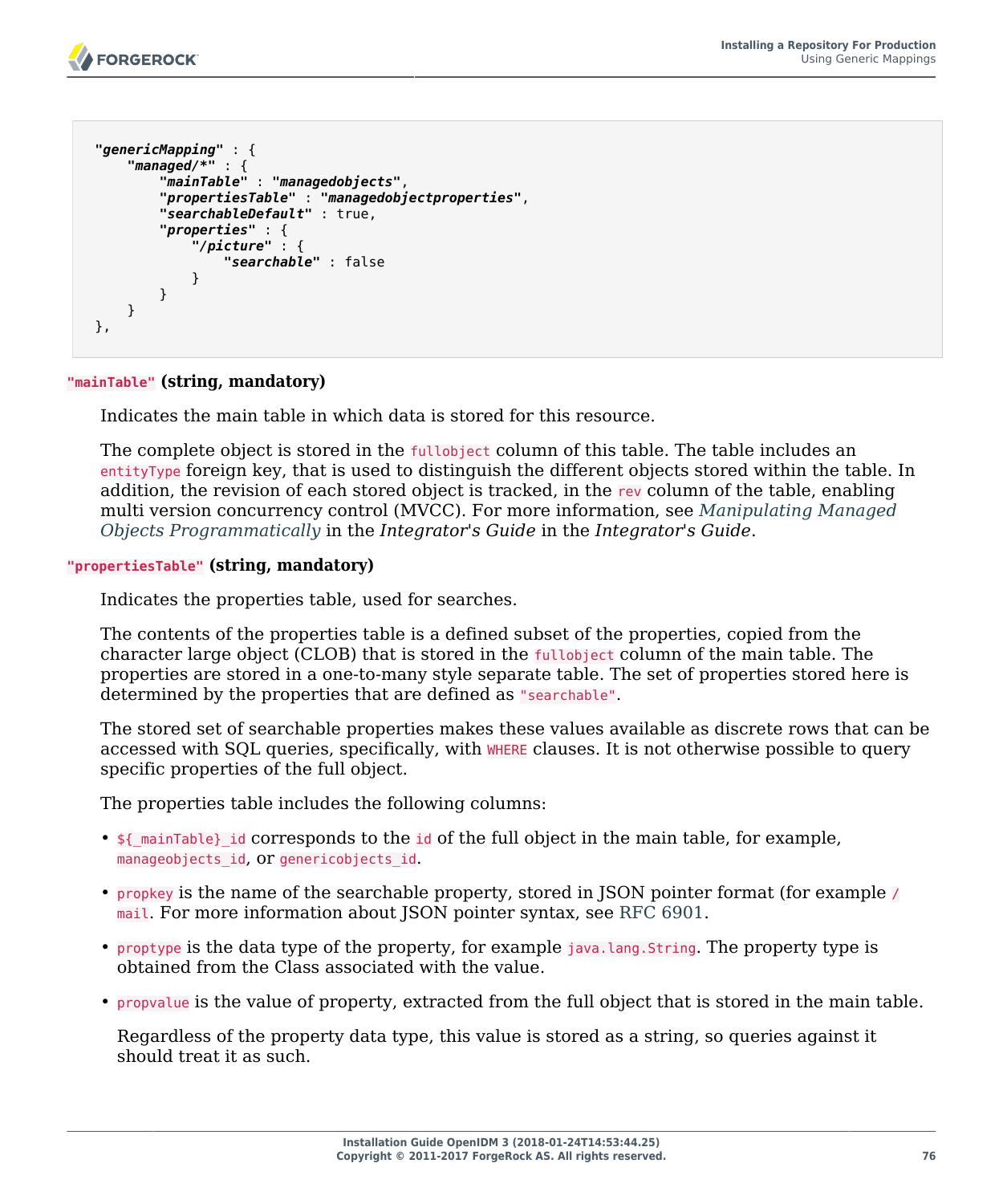```
 "genericMapping" : {
      "managed/*" : {
          "mainTable" : "managedobjects",
          "propertiesTable" : "managedobjectproperties",
          "searchableDefault" : true,
          "properties" : {
              "/picture" : {
              "searchable" : false
 }
          }
      }
  },
```
#### **"mainTable" (string, mandatory)**

Indicates the main table in which data is stored for this resource.

The complete object is stored in the fullobject column of this table. The table includes an entityType foreign key, that is used to distinguish the different objects stored within the table. In addition, the revision of each stored object is tracked, in the rev column of the table, enabling multi version concurrency control (MVCC). For more information, see *Manipulating Managed Objects Programmatically* in the *Integrator's Guide* in the *Integrator's Guide*.

#### **"propertiesTable" (string, mandatory)**

Indicates the properties table, used for searches.

The contents of the properties table is a defined subset of the properties, copied from the character large object (CLOB) that is stored in the fullobject column of the main table. The properties are stored in a one-to-many style separate table. The set of properties stored here is determined by the properties that are defined as "searchable".

The stored set of searchable properties makes these values available as discrete rows that can be accessed with SQL queries, specifically, with WHERE clauses. It is not otherwise possible to query specific properties of the full object.

The properties table includes the following columns:

- $\frac{1}{2}$  mainTable} id corresponds to the id of the full object in the main table, for example, manageobjects id, Or genericobjects id.
- propkey is the name of the searchable property, stored in JSON pointer format (for example / mail. For more information about JSON pointer syntax, see [RFC 6901](http://tools.ietf.org/html/rfc6901).
- proptype is the data type of the property, for example java.lang.String. The property type is obtained from the Class associated with the value.
- propvalue is the value of property, extracted from the full object that is stored in the main table.

Regardless of the property data type, this value is stored as a string, so queries against it should treat it as such.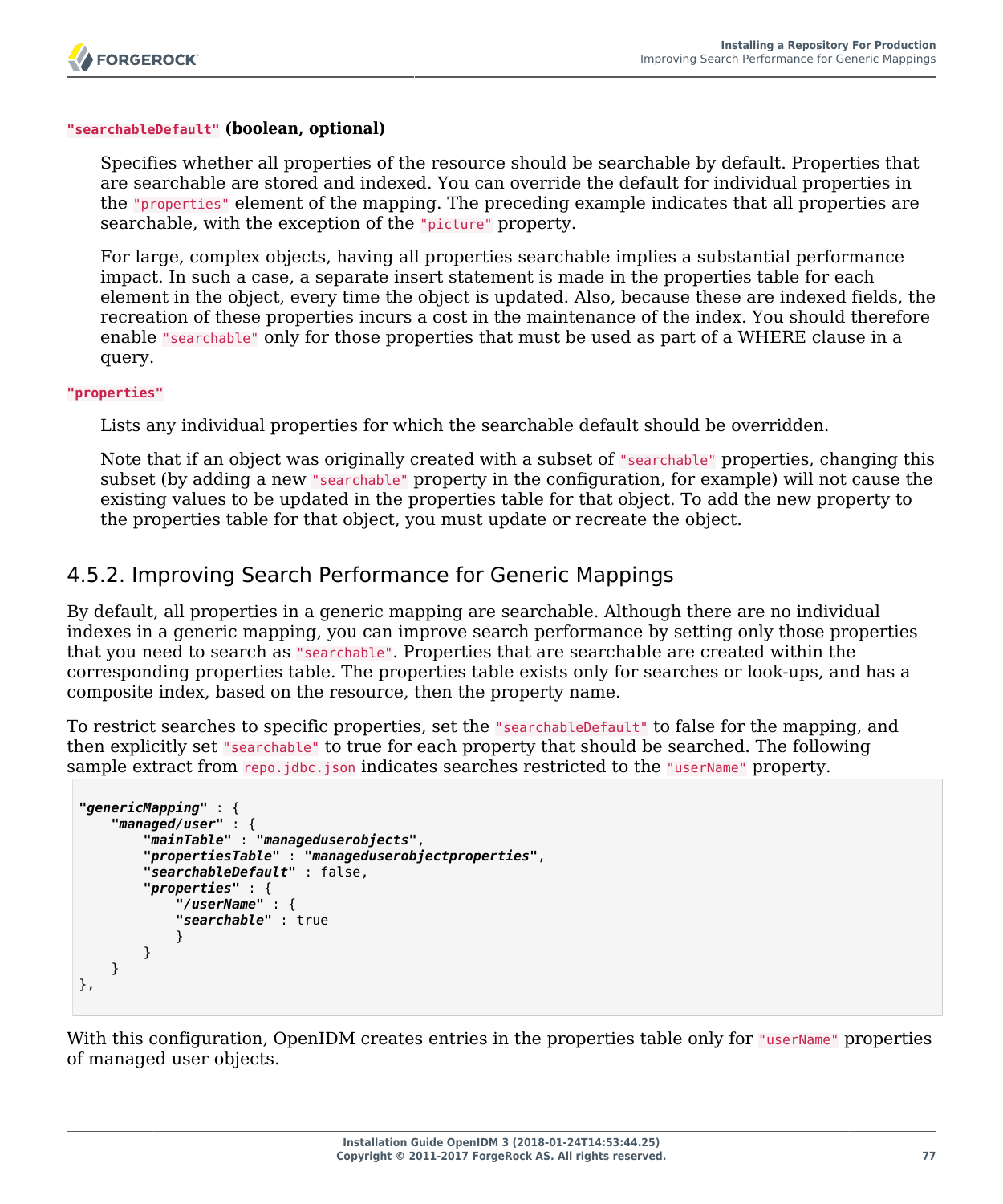#### **"searchableDefault" (boolean, optional)**

Specifies whether all properties of the resource should be searchable by default. Properties that are searchable are stored and indexed. You can override the default for individual properties in the "properties" element of the mapping. The preceding example indicates that all properties are searchable, with the exception of the "picture" property.

For large, complex objects, having all properties searchable implies a substantial performance impact. In such a case, a separate insert statement is made in the properties table for each element in the object, every time the object is updated. Also, because these are indexed fields, the recreation of these properties incurs a cost in the maintenance of the index. You should therefore enable "searchable" only for those properties that must be used as part of a WHERE clause in a query.

#### **"properties"**

Lists any individual properties for which the searchable default should be overridden.

Note that if an object was originally created with a subset of "searchable" properties, changing this subset (by adding a new "searchable" property in the configuration, for example) will not cause the existing values to be updated in the properties table for that object. To add the new property to the properties table for that object, you must update or recreate the object.

### 4.5.2. Improving Search Performance for Generic Mappings

By default, all properties in a generic mapping are searchable. Although there are no individual indexes in a generic mapping, you can improve search performance by setting only those properties that you need to search as "searchable". Properties that are searchable are created within the corresponding properties table. The properties table exists only for searches or look-ups, and has a composite index, based on the resource, then the property name.

To restrict searches to specific properties, set the "searchableDefault" to false for the mapping, and then explicitly set "searchable" to true for each property that should be searched. The following sample extract from repo.jdbc.json indicates searches restricted to the "userName" property.

```
"genericMapping" : {
     "managed/user" : {
         "mainTable" : "manageduserobjects",
         "propertiesTable" : "manageduserobjectproperties",
         "searchableDefault" : false,
         "properties" : {
             "/userName" : {
             "searchable" : true
 }
         }
     }
},
```
With this configuration, OpenIDM creates entries in the properties table only for "userName" properties of managed user objects.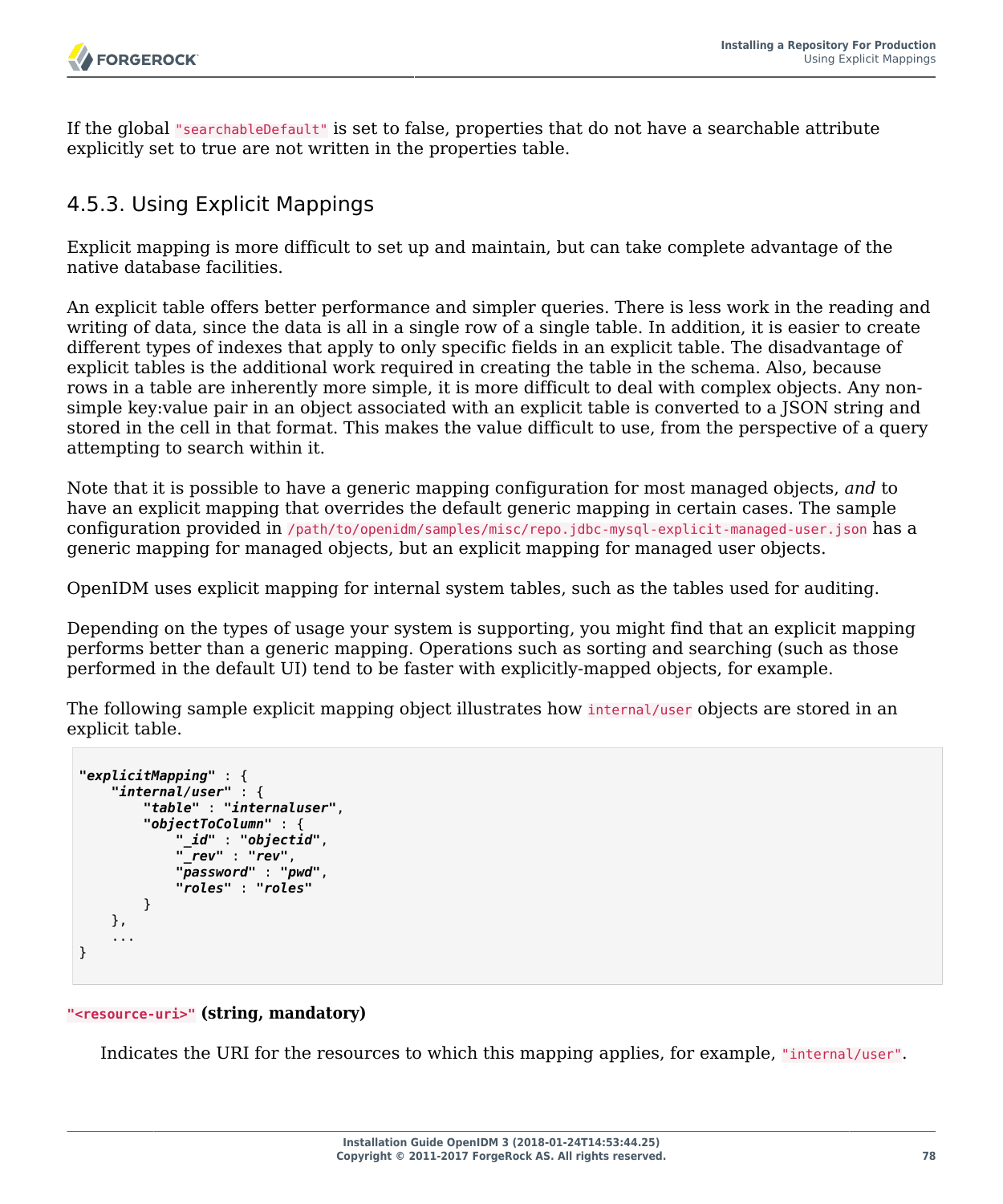

If the global "searchableDefault" is set to false, properties that do not have a searchable attribute explicitly set to true are not written in the properties table.

### 4.5.3. Using Explicit Mappings

Explicit mapping is more difficult to set up and maintain, but can take complete advantage of the native database facilities.

An explicit table offers better performance and simpler queries. There is less work in the reading and writing of data, since the data is all in a single row of a single table. In addition, it is easier to create different types of indexes that apply to only specific fields in an explicit table. The disadvantage of explicit tables is the additional work required in creating the table in the schema. Also, because rows in a table are inherently more simple, it is more difficult to deal with complex objects. Any nonsimple key:value pair in an object associated with an explicit table is converted to a JSON string and stored in the cell in that format. This makes the value difficult to use, from the perspective of a query attempting to search within it.

Note that it is possible to have a generic mapping configuration for most managed objects, *and* to have an explicit mapping that overrides the default generic mapping in certain cases. The sample configuration provided in /path/to/openidm/samples/misc/repo.jdbc-mysql-explicit-managed-user.json has a generic mapping for managed objects, but an explicit mapping for managed user objects.

OpenIDM uses explicit mapping for internal system tables, such as the tables used for auditing.

Depending on the types of usage your system is supporting, you might find that an explicit mapping performs better than a generic mapping. Operations such as sorting and searching (such as those performed in the default UI) tend to be faster with explicitly-mapped objects, for example.

The following sample explicit mapping object illustrates how internal/user objects are stored in an explicit table.

```
"explicitMapping" : {
     "internal/user" : {
         "table" : "internaluser",
         "objectToColumn" : {
              "_id" : "objectid",
              "_rev" : "rev",
              "password" : "pwd",
              "roles" : "roles"
         }
     },
 ...
}
```
#### **"<resource-uri>" (string, mandatory)**

Indicates the URI for the resources to which this mapping applies, for example, "internal/user".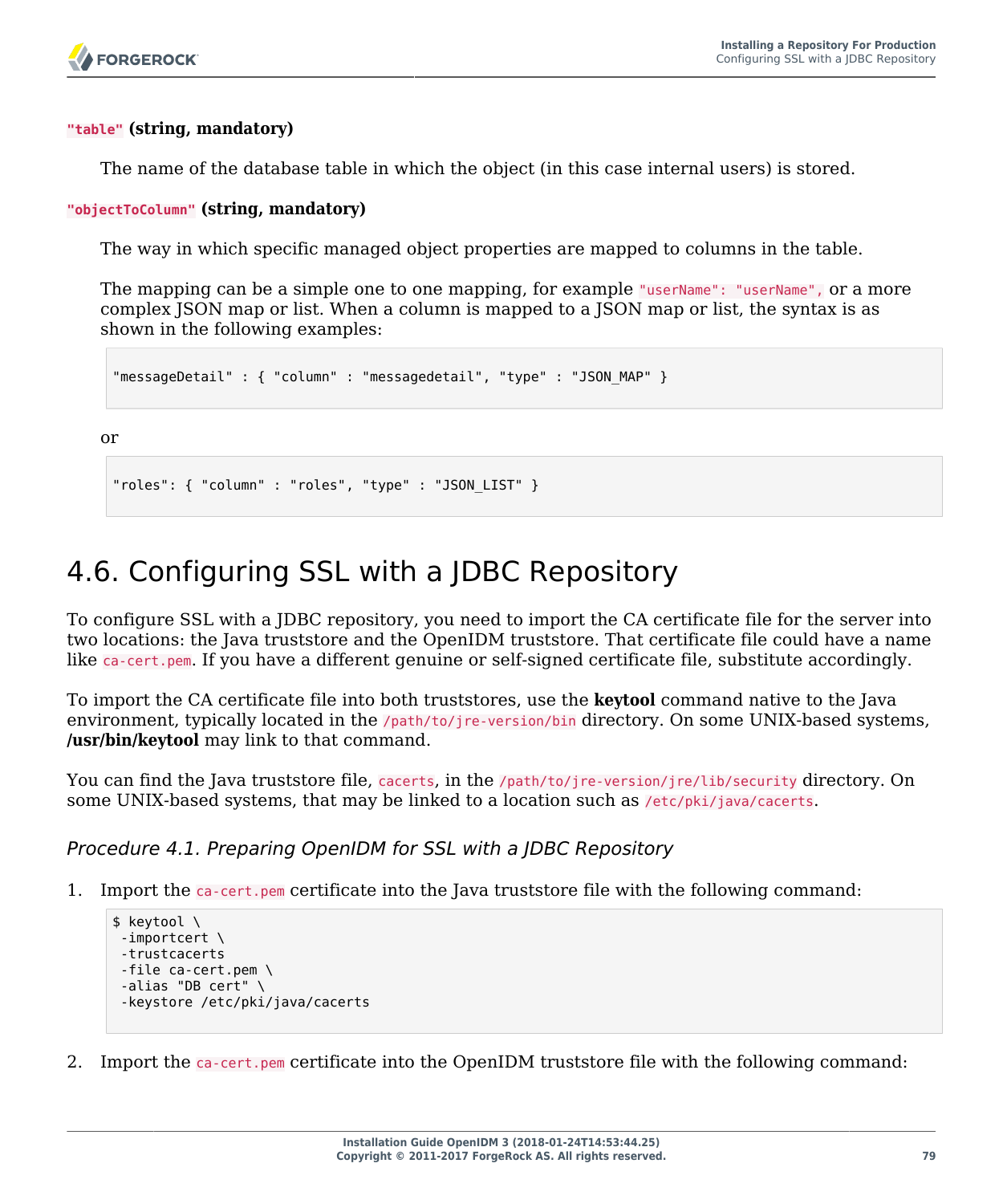#### **"table" (string, mandatory)**

The name of the database table in which the object (in this case internal users) is stored.

#### **"objectToColumn" (string, mandatory)**

The way in which specific managed object properties are mapped to columns in the table.

The mapping can be a simple one to one mapping, for example "userName": "userName", or a more complex JSON map or list. When a column is mapped to a JSON map or list, the syntax is as shown in the following examples:

```
"messageDetail" : { "column" : "messagedetail", "type" : "JSON_MAP" }
```
or

```
"roles": { "column" : "roles", "type" : "JSON_LIST" }
```
# 4.6. Configuring SSL with a JDBC Repository

To configure SSL with a JDBC repository, you need to import the CA certificate file for the server into two locations: the Java truststore and the OpenIDM truststore. That certificate file could have a name like ca-cert.pem. If you have a different genuine or self-signed certificate file, substitute accordingly.

To import the CA certificate file into both truststores, use the **keytool** command native to the Java environment, typically located in the /path/to/jre-version/bin directory. On some UNIX-based systems, **/usr/bin/keytool** may link to that command.

You can find the Java truststore file, cacerts, in the /path/to/jre-version/jre/lib/security directory. On some UNIX-based systems, that may be linked to a location such as /etc/pki/java/cacerts.

*Procedure 4.1. Preparing OpenIDM for SSL with a JDBC Repository*

1. Import the ca-cert.pem certificate into the Java truststore file with the following command:

```
$ keytool \
-importcert \
-trustcacerts
-file ca-cert.pem \
-alias "DB cert" \
-keystore /etc/pki/java/cacerts
```
2. Import the ca-cert.pem certificate into the OpenIDM truststore file with the following command: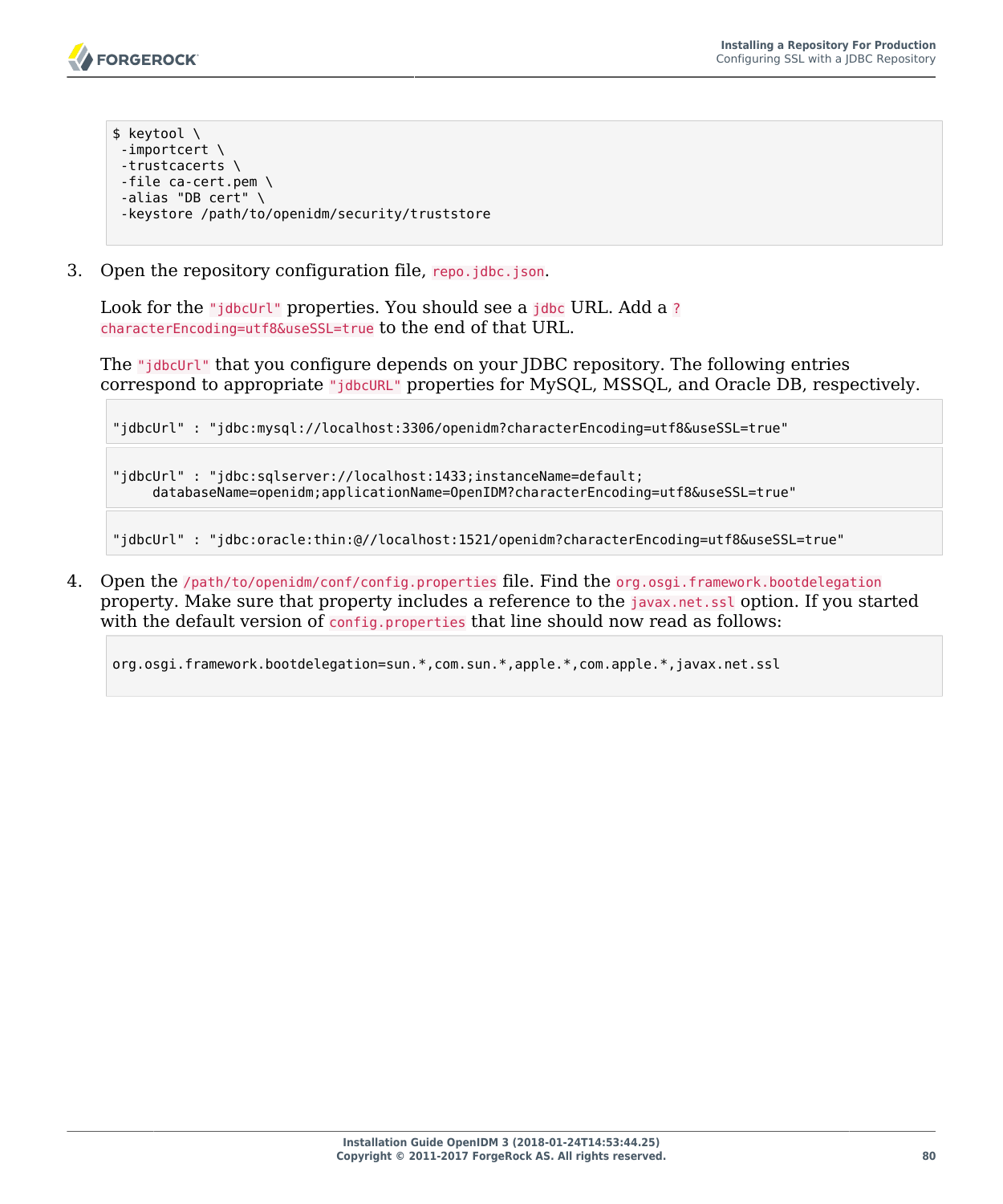- \$ keytool \ -importcert \ -trustcacerts \ -file ca-cert.pem \ -alias "DB cert" \ -keystore /path/to/openidm/security/truststore
- 3. Open the repository configuration file, repo.jdbc.json.

Look for the "jdbcUrl" properties. You should see a jdbc URL. Add a ? characterEncoding=utf8&useSSL=true to the end of that URL.

The "jdbcUrl" that you configure depends on your JDBC repository. The following entries correspond to appropriate "jdbcURL" properties for MySQL, MSSQL, and Oracle DB, respectively.

"jdbcUrl" : "jdbc:mysql://localhost:3306/openidm?characterEncoding=utf8&useSSL=true"

"jdbcUrl" : "jdbc:sqlserver://localhost:1433;instanceName=default; databaseName=openidm;applicationName=OpenIDM?characterEncoding=utf8&useSSL=true"

"jdbcUrl" : "jdbc:oracle:thin:@//localhost:1521/openidm?characterEncoding=utf8&useSSL=true"

4. Open the /path/to/openidm/conf/config.properties file. Find the org.osgi.framework.bootdelegation property. Make sure that property includes a reference to the javax.net.ssl option. If you started with the default version of config.properties that line should now read as follows:

org.osgi.framework.bootdelegation=sun.\*,com.sun.\*,apple.\*,com.apple.\*,javax.net.ssl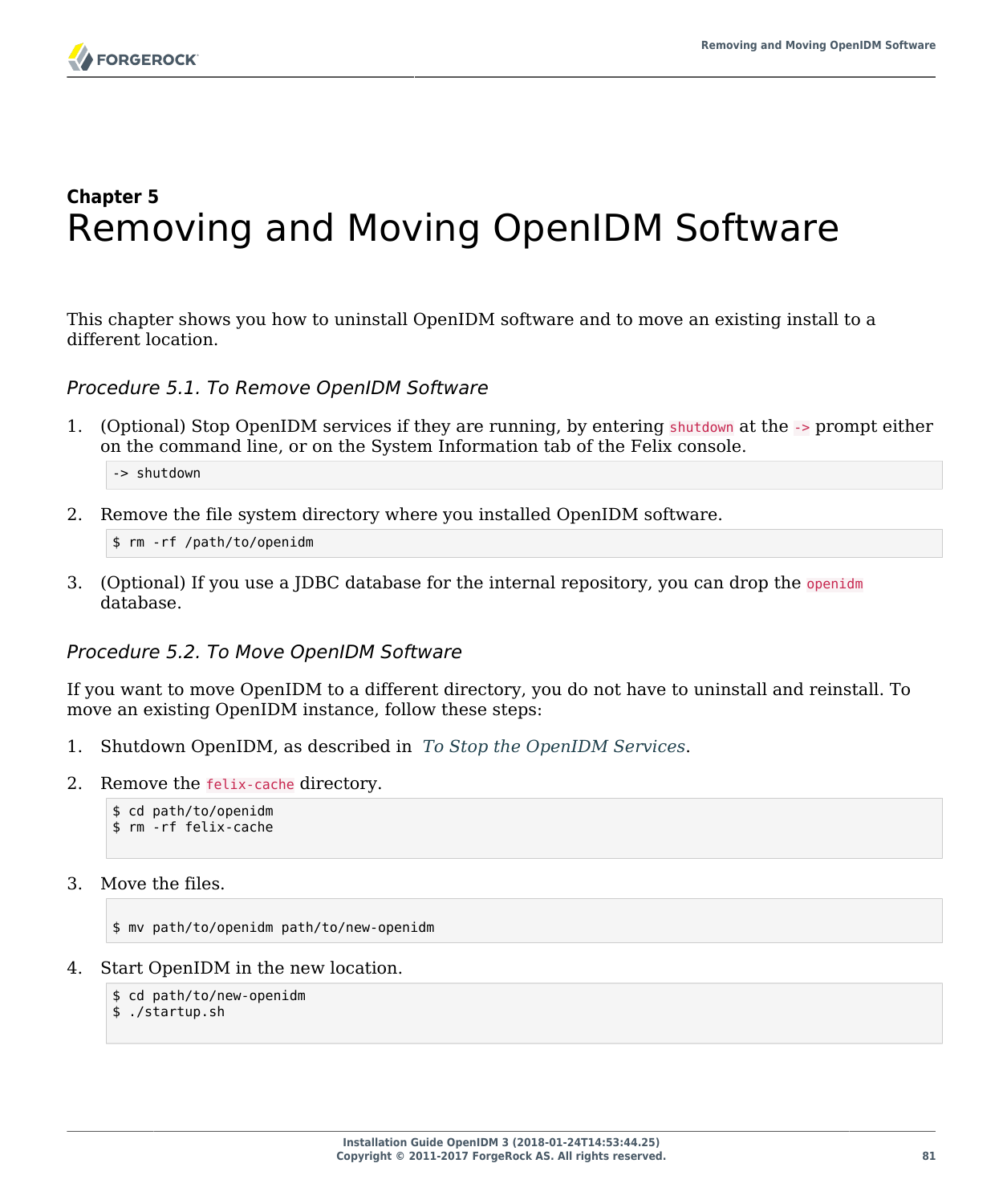

# **Chapter 5** Removing and Moving OpenIDM Software

<span id="page-85-0"></span>This chapter shows you how to uninstall OpenIDM software and to move an existing install to a different location.

*Procedure 5.1. To Remove OpenIDM Software*

1. (Optional) Stop OpenIDM services if they are running, by entering shutdown at the -> prompt either on the command line, or on the System Information tab of the Felix console.

-> shutdown

2. Remove the file system directory where you installed OpenIDM software.

\$ rm -rf /path/to/openidm

3. (Optional) If you use a JDBC database for the internal repository, you can drop the openidm database.

#### *Procedure 5.2. To Move OpenIDM Software*

If you want to move OpenIDM to a different directory, you do not have to uninstall and reinstall. To move an existing OpenIDM instance, follow these steps:

- 1. Shutdown OpenIDM, as described in *[To Stop the OpenIDM Services](#page-8-0)*.
- 2. Remove the felix-cache directory.

```
$ cd path/to/openidm
$ rm -rf felix-cache
```
3. Move the files.

\$ mv path/to/openidm path/to/new-openidm

4. Start OpenIDM in the new location.

\$ cd path/to/new-openidm

\$ ./startup.sh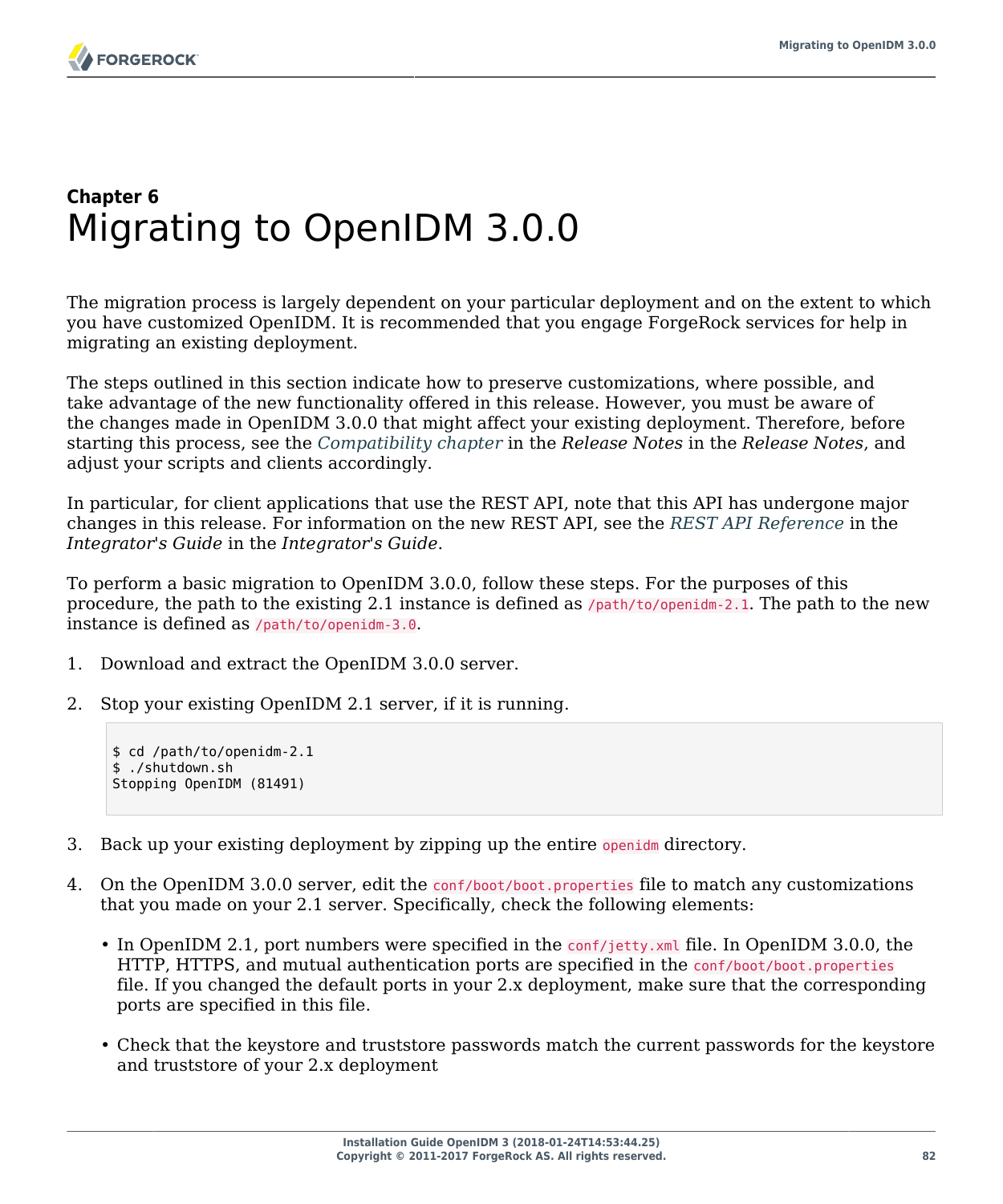# **Chapter 6** Migrating to OpenIDM 3.0.0

The migration process is largely dependent on your particular deployment and on the extent to which you have customized OpenIDM. It is recommended that you engage ForgeRock services for help in migrating an existing deployment.

The steps outlined in this section indicate how to preserve customizations, where possible, and take advantage of the new functionality offered in this release. However, you must be aware of the changes made in OpenIDM 3.0.0 that might affect your existing deployment. Therefore, before starting this process, see the *Compatibility chapter* in the *Release Notes* in the *Release Notes*, and adjust your scripts and clients accordingly.

In particular, for client applications that use the REST API, note that this API has undergone major changes in this release. For information on the new REST API, see the *REST API Reference* in the *Integrator's Guide* in the *Integrator's Guide*.

To perform a basic migration to OpenIDM 3.0.0, follow these steps. For the purposes of this procedure, the path to the existing 2.1 instance is defined as /path/to/openidm-2.1. The path to the new instance is defined as /path/to/openidm-3.0.

- 1. Download and extract the OpenIDM 3.0.0 server.
- 2. Stop your existing OpenIDM 2.1 server, if it is running.

```
$ cd /path/to/openidm-2.1
$ ./shutdown.sh
Stopping OpenIDM (81491)
```
- 3. Back up your existing deployment by zipping up the entire openidm directory.
- 4. On the OpenIDM 3.0.0 server, edit the conf/boot/boot.properties file to match any customizations that you made on your 2.1 server. Specifically, check the following elements:
	- In OpenIDM 2.1, port numbers were specified in the conf/jetty.xml file. In OpenIDM 3.0.0, the HTTP, HTTPS, and mutual authentication ports are specified in the conf/boot/boot.properties file. If you changed the default ports in your 2.x deployment, make sure that the corresponding ports are specified in this file.
	- Check that the keystore and truststore passwords match the current passwords for the keystore and truststore of your 2.x deployment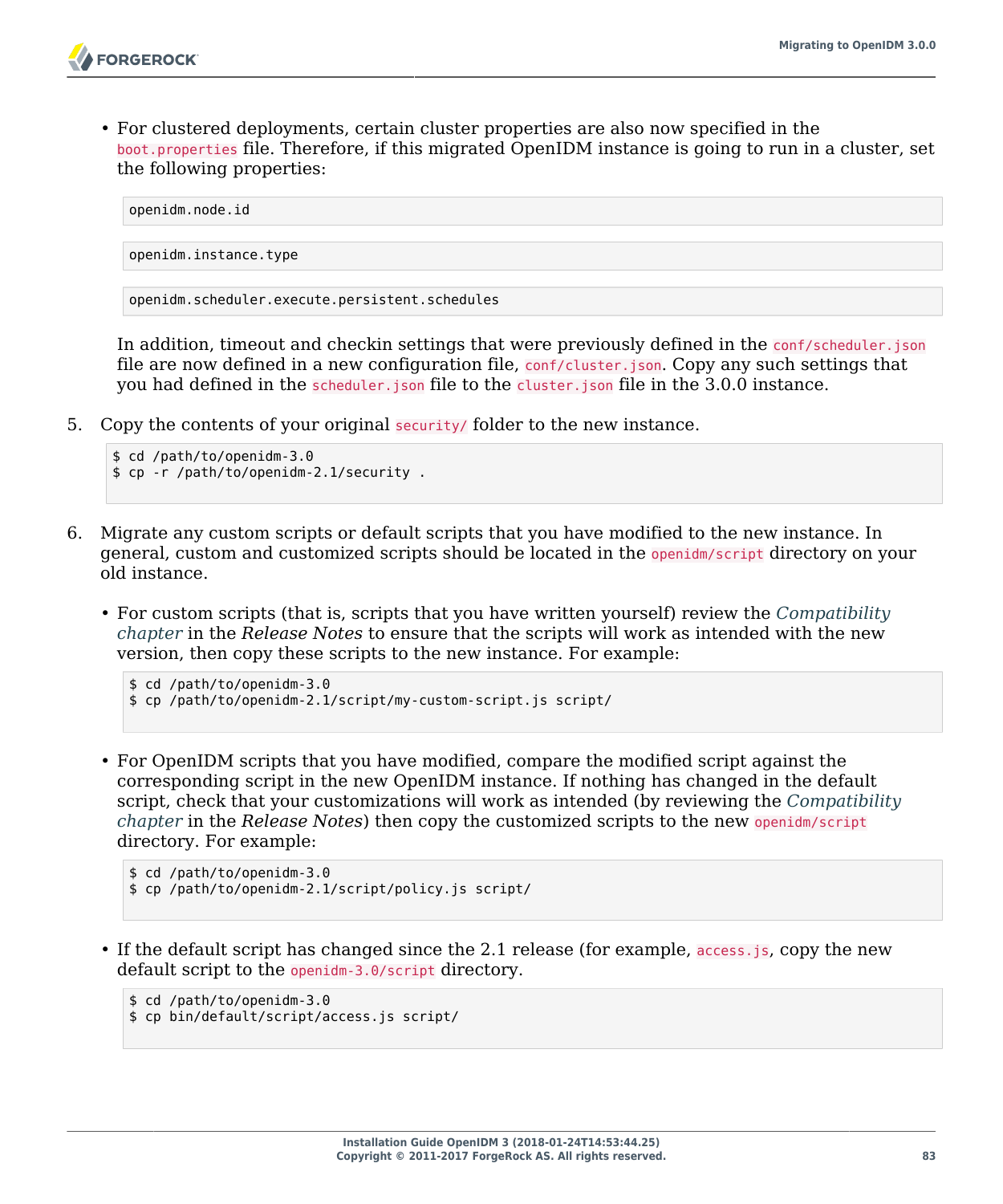• For clustered deployments, certain cluster properties are also now specified in the boot.properties file. Therefore, if this migrated OpenIDM instance is going to run in a cluster, set the following properties:

```
openidm.node.id
openidm.instance.type
openidm.scheduler.execute.persistent.schedules
```
In addition, timeout and checkin settings that were previously defined in the conf/scheduler.json file are now defined in a new configuration file, conf/cluster.json. Copy any such settings that you had defined in the scheduler.json file to the cluster.json file in the 3.0.0 instance.

5. Copy the contents of your original security/ folder to the new instance.

```
$ cd /path/to/openidm-3.0
$ cp -r /path/to/openidm-2.1/security .
```
- 6. Migrate any custom scripts or default scripts that you have modified to the new instance. In general, custom and customized scripts should be located in the openidm/script directory on your old instance.
	- For custom scripts (that is, scripts that you have written yourself) review the *Compatibility chapter* in the *Release Notes* to ensure that the scripts will work as intended with the new version, then copy these scripts to the new instance. For example:

```
$ cd /path/to/openidm-3.0
$ cp /path/to/openidm-2.1/script/my-custom-script.js script/
```
• For OpenIDM scripts that you have modified, compare the modified script against the corresponding script in the new OpenIDM instance. If nothing has changed in the default script, check that your customizations will work as intended (by reviewing the *Compatibility chapter* in the *Release Notes*) then copy the customized scripts to the new openidm/script directory. For example:

```
$ cd /path/to/openidm-3.0
$ cp /path/to/openidm-2.1/script/policy.js script/
```
• If the default script has changed since the 2.1 release (for example, access.js, copy the new default script to the openidm-3.0/script directory.

```
$ cd /path/to/openidm-3.0
$ cp bin/default/script/access.js script/
```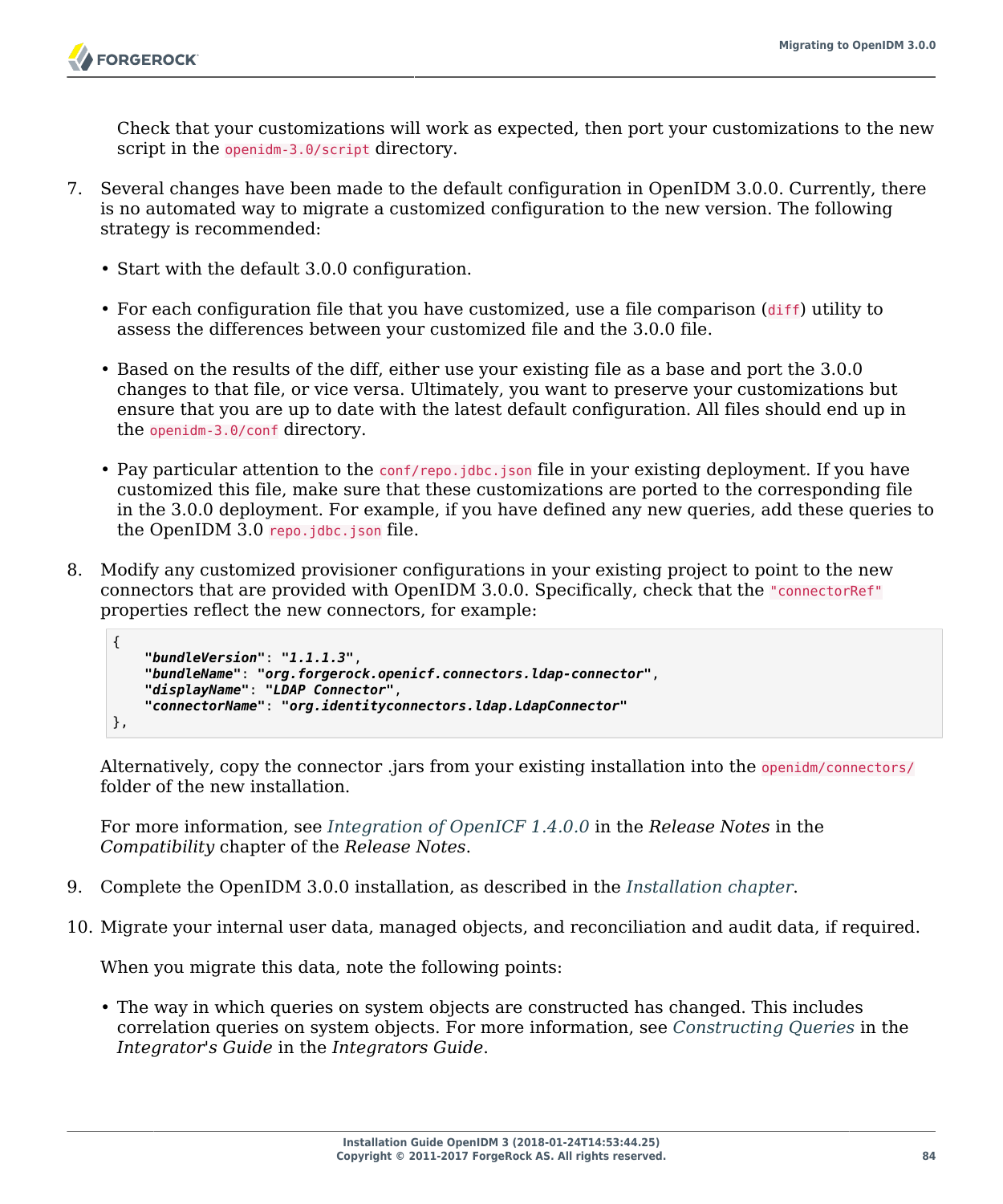Check that your customizations will work as expected, then port your customizations to the new script in the openidm-3.0/script directory.

- 7. Several changes have been made to the default configuration in OpenIDM 3.0.0. Currently, there is no automated way to migrate a customized configuration to the new version. The following strategy is recommended:
	- Start with the default 3.0.0 configuration.
	- For each configuration file that you have customized, use a file comparison  $(\text{diff})$  utility to assess the differences between your customized file and the 3.0.0 file.
	- Based on the results of the diff, either use your existing file as a base and port the 3.0.0 changes to that file, or vice versa. Ultimately, you want to preserve your customizations but ensure that you are up to date with the latest default configuration. All files should end up in the openidm-3.0/conf directory.
	- Pay particular attention to the conf/repo.jdbc.json file in your existing deployment. If you have customized this file, make sure that these customizations are ported to the corresponding file in the 3.0.0 deployment. For example, if you have defined any new queries, add these queries to the OpenIDM 3.0 repo.jdbc.json file.
- 8. Modify any customized provisioner configurations in your existing project to point to the new connectors that are provided with OpenIDM 3.0.0. Specifically, check that the "connectorRef" properties reflect the new connectors, for example:

```
{
     "bundleVersion": "1.1.1.3",
     "bundleName": "org.forgerock.openicf.connectors.ldap-connector",
     "displayName": "LDAP Connector",
     "connectorName": "org.identityconnectors.ldap.LdapConnector"
},
```
Alternatively, copy the connector .jars from your existing installation into the openidm/connectors/ folder of the new installation.

For more information, see *Integration of OpenICF 1.4.0.0* in the *Release Notes* in the *Compatibility* chapter of the *Release Notes*.

- 9. Complete the OpenIDM 3.0.0 installation, as described in the *[Installation chapter](#page-5-0)*.
- 10. Migrate your internal user data, managed objects, and reconciliation and audit data, if required.

When you migrate this data, note the following points:

• The way in which queries on system objects are constructed has changed. This includes correlation queries on system objects. For more information, see *Constructing Queries* in the *Integrator's Guide* in the *Integrators Guide*.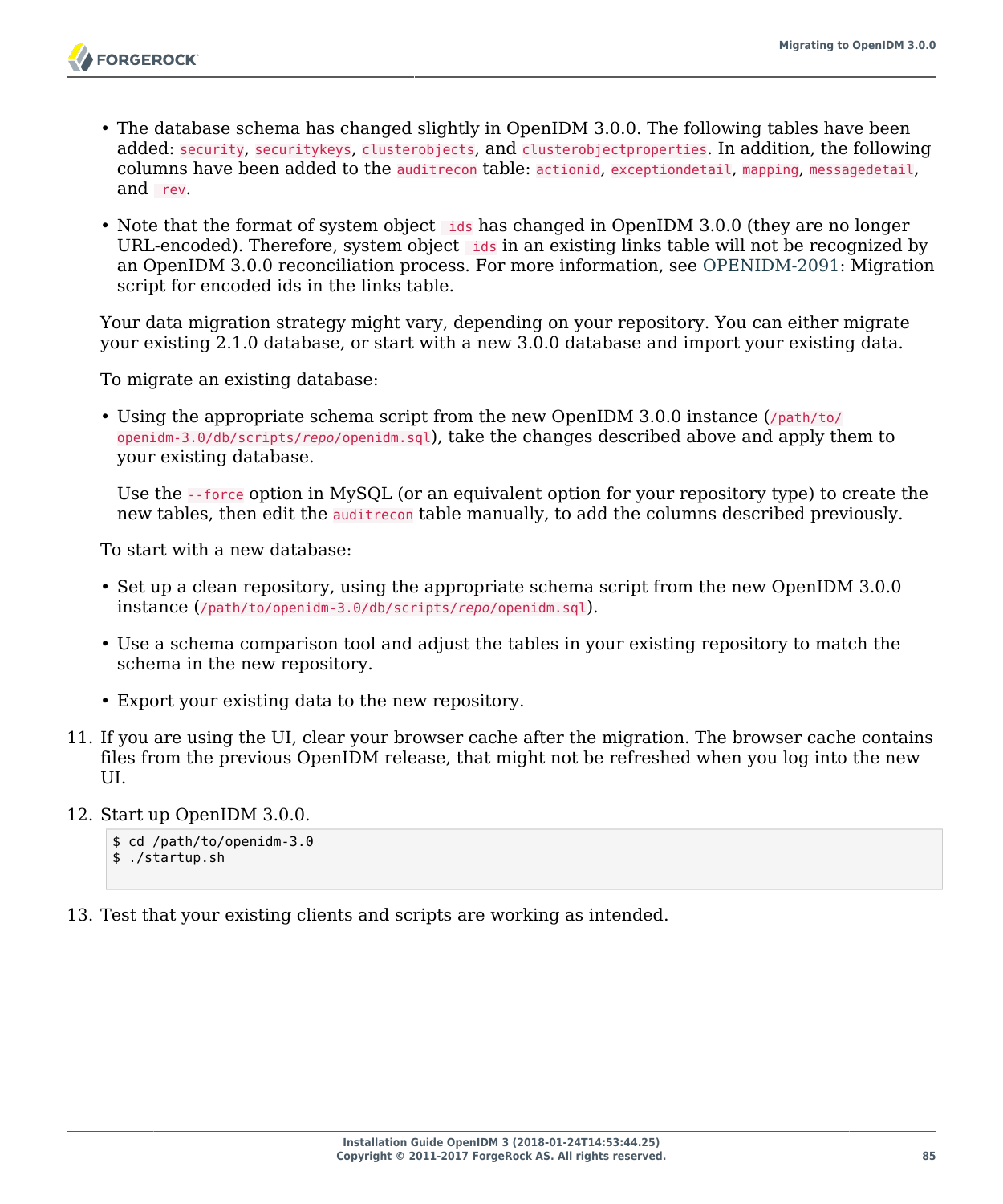- The database schema has changed slightly in OpenIDM 3.0.0. The following tables have been added: security, securitykeys, clusterobjects, and clusterobjectproperties. In addition, the following columns have been added to the auditrecon table: actionid, exceptiondetail, mapping, messagedetail, and rev.
- Note that the format of system object ids has changed in OpenIDM 3.0.0 (they are no longer URL-encoded). Therefore, system object ids in an existing links table will not be recognized by an OpenIDM 3.0.0 reconciliation process. For more information, see [OPENIDM-2091](https://bugster.forgerock.org/jira/browse/OPENIDM-2091): Migration script for encoded ids in the links table.

Your data migration strategy might vary, depending on your repository. You can either migrate your existing 2.1.0 database, or start with a new 3.0.0 database and import your existing data.

To migrate an existing database:

• Using the appropriate schema script from the new OpenIDM 3.0.0 instance (/path/to/ openidm-3.0/db/scripts/*repo*/openidm.sql), take the changes described above and apply them to your existing database.

Use the --force option in MySQL (or an equivalent option for your repository type) to create the new tables, then edit the auditrecon table manually, to add the columns described previously.

To start with a new database:

- Set up a clean repository, using the appropriate schema script from the new OpenIDM 3.0.0 instance (/path/to/openidm-3.0/db/scripts/*repo*/openidm.sql).
- Use a schema comparison tool and adjust the tables in your existing repository to match the schema in the new repository.
- Export your existing data to the new repository.
- 11. If you are using the UI, clear your browser cache after the migration. The browser cache contains files from the previous OpenIDM release, that might not be refreshed when you log into the new UI.
- 12. Start up OpenIDM 3.0.0.

\$ cd /path/to/openidm-3.0 \$ ./startup.sh

13. Test that your existing clients and scripts are working as intended.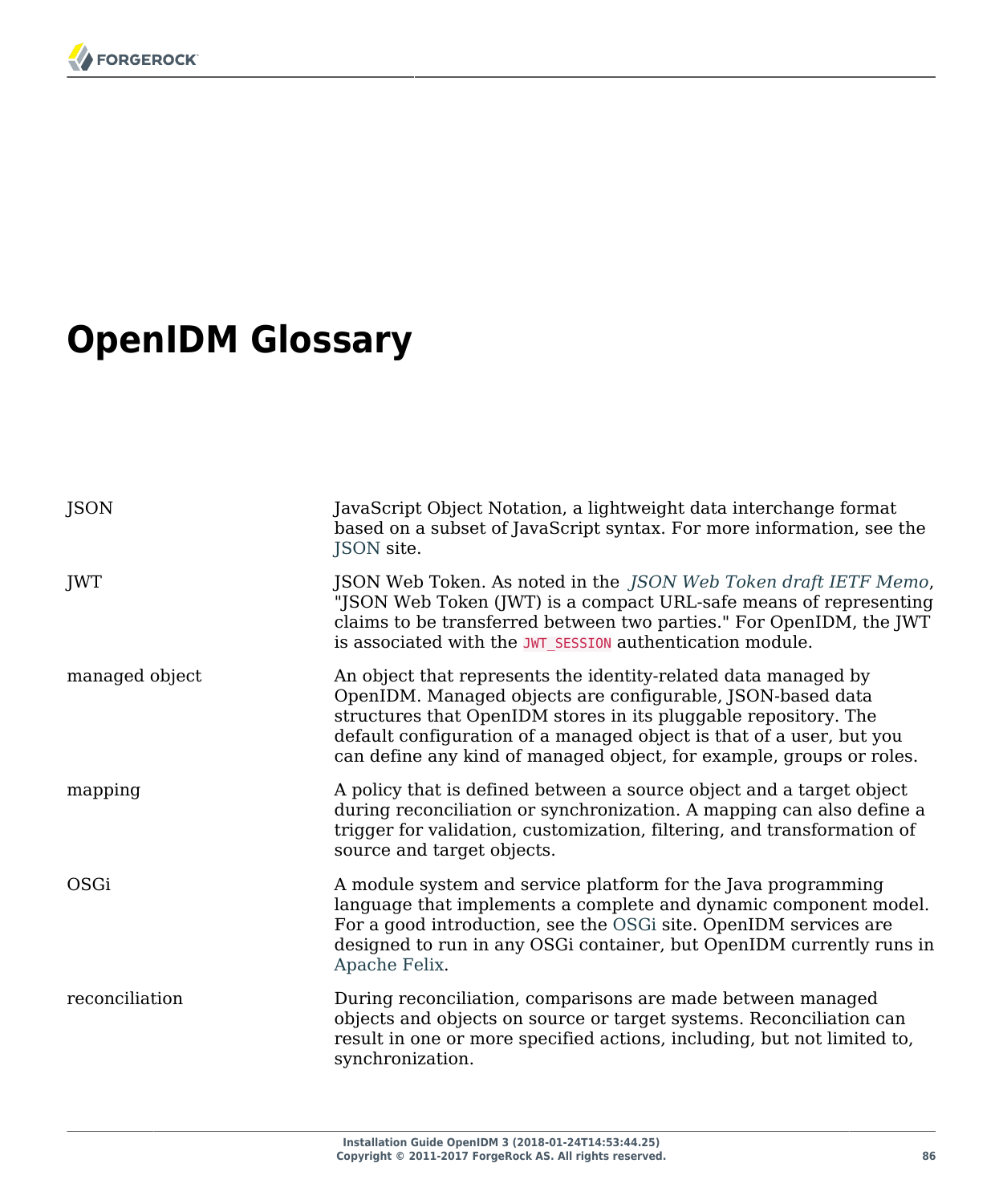# **OpenIDM Glossary**

| JSON           | JavaScript Object Notation, a lightweight data interchange format<br>based on a subset of JavaScript syntax. For more information, see the<br>JSON site.                                                                                                                                                                                        |
|----------------|-------------------------------------------------------------------------------------------------------------------------------------------------------------------------------------------------------------------------------------------------------------------------------------------------------------------------------------------------|
| JWT            | JSON Web Token. As noted in the JSON Web Token draft IETF Memo,<br>"JSON Web Token (JWT) is a compact URL-safe means of representing<br>claims to be transferred between two parties." For OpenIDM, the JWT<br>is associated with the JWT_SESSION authentication module.                                                                        |
| managed object | An object that represents the identity-related data managed by<br>OpenIDM. Managed objects are configurable, JSON-based data<br>structures that OpenIDM stores in its pluggable repository. The<br>default configuration of a managed object is that of a user, but you<br>can define any kind of managed object, for example, groups or roles. |
| mapping        | A policy that is defined between a source object and a target object<br>during reconciliation or synchronization. A mapping can also define a<br>trigger for validation, customization, filtering, and transformation of<br>source and target objects.                                                                                          |
| OSGi           | A module system and service platform for the Java programming<br>language that implements a complete and dynamic component model.<br>For a good introduction, see the OSGi site. OpenIDM services are<br>designed to run in any OSGi container, but OpenIDM currently runs in<br>Apache Felix.                                                  |
| reconciliation | During reconciliation, comparisons are made between managed<br>objects and objects on source or target systems. Reconciliation can<br>result in one or more specified actions, including, but not limited to,<br>synchronization.                                                                                                               |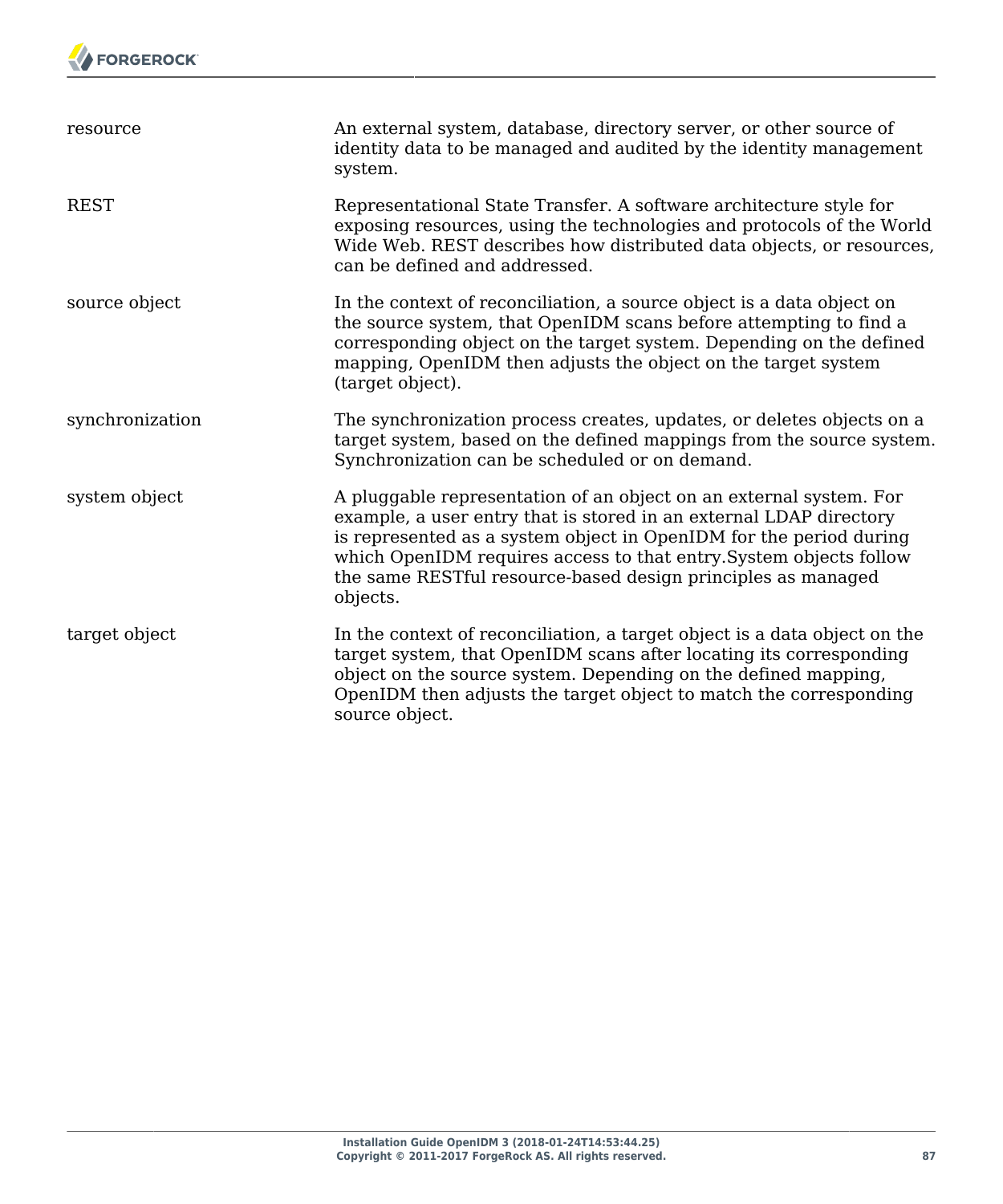

| resource        | An external system, database, directory server, or other source of<br>identity data to be managed and audited by the identity management<br>system.                                                                                                                                                                                                              |
|-----------------|------------------------------------------------------------------------------------------------------------------------------------------------------------------------------------------------------------------------------------------------------------------------------------------------------------------------------------------------------------------|
| <b>REST</b>     | Representational State Transfer. A software architecture style for<br>exposing resources, using the technologies and protocols of the World<br>Wide Web. REST describes how distributed data objects, or resources,<br>can be defined and addressed.                                                                                                             |
| source object   | In the context of reconciliation, a source object is a data object on<br>the source system, that OpenIDM scans before attempting to find a<br>corresponding object on the target system. Depending on the defined<br>mapping, OpenIDM then adjusts the object on the target system<br>(target object).                                                           |
| synchronization | The synchronization process creates, updates, or deletes objects on a<br>target system, based on the defined mappings from the source system.<br>Synchronization can be scheduled or on demand.                                                                                                                                                                  |
| system object   | A pluggable representation of an object on an external system. For<br>example, a user entry that is stored in an external LDAP directory<br>is represented as a system object in OpenIDM for the period during<br>which OpenIDM requires access to that entry. System objects follow<br>the same RESTful resource-based design principles as managed<br>objects. |
| target object   | In the context of reconciliation, a target object is a data object on the<br>target system, that OpenIDM scans after locating its corresponding<br>object on the source system. Depending on the defined mapping,<br>OpenIDM then adjusts the target object to match the corresponding<br>source object.                                                         |